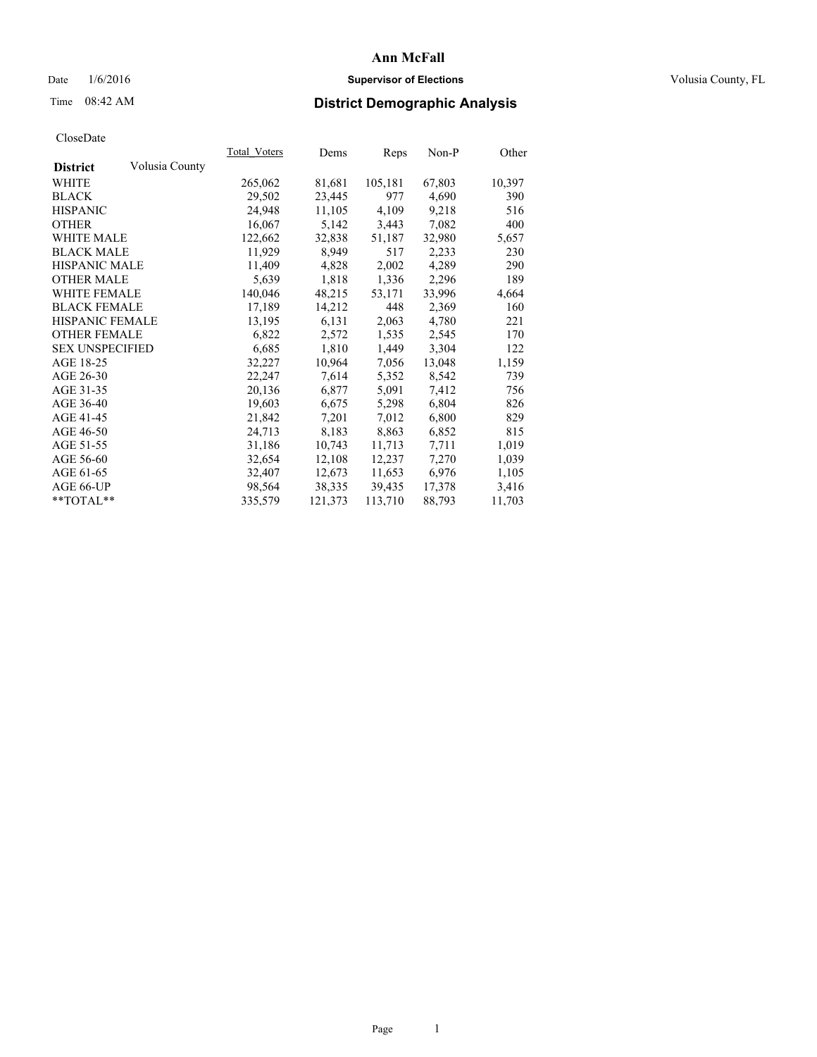## Date  $1/6/2016$  **Supervisor of Elections Supervisor of Elections** Volusia County, FL

## Time 08:42 AM **District Demographic Analysis**

|                                   | Total Voters | Dems    | Reps    | Non-P  | Other  |
|-----------------------------------|--------------|---------|---------|--------|--------|
| Volusia County<br><b>District</b> |              |         |         |        |        |
| <b>WHITE</b>                      | 265,062      | 81,681  | 105,181 | 67,803 | 10,397 |
| <b>BLACK</b>                      | 29,502       | 23,445  | 977     | 4,690  | 390    |
| <b>HISPANIC</b>                   | 24,948       | 11,105  | 4,109   | 9,218  | 516    |
| <b>OTHER</b>                      | 16,067       | 5,142   | 3,443   | 7,082  | 400    |
| <b>WHITE MALE</b>                 | 122,662      | 32,838  | 51,187  | 32,980 | 5,657  |
| <b>BLACK MALE</b>                 | 11,929       | 8,949   | 517     | 2,233  | 230    |
| <b>HISPANIC MALE</b>              | 11,409       | 4,828   | 2,002   | 4,289  | 290    |
| <b>OTHER MALE</b>                 | 5,639        | 1,818   | 1,336   | 2,296  | 189    |
| <b>WHITE FEMALE</b>               | 140,046      | 48,215  | 53,171  | 33,996 | 4,664  |
| <b>BLACK FEMALE</b>               | 17,189       | 14,212  | 448     | 2,369  | 160    |
| <b>HISPANIC FEMALE</b>            | 13,195       | 6,131   | 2,063   | 4,780  | 221    |
| <b>OTHER FEMALE</b>               | 6,822        | 2,572   | 1,535   | 2,545  | 170    |
| <b>SEX UNSPECIFIED</b>            | 6,685        | 1,810   | 1,449   | 3,304  | 122    |
| AGE 18-25                         | 32,227       | 10,964  | 7,056   | 13,048 | 1,159  |
| AGE 26-30                         | 22,247       | 7,614   | 5,352   | 8,542  | 739    |
| AGE 31-35                         | 20,136       | 6,877   | 5,091   | 7,412  | 756    |
| AGE 36-40                         | 19,603       | 6,675   | 5,298   | 6,804  | 826    |
| AGE 41-45                         | 21,842       | 7,201   | 7,012   | 6,800  | 829    |
| AGE 46-50                         | 24,713       | 8,183   | 8,863   | 6,852  | 815    |
| AGE 51-55                         | 31,186       | 10,743  | 11,713  | 7.711  | 1,019  |
| AGE 56-60                         | 32,654       | 12,108  | 12,237  | 7,270  | 1,039  |
| AGE 61-65                         | 32,407       | 12,673  | 11,653  | 6,976  | 1,105  |
| AGE 66-UP                         | 98,564       | 38,335  | 39,435  | 17,378 | 3,416  |
| $*$ TOTAL $*$                     | 335,579      | 121,373 | 113,710 | 88,793 | 11,703 |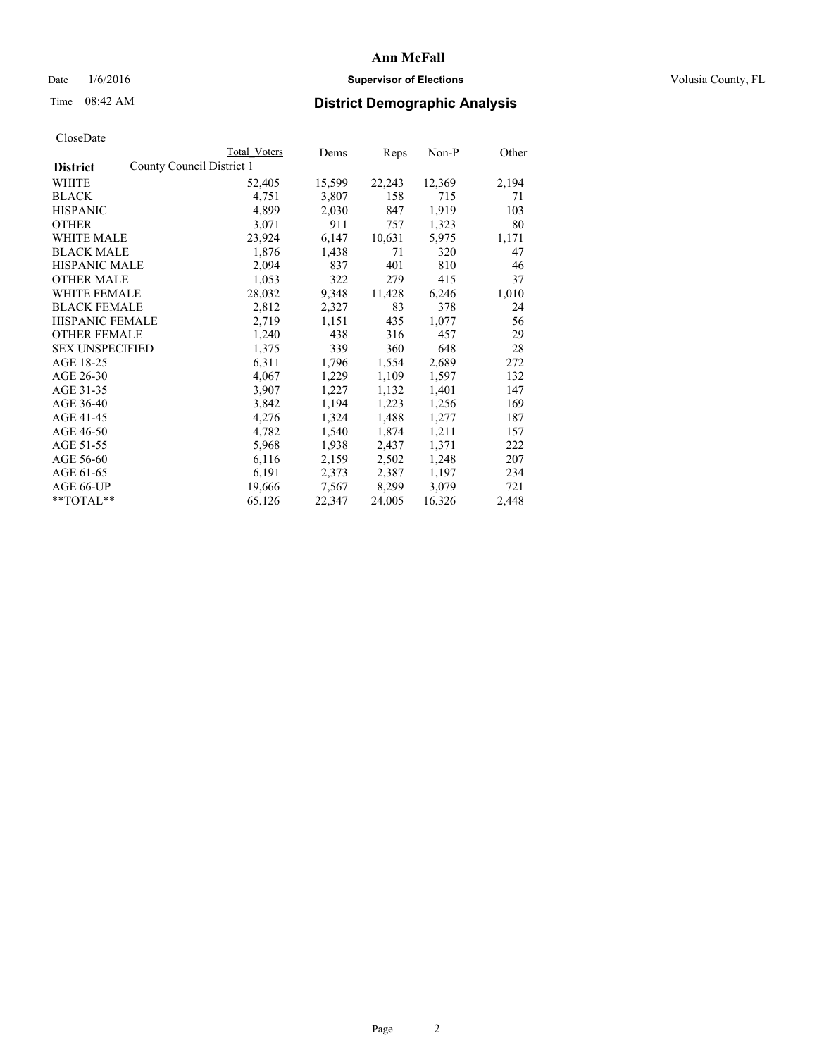## Date  $1/6/2016$  **Supervisor of Elections Supervisor of Elections** Volusia County, FL

## Time 08:42 AM **District Demographic Analysis**

|                                              | Total Voters | Dems   | Reps   | $Non-P$ | Other |
|----------------------------------------------|--------------|--------|--------|---------|-------|
| County Council District 1<br><b>District</b> |              |        |        |         |       |
| WHITE                                        | 52,405       | 15,599 | 22,243 | 12,369  | 2,194 |
| <b>BLACK</b>                                 | 4,751        | 3,807  | 158    | 715     | 71    |
| <b>HISPANIC</b>                              | 4,899        | 2,030  | 847    | 1,919   | 103   |
| <b>OTHER</b>                                 | 3,071        | 911    | 757    | 1,323   | 80    |
| <b>WHITE MALE</b>                            | 23,924       | 6,147  | 10,631 | 5,975   | 1,171 |
| <b>BLACK MALE</b>                            | 1,876        | 1,438  | 71     | 320     | 47    |
| <b>HISPANIC MALE</b>                         | 2,094        | 837    | 401    | 810     | 46    |
| <b>OTHER MALE</b>                            | 1,053        | 322    | 279    | 415     | 37    |
| WHITE FEMALE                                 | 28,032       | 9,348  | 11,428 | 6,246   | 1,010 |
| <b>BLACK FEMALE</b>                          | 2,812        | 2,327  | 83     | 378     | 24    |
| <b>HISPANIC FEMALE</b>                       | 2,719        | 1,151  | 435    | 1,077   | 56    |
| <b>OTHER FEMALE</b>                          | 1,240        | 438    | 316    | 457     | 29    |
| <b>SEX UNSPECIFIED</b>                       | 1,375        | 339    | 360    | 648     | 28    |
| AGE 18-25                                    | 6,311        | 1,796  | 1,554  | 2,689   | 272   |
| AGE 26-30                                    | 4,067        | 1,229  | 1,109  | 1,597   | 132   |
| AGE 31-35                                    | 3,907        | 1,227  | 1,132  | 1,401   | 147   |
| AGE 36-40                                    | 3,842        | 1,194  | 1,223  | 1,256   | 169   |
| AGE 41-45                                    | 4,276        | 1,324  | 1,488  | 1,277   | 187   |
| AGE 46-50                                    | 4,782        | 1,540  | 1,874  | 1,211   | 157   |
| AGE 51-55                                    | 5,968        | 1,938  | 2,437  | 1,371   | 222   |
| AGE 56-60                                    | 6,116        | 2,159  | 2,502  | 1,248   | 207   |
| AGE 61-65                                    | 6,191        | 2,373  | 2,387  | 1,197   | 234   |
| AGE 66-UP                                    | 19,666       | 7,567  | 8,299  | 3,079   | 721   |
| **TOTAL**                                    | 65,126       | 22,347 | 24,005 | 16,326  | 2,448 |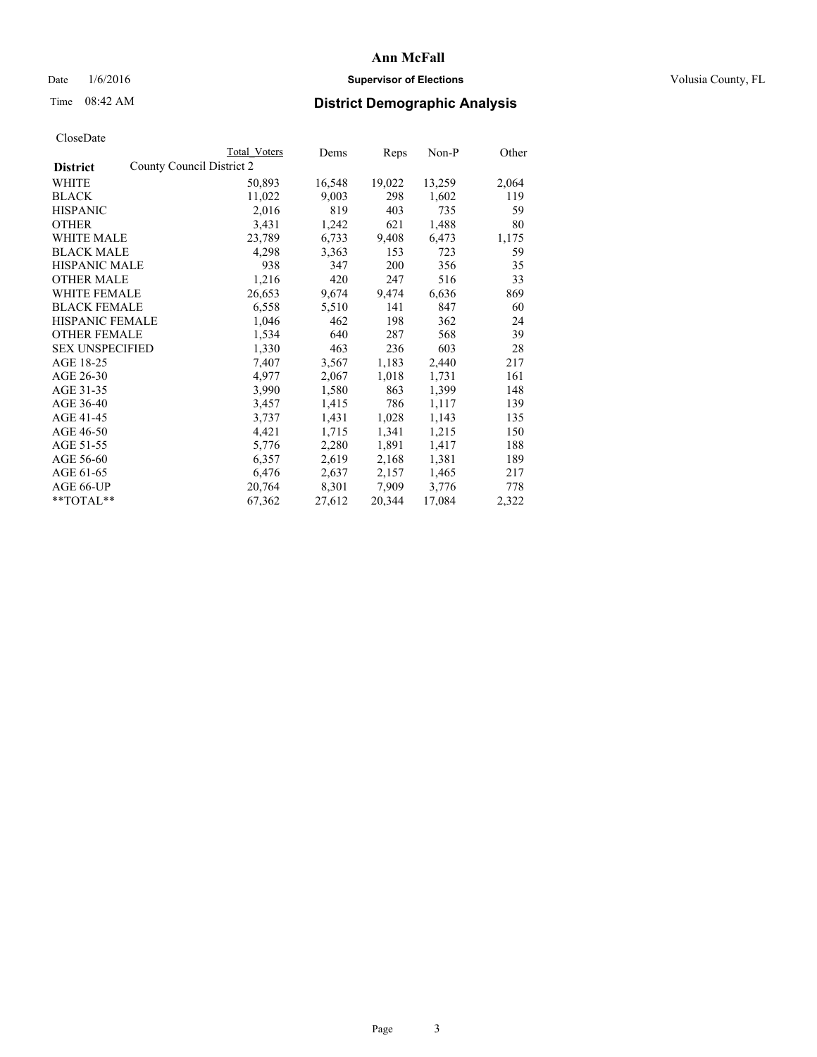## Date  $1/6/2016$  **Supervisor of Elections Supervisor of Elections** Volusia County, FL

## Time 08:42 AM **District Demographic Analysis**

|                                              | Total Voters | Dems   | <b>Reps</b> | $Non-P$ | Other |
|----------------------------------------------|--------------|--------|-------------|---------|-------|
| County Council District 2<br><b>District</b> |              |        |             |         |       |
| WHITE                                        | 50,893       | 16,548 | 19,022      | 13,259  | 2,064 |
| <b>BLACK</b>                                 | 11,022       | 9,003  | 298         | 1,602   | 119   |
| <b>HISPANIC</b>                              | 2,016        | 819    | 403         | 735     | 59    |
| <b>OTHER</b>                                 | 3,431        | 1,242  | 621         | 1,488   | 80    |
| WHITE MALE                                   | 23,789       | 6,733  | 9,408       | 6,473   | 1,175 |
| <b>BLACK MALE</b>                            | 4,298        | 3,363  | 153         | 723     | 59    |
| <b>HISPANIC MALE</b>                         | 938          | 347    | 200         | 356     | 35    |
| OTHER MALE                                   | 1,216        | 420    | 247         | 516     | 33    |
| <b>WHITE FEMALE</b>                          | 26,653       | 9,674  | 9,474       | 6,636   | 869   |
| <b>BLACK FEMALE</b>                          | 6,558        | 5,510  | 141         | 847     | 60    |
| HISPANIC FEMALE                              | 1,046        | 462    | 198         | 362     | 24    |
| <b>OTHER FEMALE</b>                          | 1,534        | 640    | 287         | 568     | 39    |
| <b>SEX UNSPECIFIED</b>                       | 1,330        | 463    | 236         | 603     | 28    |
| AGE 18-25                                    | 7,407        | 3,567  | 1,183       | 2,440   | 217   |
| AGE 26-30                                    | 4,977        | 2,067  | 1,018       | 1,731   | 161   |
| AGE 31-35                                    | 3,990        | 1,580  | 863         | 1,399   | 148   |
| AGE 36-40                                    | 3,457        | 1,415  | 786         | 1,117   | 139   |
| AGE 41-45                                    | 3,737        | 1,431  | 1,028       | 1,143   | 135   |
| AGE 46-50                                    | 4,421        | 1,715  | 1,341       | 1,215   | 150   |
| AGE 51-55                                    | 5,776        | 2,280  | 1,891       | 1,417   | 188   |
| AGE 56-60                                    | 6,357        | 2,619  | 2,168       | 1,381   | 189   |
| AGE 61-65                                    | 6,476        | 2,637  | 2,157       | 1,465   | 217   |
| AGE 66-UP                                    | 20,764       | 8,301  | 7,909       | 3,776   | 778   |
| $*$ TOTAL $*$                                | 67,362       | 27,612 | 20,344      | 17,084  | 2,322 |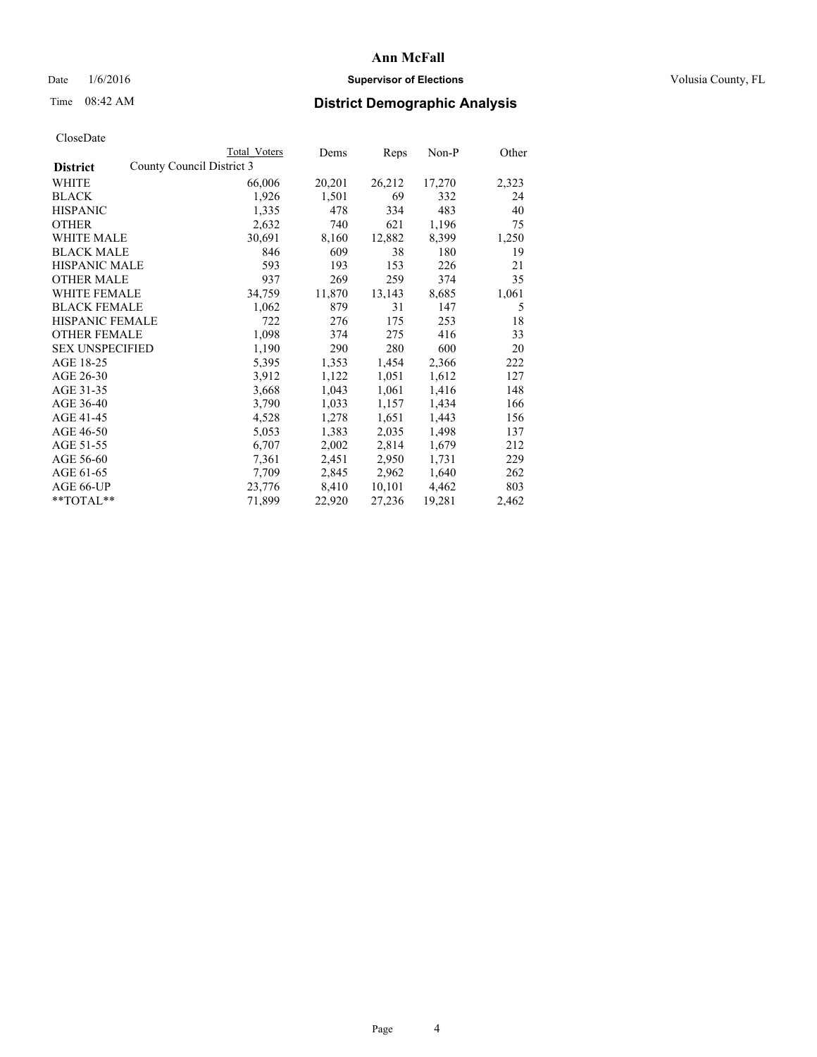## Date  $1/6/2016$  **Supervisor of Elections Supervisor of Elections** Volusia County, FL

## Time 08:42 AM **District Demographic Analysis**

|                                              | <b>Total Voters</b> | Dems   | Reps   | Non-P  | Other |
|----------------------------------------------|---------------------|--------|--------|--------|-------|
| County Council District 3<br><b>District</b> |                     |        |        |        |       |
| WHITE                                        | 66,006              | 20,201 | 26,212 | 17,270 | 2,323 |
| <b>BLACK</b>                                 | 1,926               | 1,501  | 69     | 332    | 24    |
| <b>HISPANIC</b>                              | 1,335               | 478    | 334    | 483    | 40    |
| <b>OTHER</b>                                 | 2,632               | 740    | 621    | 1,196  | 75    |
| <b>WHITE MALE</b>                            | 30,691              | 8,160  | 12,882 | 8,399  | 1,250 |
| <b>BLACK MALE</b>                            | 846                 | 609    | 38     | 180    | 19    |
| <b>HISPANIC MALE</b>                         | 593                 | 193    | 153    | 226    | 21    |
| <b>OTHER MALE</b>                            | 937                 | 269    | 259    | 374    | 35    |
| <b>WHITE FEMALE</b>                          | 34,759              | 11,870 | 13,143 | 8,685  | 1,061 |
| <b>BLACK FEMALE</b>                          | 1,062               | 879    | 31     | 147    | 5     |
| HISPANIC FEMALE                              | 722                 | 276    | 175    | 253    | 18    |
| <b>OTHER FEMALE</b>                          | 1,098               | 374    | 275    | 416    | 33    |
| <b>SEX UNSPECIFIED</b>                       | 1,190               | 290    | 280    | 600    | 20    |
| AGE 18-25                                    | 5,395               | 1,353  | 1,454  | 2,366  | 222   |
| AGE 26-30                                    | 3,912               | 1,122  | 1,051  | 1,612  | 127   |
| AGE 31-35                                    | 3,668               | 1,043  | 1,061  | 1,416  | 148   |
| AGE 36-40                                    | 3,790               | 1,033  | 1,157  | 1,434  | 166   |
| AGE 41-45                                    | 4,528               | 1,278  | 1,651  | 1,443  | 156   |
| AGE 46-50                                    | 5,053               | 1,383  | 2,035  | 1,498  | 137   |
| AGE 51-55                                    | 6,707               | 2,002  | 2,814  | 1,679  | 212   |
| AGE 56-60                                    | 7,361               | 2,451  | 2,950  | 1,731  | 229   |
| AGE 61-65                                    | 7,709               | 2,845  | 2,962  | 1,640  | 262   |
| AGE 66-UP                                    | 23,776              | 8,410  | 10,101 | 4,462  | 803   |
| $*$ $TOTAL**$                                | 71,899              | 22,920 | 27,236 | 19,281 | 2,462 |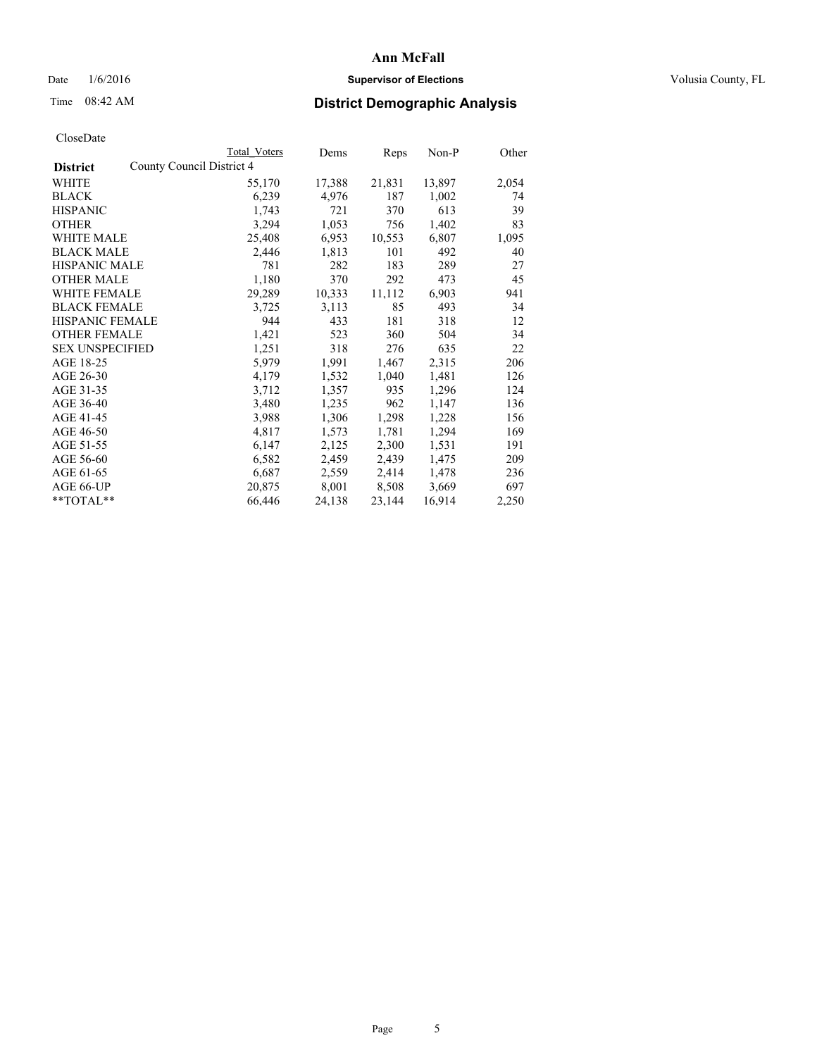## Date  $1/6/2016$  **Supervisor of Elections Supervisor of Elections** Volusia County, FL

| Total Voters              | Dems   |        | Non-P  | Other |
|---------------------------|--------|--------|--------|-------|
| County Council District 4 |        |        |        |       |
| 55,170                    | 17,388 | 21,831 | 13,897 | 2,054 |
| 6,239                     | 4,976  | 187    | 1,002  | 74    |
| 1,743                     | 721    | 370    | 613    | 39    |
| 3,294                     | 1,053  | 756    | 1,402  | 83    |
| 25,408                    | 6,953  | 10,553 | 6,807  | 1,095 |
| 2,446                     | 1,813  | 101    | 492    | 40    |
| 781                       | 282    | 183    | 289    | 27    |
| 1,180                     | 370    | 292    | 473    | 45    |
| 29,289                    | 10,333 | 11,112 | 6,903  | 941   |
| 3,725                     | 3,113  | 85     | 493    | 34    |
| 944                       | 433    | 181    | 318    | 12    |
| 1,421                     | 523    | 360    | 504    | 34    |
| 1,251                     | 318    | 276    | 635    | 22    |
| 5,979                     | 1,991  | 1,467  | 2,315  | 206   |
| 4,179                     | 1,532  | 1,040  | 1,481  | 126   |
| 3,712                     | 1,357  | 935    | 1,296  | 124   |
| 3,480                     | 1,235  | 962    | 1,147  | 136   |
| 3,988                     | 1,306  | 1,298  | 1,228  | 156   |
| 4,817                     | 1,573  | 1,781  | 1,294  | 169   |
| 6,147                     | 2,125  | 2,300  | 1,531  | 191   |
| 6,582                     | 2,459  | 2,439  | 1,475  | 209   |
| 6,687                     | 2,559  | 2,414  | 1,478  | 236   |
| 20,875                    | 8,001  | 8,508  | 3,669  | 697   |
| 66,446                    | 24,138 | 23,144 | 16,914 | 2,250 |
|                           |        |        | Reps   |       |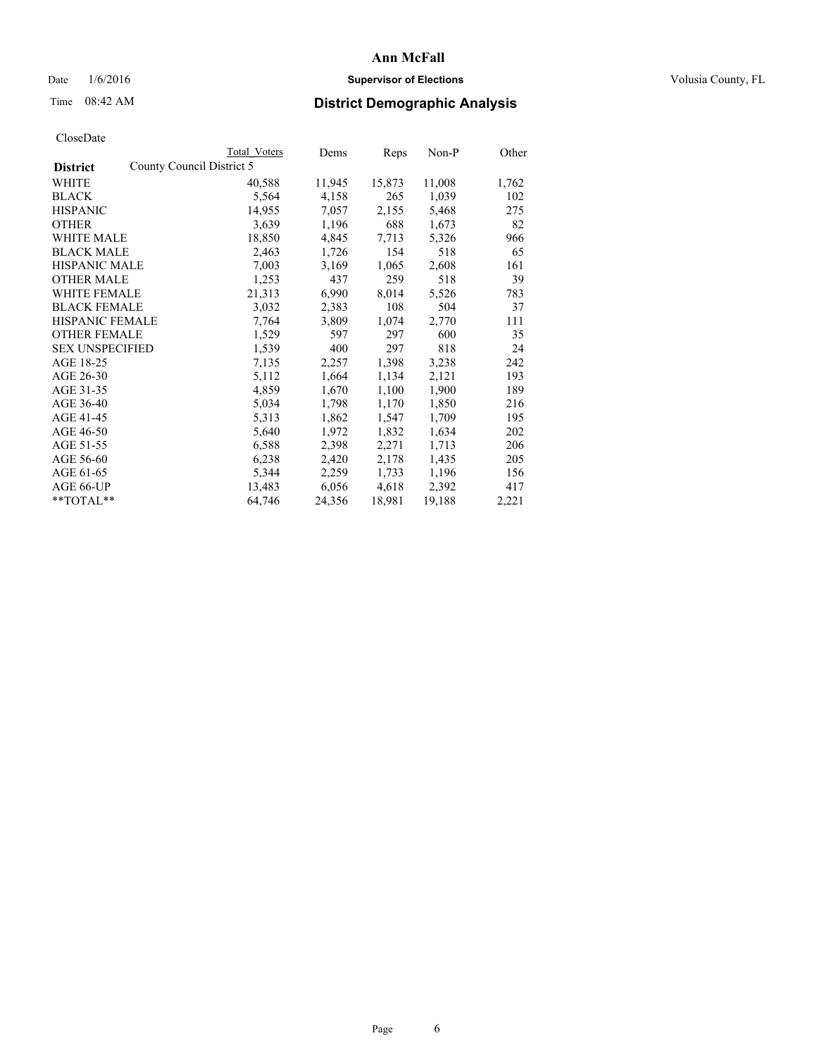## Date  $1/6/2016$  **Supervisor of Elections Supervisor of Elections** Volusia County, FL

|                                              | Total Voters | Dems   | Reps   | $Non-P$ | Other |
|----------------------------------------------|--------------|--------|--------|---------|-------|
| County Council District 5<br><b>District</b> |              |        |        |         |       |
| WHITE                                        | 40,588       | 11,945 | 15,873 | 11,008  | 1,762 |
| <b>BLACK</b>                                 | 5,564        | 4,158  | 265    | 1,039   | 102   |
| <b>HISPANIC</b>                              | 14,955       | 7,057  | 2,155  | 5,468   | 275   |
| <b>OTHER</b>                                 | 3,639        | 1,196  | 688    | 1,673   | 82    |
| <b>WHITE MALE</b>                            | 18,850       | 4,845  | 7.713  | 5,326   | 966   |
| <b>BLACK MALE</b>                            | 2,463        | 1,726  | 154    | 518     | 65    |
| <b>HISPANIC MALE</b>                         | 7,003        | 3,169  | 1,065  | 2,608   | 161   |
| <b>OTHER MALE</b>                            | 1,253        | 437    | 259    | 518     | 39    |
| <b>WHITE FEMALE</b>                          | 21,313       | 6,990  | 8,014  | 5,526   | 783   |
| <b>BLACK FEMALE</b>                          | 3,032        | 2,383  | 108    | 504     | 37    |
| <b>HISPANIC FEMALE</b>                       | 7,764        | 3,809  | 1,074  | 2,770   | 111   |
| <b>OTHER FEMALE</b>                          | 1,529        | 597    | 297    | 600     | 35    |
| <b>SEX UNSPECIFIED</b>                       | 1,539        | 400    | 297    | 818     | 24    |
| AGE 18-25                                    | 7,135        | 2,257  | 1,398  | 3,238   | 242   |
| AGE 26-30                                    | 5,112        | 1,664  | 1,134  | 2,121   | 193   |
| AGE 31-35                                    | 4,859        | 1,670  | 1,100  | 1,900   | 189   |
| AGE 36-40                                    | 5,034        | 1,798  | 1,170  | 1,850   | 216   |
| AGE 41-45                                    | 5,313        | 1,862  | 1,547  | 1,709   | 195   |
| AGE 46-50                                    | 5,640        | 1,972  | 1,832  | 1,634   | 202   |
| AGE 51-55                                    | 6,588        | 2,398  | 2,271  | 1,713   | 206   |
| AGE 56-60                                    | 6,238        | 2,420  | 2,178  | 1,435   | 205   |
| AGE 61-65                                    | 5,344        | 2,259  | 1,733  | 1,196   | 156   |
| AGE 66-UP                                    | 13,483       | 6,056  | 4,618  | 2,392   | 417   |
| $*$ TOTAL $*$                                | 64,746       | 24,356 | 18,981 | 19,188  | 2,221 |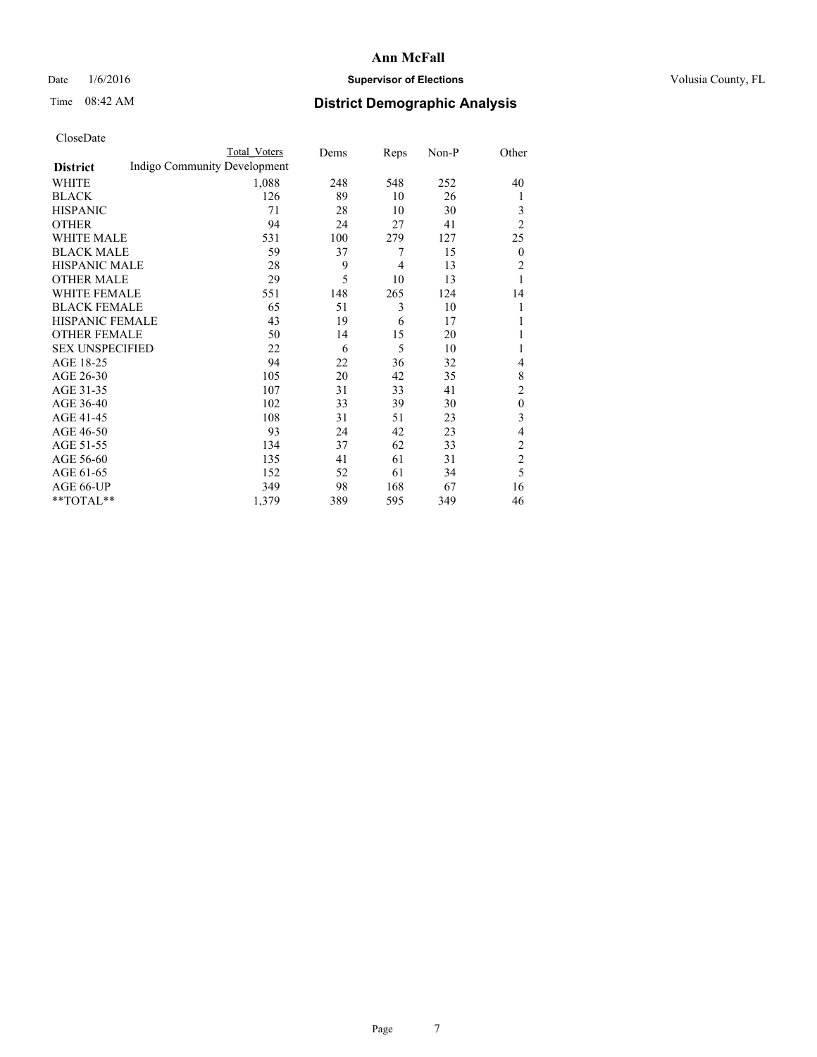## Date  $1/6/2016$  **Supervisor of Elections Supervisor of Elections** Volusia County, FL

## Time 08:42 AM **District Demographic Analysis**

|                        |                              | Total Voters | Dems | Reps           | Non-P | Other          |
|------------------------|------------------------------|--------------|------|----------------|-------|----------------|
| <b>District</b>        | Indigo Community Development |              |      |                |       |                |
| WHITE                  |                              | 1,088        | 248  | 548            | 252   | 40             |
| <b>BLACK</b>           |                              | 126          | 89   | 10             | 26    | 1              |
| <b>HISPANIC</b>        |                              | 71           | 28   | 10             | 30    | 3              |
| <b>OTHER</b>           |                              | 94           | 24   | 27             | 41    | $\overline{2}$ |
| WHITE MALE             |                              | 531          | 100  | 279            | 127   | 25             |
| <b>BLACK MALE</b>      |                              | 59           | 37   | 7              | 15    | $\theta$       |
| <b>HISPANIC MALE</b>   |                              | 28           | 9    | $\overline{4}$ | 13    | $\overline{2}$ |
| <b>OTHER MALE</b>      |                              | 29           | 5    | 10             | 13    | 1              |
| WHITE FEMALE           |                              | 551          | 148  | 265            | 124   | 14             |
| <b>BLACK FEMALE</b>    |                              | 65           | 51   | 3              | 10    | 1              |
| <b>HISPANIC FEMALE</b> |                              | 43           | 19   | 6              | 17    | 1              |
| <b>OTHER FEMALE</b>    |                              | 50           | 14   | 15             | 20    | 1              |
| <b>SEX UNSPECIFIED</b> |                              | 22           | 6    | 5              | 10    | 1              |
| AGE 18-25              |                              | 94           | 22   | 36             | 32    | 4              |
| AGE 26-30              |                              | 105          | 20   | 42             | 35    | 8              |
| AGE 31-35              |                              | 107          | 31   | 33             | 41    | $\overline{c}$ |
| AGE 36-40              |                              | 102          | 33   | 39             | 30    | $\mathbf{0}$   |
| AGE 41-45              |                              | 108          | 31   | 51             | 23    | 3              |
| AGE 46-50              |                              | 93           | 24   | 42             | 23    | 4              |
| AGE 51-55              |                              | 134          | 37   | 62             | 33    | $\overline{c}$ |
| AGE 56-60              |                              | 135          | 41   | 61             | 31    | $\overline{c}$ |
| AGE 61-65              |                              | 152          | 52   | 61             | 34    | 5              |
| AGE 66-UP              |                              | 349          | 98   | 168            | 67    | 16             |
| **TOTAL**              |                              | 1,379        | 389  | 595            | 349   | 46             |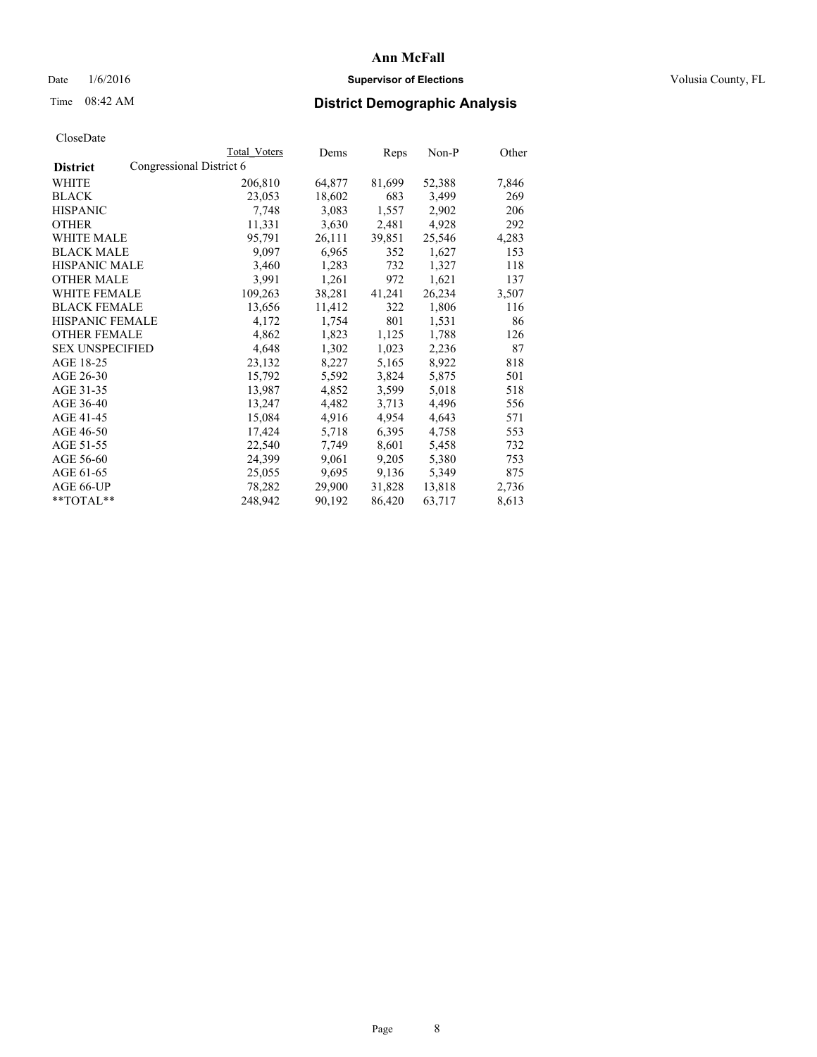## Date  $1/6/2016$  **Supervisor of Elections Supervisor of Elections** Volusia County, FL

## Time 08:42 AM **District Demographic Analysis**

|                                             | Total Voters | Dems   | Reps   | Non-P  | Other |
|---------------------------------------------|--------------|--------|--------|--------|-------|
| Congressional District 6<br><b>District</b> |              |        |        |        |       |
| WHITE                                       | 206,810      | 64,877 | 81,699 | 52,388 | 7,846 |
| <b>BLACK</b>                                | 23,053       | 18,602 | 683    | 3,499  | 269   |
| <b>HISPANIC</b>                             | 7,748        | 3,083  | 1,557  | 2,902  | 206   |
| <b>OTHER</b>                                | 11,331       | 3,630  | 2,481  | 4,928  | 292   |
| WHITE MALE                                  | 95,791       | 26,111 | 39,851 | 25,546 | 4,283 |
| <b>BLACK MALE</b>                           | 9,097        | 6,965  | 352    | 1,627  | 153   |
| <b>HISPANIC MALE</b>                        | 3,460        | 1,283  | 732    | 1,327  | 118   |
| <b>OTHER MALE</b>                           | 3,991        | 1,261  | 972    | 1,621  | 137   |
| <b>WHITE FEMALE</b>                         | 109,263      | 38,281 | 41,241 | 26,234 | 3,507 |
| <b>BLACK FEMALE</b>                         | 13,656       | 11,412 | 322    | 1,806  | 116   |
| <b>HISPANIC FEMALE</b>                      | 4,172        | 1,754  | 801    | 1,531  | 86    |
| <b>OTHER FEMALE</b>                         | 4,862        | 1,823  | 1,125  | 1,788  | 126   |
| <b>SEX UNSPECIFIED</b>                      | 4,648        | 1,302  | 1,023  | 2,236  | 87    |
| AGE 18-25                                   | 23,132       | 8,227  | 5,165  | 8,922  | 818   |
| AGE 26-30                                   | 15,792       | 5,592  | 3,824  | 5,875  | 501   |
| AGE 31-35                                   | 13,987       | 4,852  | 3,599  | 5,018  | 518   |
| AGE 36-40                                   | 13,247       | 4,482  | 3,713  | 4,496  | 556   |
| AGE 41-45                                   | 15,084       | 4,916  | 4,954  | 4,643  | 571   |
| AGE 46-50                                   | 17,424       | 5,718  | 6,395  | 4,758  | 553   |
| AGE 51-55                                   | 22,540       | 7,749  | 8,601  | 5,458  | 732   |
| AGE 56-60                                   | 24,399       | 9,061  | 9,205  | 5,380  | 753   |
| AGE 61-65                                   | 25,055       | 9,695  | 9,136  | 5,349  | 875   |
| AGE 66-UP                                   | 78,282       | 29,900 | 31,828 | 13,818 | 2,736 |
| $*$ TOTAL $*$                               | 248,942      | 90,192 | 86,420 | 63,717 | 8,613 |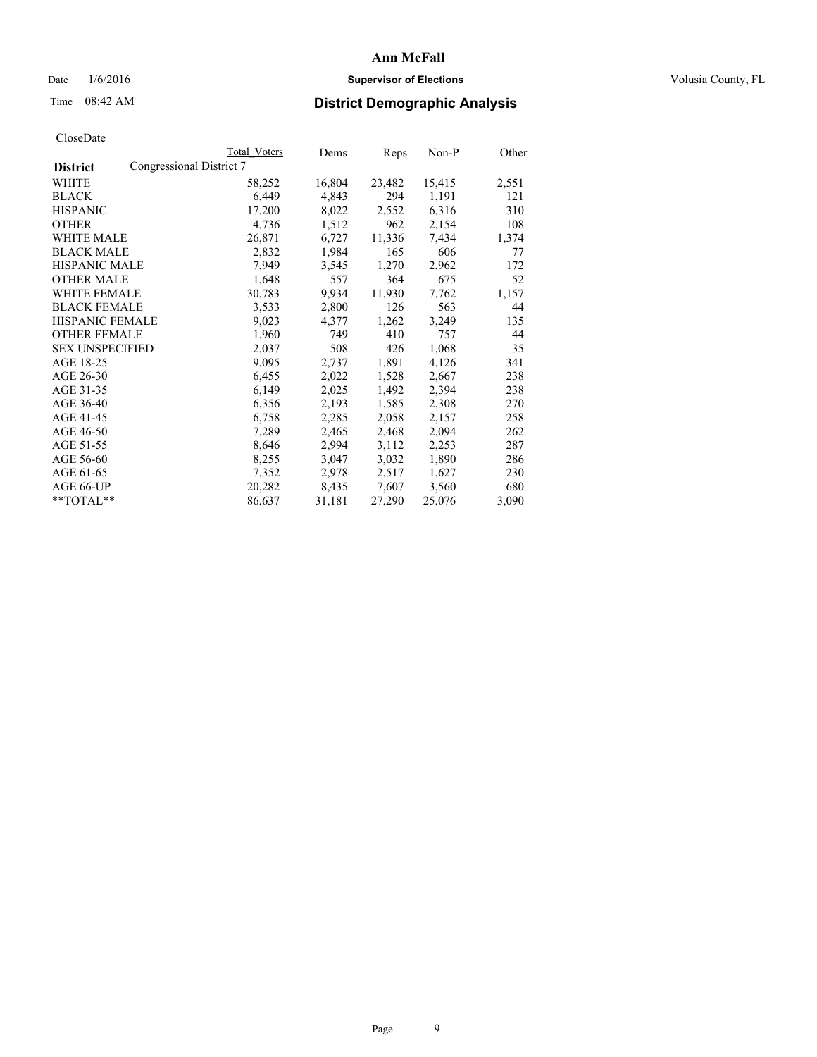## Date  $1/6/2016$  **Supervisor of Elections Supervisor of Elections** Volusia County, FL

## Time 08:42 AM **District Demographic Analysis**

|                        |                          | <b>Total Voters</b> | Dems   | Reps   | Non-P  | Other |
|------------------------|--------------------------|---------------------|--------|--------|--------|-------|
| <b>District</b>        | Congressional District 7 |                     |        |        |        |       |
| WHITE                  |                          | 58,252              | 16,804 | 23,482 | 15,415 | 2,551 |
| <b>BLACK</b>           |                          | 6,449               | 4,843  | 294    | 1,191  | 121   |
| <b>HISPANIC</b>        |                          | 17,200              | 8,022  | 2,552  | 6,316  | 310   |
| <b>OTHER</b>           |                          | 4,736               | 1,512  | 962    | 2,154  | 108   |
| <b>WHITE MALE</b>      |                          | 26,871              | 6,727  | 11,336 | 7.434  | 1,374 |
| <b>BLACK MALE</b>      |                          | 2,832               | 1,984  | 165    | 606    | 77    |
| <b>HISPANIC MALE</b>   |                          | 7,949               | 3,545  | 1,270  | 2,962  | 172   |
| <b>OTHER MALE</b>      |                          | 1,648               | 557    | 364    | 675    | 52    |
| <b>WHITE FEMALE</b>    |                          | 30,783              | 9.934  | 11,930 | 7,762  | 1,157 |
| <b>BLACK FEMALE</b>    |                          | 3,533               | 2,800  | 126    | 563    | 44    |
| HISPANIC FEMALE        |                          | 9,023               | 4,377  | 1,262  | 3,249  | 135   |
| <b>OTHER FEMALE</b>    |                          | 1,960               | 749    | 410    | 757    | 44    |
| <b>SEX UNSPECIFIED</b> |                          | 2,037               | 508    | 426    | 1,068  | 35    |
| AGE 18-25              |                          | 9,095               | 2,737  | 1,891  | 4,126  | 341   |
| AGE 26-30              |                          | 6,455               | 2,022  | 1,528  | 2,667  | 238   |
| AGE 31-35              |                          | 6,149               | 2,025  | 1,492  | 2,394  | 238   |
| AGE 36-40              |                          | 6,356               | 2,193  | 1,585  | 2,308  | 270   |
| AGE 41-45              |                          | 6,758               | 2,285  | 2,058  | 2,157  | 258   |
| AGE 46-50              |                          | 7,289               | 2,465  | 2,468  | 2,094  | 262   |
| AGE 51-55              |                          | 8,646               | 2,994  | 3,112  | 2,253  | 287   |
| AGE 56-60              |                          | 8,255               | 3,047  | 3,032  | 1,890  | 286   |
| AGE 61-65              |                          | 7,352               | 2,978  | 2,517  | 1,627  | 230   |
| AGE 66-UP              |                          | 20,282              | 8,435  | 7,607  | 3,560  | 680   |
| $*$ $TOTAL**$          |                          | 86,637              | 31,181 | 27,290 | 25,076 | 3,090 |
|                        |                          |                     |        |        |        |       |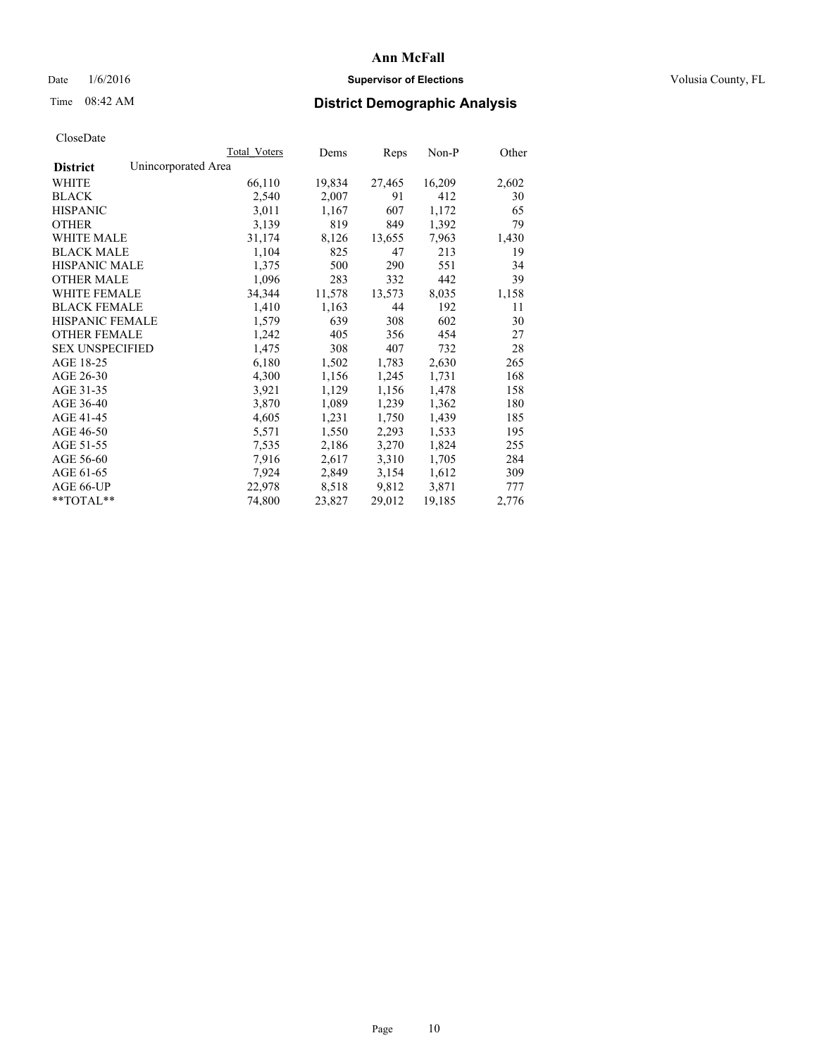## Date  $1/6/2016$  **Supervisor of Elections Supervisor of Elections** Volusia County, FL

## Time 08:42 AM **District Demographic Analysis**

|                                        | Total Voters | Dems   | Reps   | Non-P  | Other |
|----------------------------------------|--------------|--------|--------|--------|-------|
| Unincorporated Area<br><b>District</b> |              |        |        |        |       |
| WHITE                                  | 66,110       | 19,834 | 27,465 | 16,209 | 2,602 |
| <b>BLACK</b>                           | 2,540        | 2,007  | 91     | 412    | 30    |
| <b>HISPANIC</b>                        | 3,011        | 1,167  | 607    | 1,172  | 65    |
| <b>OTHER</b>                           | 3,139        | 819    | 849    | 1,392  | 79    |
| WHITE MALE                             | 31,174       | 8,126  | 13,655 | 7,963  | 1,430 |
| <b>BLACK MALE</b>                      | 1,104        | 825    | 47     | 213    | 19    |
| <b>HISPANIC MALE</b>                   | 1,375        | 500    | 290    | 551    | 34    |
| <b>OTHER MALE</b>                      | 1,096        | 283    | 332    | 442    | 39    |
| <b>WHITE FEMALE</b>                    | 34,344       | 11,578 | 13,573 | 8,035  | 1,158 |
| <b>BLACK FEMALE</b>                    | 1,410        | 1,163  | 44     | 192    | 11    |
| <b>HISPANIC FEMALE</b>                 | 1,579        | 639    | 308    | 602    | 30    |
| <b>OTHER FEMALE</b>                    | 1,242        | 405    | 356    | 454    | 27    |
| <b>SEX UNSPECIFIED</b>                 | 1,475        | 308    | 407    | 732    | 28    |
| AGE 18-25                              | 6,180        | 1,502  | 1,783  | 2,630  | 265   |
| AGE 26-30                              | 4,300        | 1,156  | 1,245  | 1,731  | 168   |
| AGE 31-35                              | 3,921        | 1,129  | 1,156  | 1,478  | 158   |
| AGE 36-40                              | 3,870        | 1,089  | 1,239  | 1,362  | 180   |
| AGE 41-45                              | 4,605        | 1,231  | 1,750  | 1,439  | 185   |
| AGE 46-50                              | 5,571        | 1,550  | 2,293  | 1,533  | 195   |
| AGE 51-55                              | 7,535        | 2,186  | 3,270  | 1,824  | 255   |
| AGE 56-60                              | 7,916        | 2,617  | 3,310  | 1,705  | 284   |
| AGE 61-65                              | 7,924        | 2,849  | 3,154  | 1,612  | 309   |
| AGE 66-UP                              | 22,978       | 8,518  | 9,812  | 3,871  | 777   |
| $*$ TOTAL $*$                          | 74,800       | 23,827 | 29,012 | 19,185 | 2,776 |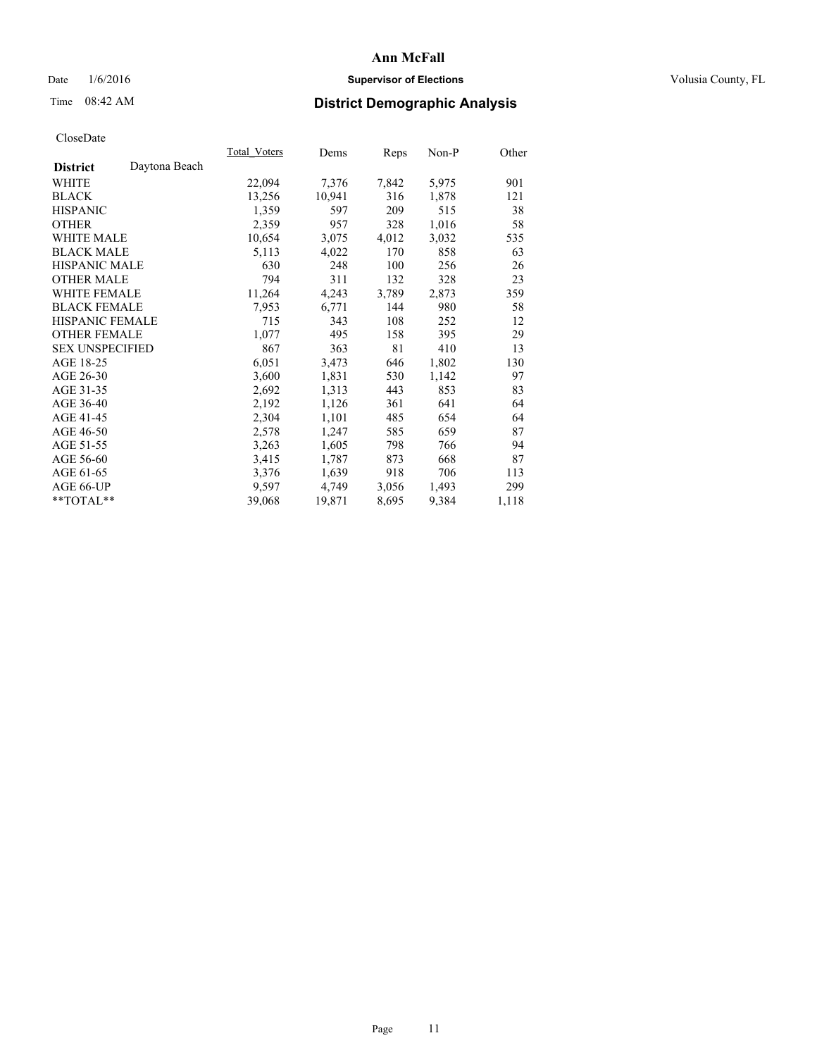## Date  $1/6/2016$  **Supervisor of Elections Supervisor of Elections** Volusia County, FL

## Time 08:42 AM **District Demographic Analysis**

|                                  | Total Voters | Dems   | Reps  | $Non-P$ | Other |
|----------------------------------|--------------|--------|-------|---------|-------|
| Daytona Beach<br><b>District</b> |              |        |       |         |       |
| WHITE                            | 22,094       | 7,376  | 7,842 | 5,975   | 901   |
| <b>BLACK</b>                     | 13,256       | 10,941 | 316   | 1,878   | 121   |
| <b>HISPANIC</b>                  | 1,359        | 597    | 209   | 515     | 38    |
| <b>OTHER</b>                     | 2,359        | 957    | 328   | 1,016   | 58    |
| WHITE MALE                       | 10,654       | 3,075  | 4,012 | 3,032   | 535   |
| <b>BLACK MALE</b>                | 5,113        | 4,022  | 170   | 858     | 63    |
| <b>HISPANIC MALE</b>             | 630          | 248    | 100   | 256     | 26    |
| <b>OTHER MALE</b>                | 794          | 311    | 132   | 328     | 23    |
| <b>WHITE FEMALE</b>              | 11,264       | 4,243  | 3,789 | 2,873   | 359   |
| <b>BLACK FEMALE</b>              | 7,953        | 6,771  | 144   | 980     | 58    |
| HISPANIC FEMALE                  | 715          | 343    | 108   | 252     | 12    |
| <b>OTHER FEMALE</b>              | 1,077        | 495    | 158   | 395     | 29    |
| <b>SEX UNSPECIFIED</b>           | 867          | 363    | 81    | 410     | 13    |
| AGE 18-25                        | 6,051        | 3,473  | 646   | 1,802   | 130   |
| AGE 26-30                        | 3,600        | 1,831  | 530   | 1,142   | 97    |
| AGE 31-35                        | 2,692        | 1,313  | 443   | 853     | 83    |
| AGE 36-40                        | 2,192        | 1,126  | 361   | 641     | 64    |
| AGE 41-45                        | 2,304        | 1,101  | 485   | 654     | 64    |
| AGE 46-50                        | 2,578        | 1,247  | 585   | 659     | 87    |
| AGE 51-55                        | 3,263        | 1,605  | 798   | 766     | 94    |
| AGE 56-60                        | 3,415        | 1,787  | 873   | 668     | 87    |
| AGE 61-65                        | 3,376        | 1,639  | 918   | 706     | 113   |
| AGE 66-UP                        | 9,597        | 4,749  | 3,056 | 1,493   | 299   |
| $*$ TOTAL $*$                    | 39,068       | 19,871 | 8,695 | 9,384   | 1,118 |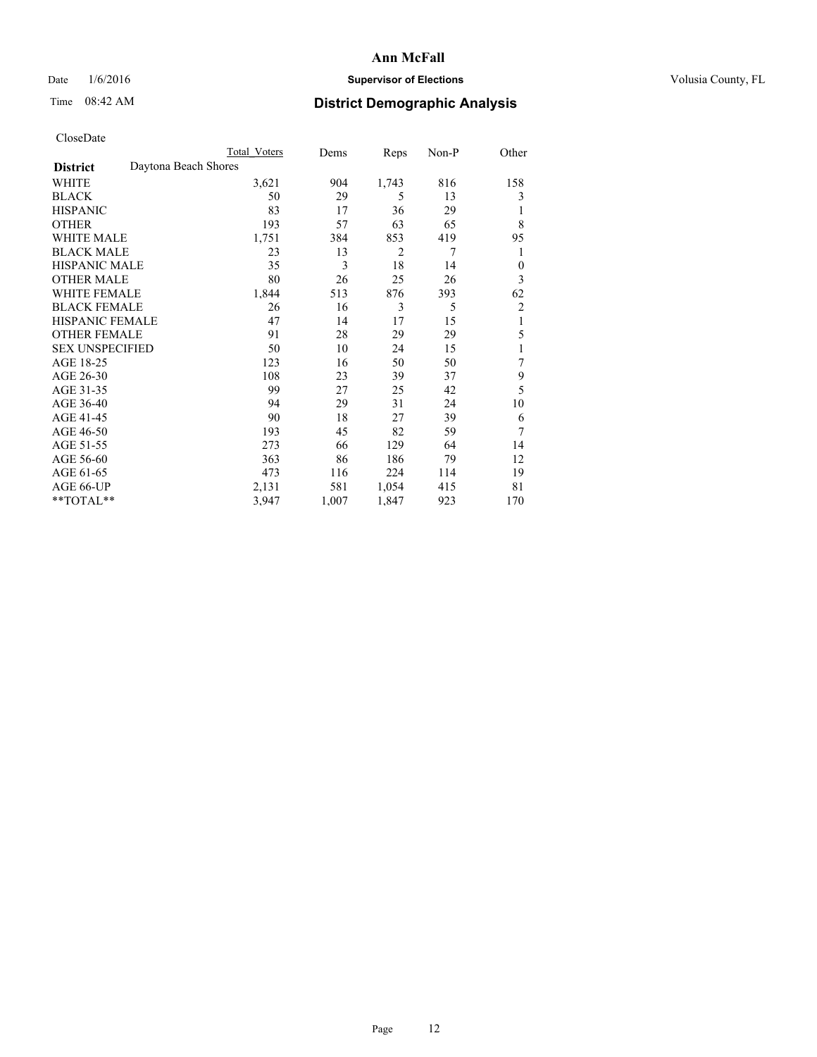## Date  $1/6/2016$  **Supervisor of Elections Supervisor of Elections** Volusia County, FL

## Time 08:42 AM **District Demographic Analysis**

|                        | Total Voters         | Dems  | Reps           | Non-P | Other          |
|------------------------|----------------------|-------|----------------|-------|----------------|
| <b>District</b>        | Daytona Beach Shores |       |                |       |                |
| WHITE                  | 3,621                | 904   | 1,743          | 816   | 158            |
| <b>BLACK</b>           | 50                   | 29    | 5              | 13    | 3              |
| <b>HISPANIC</b>        | 83                   | 17    | 36             | 29    | 1              |
| <b>OTHER</b>           | 193                  | 57    | 63             | 65    | 8              |
| WHITE MALE             | 1,751                | 384   | 853            | 419   | 95             |
| <b>BLACK MALE</b>      | 23                   | 13    | $\overline{2}$ | 7     | 1              |
| <b>HISPANIC MALE</b>   | 35                   | 3     | 18             | 14    | $\theta$       |
| <b>OTHER MALE</b>      | 80                   | 26    | 25             | 26    | 3              |
| <b>WHITE FEMALE</b>    | 1,844                | 513   | 876            | 393   | 62             |
| <b>BLACK FEMALE</b>    | 26                   | 16    | 3              | 5     | $\overline{c}$ |
| <b>HISPANIC FEMALE</b> | 47                   | 14    | 17             | 15    | 1              |
| <b>OTHER FEMALE</b>    | 91                   | 28    | 29             | 29    | 5              |
| <b>SEX UNSPECIFIED</b> | 50                   | 10    | 24             | 15    | 1              |
| AGE 18-25              | 123                  | 16    | 50             | 50    | 7              |
| AGE 26-30              | 108                  | 23    | 39             | 37    | 9              |
| AGE 31-35              | 99                   | 27    | 25             | 42    | 5              |
| AGE 36-40              | 94                   | 29    | 31             | 24    | 10             |
| AGE 41-45              | 90                   | 18    | 27             | 39    | 6              |
| AGE 46-50              | 193                  | 45    | 82             | 59    | 7              |
| AGE 51-55              | 273                  | 66    | 129            | 64    | 14             |
| AGE 56-60              | 363                  | 86    | 186            | 79    | 12             |
| AGE 61-65              | 473                  | 116   | 224            | 114   | 19             |
| AGE 66-UP              | 2,131                | 581   | 1,054          | 415   | 81             |
| **TOTAL**              | 3,947                | 1,007 | 1,847          | 923   | 170            |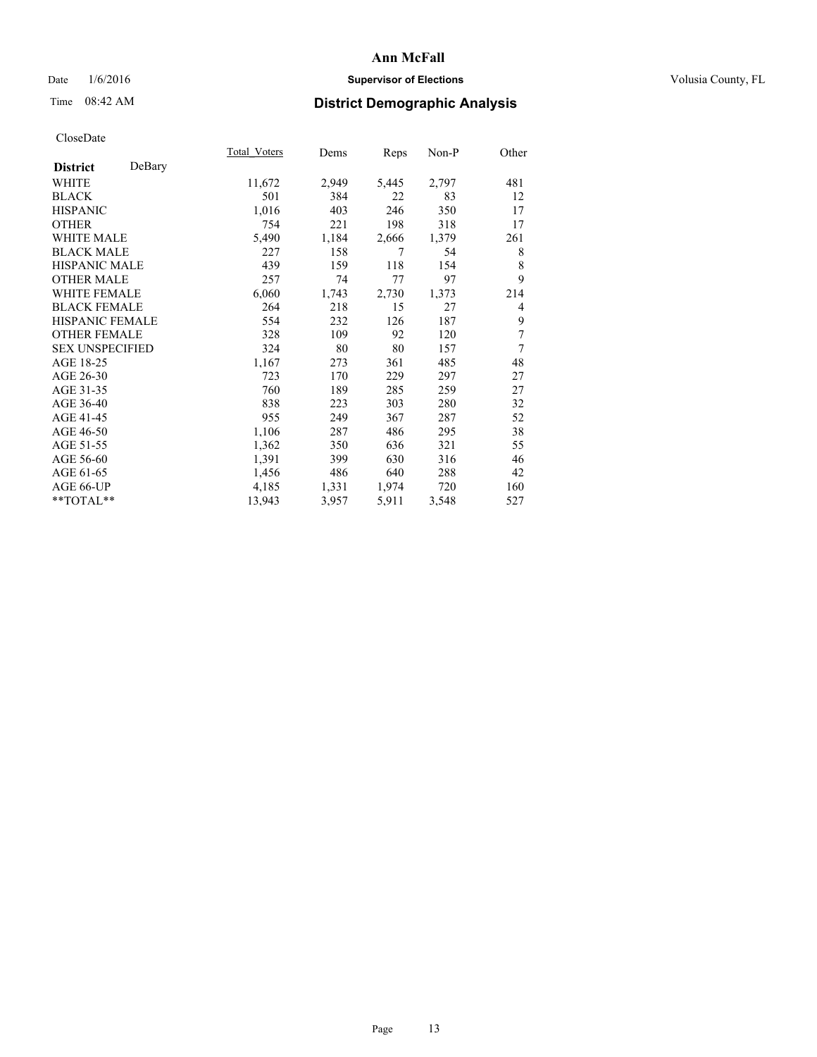## Date  $1/6/2016$  **Supervisor of Elections Supervisor of Elections** Volusia County, FL

## Time 08:42 AM **District Demographic Analysis**

|                        |        | Total Voters | Dems  | Reps  | Non-P | Other |
|------------------------|--------|--------------|-------|-------|-------|-------|
| <b>District</b>        | DeBary |              |       |       |       |       |
| WHITE                  |        | 11,672       | 2,949 | 5,445 | 2,797 | 481   |
| <b>BLACK</b>           |        | 501          | 384   | 22    | 83    | 12    |
| <b>HISPANIC</b>        |        | 1,016        | 403   | 246   | 350   | 17    |
| <b>OTHER</b>           |        | 754          | 221   | 198   | 318   | 17    |
| WHITE MALE             |        | 5,490        | 1,184 | 2,666 | 1,379 | 261   |
| <b>BLACK MALE</b>      |        | 227          | 158   | 7     | 54    | 8     |
| <b>HISPANIC MALE</b>   |        | 439          | 159   | 118   | 154   | 8     |
| <b>OTHER MALE</b>      |        | 257          | 74    | 77    | 97    | 9     |
| WHITE FEMALE           |        | 6,060        | 1,743 | 2,730 | 1,373 | 214   |
| <b>BLACK FEMALE</b>    |        | 264          | 218   | 15    | 27    | 4     |
| <b>HISPANIC FEMALE</b> |        | 554          | 232   | 126   | 187   | 9     |
| <b>OTHER FEMALE</b>    |        | 328          | 109   | 92    | 120   | 7     |
| <b>SEX UNSPECIFIED</b> |        | 324          | 80    | 80    | 157   | 7     |
| AGE 18-25              |        | 1,167        | 273   | 361   | 485   | 48    |
| AGE 26-30              |        | 723          | 170   | 229   | 297   | 27    |
| AGE 31-35              |        | 760          | 189   | 285   | 259   | 27    |
| AGE 36-40              |        | 838          | 223   | 303   | 280   | 32    |
| AGE 41-45              |        | 955          | 249   | 367   | 287   | 52    |
| AGE 46-50              |        | 1,106        | 287   | 486   | 295   | 38    |
| AGE 51-55              |        | 1,362        | 350   | 636   | 321   | 55    |
| AGE 56-60              |        | 1,391        | 399   | 630   | 316   | 46    |
| AGE 61-65              |        | 1,456        | 486   | 640   | 288   | 42    |
| AGE 66-UP              |        | 4,185        | 1,331 | 1,974 | 720   | 160   |
| **TOTAL**              |        | 13,943       | 3,957 | 5,911 | 3,548 | 527   |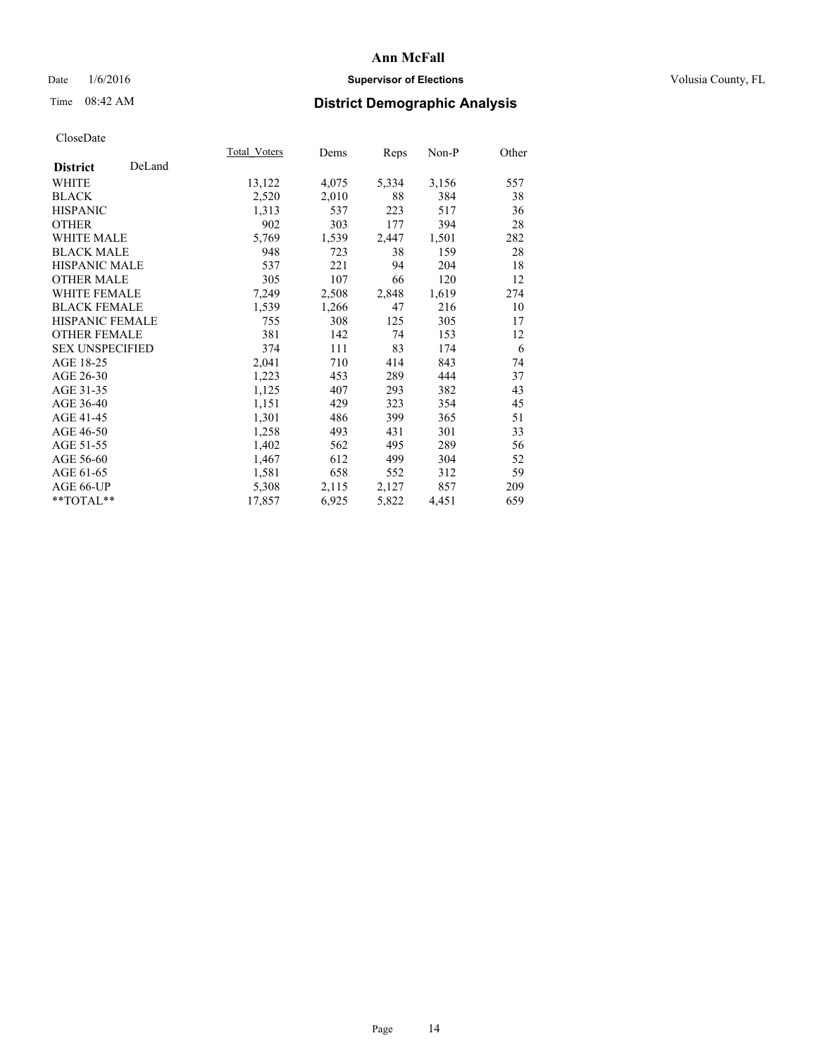## Date  $1/6/2016$  **Supervisor of Elections Supervisor of Elections** Volusia County, FL

# Time 08:42 AM **District Demographic Analysis**

|                        |        | Total Voters | Dems  | <u>Reps</u> | $Non-P$ | Other |
|------------------------|--------|--------------|-------|-------------|---------|-------|
| <b>District</b>        | DeLand |              |       |             |         |       |
| WHITE                  |        | 13,122       | 4,075 | 5,334       | 3,156   | 557   |
| <b>BLACK</b>           |        | 2,520        | 2,010 | 88          | 384     | 38    |
| <b>HISPANIC</b>        |        | 1,313        | 537   | 223         | 517     | 36    |
| <b>OTHER</b>           |        | 902          | 303   | 177         | 394     | 28    |
| <b>WHITE MALE</b>      |        | 5,769        | 1,539 | 2,447       | 1,501   | 282   |
| <b>BLACK MALE</b>      |        | 948          | 723   | 38          | 159     | 28    |
| <b>HISPANIC MALE</b>   |        | 537          | 221   | 94          | 204     | 18    |
| <b>OTHER MALE</b>      |        | 305          | 107   | 66          | 120     | 12    |
| WHITE FEMALE           |        | 7,249        | 2,508 | 2,848       | 1,619   | 274   |
| <b>BLACK FEMALE</b>    |        | 1,539        | 1,266 | 47          | 216     | 10    |
| <b>HISPANIC FEMALE</b> |        | 755          | 308   | 125         | 305     | 17    |
| <b>OTHER FEMALE</b>    |        | 381          | 142   | 74          | 153     | 12    |
| <b>SEX UNSPECIFIED</b> |        | 374          | 111   | 83          | 174     | 6     |
| AGE 18-25              |        | 2,041        | 710   | 414         | 843     | 74    |
| AGE 26-30              |        | 1,223        | 453   | 289         | 444     | 37    |
| AGE 31-35              |        | 1,125        | 407   | 293         | 382     | 43    |
| AGE 36-40              |        | 1,151        | 429   | 323         | 354     | 45    |
| AGE 41-45              |        | 1,301        | 486   | 399         | 365     | 51    |
| AGE 46-50              |        | 1,258        | 493   | 431         | 301     | 33    |
| AGE 51-55              |        | 1,402        | 562   | 495         | 289     | 56    |
| AGE 56-60              |        | 1,467        | 612   | 499         | 304     | 52    |
| AGE 61-65              |        | 1,581        | 658   | 552         | 312     | 59    |
| AGE 66-UP              |        | 5,308        | 2,115 | 2,127       | 857     | 209   |
| **TOTAL**              |        | 17,857       | 6,925 | 5,822       | 4,451   | 659   |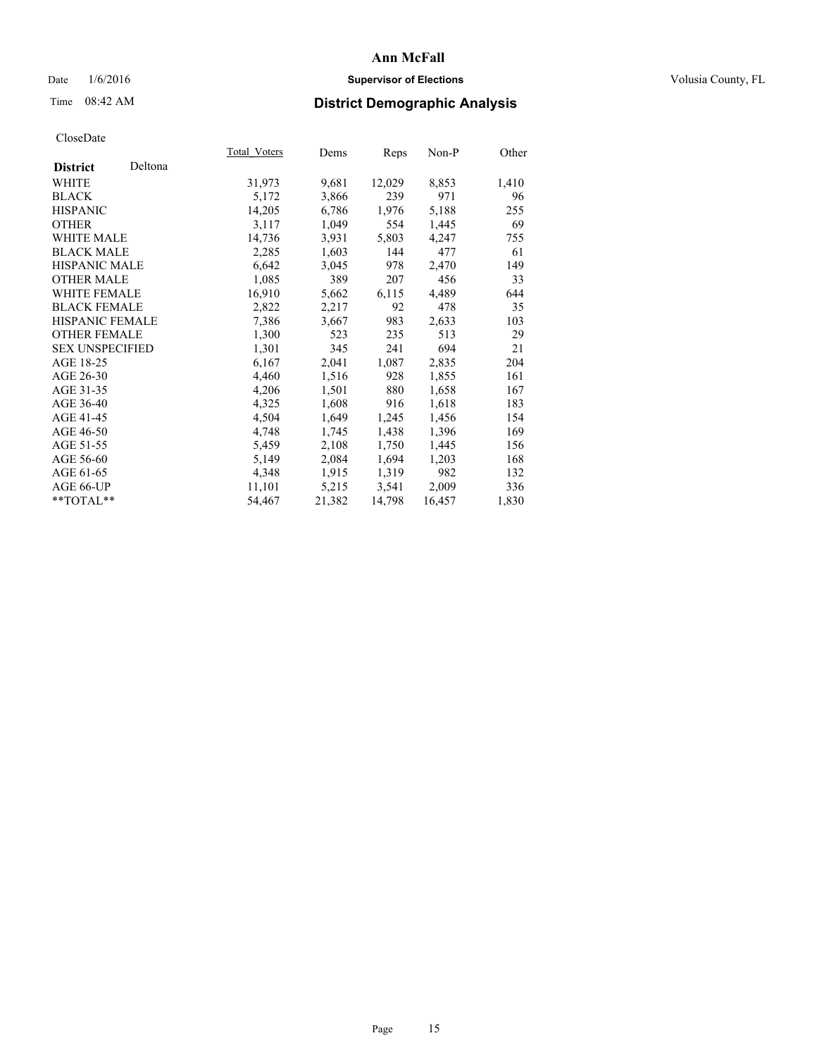## Date  $1/6/2016$  **Supervisor of Elections Supervisor of Elections** Volusia County, FL

# Time 08:42 AM **District Demographic Analysis**

|                        |         | <b>Total Voters</b> | Dems   | Reps   | Non-P  | Other |
|------------------------|---------|---------------------|--------|--------|--------|-------|
| <b>District</b>        | Deltona |                     |        |        |        |       |
| WHITE                  |         | 31,973              | 9,681  | 12,029 | 8,853  | 1,410 |
| <b>BLACK</b>           |         | 5,172               | 3,866  | 239    | 971    | 96    |
| <b>HISPANIC</b>        |         | 14,205              | 6,786  | 1,976  | 5,188  | 255   |
| <b>OTHER</b>           |         | 3,117               | 1,049  | 554    | 1,445  | 69    |
| WHITE MALE             |         | 14,736              | 3.931  | 5,803  | 4,247  | 755   |
| <b>BLACK MALE</b>      |         | 2,285               | 1,603  | 144    | 477    | 61    |
| <b>HISPANIC MALE</b>   |         | 6,642               | 3,045  | 978    | 2,470  | 149   |
| <b>OTHER MALE</b>      |         | 1,085               | 389    | 207    | 456    | 33    |
| <b>WHITE FEMALE</b>    |         | 16,910              | 5,662  | 6,115  | 4,489  | 644   |
| <b>BLACK FEMALE</b>    |         | 2,822               | 2,217  | 92     | 478    | 35    |
| <b>HISPANIC FEMALE</b> |         | 7,386               | 3,667  | 983    | 2,633  | 103   |
| <b>OTHER FEMALE</b>    |         | 1,300               | 523    | 235    | 513    | 29    |
| <b>SEX UNSPECIFIED</b> |         | 1,301               | 345    | 241    | 694    | 21    |
| AGE 18-25              |         | 6,167               | 2,041  | 1,087  | 2,835  | 204   |
| AGE 26-30              |         | 4,460               | 1,516  | 928    | 1,855  | 161   |
| AGE 31-35              |         | 4,206               | 1,501  | 880    | 1,658  | 167   |
| AGE 36-40              |         | 4,325               | 1,608  | 916    | 1,618  | 183   |
| AGE 41-45              |         | 4,504               | 1,649  | 1,245  | 1,456  | 154   |
| AGE 46-50              |         | 4,748               | 1,745  | 1,438  | 1,396  | 169   |
| AGE 51-55              |         | 5,459               | 2,108  | 1,750  | 1,445  | 156   |
| AGE 56-60              |         | 5,149               | 2,084  | 1,694  | 1,203  | 168   |
| AGE 61-65              |         | 4,348               | 1,915  | 1,319  | 982    | 132   |
| AGE 66-UP              |         | 11,101              | 5,215  | 3,541  | 2,009  | 336   |
| $*$ $TOTAI.**$         |         | 54.467              | 21,382 | 14,798 | 16,457 | 1,830 |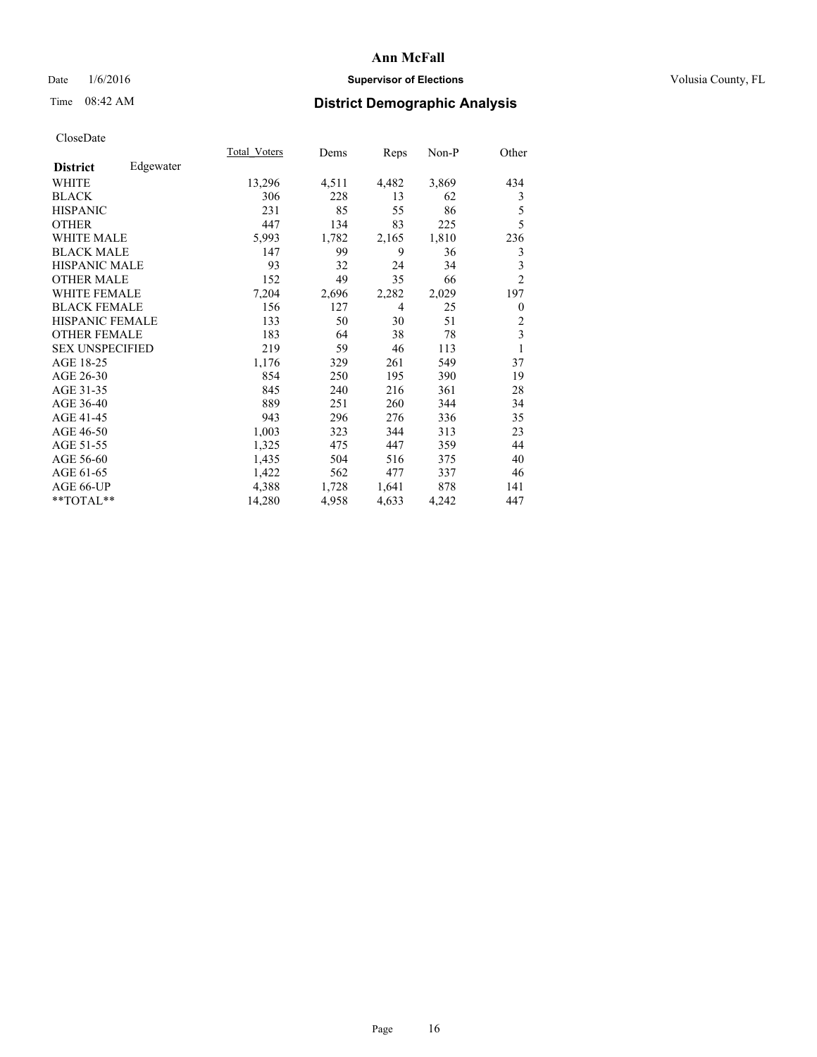## Date  $1/6/2016$  **Supervisor of Elections Supervisor of Elections** Volusia County, FL

## Time 08:42 AM **District Demographic Analysis**

|                              | Total Voters | Dems  | <b>Reps</b> | Non-P | Other                   |
|------------------------------|--------------|-------|-------------|-------|-------------------------|
| Edgewater<br><b>District</b> |              |       |             |       |                         |
| WHITE                        | 13,296       | 4,511 | 4,482       | 3,869 | 434                     |
| <b>BLACK</b>                 | 306          | 228   | 13          | 62    | 3                       |
| <b>HISPANIC</b>              | 231          | 85    | 55          | 86    | 5                       |
| <b>OTHER</b>                 | 447          | 134   | 83          | 225   | 5                       |
| <b>WHITE MALE</b>            | 5,993        | 1,782 | 2,165       | 1,810 | 236                     |
| <b>BLACK MALE</b>            | 147          | 99    | 9           | 36    | 3                       |
| <b>HISPANIC MALE</b>         | 93           | 32    | 24          | 34    | 3                       |
| <b>OTHER MALE</b>            | 152          | 49    | 35          | 66    | $\overline{c}$          |
| <b>WHITE FEMALE</b>          | 7,204        | 2,696 | 2,282       | 2,029 | 197                     |
| <b>BLACK FEMALE</b>          | 156          | 127   | 4           | 25    | $\overline{0}$          |
| <b>HISPANIC FEMALE</b>       | 133          | 50    | 30          | 51    | $\overline{2}$          |
| <b>OTHER FEMALE</b>          | 183          | 64    | 38          | 78    | $\overline{\mathbf{3}}$ |
| <b>SEX UNSPECIFIED</b>       | 219          | 59    | 46          | 113   | 1                       |
| AGE 18-25                    | 1,176        | 329   | 261         | 549   | 37                      |
| AGE 26-30                    | 854          | 250   | 195         | 390   | 19                      |
| AGE 31-35                    | 845          | 240   | 216         | 361   | 28                      |
| AGE 36-40                    | 889          | 251   | 260         | 344   | 34                      |
| AGE 41-45                    | 943          | 296   | 276         | 336   | 35                      |
| AGE 46-50                    | 1,003        | 323   | 344         | 313   | 23                      |
| AGE 51-55                    | 1,325        | 475   | 447         | 359   | 44                      |
| AGE 56-60                    | 1,435        | 504   | 516         | 375   | 40                      |
| AGE 61-65                    | 1,422        | 562   | 477         | 337   | 46                      |
| AGE 66-UP                    | 4,388        | 1,728 | 1,641       | 878   | 141                     |
| **TOTAL**                    | 14,280       | 4,958 | 4,633       | 4,242 | 447                     |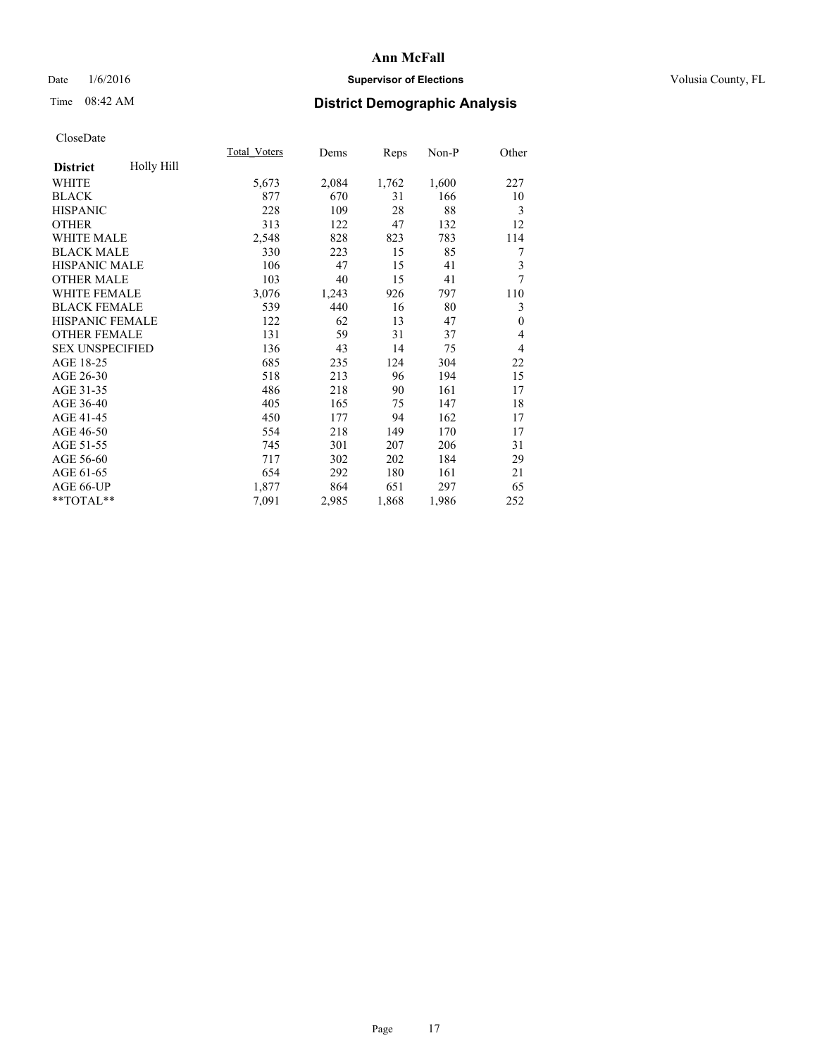## Date  $1/6/2016$  **Supervisor of Elections Supervisor of Elections** Volusia County, FL

# Time 08:42 AM **District Demographic Analysis**

|                        |            | Total Voters | Dems  | Reps  | Non-P | Other          |
|------------------------|------------|--------------|-------|-------|-------|----------------|
| <b>District</b>        | Holly Hill |              |       |       |       |                |
| WHITE                  |            | 5,673        | 2,084 | 1,762 | 1,600 | 227            |
| <b>BLACK</b>           |            | 877          | 670   | 31    | 166   | 10             |
| <b>HISPANIC</b>        |            | 228          | 109   | 28    | 88    | 3              |
| <b>OTHER</b>           |            | 313          | 122   | 47    | 132   | 12             |
| WHITE MALE             |            | 2,548        | 828   | 823   | 783   | 114            |
| <b>BLACK MALE</b>      |            | 330          | 223   | 15    | 85    | 7              |
| HISPANIC MALE          |            | 106          | 47    | 15    | 41    | 3              |
| <b>OTHER MALE</b>      |            | 103          | 40    | 15    | 41    | 7              |
| <b>WHITE FEMALE</b>    |            | 3,076        | 1,243 | 926   | 797   | 110            |
| <b>BLACK FEMALE</b>    |            | 539          | 440   | 16    | 80    | 3              |
| <b>HISPANIC FEMALE</b> |            | 122          | 62    | 13    | 47    | $\theta$       |
| <b>OTHER FEMALE</b>    |            | 131          | 59    | 31    | 37    | 4              |
| <b>SEX UNSPECIFIED</b> |            | 136          | 43    | 14    | 75    | $\overline{4}$ |
| AGE 18-25              |            | 685          | 235   | 124   | 304   | 22             |
| AGE 26-30              |            | 518          | 213   | 96    | 194   | 15             |
| AGE 31-35              |            | 486          | 218   | 90    | 161   | 17             |
| AGE 36-40              |            | 405          | 165   | 75    | 147   | 18             |
| AGE 41-45              |            | 450          | 177   | 94    | 162   | 17             |
| AGE 46-50              |            | 554          | 218   | 149   | 170   | 17             |
| AGE 51-55              |            | 745          | 301   | 207   | 206   | 31             |
| AGE 56-60              |            | 717          | 302   | 202   | 184   | 29             |
| AGE 61-65              |            | 654          | 292   | 180   | 161   | 21             |
| AGE 66-UP              |            | 1,877        | 864   | 651   | 297   | 65             |
| **TOTAL**              |            | 7,091        | 2,985 | 1,868 | 1,986 | 252            |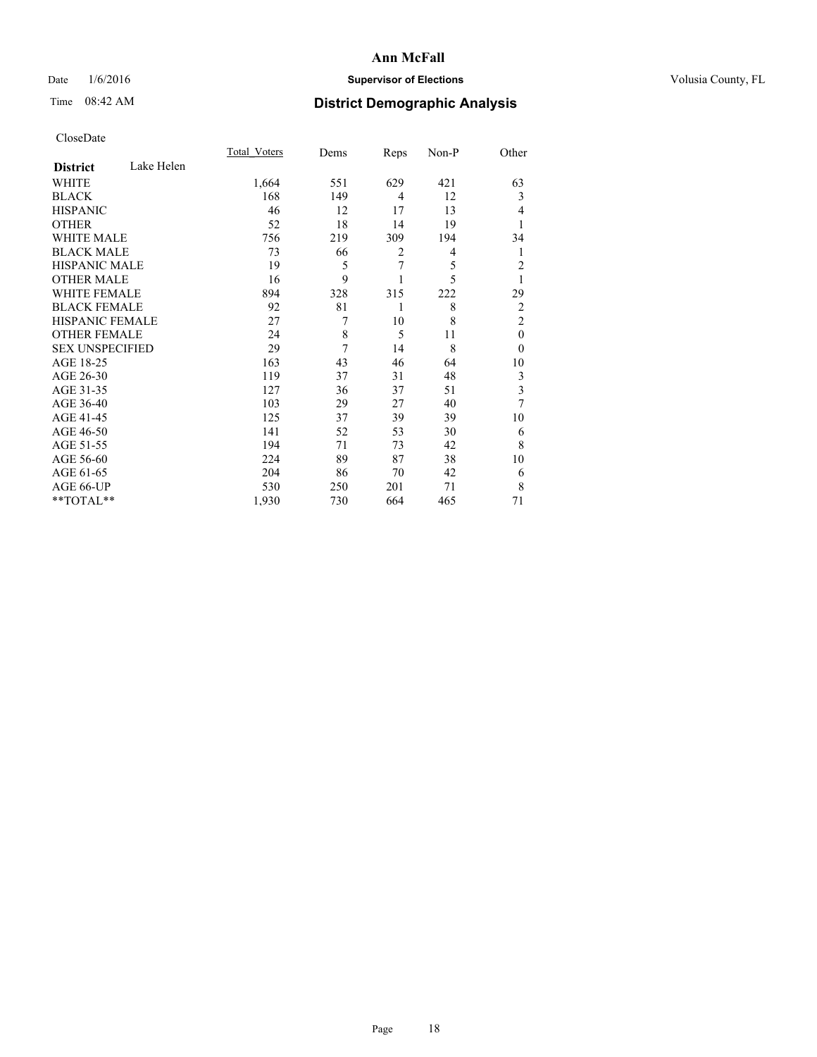## Date  $1/6/2016$  **Supervisor of Elections Supervisor of Elections** Volusia County, FL

## Time 08:42 AM **District Demographic Analysis**

|                        |            | <b>Total Voters</b> | Dems | Reps           | Non-P | Other                   |
|------------------------|------------|---------------------|------|----------------|-------|-------------------------|
| <b>District</b>        | Lake Helen |                     |      |                |       |                         |
| WHITE                  |            | 1,664               | 551  | 629            | 421   | 63                      |
| <b>BLACK</b>           |            | 168                 | 149  | $\overline{4}$ | 12    | 3                       |
| <b>HISPANIC</b>        |            | 46                  | 12   | 17             | 13    | 4                       |
| <b>OTHER</b>           |            | 52                  | 18   | 14             | 19    |                         |
| WHITE MALE             |            | 756                 | 219  | 309            | 194   | 34                      |
| <b>BLACK MALE</b>      |            | 73                  | 66   | $\overline{2}$ | 4     | 1                       |
| <b>HISPANIC MALE</b>   |            | 19                  | 5    | 7              | 5     | $\overline{c}$          |
| <b>OTHER MALE</b>      |            | 16                  | 9    |                | 5     | 1                       |
| WHITE FEMALE           |            | 894                 | 328  | 315            | 222   | 29                      |
| <b>BLACK FEMALE</b>    |            | 92                  | 81   | 1              | 8     | $\overline{2}$          |
| <b>HISPANIC FEMALE</b> |            | 27                  | 7    | 10             | 8     | $\overline{2}$          |
| <b>OTHER FEMALE</b>    |            | 24                  | 8    | 5              | 11    | $\theta$                |
| <b>SEX UNSPECIFIED</b> |            | 29                  | 7    | 14             | 8     | $\theta$                |
| AGE 18-25              |            | 163                 | 43   | 46             | 64    | 10                      |
| AGE 26-30              |            | 119                 | 37   | 31             | 48    | 3                       |
| AGE 31-35              |            | 127                 | 36   | 37             | 51    | $\overline{\mathbf{3}}$ |
| AGE 36-40              |            | 103                 | 29   | 27             | 40    | 7                       |
| AGE 41-45              |            | 125                 | 37   | 39             | 39    | 10                      |
| AGE 46-50              |            | 141                 | 52   | 53             | 30    | 6                       |
| AGE 51-55              |            | 194                 | 71   | 73             | 42    | 8                       |
| AGE 56-60              |            | 224                 | 89   | 87             | 38    | 10                      |
| AGE 61-65              |            | 204                 | 86   | 70             | 42    | 6                       |
| AGE 66-UP              |            | 530                 | 250  | 201            | 71    | 8                       |
| **TOTAL**              |            | 1,930               | 730  | 664            | 465   | 71                      |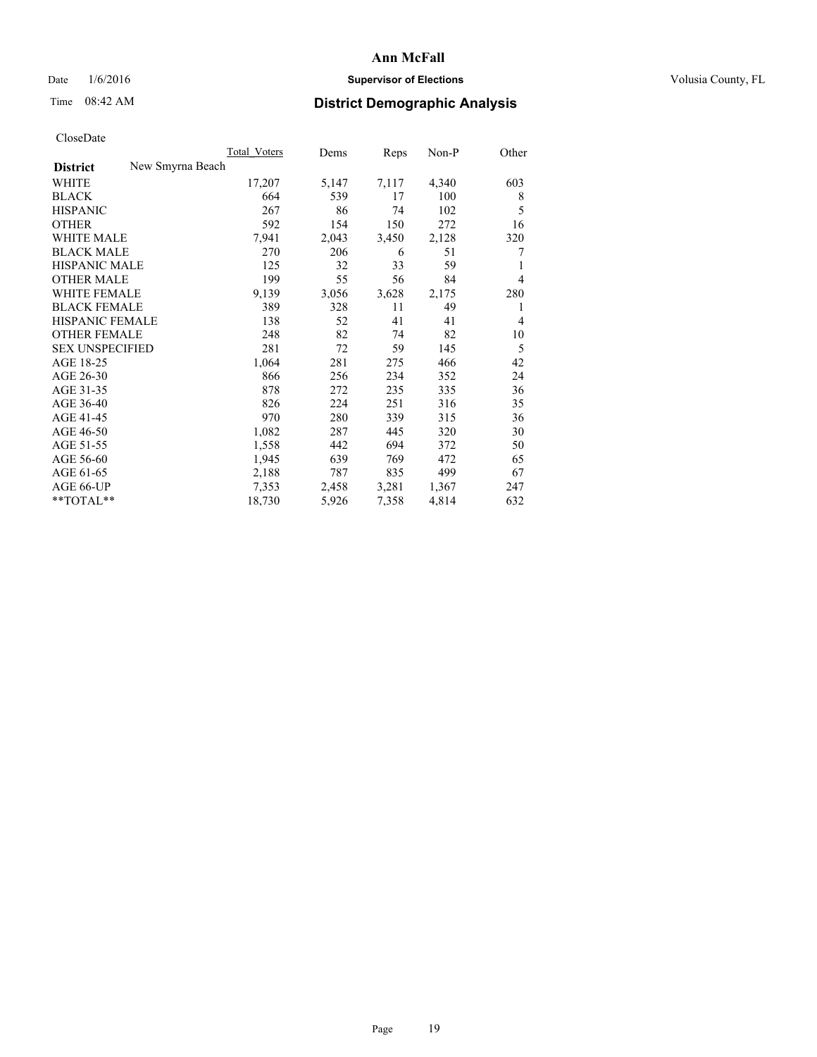## Date  $1/6/2016$  **Supervisor of Elections Supervisor of Elections** Volusia County, FL

## Time 08:42 AM **District Demographic Analysis**

|                                     | <b>Total Voters</b> | Dems  | Reps  | Non-P | Other |
|-------------------------------------|---------------------|-------|-------|-------|-------|
| New Smyrna Beach<br><b>District</b> |                     |       |       |       |       |
| WHITE                               | 17,207              | 5,147 | 7,117 | 4,340 | 603   |
| <b>BLACK</b>                        | 664                 | 539   | 17    | 100   | 8     |
| <b>HISPANIC</b>                     | 267                 | 86    | 74    | 102   | 5     |
| <b>OTHER</b>                        | 592                 | 154   | 150   | 272   | 16    |
| WHITE MALE                          | 7,941               | 2,043 | 3,450 | 2,128 | 320   |
| <b>BLACK MALE</b>                   | 270                 | 206   | 6     | 51    | 7     |
| <b>HISPANIC MALE</b>                | 125                 | 32    | 33    | 59    |       |
| <b>OTHER MALE</b>                   | 199                 | 55    | 56    | 84    | 4     |
| <b>WHITE FEMALE</b>                 | 9,139               | 3,056 | 3,628 | 2,175 | 280   |
| <b>BLACK FEMALE</b>                 | 389                 | 328   | 11    | 49    | 1     |
| <b>HISPANIC FEMALE</b>              | 138                 | 52    | 41    | 41    | 4     |
| <b>OTHER FEMALE</b>                 | 248                 | 82    | 74    | 82    | 10    |
| <b>SEX UNSPECIFIED</b>              | 281                 | 72    | 59    | 145   | 5     |
| AGE 18-25                           | 1,064               | 281   | 275   | 466   | 42    |
| AGE 26-30                           | 866                 | 256   | 234   | 352   | 24    |
| AGE 31-35                           | 878                 | 272   | 235   | 335   | 36    |
| AGE 36-40                           | 826                 | 224   | 251   | 316   | 35    |
| AGE 41-45                           | 970                 | 280   | 339   | 315   | 36    |
| AGE 46-50                           | 1,082               | 287   | 445   | 320   | 30    |
| AGE 51-55                           | 1,558               | 442   | 694   | 372   | 50    |
| AGE 56-60                           | 1,945               | 639   | 769   | 472   | 65    |
| AGE 61-65                           | 2,188               | 787   | 835   | 499   | 67    |
| AGE 66-UP                           | 7,353               | 2,458 | 3,281 | 1,367 | 247   |
| **TOTAL**                           | 18,730              | 5,926 | 7,358 | 4,814 | 632   |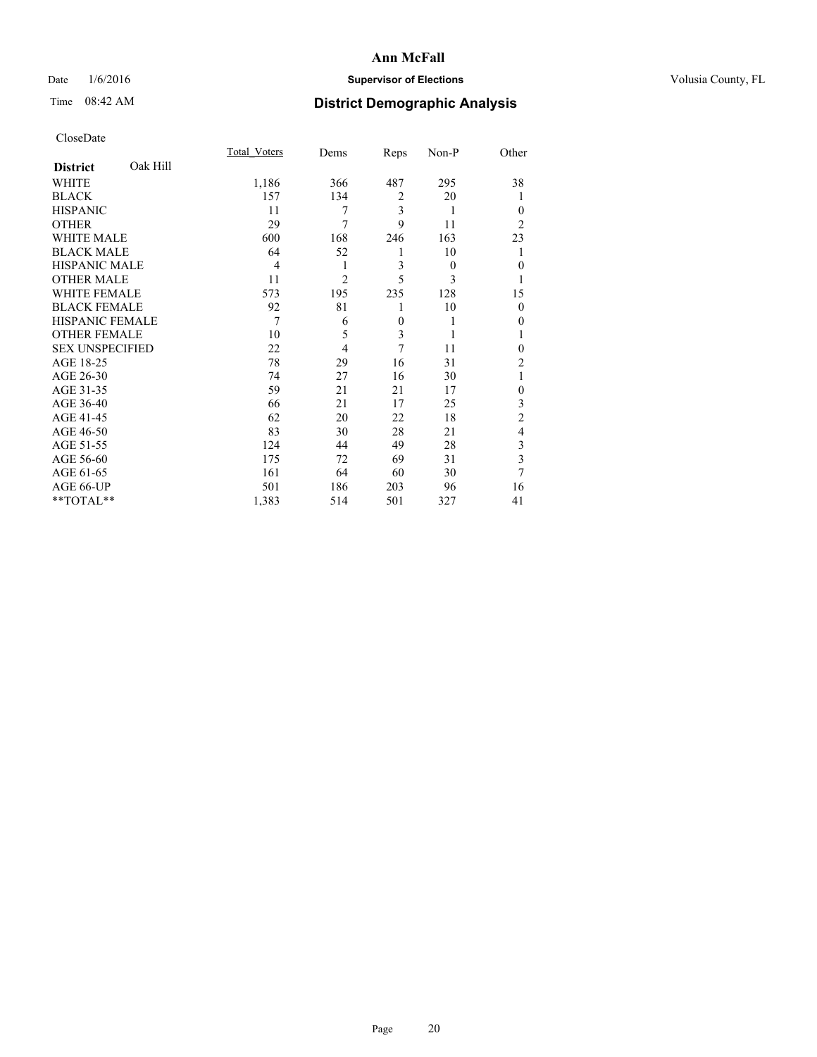## Date  $1/6/2016$  **Supervisor of Elections Supervisor of Elections** Volusia County, FL

## Time 08:42 AM **District Demographic Analysis**

|                        |          | Total Voters   | Dems           | Reps           | Non-P    | Other          |
|------------------------|----------|----------------|----------------|----------------|----------|----------------|
| <b>District</b>        | Oak Hill |                |                |                |          |                |
| WHITE                  |          | 1,186          | 366            | 487            | 295      | 38             |
| <b>BLACK</b>           |          | 157            | 134            | $\overline{2}$ | 20       |                |
| <b>HISPANIC</b>        |          | 11             | 7              | 3              | 1        | $\theta$       |
| <b>OTHER</b>           |          | 29             | 7              | 9              | 11       | $\overline{2}$ |
| WHITE MALE             |          | 600            | 168            | 246            | 163      | 23             |
| <b>BLACK MALE</b>      |          | 64             | 52             | 1              | 10       |                |
| <b>HISPANIC MALE</b>   |          | $\overline{4}$ | 1              | 3              | $\theta$ | $\mathbf{0}$   |
| <b>OTHER MALE</b>      |          | 11             | $\overline{2}$ | 5              | 3        | 1              |
| <b>WHITE FEMALE</b>    |          | 573            | 195            | 235            | 128      | 15             |
| <b>BLACK FEMALE</b>    |          | 92             | 81             | 1              | 10       | $\theta$       |
| <b>HISPANIC FEMALE</b> |          | 7              | 6              | $\mathbf{0}$   | 1        | 0              |
| <b>OTHER FEMALE</b>    |          | 10             | 5              | 3              | 1        |                |
| <b>SEX UNSPECIFIED</b> |          | 22             | $\overline{4}$ | 7              | 11       | $\theta$       |
| AGE 18-25              |          | 78             | 29             | 16             | 31       | $\overline{2}$ |
| AGE 26-30              |          | 74             | 27             | 16             | 30       | 1              |
| AGE 31-35              |          | 59             | 21             | 21             | 17       | $\mathbf{0}$   |
| AGE 36-40              |          | 66             | 21             | 17             | 25       | 3              |
| AGE 41-45              |          | 62             | 20             | 22             | 18       | $\overline{c}$ |
| AGE 46-50              |          | 83             | 30             | 28             | 21       | 4              |
| AGE 51-55              |          | 124            | 44             | 49             | 28       | 3              |
| AGE 56-60              |          | 175            | 72             | 69             | 31       | 3              |
| AGE 61-65              |          | 161            | 64             | 60             | 30       | 7              |
| AGE 66-UP              |          | 501            | 186            | 203            | 96       | 16             |
| **TOTAL**              |          | 1,383          | 514            | 501            | 327      | 41             |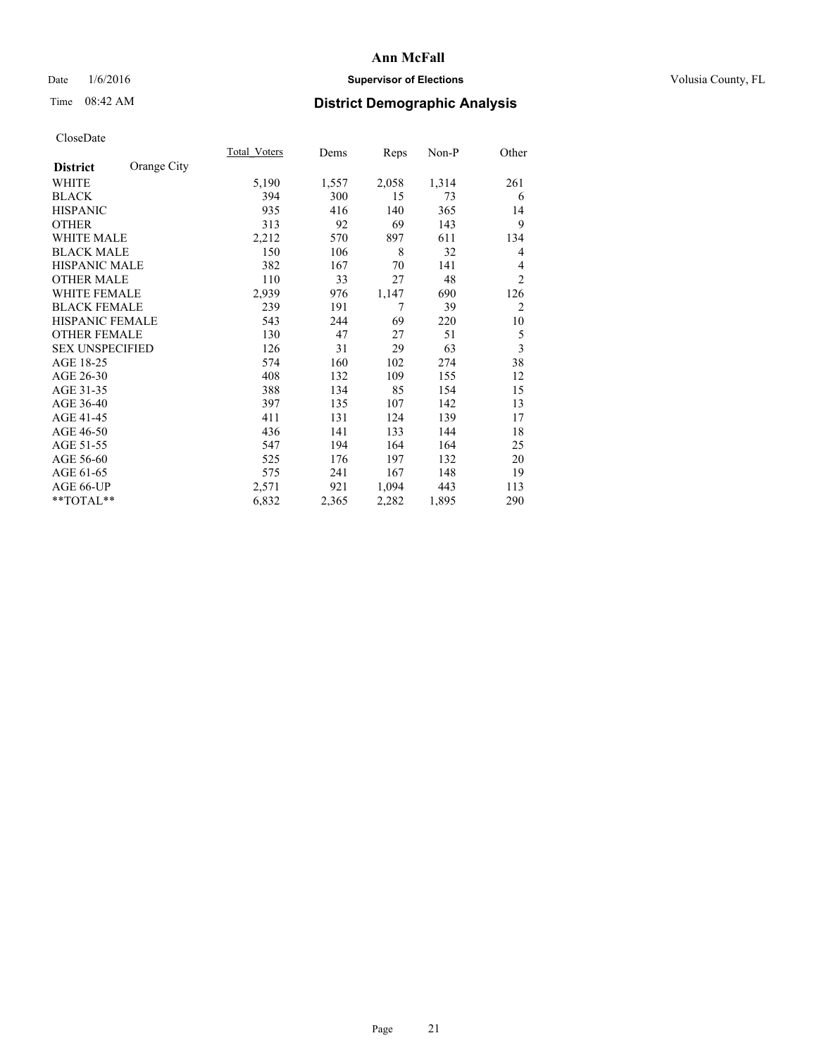## Date  $1/6/2016$  **Supervisor of Elections Supervisor of Elections** Volusia County, FL

# Time 08:42 AM **District Demographic Analysis**

|                        |             | Total Voters | Dems  | Reps  | Non-P | Other                   |
|------------------------|-------------|--------------|-------|-------|-------|-------------------------|
| <b>District</b>        | Orange City |              |       |       |       |                         |
| WHITE                  |             | 5,190        | 1,557 | 2,058 | 1,314 | 261                     |
| <b>BLACK</b>           |             | 394          | 300   | 15    | 73    | 6                       |
| <b>HISPANIC</b>        |             | 935          | 416   | 140   | 365   | 14                      |
| <b>OTHER</b>           |             | 313          | 92    | 69    | 143   | 9                       |
| WHITE MALE             |             | 2,212        | 570   | 897   | 611   | 134                     |
| <b>BLACK MALE</b>      |             | 150          | 106   | 8     | 32    | 4                       |
| HISPANIC MALE          |             | 382          | 167   | 70    | 141   | 4                       |
| <b>OTHER MALE</b>      |             | 110          | 33    | 27    | 48    | $\overline{2}$          |
| <b>WHITE FEMALE</b>    |             | 2,939        | 976   | 1,147 | 690   | 126                     |
| <b>BLACK FEMALE</b>    |             | 239          | 191   | 7     | 39    | $\overline{2}$          |
| <b>HISPANIC FEMALE</b> |             | 543          | 244   | 69    | 220   | 10                      |
| <b>OTHER FEMALE</b>    |             | 130          | 47    | 27    | 51    | 5                       |
| <b>SEX UNSPECIFIED</b> |             | 126          | 31    | 29    | 63    | $\overline{\mathbf{3}}$ |
| AGE 18-25              |             | 574          | 160   | 102   | 274   | 38                      |
| AGE 26-30              |             | 408          | 132   | 109   | 155   | 12                      |
| AGE 31-35              |             | 388          | 134   | 85    | 154   | 15                      |
| AGE 36-40              |             | 397          | 135   | 107   | 142   | 13                      |
| AGE 41-45              |             | 411          | 131   | 124   | 139   | 17                      |
| AGE 46-50              |             | 436          | 141   | 133   | 144   | 18                      |
| AGE 51-55              |             | 547          | 194   | 164   | 164   | 25                      |
| AGE 56-60              |             | 525          | 176   | 197   | 132   | 20                      |
| AGE 61-65              |             | 575          | 241   | 167   | 148   | 19                      |
| AGE 66-UP              |             | 2,571        | 921   | 1,094 | 443   | 113                     |
| **TOTAL**              |             | 6,832        | 2,365 | 2,282 | 1,895 | 290                     |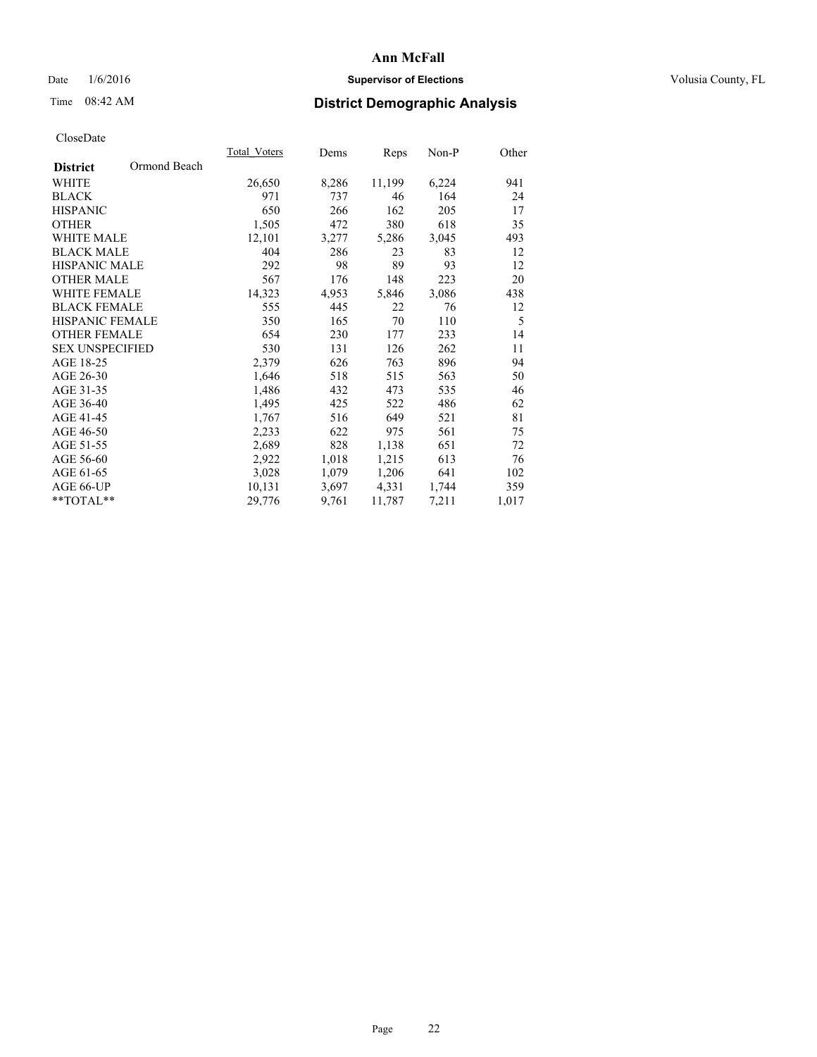## Date  $1/6/2016$  **Supervisor of Elections Supervisor of Elections** Volusia County, FL

## Time 08:42 AM **District Demographic Analysis**

|                        |              | Total Voters | Dems  | Reps   | Non-P | Other |
|------------------------|--------------|--------------|-------|--------|-------|-------|
| <b>District</b>        | Ormond Beach |              |       |        |       |       |
| WHITE                  |              | 26,650       | 8,286 | 11,199 | 6,224 | 941   |
| <b>BLACK</b>           |              | 971          | 737   | 46     | 164   | 24    |
| <b>HISPANIC</b>        |              | 650          | 266   | 162    | 205   | 17    |
| <b>OTHER</b>           |              | 1,505        | 472   | 380    | 618   | 35    |
| WHITE MALE             |              | 12,101       | 3,277 | 5,286  | 3,045 | 493   |
| <b>BLACK MALE</b>      |              | 404          | 286   | 23     | 83    | 12    |
| <b>HISPANIC MALE</b>   |              | 292          | 98    | 89     | 93    | 12    |
| <b>OTHER MALE</b>      |              | 567          | 176   | 148    | 223   | 20    |
| <b>WHITE FEMALE</b>    |              | 14,323       | 4,953 | 5,846  | 3,086 | 438   |
| <b>BLACK FEMALE</b>    |              | 555          | 445   | 22     | 76    | 12    |
| <b>HISPANIC FEMALE</b> |              | 350          | 165   | 70     | 110   | 5     |
| <b>OTHER FEMALE</b>    |              | 654          | 230   | 177    | 233   | 14    |
| <b>SEX UNSPECIFIED</b> |              | 530          | 131   | 126    | 262   | 11    |
| AGE 18-25              |              | 2,379        | 626   | 763    | 896   | 94    |
| AGE 26-30              |              | 1,646        | 518   | 515    | 563   | 50    |
| AGE 31-35              |              | 1,486        | 432   | 473    | 535   | 46    |
| AGE 36-40              |              | 1,495        | 425   | 522    | 486   | 62    |
| AGE 41-45              |              | 1,767        | 516   | 649    | 521   | 81    |
| AGE 46-50              |              | 2,233        | 622   | 975    | 561   | 75    |
| AGE 51-55              |              | 2,689        | 828   | 1,138  | 651   | 72    |
| AGE 56-60              |              | 2,922        | 1,018 | 1,215  | 613   | 76    |
| AGE 61-65              |              | 3,028        | 1,079 | 1,206  | 641   | 102   |
| AGE 66-UP              |              | 10,131       | 3,697 | 4,331  | 1,744 | 359   |
| $*$ TOTAL $*$          |              | 29,776       | 9,761 | 11,787 | 7.211 | 1,017 |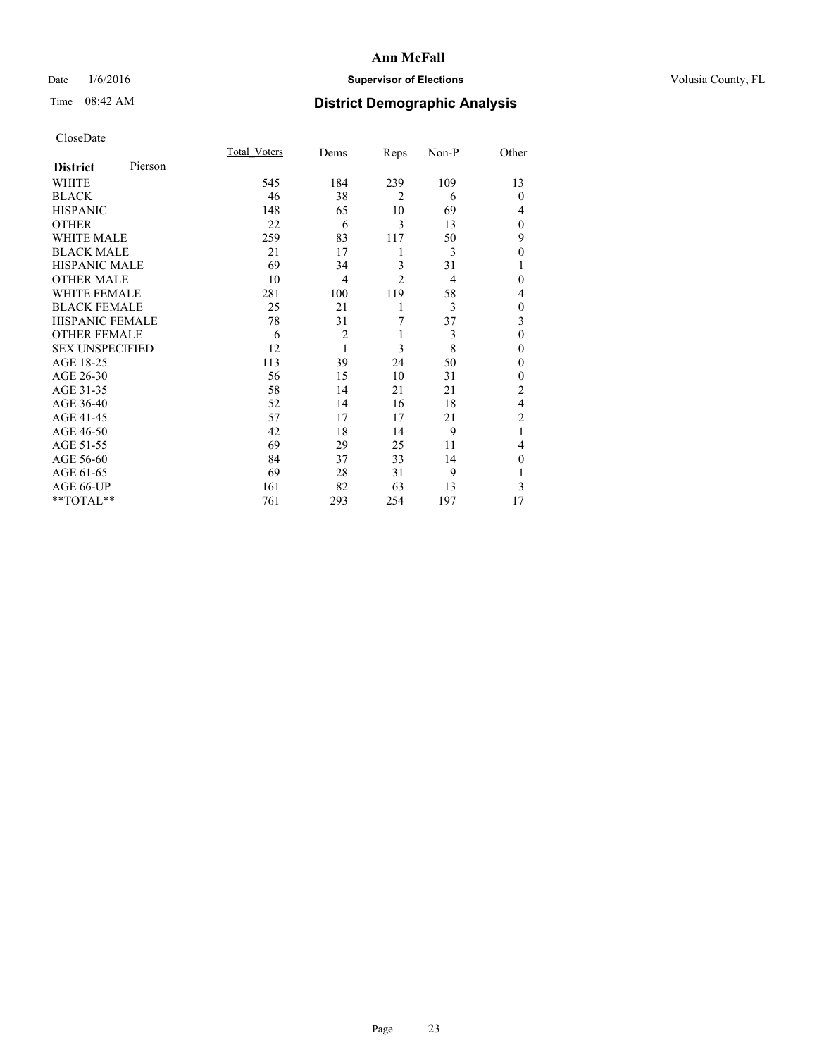## Date  $1/6/2016$  **Supervisor of Elections Supervisor of Elections** Volusia County, FL

| CloseDate |
|-----------|
|-----------|

|                        |         | Total Voters | Dems           | Reps           | Non-P | Other          |
|------------------------|---------|--------------|----------------|----------------|-------|----------------|
| <b>District</b>        | Pierson |              |                |                |       |                |
| <b>WHITE</b>           |         | 545          | 184            | 239            | 109   | 13             |
| <b>BLACK</b>           |         | 46           | 38             | $\overline{2}$ | 6     | $\Omega$       |
| <b>HISPANIC</b>        |         | 148          | 65             | 10             | 69    | 4              |
| <b>OTHER</b>           |         | 22           | 6              | 3              | 13    | $\Omega$       |
| WHITE MALE             |         | 259          | 83             | 117            | 50    | 9              |
| <b>BLACK MALE</b>      |         | 21           | 17             | 1              | 3     | $\theta$       |
| <b>HISPANIC MALE</b>   |         | 69           | 34             | 3              | 31    | 1              |
| <b>OTHER MALE</b>      |         | 10           | 4              | $\overline{c}$ | 4     | $\Omega$       |
| <b>WHITE FEMALE</b>    |         | 281          | 100            | 119            | 58    | 4              |
| <b>BLACK FEMALE</b>    |         | 25           | 21             | 1              | 3     | $\mathbf{0}$   |
| <b>HISPANIC FEMALE</b> |         | 78           | 31             | 7              | 37    | 3              |
| <b>OTHER FEMALE</b>    |         | 6            | $\overline{c}$ | 1              | 3     | $\theta$       |
| <b>SEX UNSPECIFIED</b> |         | 12           | $\mathbf{1}$   | 3              | 8     | $\theta$       |
| AGE 18-25              |         | 113          | 39             | 24             | 50    | $\Omega$       |
| AGE 26-30              |         | 56           | 15             | 10             | 31    | $\theta$       |
| AGE 31-35              |         | 58           | 14             | 21             | 21    | $\overline{c}$ |
| AGE 36-40              |         | 52           | 14             | 16             | 18    | $\overline{4}$ |
| AGE 41-45              |         | 57           | 17             | 17             | 21    | $\overline{c}$ |
| AGE 46-50              |         | 42           | 18             | 14             | 9     | 1              |
| AGE 51-55              |         | 69           | 29             | 25             | 11    | 4              |
| AGE 56-60              |         | 84           | 37             | 33             | 14    | $\Omega$       |
| AGE 61-65              |         | 69           | 28             | 31             | 9     |                |
| AGE 66-UP              |         | 161          | 82             | 63             | 13    | 3              |
| **TOTAL**              |         | 761          | 293            | 254            | 197   | 17             |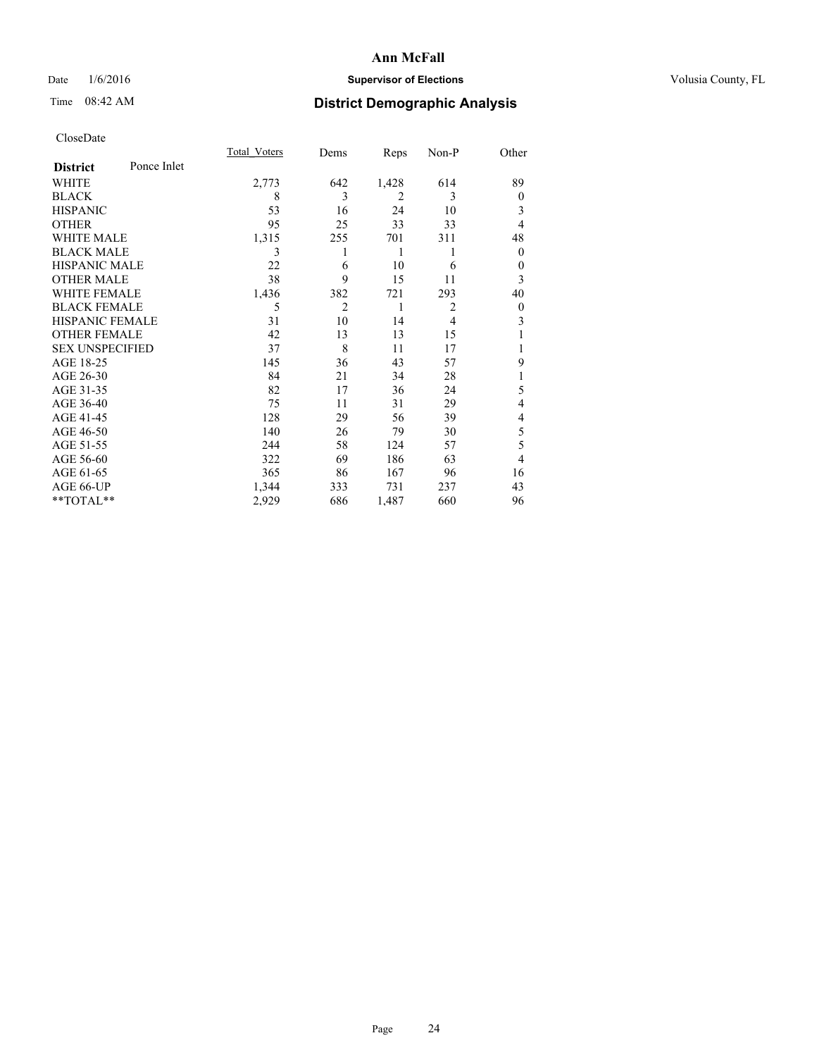## Date  $1/6/2016$  **Supervisor of Elections Supervisor of Elections** Volusia County, FL

# Time 08:42 AM **District Demographic Analysis**

|                        |             | Total Voters | Dems           | Reps           | Non-P          | Other          |
|------------------------|-------------|--------------|----------------|----------------|----------------|----------------|
| <b>District</b>        | Ponce Inlet |              |                |                |                |                |
| WHITE                  |             | 2,773        | 642            | 1,428          | 614            | 89             |
| <b>BLACK</b>           |             | 8            | 3              | $\overline{2}$ | 3              | $\overline{0}$ |
| <b>HISPANIC</b>        |             | 53           | 16             | 24             | 10             | 3              |
| <b>OTHER</b>           |             | 95           | 25             | 33             | 33             | $\overline{4}$ |
| <b>WHITE MALE</b>      |             | 1,315        | 255            | 701            | 311            | 48             |
| <b>BLACK MALE</b>      |             | 3            | 1              | 1              | 1              | $\overline{0}$ |
| <b>HISPANIC MALE</b>   |             | 22           | 6              | 10             | 6              | 0              |
| <b>OTHER MALE</b>      |             | 38           | 9              | 15             | 11             | 3              |
| <b>WHITE FEMALE</b>    |             | 1,436        | 382            | 721            | 293            | 40             |
| <b>BLACK FEMALE</b>    |             | 5            | $\overline{2}$ | 1              | $\overline{2}$ | $\overline{0}$ |
| HISPANIC FEMALE        |             | 31           | 10             | 14             | $\overline{4}$ | 3              |
| <b>OTHER FEMALE</b>    |             | 42           | 13             | 13             | 15             |                |
| <b>SEX UNSPECIFIED</b> |             | 37           | 8              | 11             | 17             |                |
| AGE 18-25              |             | 145          | 36             | 43             | 57             | 9              |
| AGE 26-30              |             | 84           | 21             | 34             | 28             | 1              |
| AGE 31-35              |             | 82           | 17             | 36             | 24             | 5              |
| AGE 36-40              |             | 75           | 11             | 31             | 29             | 4              |
| AGE 41-45              |             | 128          | 29             | 56             | 39             | 4              |
| AGE 46-50              |             | 140          | 26             | 79             | 30             | 5              |
| AGE 51-55              |             | 244          | 58             | 124            | 57             | 5              |
| AGE 56-60              |             | 322          | 69             | 186            | 63             | $\overline{4}$ |
| AGE 61-65              |             | 365          | 86             | 167            | 96             | 16             |
| AGE 66-UP              |             | 1,344        | 333            | 731            | 237            | 43             |
| **TOTAL**              |             | 2,929        | 686            | 1,487          | 660            | 96             |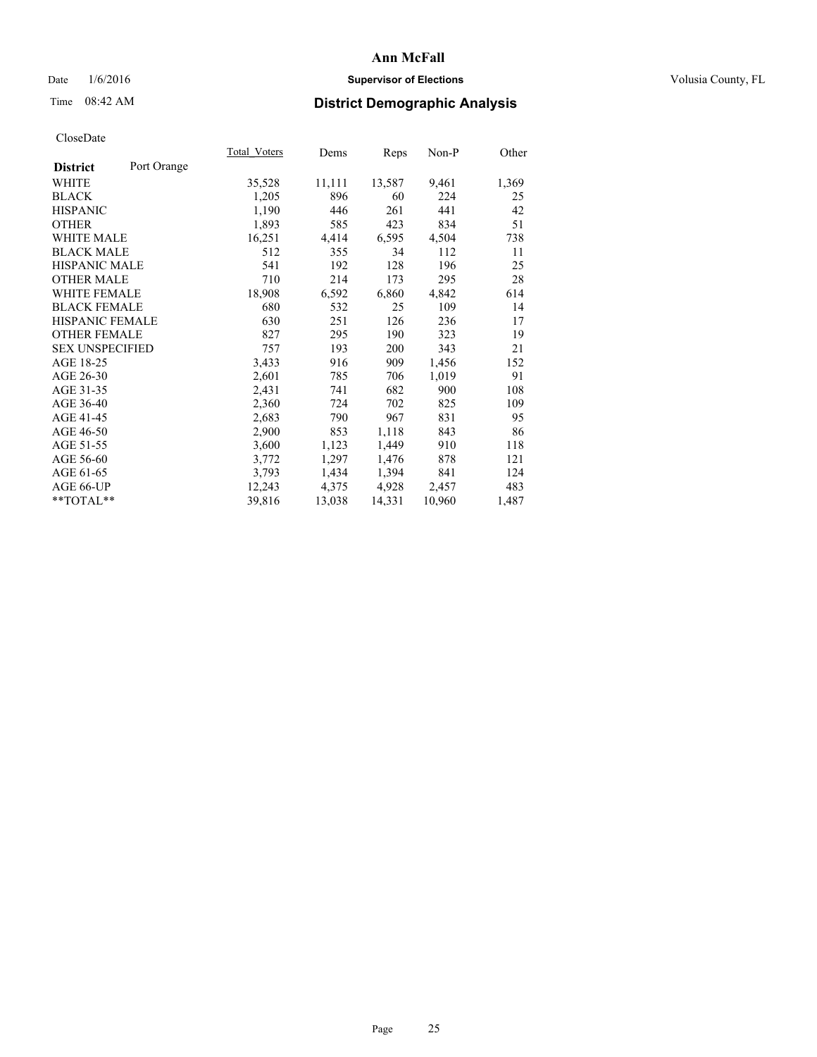## Date  $1/6/2016$  **Supervisor of Elections Supervisor of Elections** Volusia County, FL

## Time 08:42 AM **District Demographic Analysis**

|                        |             | <b>Total Voters</b> | Dems   | Reps   | Non-P  | Other |
|------------------------|-------------|---------------------|--------|--------|--------|-------|
| <b>District</b>        | Port Orange |                     |        |        |        |       |
| WHITE                  |             | 35,528              | 11,111 | 13,587 | 9,461  | 1,369 |
| <b>BLACK</b>           |             | 1,205               | 896    | 60     | 224    | 25    |
| <b>HISPANIC</b>        |             | 1,190               | 446    | 261    | 441    | 42    |
| <b>OTHER</b>           |             | 1,893               | 585    | 423    | 834    | 51    |
| WHITE MALE             |             | 16,251              | 4,414  | 6,595  | 4,504  | 738   |
| <b>BLACK MALE</b>      |             | 512                 | 355    | 34     | 112    | 11    |
| <b>HISPANIC MALE</b>   |             | 541                 | 192    | 128    | 196    | 25    |
| <b>OTHER MALE</b>      |             | 710                 | 214    | 173    | 295    | 28    |
| <b>WHITE FEMALE</b>    |             | 18,908              | 6,592  | 6,860  | 4,842  | 614   |
| <b>BLACK FEMALE</b>    |             | 680                 | 532    | 25     | 109    | 14    |
| HISPANIC FEMALE        |             | 630                 | 251    | 126    | 236    | 17    |
| <b>OTHER FEMALE</b>    |             | 827                 | 295    | 190    | 323    | 19    |
| <b>SEX UNSPECIFIED</b> |             | 757                 | 193    | 200    | 343    | 21    |
| AGE 18-25              |             | 3,433               | 916    | 909    | 1,456  | 152   |
| AGE 26-30              |             | 2,601               | 785    | 706    | 1,019  | 91    |
| AGE 31-35              |             | 2,431               | 741    | 682    | 900    | 108   |
| AGE 36-40              |             | 2,360               | 724    | 702    | 825    | 109   |
| AGE 41-45              |             | 2,683               | 790    | 967    | 831    | 95    |
| AGE 46-50              |             | 2,900               | 853    | 1,118  | 843    | 86    |
| AGE 51-55              |             | 3,600               | 1,123  | 1,449  | 910    | 118   |
| AGE 56-60              |             | 3,772               | 1,297  | 1,476  | 878    | 121   |
| AGE 61-65              |             | 3,793               | 1,434  | 1,394  | 841    | 124   |
| AGE 66-UP              |             | 12,243              | 4,375  | 4,928  | 2,457  | 483   |
| $*$ TOTAL $*$          |             | 39,816              | 13,038 | 14,331 | 10,960 | 1,487 |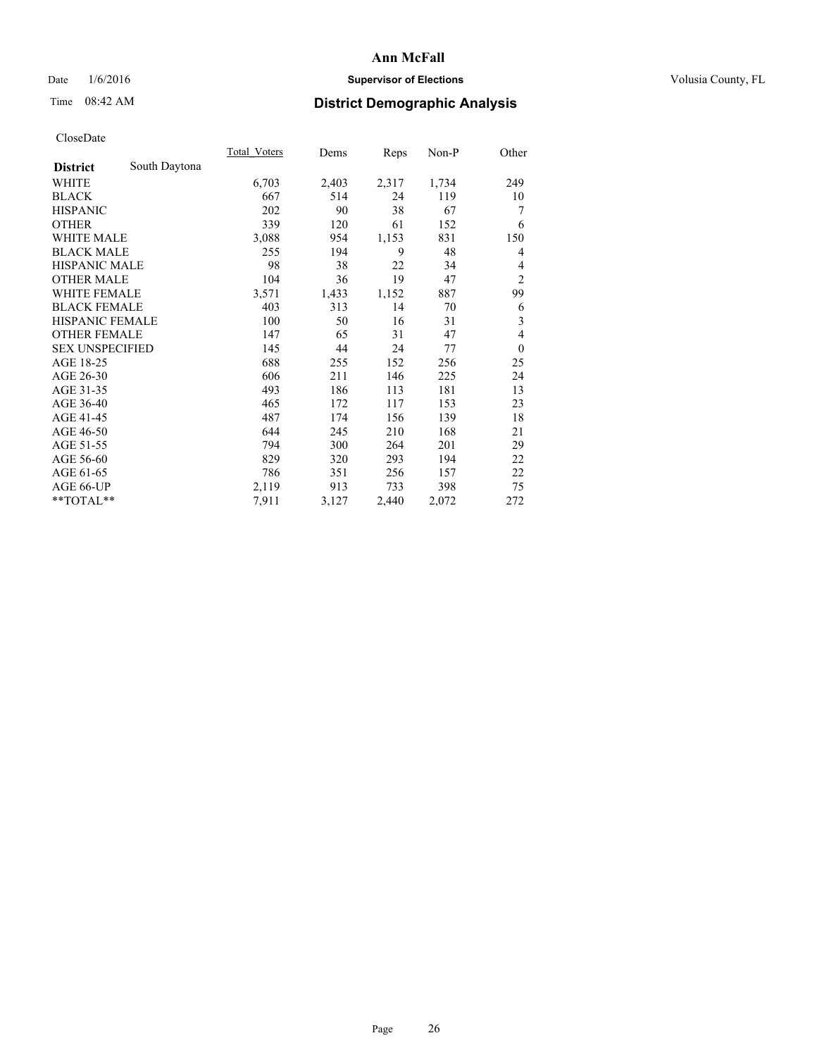## Date  $1/6/2016$  **Supervisor of Elections Supervisor of Elections** Volusia County, FL

# Time 08:42 AM **District Demographic Analysis**

|                        |               | Total Voters | Dems  | Reps  | Non-P | Other            |
|------------------------|---------------|--------------|-------|-------|-------|------------------|
| <b>District</b>        | South Daytona |              |       |       |       |                  |
| WHITE                  |               | 6,703        | 2,403 | 2,317 | 1,734 | 249              |
| <b>BLACK</b>           |               | 667          | 514   | 24    | 119   | 10               |
| <b>HISPANIC</b>        |               | 202          | 90    | 38    | 67    | 7                |
| <b>OTHER</b>           |               | 339          | 120   | 61    | 152   | 6                |
| <b>WHITE MALE</b>      |               | 3,088        | 954   | 1,153 | 831   | 150              |
| <b>BLACK MALE</b>      |               | 255          | 194   | 9     | 48    | 4                |
| HISPANIC MALE          |               | 98           | 38    | 22    | 34    | 4                |
| <b>OTHER MALE</b>      |               | 104          | 36    | 19    | 47    | $\overline{2}$   |
| <b>WHITE FEMALE</b>    |               | 3,571        | 1,433 | 1,152 | 887   | 99               |
| <b>BLACK FEMALE</b>    |               | 403          | 313   | 14    | 70    | 6                |
| <b>HISPANIC FEMALE</b> |               | 100          | 50    | 16    | 31    | 3                |
| <b>OTHER FEMALE</b>    |               | 147          | 65    | 31    | 47    | 4                |
| <b>SEX UNSPECIFIED</b> |               | 145          | 44    | 24    | 77    | $\boldsymbol{0}$ |
| AGE 18-25              |               | 688          | 255   | 152   | 256   | 25               |
| AGE 26-30              |               | 606          | 211   | 146   | 225   | 24               |
| AGE 31-35              |               | 493          | 186   | 113   | 181   | 13               |
| AGE 36-40              |               | 465          | 172   | 117   | 153   | 23               |
| AGE 41-45              |               | 487          | 174   | 156   | 139   | 18               |
| AGE 46-50              |               | 644          | 245   | 210   | 168   | 21               |
| AGE 51-55              |               | 794          | 300   | 264   | 201   | 29               |
| AGE 56-60              |               | 829          | 320   | 293   | 194   | 22               |
| AGE 61-65              |               | 786          | 351   | 256   | 157   | 22               |
| AGE 66-UP              |               | 2,119        | 913   | 733   | 398   | 75               |
| **TOTAL**              |               | 7,911        | 3,127 | 2,440 | 2,072 | 272              |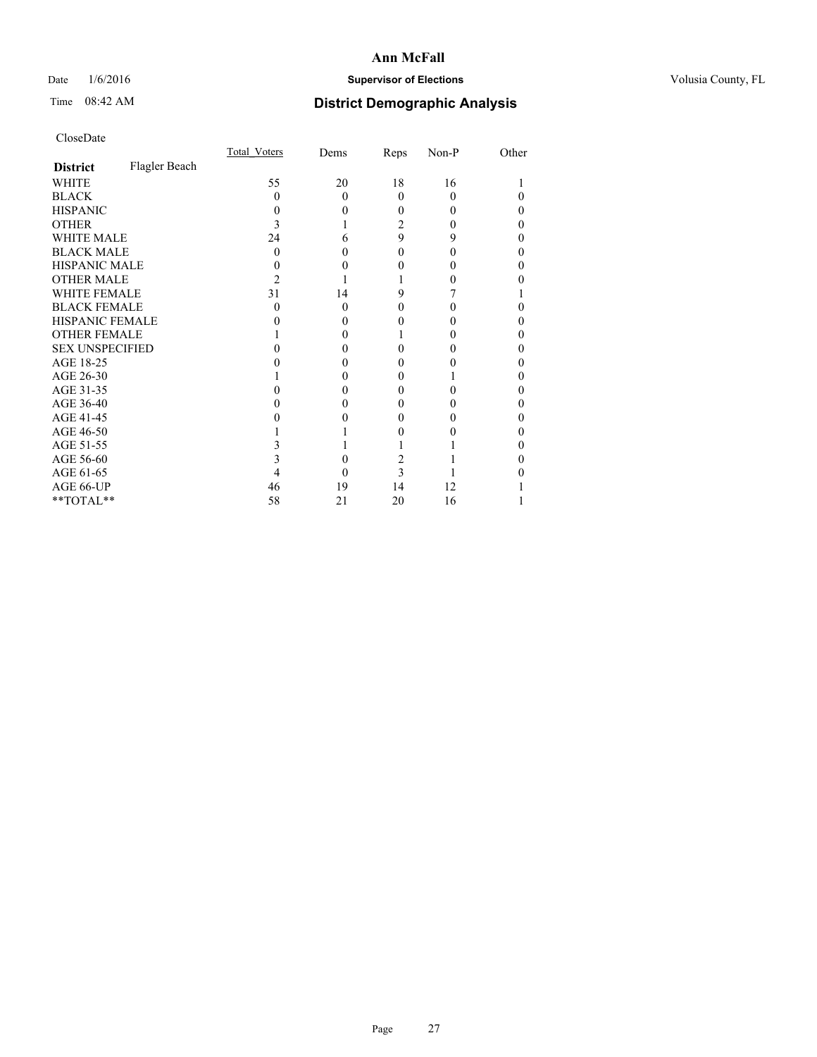## Date  $1/6/2016$  **Supervisor of Elections Supervisor of Elections** Volusia County, FL

# Time 08:42 AM **District Demographic Analysis**

|                        |               | Total Voters | Dems     | Reps     | Non-P    | Other |
|------------------------|---------------|--------------|----------|----------|----------|-------|
| <b>District</b>        | Flagler Beach |              |          |          |          |       |
| WHITE                  |               | 55           | 20       | 18       | 16       |       |
| <b>BLACK</b>           |               | 0            | $\Omega$ | $\theta$ | $\Omega$ |       |
| <b>HISPANIC</b>        |               | $\theta$     | 0        | $\Omega$ | $\theta$ | 0     |
| <b>OTHER</b>           |               | 3            |          | 2        | $\theta$ |       |
| <b>WHITE MALE</b>      |               | 24           | 6        | 9        | 9        | 0     |
| <b>BLACK MALE</b>      |               | 0            | 0        | 0        | 0        |       |
| <b>HISPANIC MALE</b>   |               |              |          | 0        | 0        |       |
| <b>OTHER MALE</b>      |               | 2            |          |          | 0        |       |
| <b>WHITE FEMALE</b>    |               | 31           | 14       | 9        |          |       |
| <b>BLACK FEMALE</b>    |               | $\theta$     | $\theta$ | 0        | $\theta$ | 0     |
| HISPANIC FEMALE        |               |              | 0        | 0        | 0        |       |
| <b>OTHER FEMALE</b>    |               |              | 0        |          | $\theta$ | 0     |
| <b>SEX UNSPECIFIED</b> |               |              | 0        | 0        | 0        |       |
| AGE 18-25              |               |              | 0        | 0        |          |       |
| AGE 26-30              |               |              | 0        | 0        |          |       |
| AGE 31-35              |               |              | 0        | 0        |          |       |
| AGE 36-40              |               |              | 0        | 0        | 0        | 0     |
| AGE 41-45              |               |              |          | 0        |          |       |
| AGE 46-50              |               |              |          | 0        | 0        | 0     |
| AGE 51-55              |               |              |          |          |          |       |
| AGE 56-60              |               |              | 0        | 2        |          |       |
| AGE 61-65              |               |              | 0        | 3        |          |       |
| AGE 66-UP              |               | 46           | 19       | 14       | 12       |       |
| $*$ TOTAL $*$          |               | 58           | 21       | 20       | 16       |       |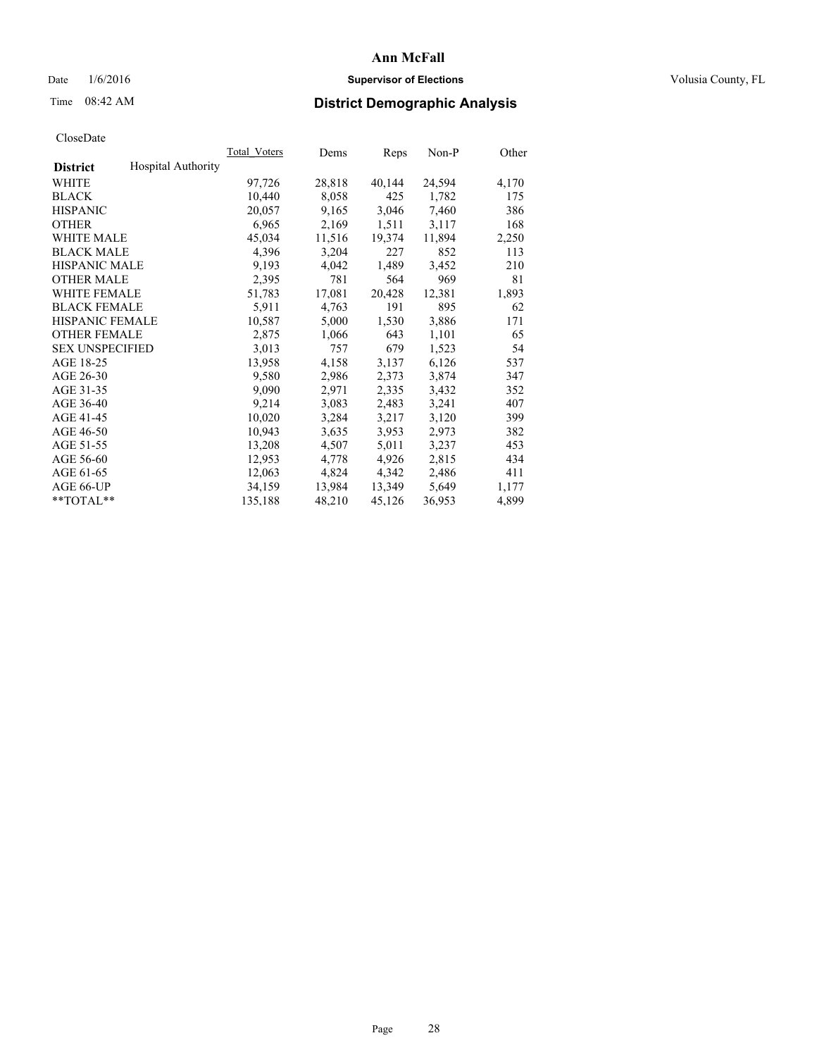## Date  $1/6/2016$  **Supervisor of Elections Supervisor of Elections** Volusia County, FL

## Time 08:42 AM **District Demographic Analysis**

|                        |                           | Total Voters | Dems   | Reps   | Non-P  | Other |
|------------------------|---------------------------|--------------|--------|--------|--------|-------|
| <b>District</b>        | <b>Hospital Authority</b> |              |        |        |        |       |
| WHITE                  |                           | 97,726       | 28,818 | 40,144 | 24,594 | 4,170 |
| <b>BLACK</b>           |                           | 10,440       | 8,058  | 425    | 1,782  | 175   |
| <b>HISPANIC</b>        |                           | 20,057       | 9,165  | 3,046  | 7,460  | 386   |
| <b>OTHER</b>           |                           | 6,965        | 2,169  | 1,511  | 3,117  | 168   |
| WHITE MALE             |                           | 45,034       | 11,516 | 19,374 | 11,894 | 2,250 |
| <b>BLACK MALE</b>      |                           | 4,396        | 3,204  | 227    | 852    | 113   |
| <b>HISPANIC MALE</b>   |                           | 9,193        | 4,042  | 1,489  | 3,452  | 210   |
| <b>OTHER MALE</b>      |                           | 2,395        | 781    | 564    | 969    | 81    |
| <b>WHITE FEMALE</b>    |                           | 51,783       | 17,081 | 20,428 | 12,381 | 1,893 |
| <b>BLACK FEMALE</b>    |                           | 5,911        | 4,763  | 191    | 895    | 62    |
| <b>HISPANIC FEMALE</b> |                           | 10,587       | 5,000  | 1,530  | 3,886  | 171   |
| <b>OTHER FEMALE</b>    |                           | 2,875        | 1,066  | 643    | 1,101  | 65    |
| <b>SEX UNSPECIFIED</b> |                           | 3,013        | 757    | 679    | 1,523  | 54    |
| AGE 18-25              |                           | 13,958       | 4,158  | 3,137  | 6,126  | 537   |
| AGE 26-30              |                           | 9,580        | 2,986  | 2,373  | 3,874  | 347   |
| AGE 31-35              |                           | 9,090        | 2,971  | 2,335  | 3,432  | 352   |
| AGE 36-40              |                           | 9,214        | 3,083  | 2,483  | 3,241  | 407   |
| AGE 41-45              |                           | 10,020       | 3,284  | 3,217  | 3,120  | 399   |
| AGE 46-50              |                           | 10,943       | 3,635  | 3,953  | 2,973  | 382   |
| AGE 51-55              |                           | 13,208       | 4,507  | 5,011  | 3,237  | 453   |
| AGE 56-60              |                           | 12,953       | 4,778  | 4,926  | 2,815  | 434   |
| AGE 61-65              |                           | 12,063       | 4,824  | 4,342  | 2,486  | 411   |
| AGE 66-UP              |                           | 34,159       | 13,984 | 13,349 | 5,649  | 1,177 |
| $*$ $TOTAL**$          |                           | 135,188      | 48,210 | 45,126 | 36,953 | 4,899 |
|                        |                           |              |        |        |        |       |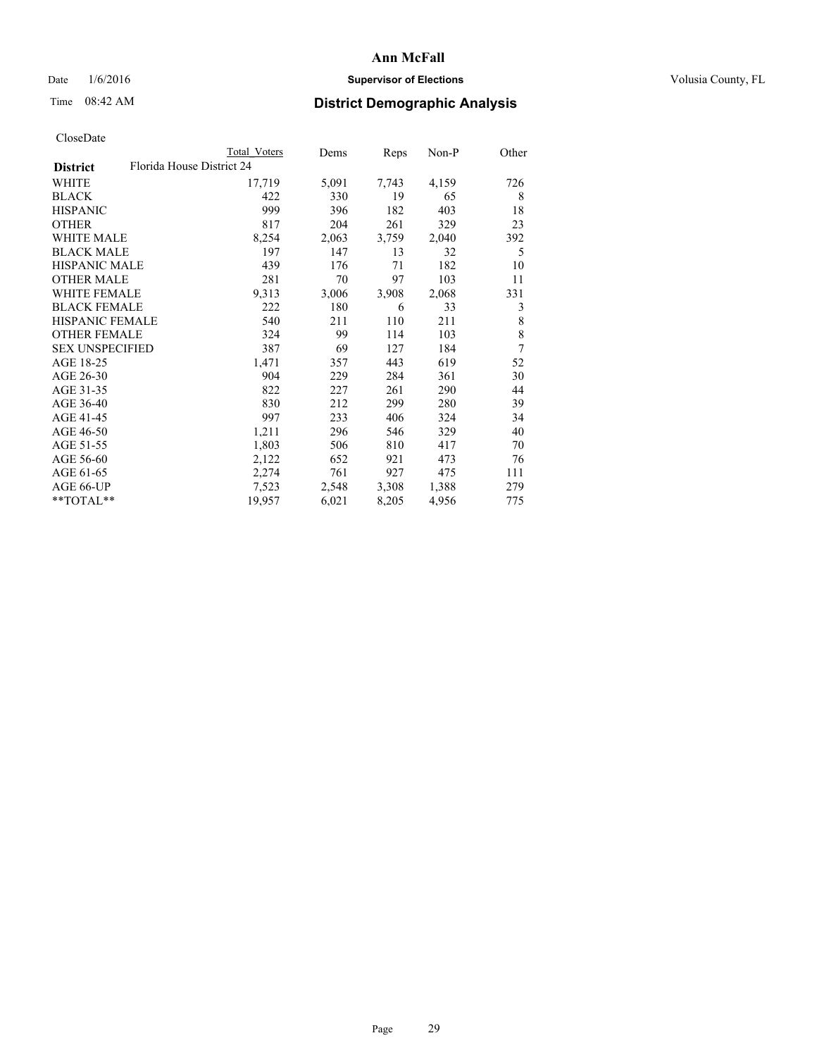## Date  $1/6/2016$  **Supervisor of Elections Supervisor of Elections** Volusia County, FL

|                                              | <b>Total Voters</b> | Dems  | Reps  | Non-P | Other |
|----------------------------------------------|---------------------|-------|-------|-------|-------|
| Florida House District 24<br><b>District</b> |                     |       |       |       |       |
| WHITE                                        | 17,719              | 5,091 | 7,743 | 4,159 | 726   |
| <b>BLACK</b>                                 | 422                 | 330   | 19    | 65    | 8     |
| <b>HISPANIC</b>                              | 999                 | 396   | 182   | 403   | 18    |
| <b>OTHER</b>                                 | 817                 | 204   | 261   | 329   | 23    |
| WHITE MALE                                   | 8,254               | 2,063 | 3,759 | 2,040 | 392   |
| <b>BLACK MALE</b>                            | 197                 | 147   | 13    | 32    | 5     |
| <b>HISPANIC MALE</b>                         | 439                 | 176   | 71    | 182   | 10    |
| <b>OTHER MALE</b>                            | 281                 | 70    | 97    | 103   | 11    |
| <b>WHITE FEMALE</b>                          | 9,313               | 3,006 | 3,908 | 2,068 | 331   |
| <b>BLACK FEMALE</b>                          | 222                 | 180   | 6     | 33    | 3     |
| HISPANIC FEMALE                              | 540                 | 211   | 110   | 211   | 8     |
| <b>OTHER FEMALE</b>                          | 324                 | 99    | 114   | 103   | 8     |
| <b>SEX UNSPECIFIED</b>                       | 387                 | 69    | 127   | 184   | 7     |
| AGE 18-25                                    | 1,471               | 357   | 443   | 619   | 52    |
| AGE 26-30                                    | 904                 | 229   | 284   | 361   | 30    |
| AGE 31-35                                    | 822                 | 227   | 261   | 290   | 44    |
| AGE 36-40                                    | 830                 | 212   | 299   | 280   | 39    |
| AGE 41-45                                    | 997                 | 233   | 406   | 324   | 34    |
| AGE 46-50                                    | 1,211               | 296   | 546   | 329   | 40    |
| AGE 51-55                                    | 1,803               | 506   | 810   | 417   | 70    |
| AGE 56-60                                    | 2,122               | 652   | 921   | 473   | 76    |
| AGE 61-65                                    | 2,274               | 761   | 927   | 475   | 111   |
| AGE 66-UP                                    | 7,523               | 2,548 | 3,308 | 1,388 | 279   |
| **TOTAL**                                    | 19,957              | 6,021 | 8,205 | 4,956 | 775   |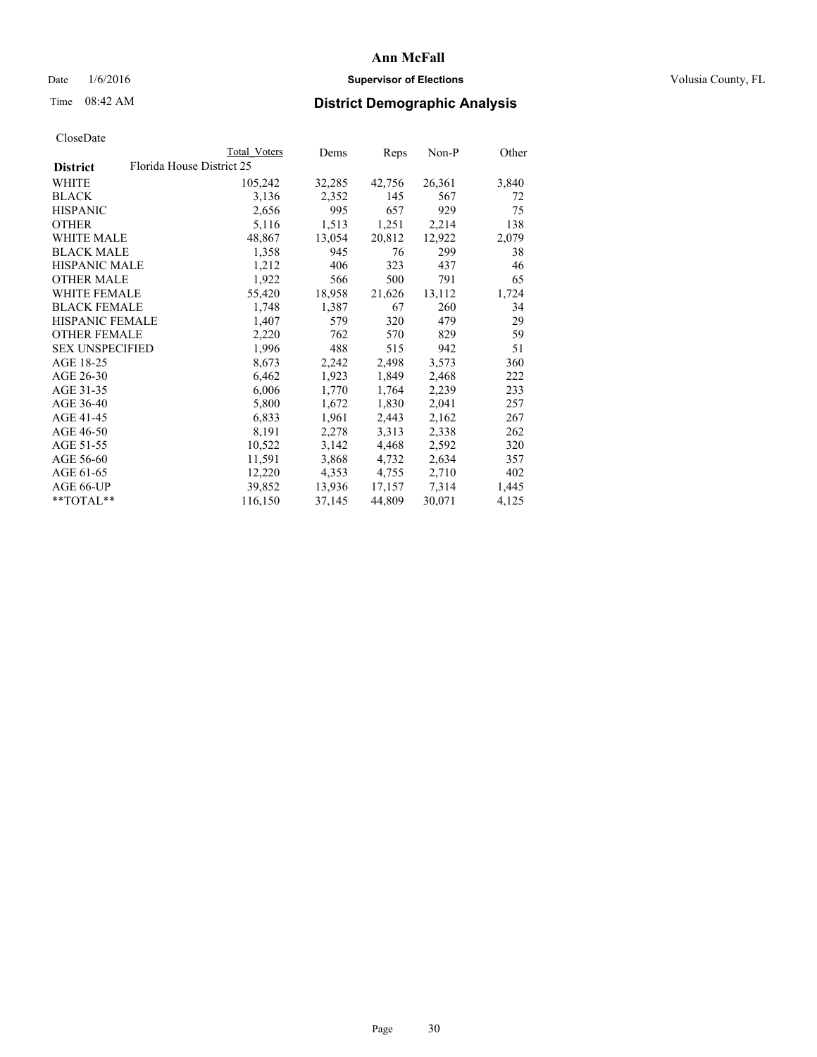## Date  $1/6/2016$  **Supervisor of Elections Supervisor of Elections** Volusia County, FL

|                        |                           | Total Voters | Dems   | Reps   | Non-P  | Other |
|------------------------|---------------------------|--------------|--------|--------|--------|-------|
| <b>District</b>        | Florida House District 25 |              |        |        |        |       |
| WHITE                  |                           | 105,242      | 32,285 | 42,756 | 26,361 | 3,840 |
| <b>BLACK</b>           |                           | 3,136        | 2,352  | 145    | 567    | 72    |
| <b>HISPANIC</b>        |                           | 2,656        | 995    | 657    | 929    | 75    |
| <b>OTHER</b>           |                           | 5,116        | 1,513  | 1,251  | 2,214  | 138   |
| <b>WHITE MALE</b>      |                           | 48,867       | 13,054 | 20,812 | 12,922 | 2,079 |
| <b>BLACK MALE</b>      |                           | 1,358        | 945    | 76     | 299    | 38    |
| <b>HISPANIC MALE</b>   |                           | 1,212        | 406    | 323    | 437    | 46    |
| <b>OTHER MALE</b>      |                           | 1,922        | 566    | 500    | 791    | 65    |
| <b>WHITE FEMALE</b>    |                           | 55,420       | 18,958 | 21,626 | 13,112 | 1,724 |
| <b>BLACK FEMALE</b>    |                           | 1,748        | 1,387  | 67     | 260    | 34    |
| HISPANIC FEMALE        |                           | 1,407        | 579    | 320    | 479    | 29    |
| <b>OTHER FEMALE</b>    |                           | 2,220        | 762    | 570    | 829    | 59    |
| <b>SEX UNSPECIFIED</b> |                           | 1,996        | 488    | 515    | 942    | 51    |
| AGE 18-25              |                           | 8,673        | 2,242  | 2,498  | 3,573  | 360   |
| AGE 26-30              |                           | 6,462        | 1,923  | 1,849  | 2,468  | 222   |
| AGE 31-35              |                           | 6,006        | 1,770  | 1,764  | 2,239  | 233   |
| AGE 36-40              |                           | 5,800        | 1,672  | 1,830  | 2,041  | 257   |
| AGE 41-45              |                           | 6,833        | 1,961  | 2,443  | 2,162  | 267   |
| AGE 46-50              |                           | 8,191        | 2,278  | 3,313  | 2,338  | 262   |
| AGE 51-55              |                           | 10,522       | 3,142  | 4,468  | 2,592  | 320   |
| AGE 56-60              |                           | 11,591       | 3,868  | 4,732  | 2,634  | 357   |
| AGE 61-65              |                           | 12,220       | 4,353  | 4,755  | 2,710  | 402   |
| AGE 66-UP              |                           | 39,852       | 13,936 | 17,157 | 7,314  | 1,445 |
| $*$ $TOTAI.**$         |                           | 116,150      | 37,145 | 44,809 | 30,071 | 4,125 |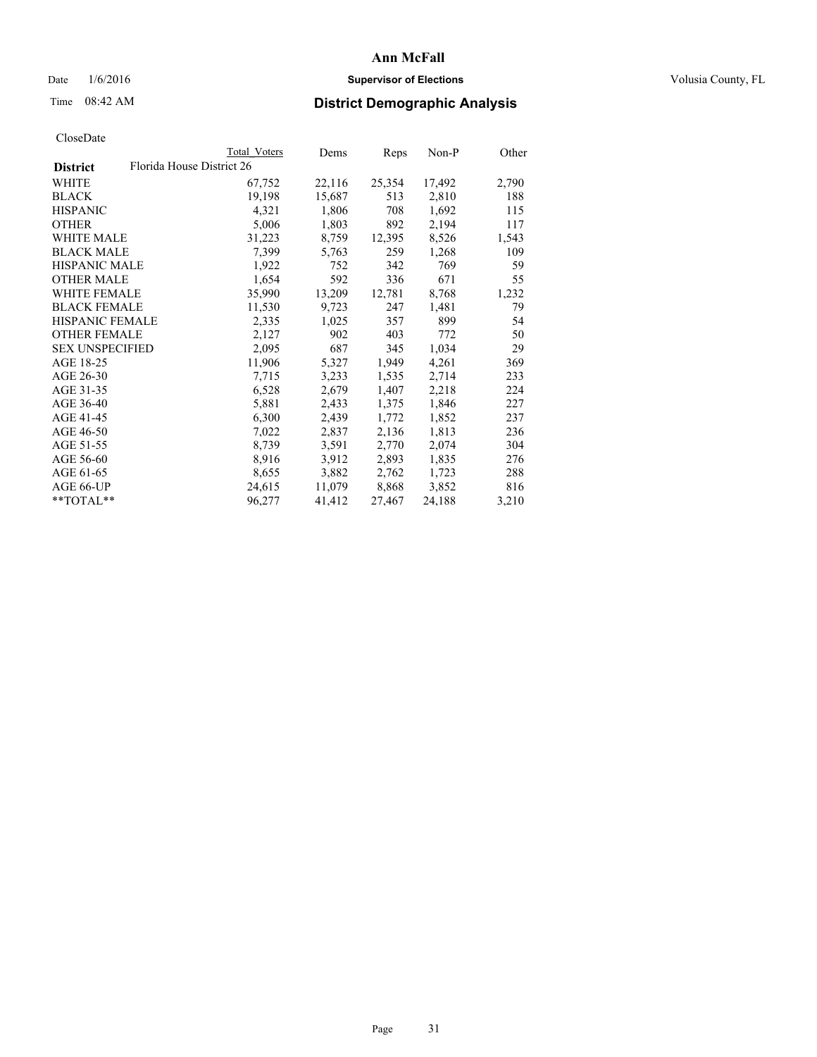## Date  $1/6/2016$  **Supervisor of Elections Supervisor of Elections** Volusia County, FL

| CloseDate |
|-----------|
|-----------|

|                        |                           | <b>Total Voters</b> | Dems   | Reps   | Non-P  | Other |
|------------------------|---------------------------|---------------------|--------|--------|--------|-------|
| <b>District</b>        | Florida House District 26 |                     |        |        |        |       |
| WHITE                  |                           | 67,752              | 22,116 | 25,354 | 17,492 | 2,790 |
| <b>BLACK</b>           |                           | 19,198              | 15,687 | 513    | 2,810  | 188   |
| <b>HISPANIC</b>        |                           | 4,321               | 1,806  | 708    | 1,692  | 115   |
| <b>OTHER</b>           |                           | 5,006               | 1,803  | 892    | 2,194  | 117   |
| <b>WHITE MALE</b>      |                           | 31,223              | 8,759  | 12,395 | 8,526  | 1,543 |
| <b>BLACK MALE</b>      |                           | 7,399               | 5,763  | 259    | 1,268  | 109   |
| <b>HISPANIC MALE</b>   |                           | 1,922               | 752    | 342    | 769    | 59    |
| <b>OTHER MALE</b>      |                           | 1,654               | 592    | 336    | 671    | 55    |
| <b>WHITE FEMALE</b>    |                           | 35,990              | 13,209 | 12,781 | 8,768  | 1,232 |
| <b>BLACK FEMALE</b>    |                           | 11,530              | 9,723  | 247    | 1,481  | 79    |
| <b>HISPANIC FEMALE</b> |                           | 2,335               | 1,025  | 357    | 899    | 54    |
| <b>OTHER FEMALE</b>    |                           | 2,127               | 902    | 403    | 772    | 50    |
| <b>SEX UNSPECIFIED</b> |                           | 2,095               | 687    | 345    | 1,034  | 29    |
| AGE 18-25              |                           | 11,906              | 5,327  | 1,949  | 4,261  | 369   |
| AGE 26-30              |                           | 7,715               | 3,233  | 1,535  | 2,714  | 233   |
| AGE 31-35              |                           | 6,528               | 2,679  | 1,407  | 2,218  | 224   |
| AGE 36-40              |                           | 5,881               | 2,433  | 1,375  | 1,846  | 227   |
| AGE 41-45              |                           | 6,300               | 2,439  | 1,772  | 1,852  | 237   |
| AGE 46-50              |                           | 7,022               | 2,837  | 2,136  | 1,813  | 236   |
| AGE 51-55              |                           | 8,739               | 3,591  | 2,770  | 2,074  | 304   |
| AGE 56-60              |                           | 8,916               | 3,912  | 2,893  | 1,835  | 276   |
| AGE 61-65              |                           | 8,655               | 3,882  | 2,762  | 1,723  | 288   |
| AGE 66-UP              |                           | 24,615              | 11,079 | 8,868  | 3,852  | 816   |
| $*$ TOTAL $*$          |                           | 96,277              | 41,412 | 27,467 | 24,188 | 3,210 |
|                        |                           |                     |        |        |        |       |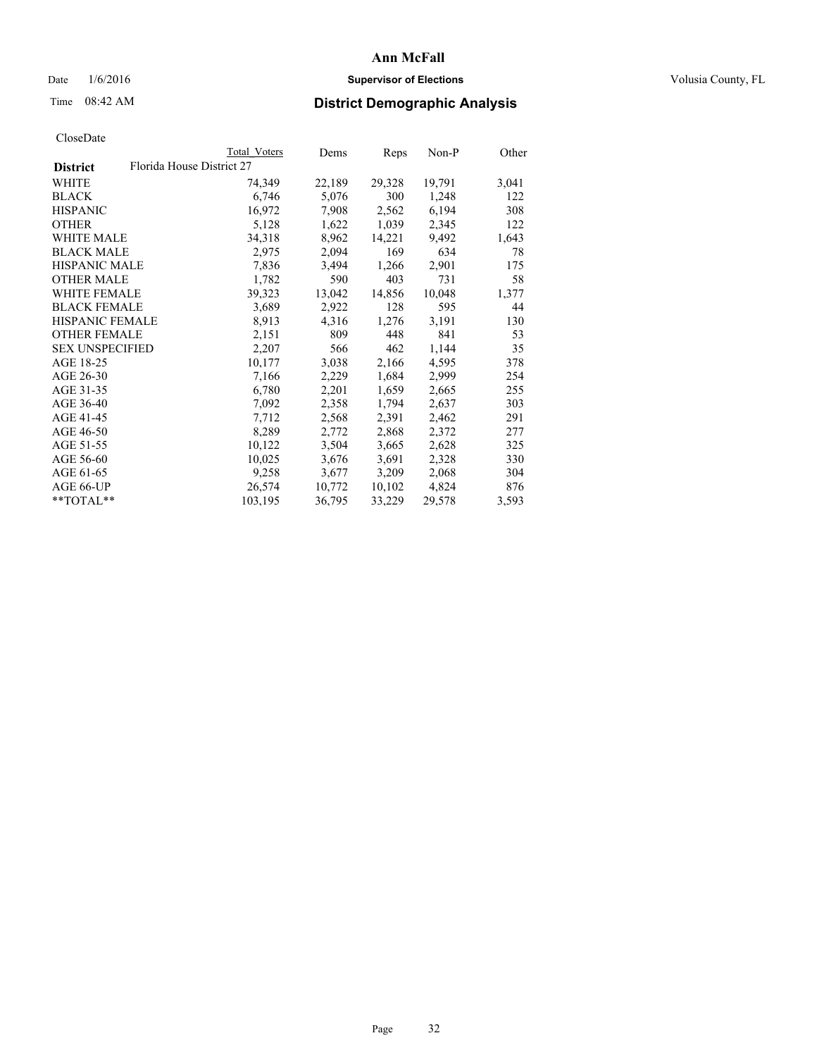## Date  $1/6/2016$  **Supervisor of Elections Supervisor of Elections** Volusia County, FL

| CloseDate |
|-----------|
|-----------|

|                        |                           | Total Voters | Dems   | Reps   | Non-P  | Other |
|------------------------|---------------------------|--------------|--------|--------|--------|-------|
| <b>District</b>        | Florida House District 27 |              |        |        |        |       |
| WHITE                  |                           | 74,349       | 22,189 | 29,328 | 19,791 | 3,041 |
| <b>BLACK</b>           |                           | 6,746        | 5,076  | 300    | 1,248  | 122   |
| <b>HISPANIC</b>        |                           | 16,972       | 7,908  | 2,562  | 6,194  | 308   |
| <b>OTHER</b>           |                           | 5,128        | 1,622  | 1,039  | 2,345  | 122   |
| <b>WHITE MALE</b>      |                           | 34,318       | 8,962  | 14,221 | 9,492  | 1,643 |
| <b>BLACK MALE</b>      |                           | 2,975        | 2,094  | 169    | 634    | 78    |
| <b>HISPANIC MALE</b>   |                           | 7,836        | 3,494  | 1,266  | 2,901  | 175   |
| <b>OTHER MALE</b>      |                           | 1,782        | 590    | 403    | 731    | 58    |
| <b>WHITE FEMALE</b>    |                           | 39,323       | 13,042 | 14,856 | 10,048 | 1,377 |
| <b>BLACK FEMALE</b>    |                           | 3,689        | 2,922  | 128    | 595    | 44    |
| <b>HISPANIC FEMALE</b> |                           | 8,913        | 4,316  | 1,276  | 3,191  | 130   |
| <b>OTHER FEMALE</b>    |                           | 2,151        | 809    | 448    | 841    | 53    |
| <b>SEX UNSPECIFIED</b> |                           | 2,207        | 566    | 462    | 1,144  | 35    |
| AGE 18-25              |                           | 10,177       | 3,038  | 2,166  | 4,595  | 378   |
| AGE 26-30              |                           | 7,166        | 2,229  | 1,684  | 2,999  | 254   |
| AGE 31-35              |                           | 6,780        | 2,201  | 1,659  | 2,665  | 255   |
| AGE 36-40              |                           | 7,092        | 2,358  | 1,794  | 2,637  | 303   |
| AGE 41-45              |                           | 7,712        | 2,568  | 2,391  | 2,462  | 291   |
| AGE 46-50              |                           | 8,289        | 2,772  | 2,868  | 2,372  | 277   |
| AGE 51-55              |                           | 10,122       | 3,504  | 3,665  | 2,628  | 325   |
| AGE 56-60              |                           | 10,025       | 3,676  | 3,691  | 2,328  | 330   |
| AGE 61-65              |                           | 9,258        | 3,677  | 3,209  | 2,068  | 304   |
| AGE 66-UP              |                           | 26,574       | 10,772 | 10,102 | 4,824  | 876   |
| $*$ TOTAL $*$          |                           | 103,195      | 36,795 | 33,229 | 29,578 | 3,593 |
|                        |                           |              |        |        |        |       |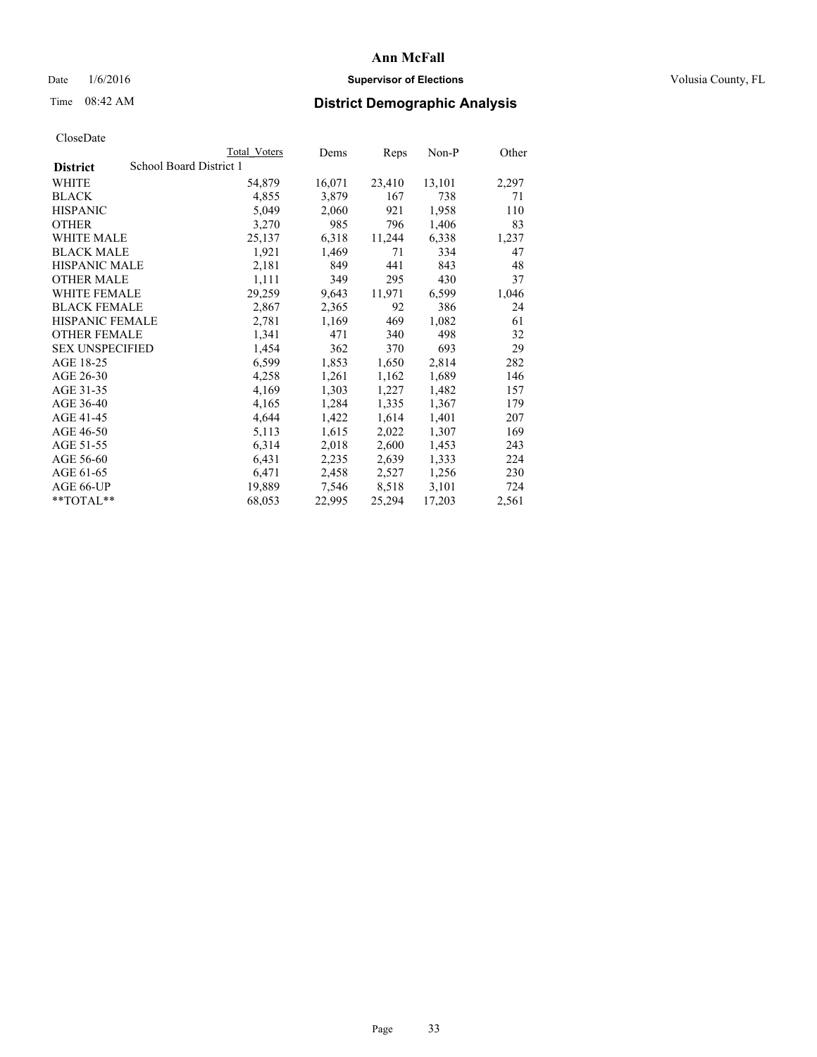## Date  $1/6/2016$  **Supervisor of Elections Supervisor of Elections** Volusia County, FL

## Time 08:42 AM **District Demographic Analysis**

|                        | Total Voters            | Dems   | Reps   | Non-P  | Other |
|------------------------|-------------------------|--------|--------|--------|-------|
| <b>District</b>        | School Board District 1 |        |        |        |       |
| WHITE                  | 54,879                  | 16,071 | 23,410 | 13,101 | 2,297 |
| <b>BLACK</b>           | 4,855                   | 3,879  | 167    | 738    | 71    |
| <b>HISPANIC</b>        | 5,049                   | 2,060  | 921    | 1,958  | 110   |
| <b>OTHER</b>           | 3,270                   | 985    | 796    | 1,406  | 83    |
| <b>WHITE MALE</b>      | 25,137                  | 6,318  | 11,244 | 6,338  | 1,237 |
| <b>BLACK MALE</b>      | 1,921                   | 1,469  | 71     | 334    | 47    |
| <b>HISPANIC MALE</b>   | 2,181                   | 849    | 441    | 843    | 48    |
| <b>OTHER MALE</b>      | 1,111                   | 349    | 295    | 430    | 37    |
| <b>WHITE FEMALE</b>    | 29,259                  | 9,643  | 11,971 | 6,599  | 1,046 |
| <b>BLACK FEMALE</b>    | 2,867                   | 2,365  | 92     | 386    | 24    |
| <b>HISPANIC FEMALE</b> | 2,781                   | 1,169  | 469    | 1,082  | 61    |
| <b>OTHER FEMALE</b>    | 1,341                   | 471    | 340    | 498    | 32    |
| <b>SEX UNSPECIFIED</b> | 1,454                   | 362    | 370    | 693    | 29    |
| AGE 18-25              | 6,599                   | 1,853  | 1,650  | 2,814  | 282   |
| AGE 26-30              | 4,258                   | 1,261  | 1,162  | 1,689  | 146   |
| AGE 31-35              | 4,169                   | 1,303  | 1,227  | 1,482  | 157   |
| AGE 36-40              | 4,165                   | 1,284  | 1,335  | 1,367  | 179   |
| AGE 41-45              | 4,644                   | 1,422  | 1,614  | 1,401  | 207   |
| AGE 46-50              | 5,113                   | 1,615  | 2,022  | 1,307  | 169   |
| AGE 51-55              | 6,314                   | 2,018  | 2,600  | 1,453  | 243   |
| AGE 56-60              | 6,431                   | 2,235  | 2,639  | 1,333  | 224   |
| AGE 61-65              | 6,471                   | 2,458  | 2,527  | 1,256  | 230   |
| AGE 66-UP              | 19,889                  | 7,546  | 8,518  | 3,101  | 724   |
| **TOTAL**              | 68,053                  | 22,995 | 25,294 | 17,203 | 2,561 |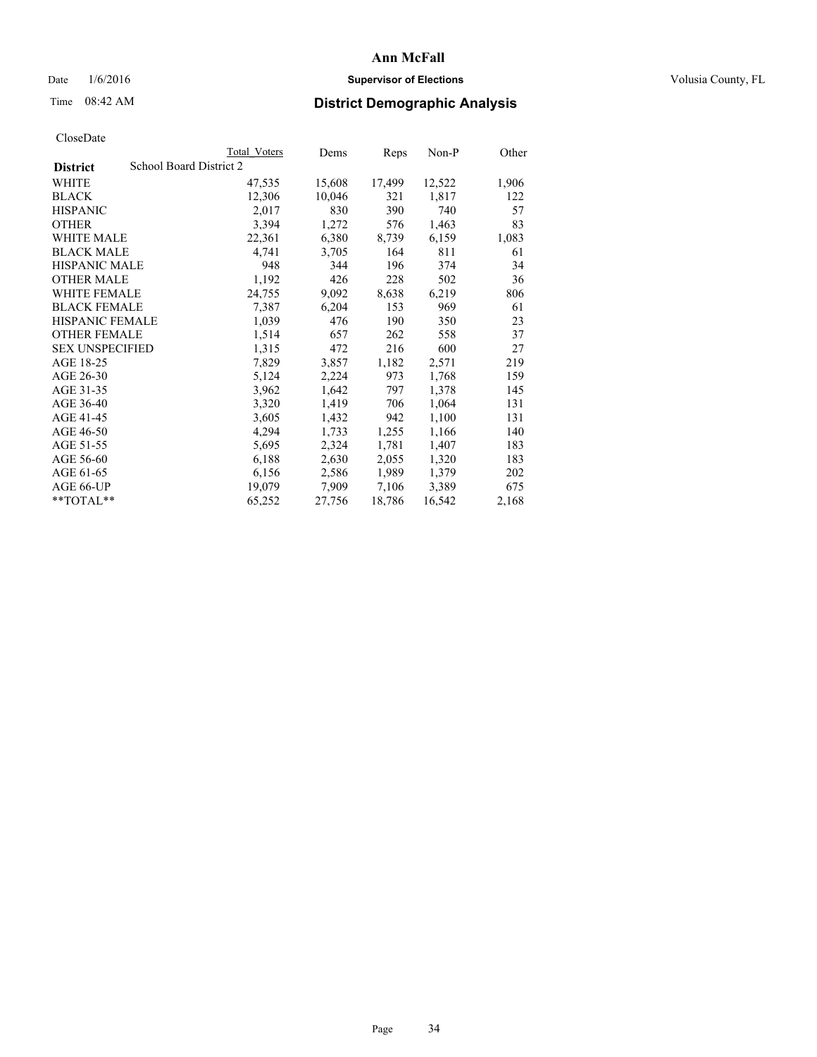## Date  $1/6/2016$  **Supervisor of Elections Supervisor of Elections** Volusia County, FL

## Time 08:42 AM **District Demographic Analysis**

|                                            | Total Voters | Dems   | <b>Reps</b> | Non-P  | Other |
|--------------------------------------------|--------------|--------|-------------|--------|-------|
| School Board District 2<br><b>District</b> |              |        |             |        |       |
| WHITE                                      | 47,535       | 15,608 | 17,499      | 12,522 | 1,906 |
| <b>BLACK</b>                               | 12,306       | 10,046 | 321         | 1,817  | 122   |
| <b>HISPANIC</b>                            | 2,017        | 830    | 390         | 740    | 57    |
| <b>OTHER</b>                               | 3,394        | 1,272  | 576         | 1,463  | 83    |
| WHITE MALE                                 | 22,361       | 6,380  | 8,739       | 6,159  | 1,083 |
| <b>BLACK MALE</b>                          | 4,741        | 3,705  | 164         | 811    | 61    |
| <b>HISPANIC MALE</b>                       | 948          | 344    | 196         | 374    | 34    |
| <b>OTHER MALE</b>                          | 1,192        | 426    | 228         | 502    | 36    |
| WHITE FEMALE                               | 24,755       | 9,092  | 8,638       | 6,219  | 806   |
| <b>BLACK FEMALE</b>                        | 7,387        | 6,204  | 153         | 969    | 61    |
| <b>HISPANIC FEMALE</b>                     | 1,039        | 476    | 190         | 350    | 23    |
| <b>OTHER FEMALE</b>                        | 1,514        | 657    | 262         | 558    | 37    |
| <b>SEX UNSPECIFIED</b>                     | 1,315        | 472    | 216         | 600    | 27    |
| AGE 18-25                                  | 7,829        | 3,857  | 1,182       | 2,571  | 219   |
| AGE 26-30                                  | 5,124        | 2,224  | 973         | 1,768  | 159   |
| AGE 31-35                                  | 3,962        | 1,642  | 797         | 1,378  | 145   |
| AGE 36-40                                  | 3,320        | 1,419  | 706         | 1,064  | 131   |
| AGE 41-45                                  | 3,605        | 1,432  | 942         | 1,100  | 131   |
| AGE 46-50                                  | 4,294        | 1,733  | 1,255       | 1,166  | 140   |
| AGE 51-55                                  | 5,695        | 2,324  | 1,781       | 1,407  | 183   |
| AGE 56-60                                  | 6,188        | 2,630  | 2,055       | 1,320  | 183   |
| AGE 61-65                                  | 6,156        | 2,586  | 1,989       | 1,379  | 202   |
| AGE 66-UP                                  | 19,079       | 7,909  | 7,106       | 3,389  | 675   |
| $*$ TOTAL $*$                              | 65,252       | 27,756 | 18,786      | 16,542 | 2,168 |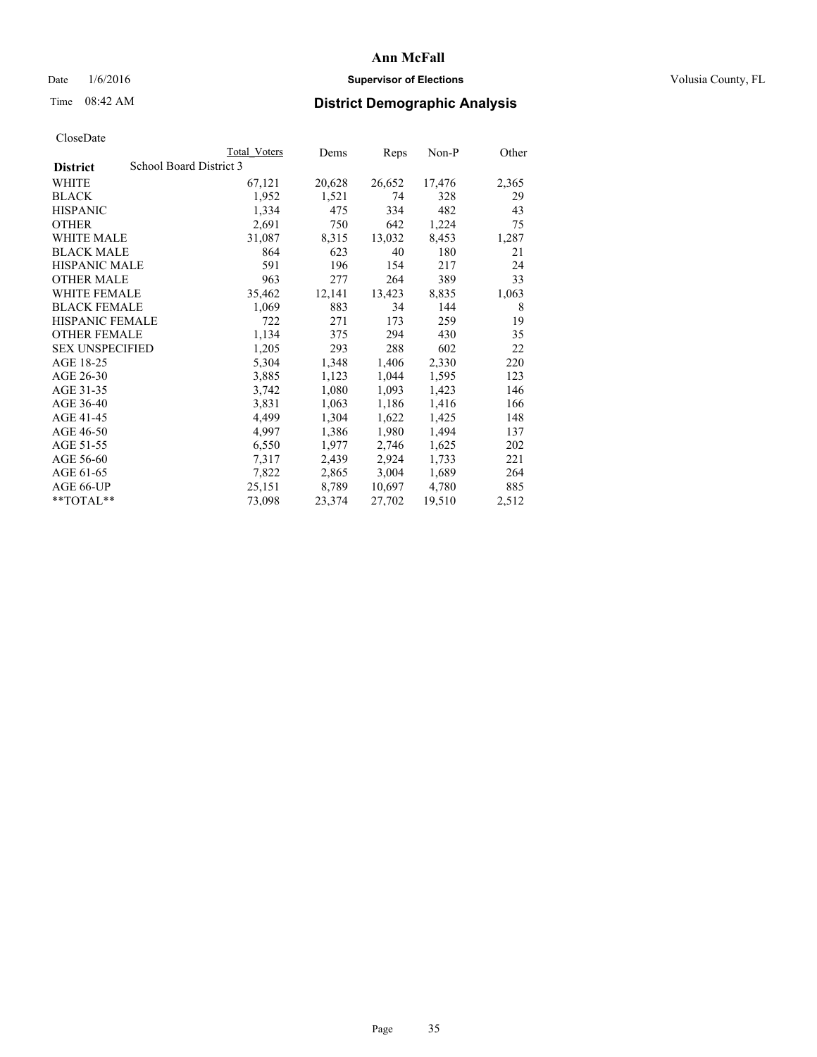## Date  $1/6/2016$  **Supervisor of Elections Supervisor of Elections** Volusia County, FL

# Time 08:42 AM **District Demographic Analysis**

|                        |                         | <b>Total Voters</b> | Dems   | Reps   | Non-P  | Other |
|------------------------|-------------------------|---------------------|--------|--------|--------|-------|
| <b>District</b>        | School Board District 3 |                     |        |        |        |       |
| WHITE                  |                         | 67,121              | 20,628 | 26,652 | 17,476 | 2,365 |
| <b>BLACK</b>           |                         | 1,952               | 1,521  | 74     | 328    | 29    |
| <b>HISPANIC</b>        |                         | 1,334               | 475    | 334    | 482    | 43    |
| <b>OTHER</b>           |                         | 2,691               | 750    | 642    | 1,224  | 75    |
| WHITE MALE             |                         | 31,087              | 8,315  | 13,032 | 8,453  | 1,287 |
| <b>BLACK MALE</b>      |                         | 864                 | 623    | 40     | 180    | 21    |
| <b>HISPANIC MALE</b>   |                         | 591                 | 196    | 154    | 217    | 24    |
| <b>OTHER MALE</b>      |                         | 963                 | 277    | 264    | 389    | 33    |
| <b>WHITE FEMALE</b>    |                         | 35,462              | 12,141 | 13,423 | 8,835  | 1,063 |
| <b>BLACK FEMALE</b>    |                         | 1,069               | 883    | 34     | 144    | 8     |
| <b>HISPANIC FEMALE</b> |                         | 722                 | 271    | 173    | 259    | 19    |
| <b>OTHER FEMALE</b>    |                         | 1,134               | 375    | 294    | 430    | 35    |
| <b>SEX UNSPECIFIED</b> |                         | 1,205               | 293    | 288    | 602    | 22    |
| AGE 18-25              |                         | 5,304               | 1,348  | 1,406  | 2,330  | 220   |
| AGE 26-30              |                         | 3,885               | 1,123  | 1,044  | 1,595  | 123   |
| AGE 31-35              |                         | 3,742               | 1,080  | 1,093  | 1,423  | 146   |
| AGE 36-40              |                         | 3,831               | 1,063  | 1,186  | 1,416  | 166   |
| AGE 41-45              |                         | 4,499               | 1,304  | 1,622  | 1,425  | 148   |
| AGE 46-50              |                         | 4,997               | 1,386  | 1,980  | 1,494  | 137   |
| AGE 51-55              |                         | 6,550               | 1,977  | 2,746  | 1,625  | 202   |
| AGE 56-60              |                         | 7,317               | 2,439  | 2,924  | 1,733  | 221   |
| AGE 61-65              |                         | 7,822               | 2,865  | 3,004  | 1,689  | 264   |
| AGE 66-UP              |                         | 25,151              | 8,789  | 10,697 | 4,780  | 885   |
| **TOTAL**              |                         | 73,098              | 23,374 | 27,702 | 19,510 | 2,512 |
|                        |                         |                     |        |        |        |       |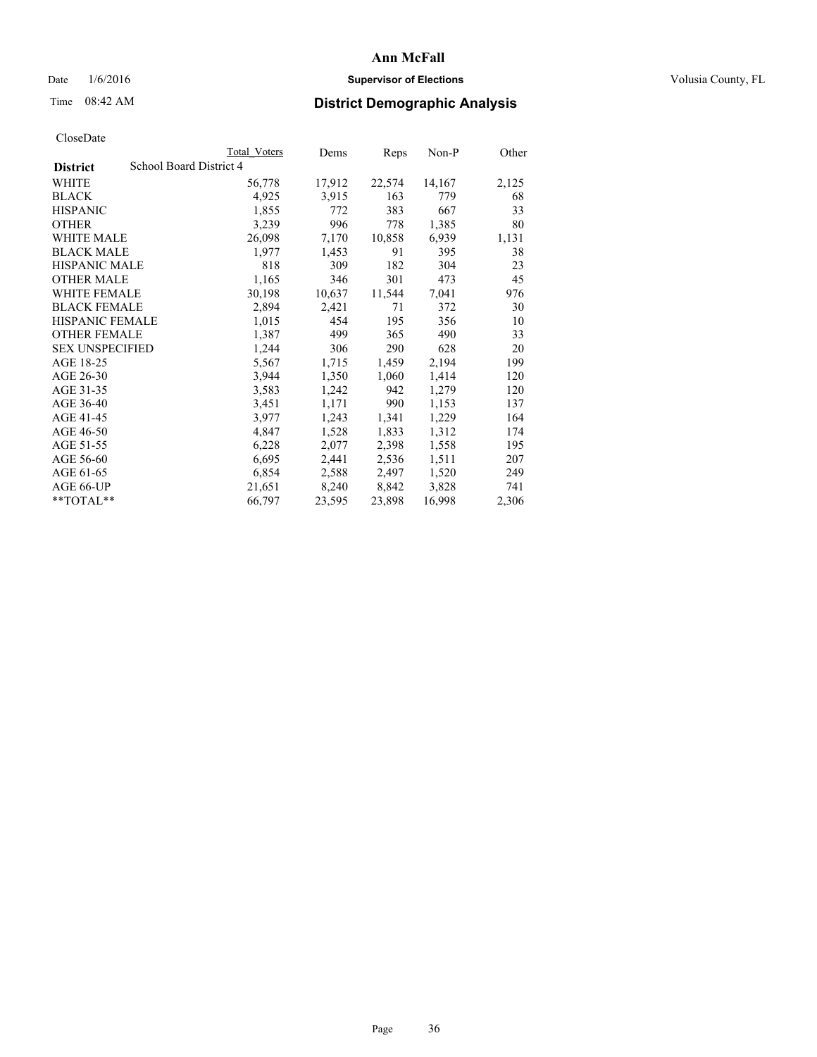## Date  $1/6/2016$  **Supervisor of Elections Supervisor of Elections** Volusia County, FL

# Time 08:42 AM **District Demographic Analysis**

|                                            | Total Voters | Dems   | Reps   | Non-P  | Other |
|--------------------------------------------|--------------|--------|--------|--------|-------|
| School Board District 4<br><b>District</b> |              |        |        |        |       |
| WHITE                                      | 56,778       | 17,912 | 22,574 | 14,167 | 2,125 |
| <b>BLACK</b>                               | 4,925        | 3,915  | 163    | 779    | 68    |
| <b>HISPANIC</b>                            | 1,855        | 772    | 383    | 667    | 33    |
| <b>OTHER</b>                               | 3,239        | 996    | 778    | 1,385  | 80    |
| WHITE MALE                                 | 26,098       | 7,170  | 10,858 | 6,939  | 1,131 |
| <b>BLACK MALE</b>                          | 1,977        | 1,453  | 91     | 395    | 38    |
| <b>HISPANIC MALE</b>                       | 818          | 309    | 182    | 304    | 23    |
| <b>OTHER MALE</b>                          | 1,165        | 346    | 301    | 473    | 45    |
| WHITE FEMALE                               | 30,198       | 10,637 | 11,544 | 7,041  | 976   |
| <b>BLACK FEMALE</b>                        | 2,894        | 2,421  | 71     | 372    | 30    |
| <b>HISPANIC FEMALE</b>                     | 1,015        | 454    | 195    | 356    | 10    |
| <b>OTHER FEMALE</b>                        | 1,387        | 499    | 365    | 490    | 33    |
| <b>SEX UNSPECIFIED</b>                     | 1,244        | 306    | 290    | 628    | 20    |
| AGE 18-25                                  | 5,567        | 1,715  | 1,459  | 2,194  | 199   |
| AGE 26-30                                  | 3,944        | 1,350  | 1,060  | 1,414  | 120   |
| AGE 31-35                                  | 3,583        | 1,242  | 942    | 1,279  | 120   |
| AGE 36-40                                  | 3,451        | 1,171  | 990    | 1,153  | 137   |
| AGE 41-45                                  | 3,977        | 1,243  | 1,341  | 1,229  | 164   |
| AGE 46-50                                  | 4,847        | 1,528  | 1,833  | 1,312  | 174   |
| AGE 51-55                                  | 6,228        | 2,077  | 2,398  | 1,558  | 195   |
| AGE 56-60                                  | 6,695        | 2,441  | 2,536  | 1,511  | 207   |
| AGE 61-65                                  | 6,854        | 2,588  | 2,497  | 1,520  | 249   |
| AGE 66-UP                                  | 21,651       | 8,240  | 8,842  | 3,828  | 741   |
| $*$ $TOTAI.**$                             | 66,797       | 23,595 | 23,898 | 16,998 | 2,306 |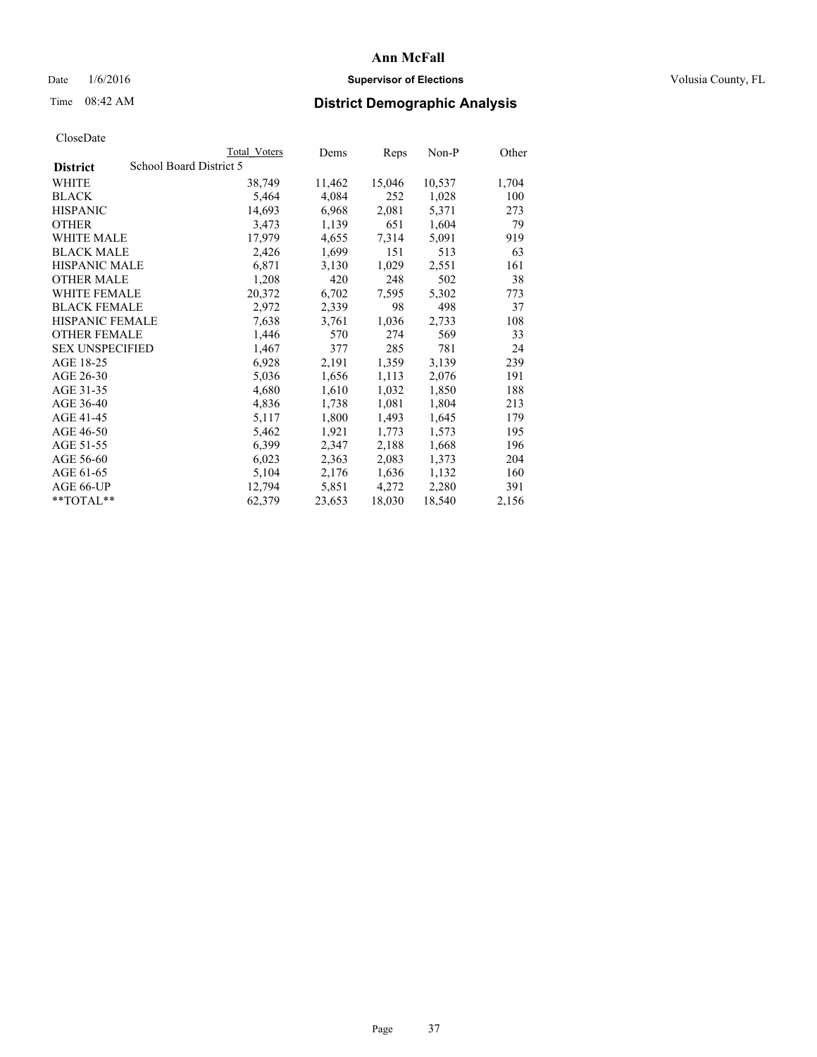## Date  $1/6/2016$  **Supervisor of Elections Supervisor of Elections** Volusia County, FL

## Time 08:42 AM **District Demographic Analysis**

|                                            | <b>Total Voters</b> | Dems   | Reps   | Non-P  | Other |
|--------------------------------------------|---------------------|--------|--------|--------|-------|
| School Board District 5<br><b>District</b> |                     |        |        |        |       |
| WHITE                                      | 38,749              | 11,462 | 15,046 | 10,537 | 1,704 |
| <b>BLACK</b>                               | 5,464               | 4,084  | 252    | 1,028  | 100   |
| <b>HISPANIC</b>                            | 14,693              | 6,968  | 2,081  | 5,371  | 273   |
| OTHER                                      | 3,473               | 1,139  | 651    | 1,604  | 79    |
| WHITE MALE                                 | 17,979              | 4,655  | 7.314  | 5,091  | 919   |
| <b>BLACK MALE</b>                          | 2,426               | 1,699  | 151    | 513    | 63    |
| <b>HISPANIC MALE</b>                       | 6,871               | 3,130  | 1,029  | 2,551  | 161   |
| <b>OTHER MALE</b>                          | 1,208               | 420    | 248    | 502    | 38    |
| <b>WHITE FEMALE</b>                        | 20,372              | 6,702  | 7.595  | 5,302  | 773   |
| <b>BLACK FEMALE</b>                        | 2,972               | 2,339  | 98     | 498    | 37    |
| <b>HISPANIC FEMALE</b>                     | 7,638               | 3,761  | 1,036  | 2,733  | 108   |
| <b>OTHER FEMALE</b>                        | 1,446               | 570    | 274    | 569    | 33    |
| <b>SEX UNSPECIFIED</b>                     | 1,467               | 377    | 285    | 781    | 24    |
| AGE 18-25                                  | 6,928               | 2,191  | 1,359  | 3,139  | 239   |
| AGE 26-30                                  | 5,036               | 1,656  | 1,113  | 2,076  | 191   |
| AGE 31-35                                  | 4,680               | 1,610  | 1,032  | 1,850  | 188   |
| AGE 36-40                                  | 4,836               | 1,738  | 1,081  | 1,804  | 213   |
| AGE 41-45                                  | 5,117               | 1,800  | 1,493  | 1,645  | 179   |
| AGE 46-50                                  | 5,462               | 1,921  | 1,773  | 1,573  | 195   |
| AGE 51-55                                  | 6,399               | 2,347  | 2,188  | 1,668  | 196   |
| AGE 56-60                                  | 6,023               | 2,363  | 2,083  | 1,373  | 204   |
| AGE 61-65                                  | 5,104               | 2,176  | 1,636  | 1,132  | 160   |
| AGE 66-UP                                  | 12,794              | 5,851  | 4,272  | 2,280  | 391   |
| **TOTAL**                                  | 62,379              | 23,653 | 18,030 | 18,540 | 2,156 |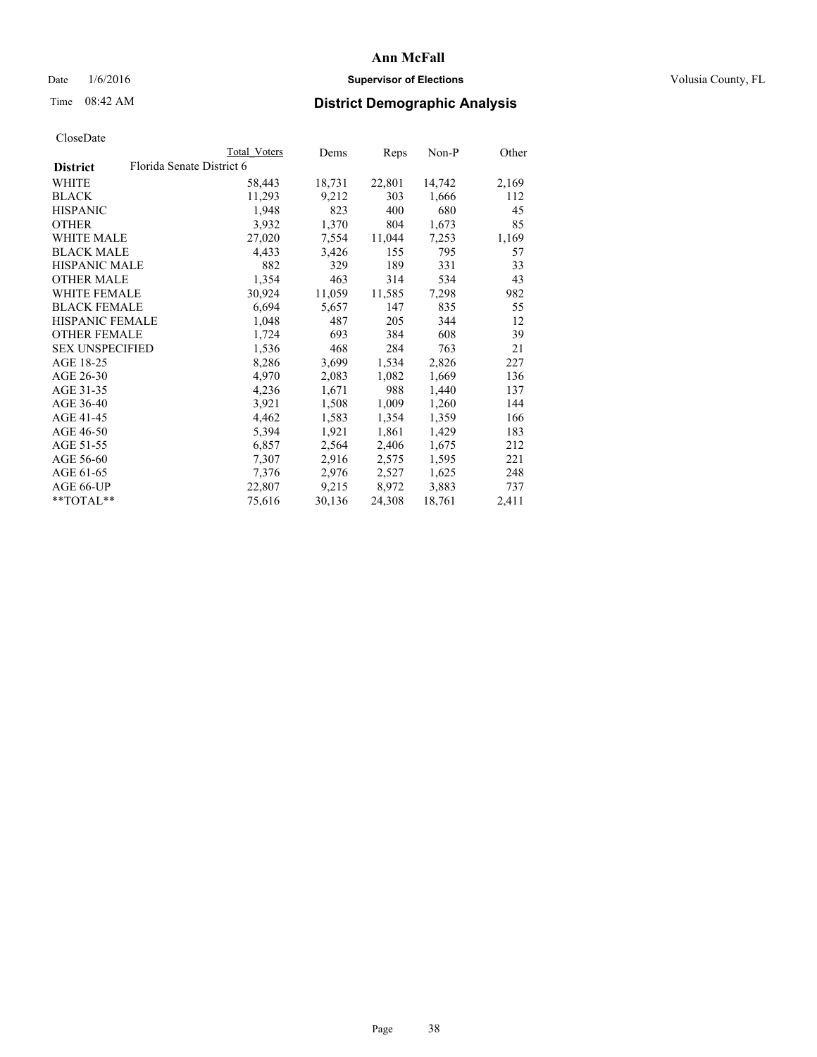## Date  $1/6/2016$  **Supervisor of Elections Supervisor of Elections** Volusia County, FL

## Time 08:42 AM **District Demographic Analysis**

|                        | Total Voters              | Dems   | <b>Reps</b> | $Non-P$ | Other |
|------------------------|---------------------------|--------|-------------|---------|-------|
| <b>District</b>        | Florida Senate District 6 |        |             |         |       |
| WHITE                  | 58,443                    | 18,731 | 22,801      | 14,742  | 2,169 |
| <b>BLACK</b>           | 11,293                    | 9,212  | 303         | 1,666   | 112   |
| <b>HISPANIC</b>        | 1,948                     | 823    | 400         | 680     | 45    |
| <b>OTHER</b>           | 3,932                     | 1,370  | 804         | 1,673   | 85    |
| WHITE MALE             | 27,020                    | 7,554  | 11,044      | 7,253   | 1,169 |
| <b>BLACK MALE</b>      | 4,433                     | 3,426  | 155         | 795     | 57    |
| <b>HISPANIC MALE</b>   | 882                       | 329    | 189         | 331     | 33    |
| <b>OTHER MALE</b>      | 1,354                     | 463    | 314         | 534     | 43    |
| <b>WHITE FEMALE</b>    | 30,924                    | 11,059 | 11,585      | 7,298   | 982   |
| <b>BLACK FEMALE</b>    | 6,694                     | 5,657  | 147         | 835     | 55    |
| HISPANIC FEMALE        | 1,048                     | 487    | 205         | 344     | 12    |
| <b>OTHER FEMALE</b>    | 1,724                     | 693    | 384         | 608     | 39    |
| <b>SEX UNSPECIFIED</b> | 1,536                     | 468    | 284         | 763     | 21    |
| AGE 18-25              | 8,286                     | 3,699  | 1,534       | 2,826   | 227   |
| AGE 26-30              | 4,970                     | 2,083  | 1,082       | 1,669   | 136   |
| AGE 31-35              | 4,236                     | 1,671  | 988         | 1,440   | 137   |
| AGE 36-40              | 3,921                     | 1,508  | 1,009       | 1,260   | 144   |
| AGE 41-45              | 4,462                     | 1,583  | 1,354       | 1,359   | 166   |
| AGE 46-50              | 5,394                     | 1,921  | 1,861       | 1,429   | 183   |
| AGE 51-55              | 6,857                     | 2,564  | 2,406       | 1,675   | 212   |
| AGE 56-60              | 7,307                     | 2,916  | 2,575       | 1,595   | 221   |
| AGE 61-65              | 7,376                     | 2,976  | 2,527       | 1,625   | 248   |
| AGE 66-UP              | 22,807                    | 9,215  | 8,972       | 3,883   | 737   |
| $*$ $TOTAI.**$         | 75,616                    | 30,136 | 24,308      | 18,761  | 2,411 |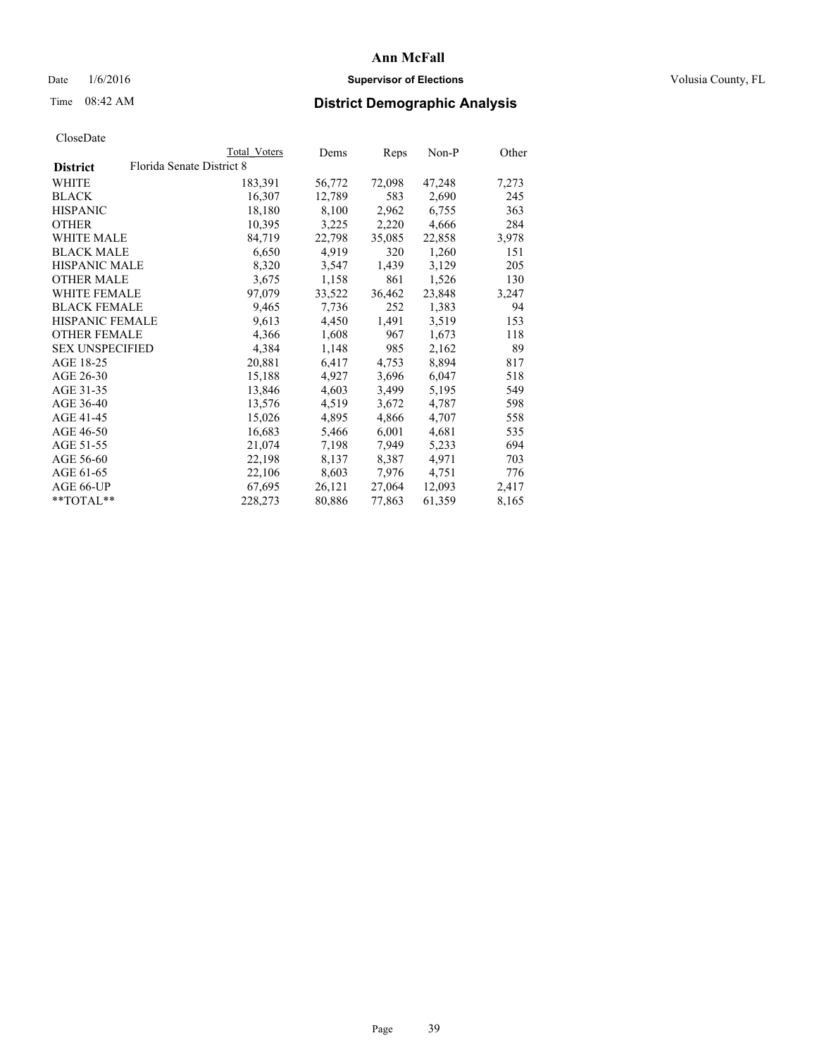## Date  $1/6/2016$  **Supervisor of Elections Supervisor of Elections** Volusia County, FL

| <b>Total Voters</b>       | Dems   | Reps   | Non-P  | Other |
|---------------------------|--------|--------|--------|-------|
| Florida Senate District 8 |        |        |        |       |
| 183,391                   | 56,772 | 72,098 | 47,248 | 7,273 |
| 16,307                    | 12,789 | 583    | 2,690  | 245   |
| 18,180                    | 8,100  | 2,962  | 6,755  | 363   |
| 10,395                    | 3,225  | 2,220  | 4,666  | 284   |
| 84,719                    | 22,798 | 35,085 | 22,858 | 3,978 |
| 6,650                     | 4,919  | 320    | 1,260  | 151   |
| 8,320                     | 3,547  | 1,439  | 3,129  | 205   |
| 3,675                     | 1,158  | 861    | 1,526  | 130   |
| 97,079                    | 33,522 | 36,462 | 23,848 | 3,247 |
| 9,465                     | 7.736  | 252    | 1,383  | 94    |
| 9,613                     | 4,450  | 1,491  | 3,519  | 153   |
| 4,366                     | 1,608  | 967    | 1,673  | 118   |
| 4,384                     | 1,148  | 985    | 2,162  | 89    |
| 20,881                    | 6,417  | 4,753  | 8,894  | 817   |
| 15,188                    | 4,927  | 3,696  | 6,047  | 518   |
| 13,846                    | 4,603  | 3,499  | 5,195  | 549   |
| 13,576                    | 4,519  | 3,672  | 4,787  | 598   |
| 15,026                    | 4,895  | 4,866  | 4,707  | 558   |
| 16,683                    | 5,466  | 6,001  | 4,681  | 535   |
| 21,074                    | 7,198  | 7,949  | 5,233  | 694   |
| 22,198                    | 8,137  | 8,387  | 4,971  | 703   |
| 22,106                    | 8,603  | 7,976  | 4,751  | 776   |
| 67,695                    | 26,121 | 27,064 | 12,093 | 2,417 |
| 228,273                   | 80,886 | 77,863 | 61,359 | 8,165 |
|                           |        |        |        |       |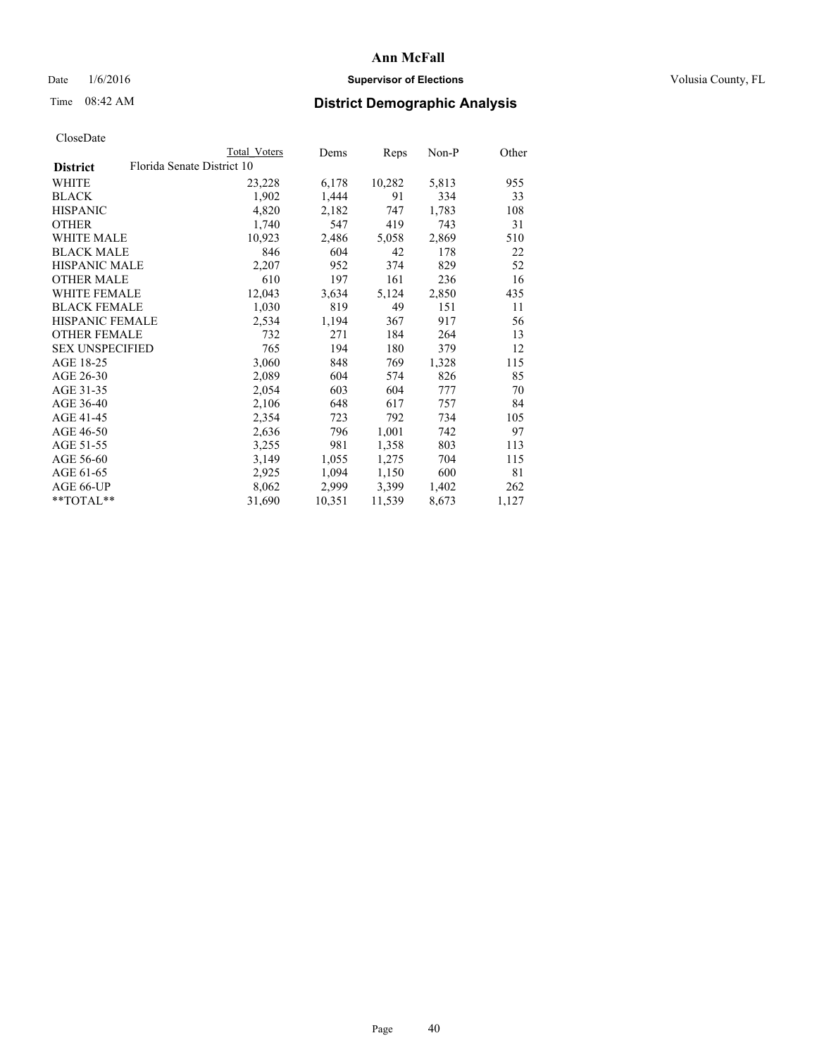## Date  $1/6/2016$  **Supervisor of Elections Supervisor of Elections** Volusia County, FL

| CloseDate |
|-----------|
|-----------|

|                        | <b>Total Voters</b>        | Dems   | Reps   | Non-P | Other |
|------------------------|----------------------------|--------|--------|-------|-------|
| <b>District</b>        | Florida Senate District 10 |        |        |       |       |
| WHITE                  | 23,228                     | 6,178  | 10,282 | 5,813 | 955   |
| <b>BLACK</b>           | 1,902                      | 1,444  | 91     | 334   | 33    |
| <b>HISPANIC</b>        | 4,820                      | 2,182  | 747    | 1,783 | 108   |
| <b>OTHER</b>           | 1,740                      | 547    | 419    | 743   | 31    |
| WHITE MALE             | 10,923                     | 2,486  | 5,058  | 2,869 | 510   |
| <b>BLACK MALE</b>      | 846                        | 604    | 42     | 178   | 22    |
| <b>HISPANIC MALE</b>   | 2,207                      | 952    | 374    | 829   | 52    |
| <b>OTHER MALE</b>      | 610                        | 197    | 161    | 236   | 16    |
| <b>WHITE FEMALE</b>    | 12,043                     | 3,634  | 5,124  | 2,850 | 435   |
| <b>BLACK FEMALE</b>    | 1,030                      | 819    | 49     | 151   | 11    |
| HISPANIC FEMALE        | 2,534                      | 1,194  | 367    | 917   | 56    |
| <b>OTHER FEMALE</b>    | 732                        | 271    | 184    | 264   | 13    |
| <b>SEX UNSPECIFIED</b> | 765                        | 194    | 180    | 379   | 12    |
| AGE 18-25              | 3,060                      | 848    | 769    | 1,328 | 115   |
| AGE 26-30              | 2,089                      | 604    | 574    | 826   | 85    |
| AGE 31-35              | 2,054                      | 603    | 604    | 777   | 70    |
| AGE 36-40              | 2,106                      | 648    | 617    | 757   | 84    |
| AGE 41-45              | 2,354                      | 723    | 792    | 734   | 105   |
| AGE 46-50              | 2,636                      | 796    | 1,001  | 742   | 97    |
| AGE 51-55              | 3,255                      | 981    | 1,358  | 803   | 113   |
| AGE 56-60              | 3,149                      | 1,055  | 1,275  | 704   | 115   |
| AGE 61-65              | 2,925                      | 1,094  | 1,150  | 600   | 81    |
| AGE 66-UP              | 8,062                      | 2,999  | 3,399  | 1,402 | 262   |
| $*$ $TOTAL**$          | 31,690                     | 10,351 | 11,539 | 8,673 | 1,127 |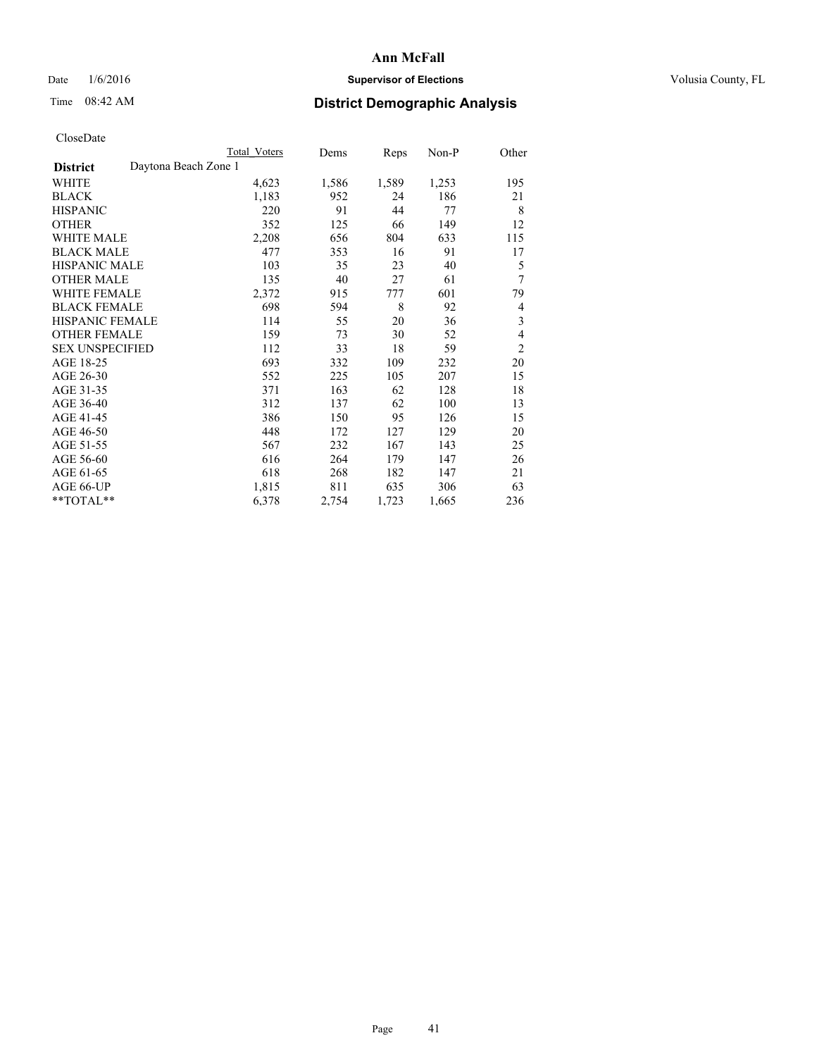## Date  $1/6/2016$  **Supervisor of Elections Supervisor of Elections** Volusia County, FL

# Time 08:42 AM **District Demographic Analysis**

|                                         | <b>Total Voters</b> | Dems  | Reps  | Non-P | Other          |
|-----------------------------------------|---------------------|-------|-------|-------|----------------|
| Daytona Beach Zone 1<br><b>District</b> |                     |       |       |       |                |
| WHITE                                   | 4,623               | 1,586 | 1,589 | 1,253 | 195            |
| <b>BLACK</b>                            | 1,183               | 952   | 24    | 186   | 21             |
| <b>HISPANIC</b>                         | 220                 | 91    | 44    | 77    | 8              |
| <b>OTHER</b>                            | 352                 | 125   | 66    | 149   | 12             |
| WHITE MALE                              | 2,208               | 656   | 804   | 633   | 115            |
| <b>BLACK MALE</b>                       | 477                 | 353   | 16    | 91    | 17             |
| HISPANIC MALE                           | 103                 | 35    | 23    | 40    | 5              |
| <b>OTHER MALE</b>                       | 135                 | 40    | 27    | 61    | 7              |
| WHITE FEMALE                            | 2,372               | 915   | 777   | 601   | 79             |
| <b>BLACK FEMALE</b>                     | 698                 | 594   | 8     | 92    | 4              |
| <b>HISPANIC FEMALE</b>                  | 114                 | 55    | 20    | 36    | 3              |
| <b>OTHER FEMALE</b>                     | 159                 | 73    | 30    | 52    | 4              |
| <b>SEX UNSPECIFIED</b>                  | 112                 | 33    | 18    | 59    | $\overline{2}$ |
| AGE 18-25                               | 693                 | 332   | 109   | 232   | 20             |
| AGE 26-30                               | 552                 | 225   | 105   | 207   | 15             |
| AGE 31-35                               | 371                 | 163   | 62    | 128   | 18             |
| AGE 36-40                               | 312                 | 137   | 62    | 100   | 13             |
| AGE 41-45                               | 386                 | 150   | 95    | 126   | 15             |
| AGE 46-50                               | 448                 | 172   | 127   | 129   | 20             |
| AGE 51-55                               | 567                 | 232   | 167   | 143   | 25             |
| AGE 56-60                               | 616                 | 264   | 179   | 147   | 26             |
| AGE 61-65                               | 618                 | 268   | 182   | 147   | 21             |
| AGE 66-UP                               | 1,815               | 811   | 635   | 306   | 63             |
| **TOTAL**                               | 6,378               | 2,754 | 1,723 | 1,665 | 236            |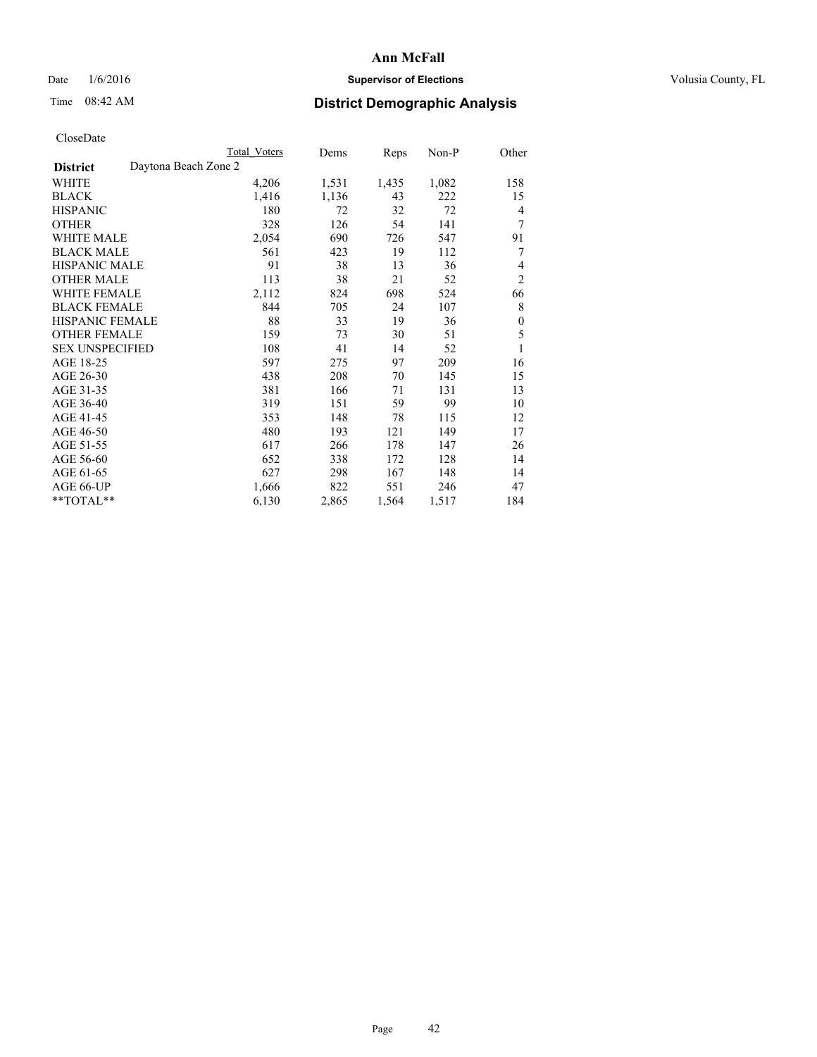## Date  $1/6/2016$  **Supervisor of Elections Supervisor of Elections** Volusia County, FL

# Time 08:42 AM **District Demographic Analysis**

|                                         | <b>Total Voters</b> | Dems  | Reps  | Non-P | Other            |
|-----------------------------------------|---------------------|-------|-------|-------|------------------|
| Daytona Beach Zone 2<br><b>District</b> |                     |       |       |       |                  |
| WHITE                                   | 4,206               | 1,531 | 1,435 | 1,082 | 158              |
| <b>BLACK</b>                            | 1,416               | 1,136 | 43    | 222   | 15               |
| <b>HISPANIC</b>                         | 180                 | 72    | 32    | 72    | $\overline{4}$   |
| <b>OTHER</b>                            | 328                 | 126   | 54    | 141   | 7                |
| <b>WHITE MALE</b>                       | 2,054               | 690   | 726   | 547   | 91               |
| <b>BLACK MALE</b>                       | 561                 | 423   | 19    | 112   | 7                |
| HISPANIC MALE                           | 91                  | 38    | 13    | 36    | 4                |
| <b>OTHER MALE</b>                       | 113                 | 38    | 21    | 52    | $\overline{2}$   |
| <b>WHITE FEMALE</b>                     | 2,112               | 824   | 698   | 524   | 66               |
| <b>BLACK FEMALE</b>                     | 844                 | 705   | 24    | 107   | 8                |
| <b>HISPANIC FEMALE</b>                  | 88                  | 33    | 19    | 36    | $\boldsymbol{0}$ |
| <b>OTHER FEMALE</b>                     | 159                 | 73    | 30    | 51    | 5                |
| <b>SEX UNSPECIFIED</b>                  | 108                 | 41    | 14    | 52    | 1                |
| AGE 18-25                               | 597                 | 275   | 97    | 209   | 16               |
| AGE 26-30                               | 438                 | 208   | 70    | 145   | 15               |
| AGE 31-35                               | 381                 | 166   | 71    | 131   | 13               |
| AGE 36-40                               | 319                 | 151   | 59    | 99    | 10               |
| AGE 41-45                               | 353                 | 148   | 78    | 115   | 12               |
| AGE 46-50                               | 480                 | 193   | 121   | 149   | 17               |
| AGE 51-55                               | 617                 | 266   | 178   | 147   | 26               |
| AGE 56-60                               | 652                 | 338   | 172   | 128   | 14               |
| AGE 61-65                               | 627                 | 298   | 167   | 148   | 14               |
| AGE 66-UP                               | 1,666               | 822   | 551   | 246   | 47               |
| **TOTAL**                               | 6,130               | 2,865 | 1,564 | 1,517 | 184              |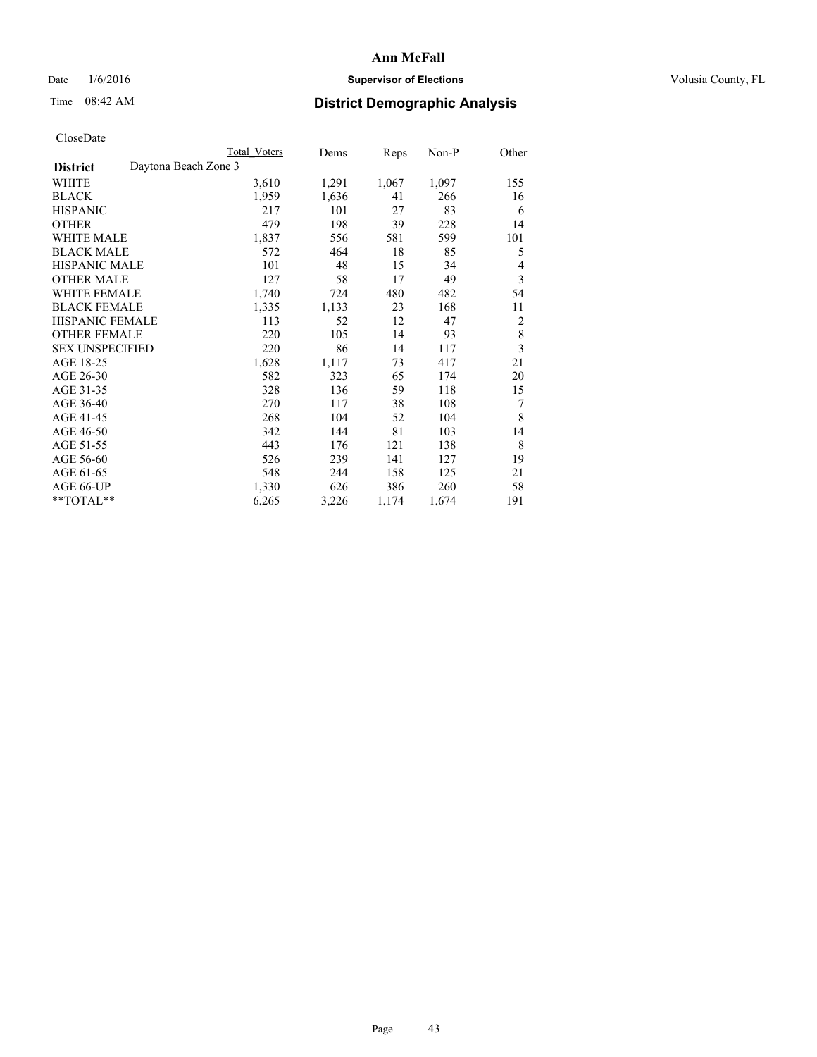## Date  $1/6/2016$  **Supervisor of Elections Supervisor of Elections** Volusia County, FL

# Time 08:42 AM **District Demographic Analysis**

|                                         | Total Voters | Dems  | Reps  | Non-P | Other                   |
|-----------------------------------------|--------------|-------|-------|-------|-------------------------|
| Daytona Beach Zone 3<br><b>District</b> |              |       |       |       |                         |
| WHITE                                   | 3,610        | 1,291 | 1,067 | 1,097 | 155                     |
| <b>BLACK</b>                            | 1,959        | 1,636 | 41    | 266   | 16                      |
| <b>HISPANIC</b>                         | 217          | 101   | 27    | 83    | 6                       |
| <b>OTHER</b>                            | 479          | 198   | 39    | 228   | 14                      |
| WHITE MALE                              | 1,837        | 556   | 581   | 599   | 101                     |
| <b>BLACK MALE</b>                       | 572          | 464   | 18    | 85    | 5                       |
| <b>HISPANIC MALE</b>                    | 101          | 48    | 15    | 34    | 4                       |
| <b>OTHER MALE</b>                       | 127          | 58    | 17    | 49    | 3                       |
| WHITE FEMALE                            | 1,740        | 724   | 480   | 482   | 54                      |
| <b>BLACK FEMALE</b>                     | 1,335        | 1,133 | 23    | 168   | 11                      |
| <b>HISPANIC FEMALE</b>                  | 113          | 52    | 12    | 47    | $\overline{2}$          |
| <b>OTHER FEMALE</b>                     | 220          | 105   | 14    | 93    | $\,$ 8 $\,$             |
| <b>SEX UNSPECIFIED</b>                  | 220          | 86    | 14    | 117   | $\overline{\mathbf{3}}$ |
| AGE 18-25                               | 1,628        | 1,117 | 73    | 417   | 21                      |
| AGE 26-30                               | 582          | 323   | 65    | 174   | 20                      |
| AGE 31-35                               | 328          | 136   | 59    | 118   | 15                      |
| AGE 36-40                               | 270          | 117   | 38    | 108   | 7                       |
| AGE 41-45                               | 268          | 104   | 52    | 104   | 8                       |
| AGE 46-50                               | 342          | 144   | 81    | 103   | 14                      |
| AGE 51-55                               | 443          | 176   | 121   | 138   | 8                       |
| AGE 56-60                               | 526          | 239   | 141   | 127   | 19                      |
| AGE 61-65                               | 548          | 244   | 158   | 125   | 21                      |
| AGE 66-UP                               | 1,330        | 626   | 386   | 260   | 58                      |
| **TOTAL**                               | 6,265        | 3,226 | 1,174 | 1,674 | 191                     |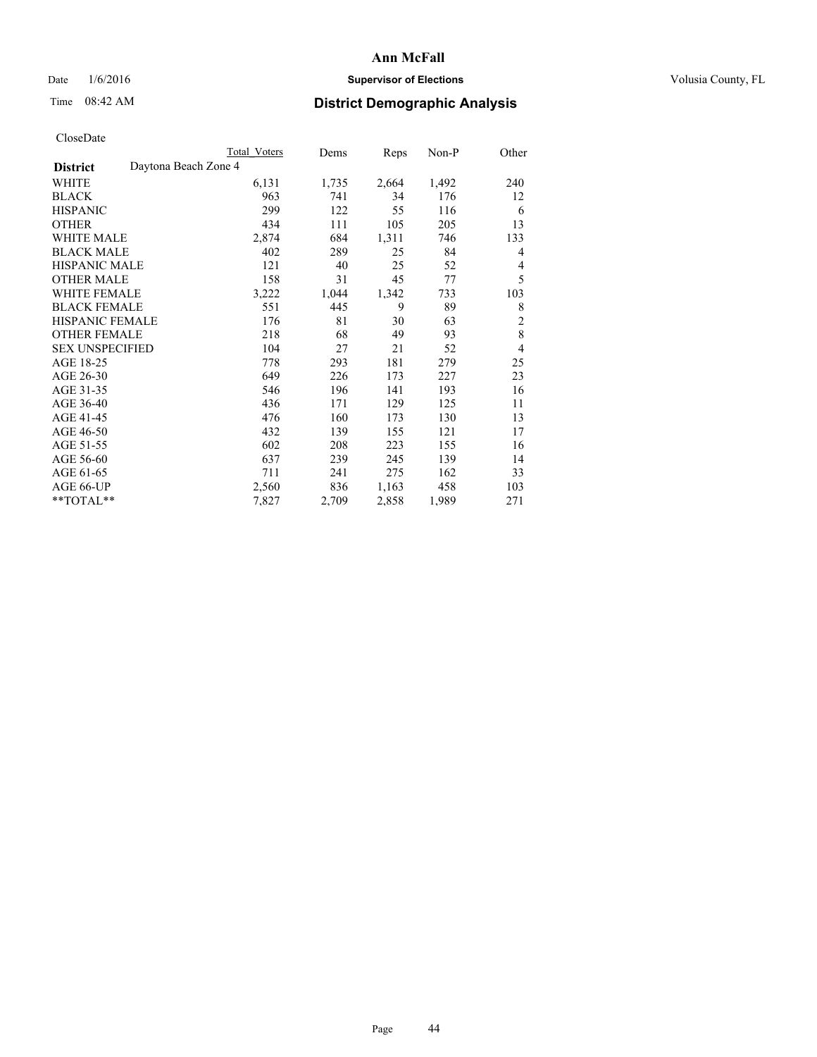## Date  $1/6/2016$  **Supervisor of Elections Supervisor of Elections** Volusia County, FL

# Time 08:42 AM **District Demographic Analysis**

|                                         | <b>Total Voters</b> | Dems  | Reps  | Non-P | Other          |
|-----------------------------------------|---------------------|-------|-------|-------|----------------|
| Daytona Beach Zone 4<br><b>District</b> |                     |       |       |       |                |
| WHITE                                   | 6,131               | 1,735 | 2,664 | 1,492 | 240            |
| <b>BLACK</b>                            | 963                 | 741   | 34    | 176   | 12             |
| <b>HISPANIC</b>                         | 299                 | 122   | 55    | 116   | 6              |
| <b>OTHER</b>                            | 434                 | 111   | 105   | 205   | 13             |
| WHITE MALE                              | 2,874               | 684   | 1,311 | 746   | 133            |
| <b>BLACK MALE</b>                       | 402                 | 289   | 25    | 84    | 4              |
| HISPANIC MALE                           | 121                 | 40    | 25    | 52    | 4              |
| <b>OTHER MALE</b>                       | 158                 | 31    | 45    | 77    | 5              |
| WHITE FEMALE                            | 3,222               | 1,044 | 1,342 | 733   | 103            |
| <b>BLACK FEMALE</b>                     | 551                 | 445   | 9     | 89    | 8              |
| <b>HISPANIC FEMALE</b>                  | 176                 | 81    | 30    | 63    | $\overline{2}$ |
| <b>OTHER FEMALE</b>                     | 218                 | 68    | 49    | 93    | 8              |
| <b>SEX UNSPECIFIED</b>                  | 104                 | 27    | 21    | 52    | $\overline{4}$ |
| AGE 18-25                               | 778                 | 293   | 181   | 279   | 25             |
| AGE 26-30                               | 649                 | 226   | 173   | 227   | 23             |
| AGE 31-35                               | 546                 | 196   | 141   | 193   | 16             |
| AGE 36-40                               | 436                 | 171   | 129   | 125   | 11             |
| AGE 41-45                               | 476                 | 160   | 173   | 130   | 13             |
| AGE 46-50                               | 432                 | 139   | 155   | 121   | 17             |
| AGE 51-55                               | 602                 | 208   | 223   | 155   | 16             |
| AGE 56-60                               | 637                 | 239   | 245   | 139   | 14             |
| AGE 61-65                               | 711                 | 241   | 275   | 162   | 33             |
| AGE 66-UP                               | 2,560               | 836   | 1,163 | 458   | 103            |
| **TOTAL**                               | 7,827               | 2,709 | 2,858 | 1,989 | 271            |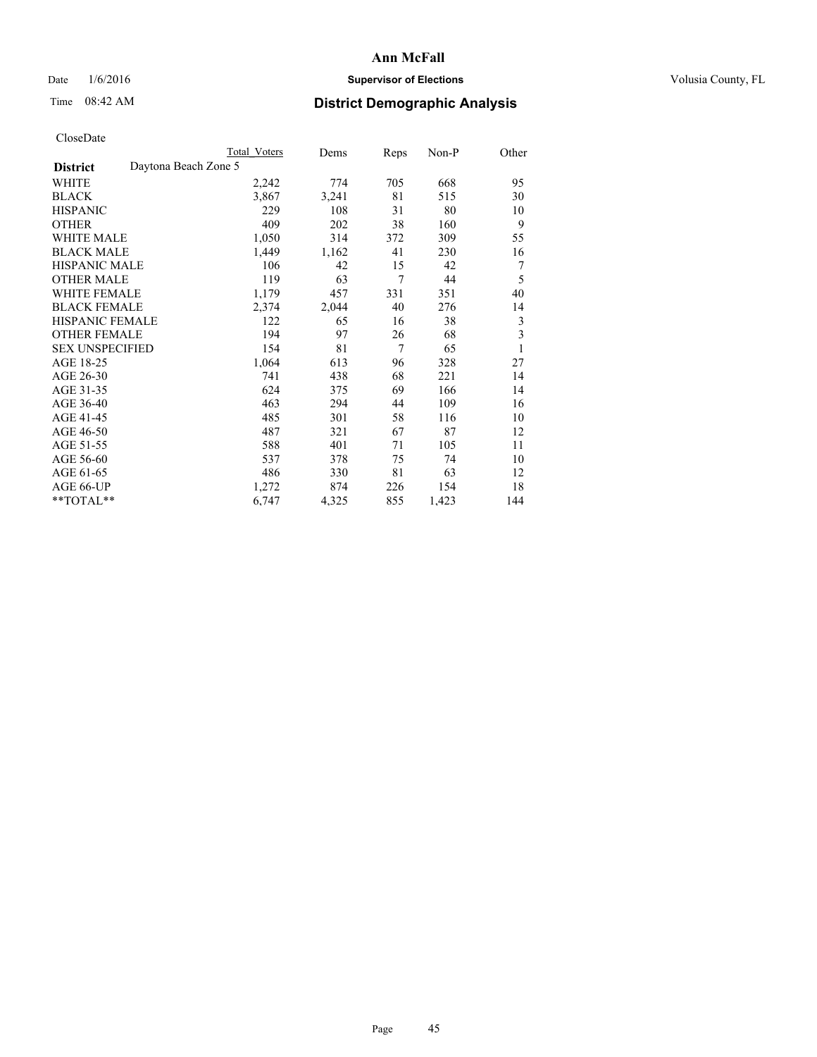## Date  $1/6/2016$  **Supervisor of Elections Supervisor of Elections** Volusia County, FL

## Time 08:42 AM **District Demographic Analysis**

| <b>Total Voters</b>  | Dems  | <b>Reps</b> | Non-P | Other |
|----------------------|-------|-------------|-------|-------|
| Daytona Beach Zone 5 |       |             |       |       |
| 2,242                | 774   | 705         | 668   | 95    |
| 3,867                | 3,241 | 81          | 515   | 30    |
| 229                  | 108   | 31          | 80    | 10    |
| 409                  | 202   | 38          | 160   | 9     |
| 1,050                | 314   | 372         | 309   | 55    |
| 1,449                | 1,162 | 41          | 230   | 16    |
| 106                  | 42    | 15          | 42    | 7     |
| 119                  | 63    | 7           | 44    | 5     |
| 1,179                | 457   | 331         | 351   | 40    |
| 2,374                | 2,044 | 40          | 276   | 14    |
| 122                  | 65    | 16          | 38    | 3     |
| 194                  | 97    | 26          | 68    | 3     |
| 154                  | 81    | 7           | 65    | 1     |
| 1,064                | 613   | 96          | 328   | 27    |
| 741                  | 438   | 68          | 221   | 14    |
| 624                  | 375   | 69          | 166   | 14    |
| 463                  | 294   | 44          | 109   | 16    |
| 485                  | 301   | 58          | 116   | 10    |
| 487                  | 321   | 67          | 87    | 12    |
| 588                  | 401   | 71          | 105   | 11    |
| 537                  | 378   | 75          | 74    | 10    |
| 486                  | 330   | 81          | 63    | 12    |
| 1,272                | 874   | 226         | 154   | 18    |
| 6,747                | 4,325 | 855         | 1,423 | 144   |
|                      |       |             |       |       |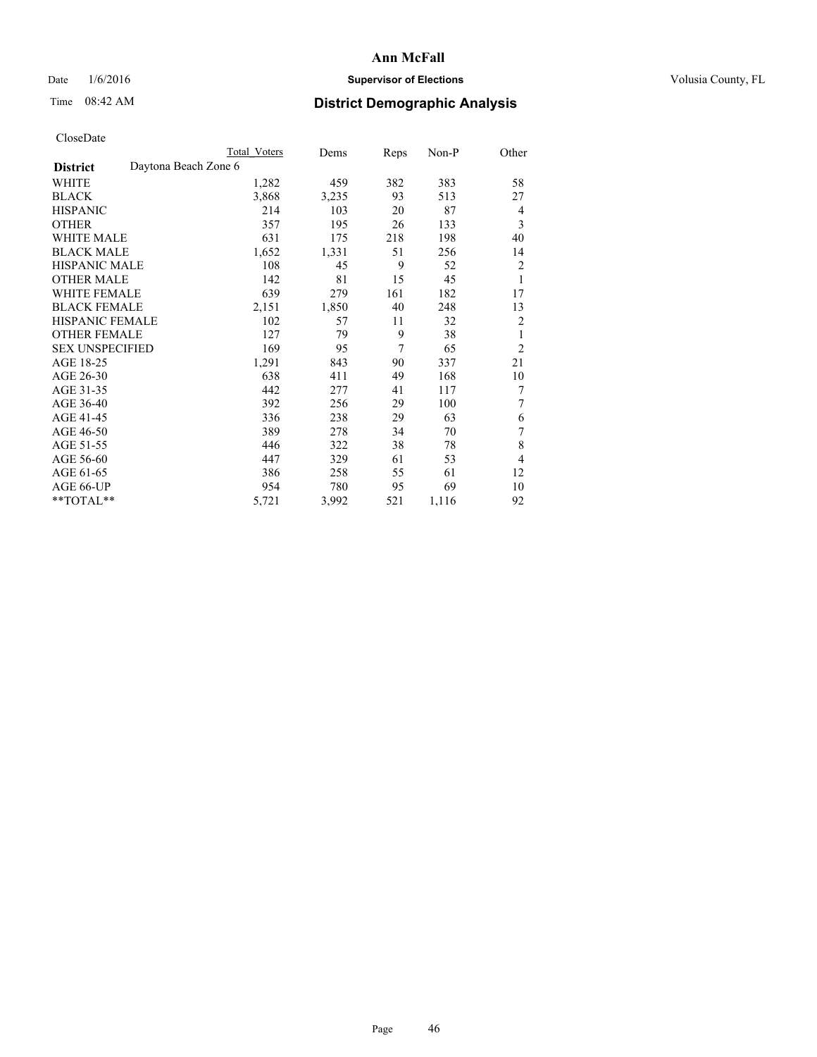## Date  $1/6/2016$  **Supervisor of Elections Supervisor of Elections** Volusia County, FL

|                        |                      | <b>Total Voters</b> | Dems  | Reps | $Non-P$ | Other          |
|------------------------|----------------------|---------------------|-------|------|---------|----------------|
| <b>District</b>        | Daytona Beach Zone 6 |                     |       |      |         |                |
| WHITE                  |                      | 1,282               | 459   | 382  | 383     | 58             |
| <b>BLACK</b>           |                      | 3,868               | 3,235 | 93   | 513     | 27             |
| <b>HISPANIC</b>        |                      | 214                 | 103   | 20   | 87      | $\overline{4}$ |
| <b>OTHER</b>           |                      | 357                 | 195   | 26   | 133     | 3              |
| <b>WHITE MALE</b>      |                      | 631                 | 175   | 218  | 198     | 40             |
| <b>BLACK MALE</b>      |                      | 1,652               | 1,331 | 51   | 256     | 14             |
| <b>HISPANIC MALE</b>   |                      | 108                 | 45    | 9    | 52      | $\overline{2}$ |
| <b>OTHER MALE</b>      |                      | 142                 | 81    | 15   | 45      | 1              |
| WHITE FEMALE           |                      | 639                 | 279   | 161  | 182     | 17             |
| <b>BLACK FEMALE</b>    |                      | 2,151               | 1,850 | 40   | 248     | 13             |
| HISPANIC FEMALE        |                      | 102                 | 57    | 11   | 32      | $\overline{2}$ |
| <b>OTHER FEMALE</b>    |                      | 127                 | 79    | 9    | 38      | 1              |
| <b>SEX UNSPECIFIED</b> |                      | 169                 | 95    | 7    | 65      | $\overline{2}$ |
| AGE 18-25              |                      | 1,291               | 843   | 90   | 337     | 21             |
| AGE 26-30              |                      | 638                 | 411   | 49   | 168     | 10             |
| AGE 31-35              |                      | 442                 | 277   | 41   | 117     | 7              |
| AGE 36-40              |                      | 392                 | 256   | 29   | 100     | 7              |
| AGE 41-45              |                      | 336                 | 238   | 29   | 63      | 6              |
| AGE 46-50              |                      | 389                 | 278   | 34   | 70      | 7              |
| AGE 51-55              |                      | 446                 | 322   | 38   | 78      | 8              |
| AGE 56-60              |                      | 447                 | 329   | 61   | 53      | $\overline{4}$ |
| AGE 61-65              |                      | 386                 | 258   | 55   | 61      | 12             |
| AGE 66-UP              |                      | 954                 | 780   | 95   | 69      | 10             |
| **TOTAL**              |                      | 5,721               | 3,992 | 521  | 1,116   | 92             |
|                        |                      |                     |       |      |         |                |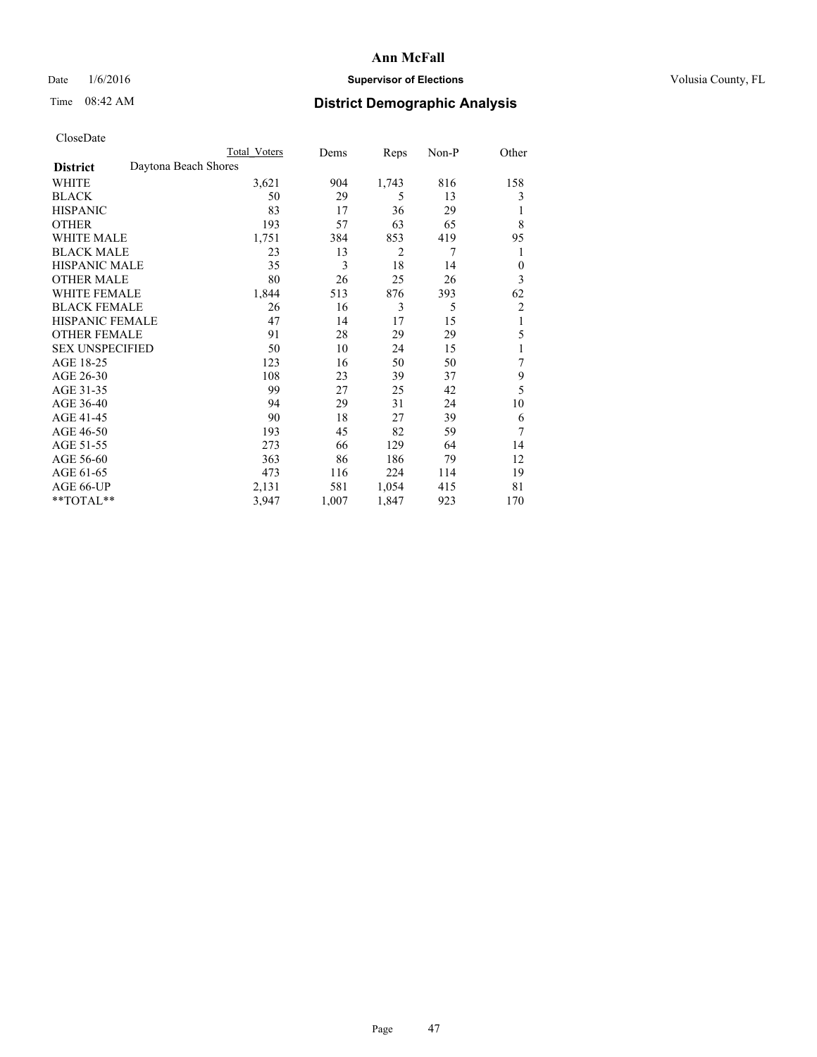## Date  $1/6/2016$  **Supervisor of Elections Supervisor of Elections** Volusia County, FL

## Time 08:42 AM **District Demographic Analysis**

|                        | Total Voters         | Dems  | Reps           | Non-P | Other          |
|------------------------|----------------------|-------|----------------|-------|----------------|
| <b>District</b>        | Daytona Beach Shores |       |                |       |                |
| WHITE                  | 3,621                | 904   | 1,743          | 816   | 158            |
| <b>BLACK</b>           | 50                   | 29    | 5              | 13    | 3              |
| <b>HISPANIC</b>        | 83                   | 17    | 36             | 29    | 1              |
| <b>OTHER</b>           | 193                  | 57    | 63             | 65    | 8              |
| WHITE MALE             | 1,751                | 384   | 853            | 419   | 95             |
| <b>BLACK MALE</b>      | 23                   | 13    | $\overline{2}$ | 7     | 1              |
| <b>HISPANIC MALE</b>   | 35                   | 3     | 18             | 14    | $\theta$       |
| <b>OTHER MALE</b>      | 80                   | 26    | 25             | 26    | 3              |
| <b>WHITE FEMALE</b>    | 1,844                | 513   | 876            | 393   | 62             |
| <b>BLACK FEMALE</b>    | 26                   | 16    | 3              | 5     | $\overline{c}$ |
| <b>HISPANIC FEMALE</b> | 47                   | 14    | 17             | 15    | 1              |
| <b>OTHER FEMALE</b>    | 91                   | 28    | 29             | 29    | 5              |
| <b>SEX UNSPECIFIED</b> | 50                   | 10    | 24             | 15    | 1              |
| AGE 18-25              | 123                  | 16    | 50             | 50    | 7              |
| AGE 26-30              | 108                  | 23    | 39             | 37    | 9              |
| AGE 31-35              | 99                   | 27    | 25             | 42    | 5              |
| AGE 36-40              | 94                   | 29    | 31             | 24    | 10             |
| AGE 41-45              | 90                   | 18    | 27             | 39    | 6              |
| AGE 46-50              | 193                  | 45    | 82             | 59    | 7              |
| AGE 51-55              | 273                  | 66    | 129            | 64    | 14             |
| AGE 56-60              | 363                  | 86    | 186            | 79    | 12             |
| AGE 61-65              | 473                  | 116   | 224            | 114   | 19             |
| AGE 66-UP              | 2,131                | 581   | 1,054          | 415   | 81             |
| **TOTAL**              | 3,947                | 1,007 | 1,847          | 923   | 170            |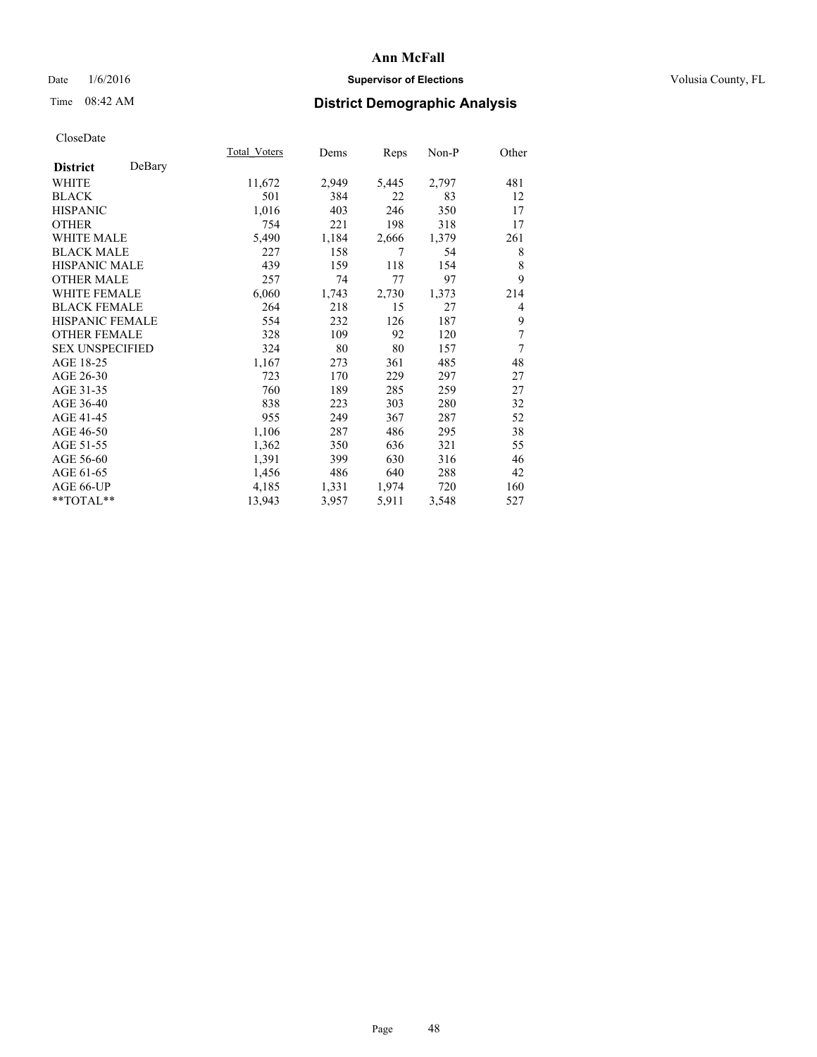## Date  $1/6/2016$  **Supervisor of Elections Supervisor of Elections** Volusia County, FL

## Time 08:42 AM **District Demographic Analysis**

|                        |        | Total Voters | Dems  | <b>Reps</b> | Non-P | Other          |
|------------------------|--------|--------------|-------|-------------|-------|----------------|
| <b>District</b>        | DeBary |              |       |             |       |                |
| WHITE                  |        | 11,672       | 2,949 | 5,445       | 2,797 | 481            |
| <b>BLACK</b>           |        | 501          | 384   | 22          | 83    | 12             |
| <b>HISPANIC</b>        |        | 1,016        | 403   | 246         | 350   | 17             |
| <b>OTHER</b>           |        | 754          | 221   | 198         | 318   | 17             |
| <b>WHITE MALE</b>      |        | 5,490        | 1,184 | 2,666       | 1,379 | 261            |
| <b>BLACK MALE</b>      |        | 227          | 158   | 7           | 54    | 8              |
| <b>HISPANIC MALE</b>   |        | 439          | 159   | 118         | 154   | 8              |
| <b>OTHER MALE</b>      |        | 257          | 74    | 77          | 97    | 9              |
| <b>WHITE FEMALE</b>    |        | 6,060        | 1,743 | 2,730       | 1,373 | 214            |
| <b>BLACK FEMALE</b>    |        | 264          | 218   | 15          | 27    | $\overline{4}$ |
| <b>HISPANIC FEMALE</b> |        | 554          | 232   | 126         | 187   | 9              |
| <b>OTHER FEMALE</b>    |        | 328          | 109   | 92          | 120   | 7              |
| <b>SEX UNSPECIFIED</b> |        | 324          | 80    | 80          | 157   | 7              |
| AGE 18-25              |        | 1,167        | 273   | 361         | 485   | 48             |
| AGE 26-30              |        | 723          | 170   | 229         | 297   | 27             |
| AGE 31-35              |        | 760          | 189   | 285         | 259   | 27             |
| AGE 36-40              |        | 838          | 223   | 303         | 280   | 32             |
| AGE 41-45              |        | 955          | 249   | 367         | 287   | 52             |
| AGE 46-50              |        | 1,106        | 287   | 486         | 295   | 38             |
| AGE 51-55              |        | 1,362        | 350   | 636         | 321   | 55             |
| AGE 56-60              |        | 1,391        | 399   | 630         | 316   | 46             |
| AGE 61-65              |        | 1,456        | 486   | 640         | 288   | 42             |
| AGE 66-UP              |        | 4,185        | 1,331 | 1,974       | 720   | 160            |
| $**TOTAL**$            |        | 13,943       | 3,957 | 5,911       | 3,548 | 527            |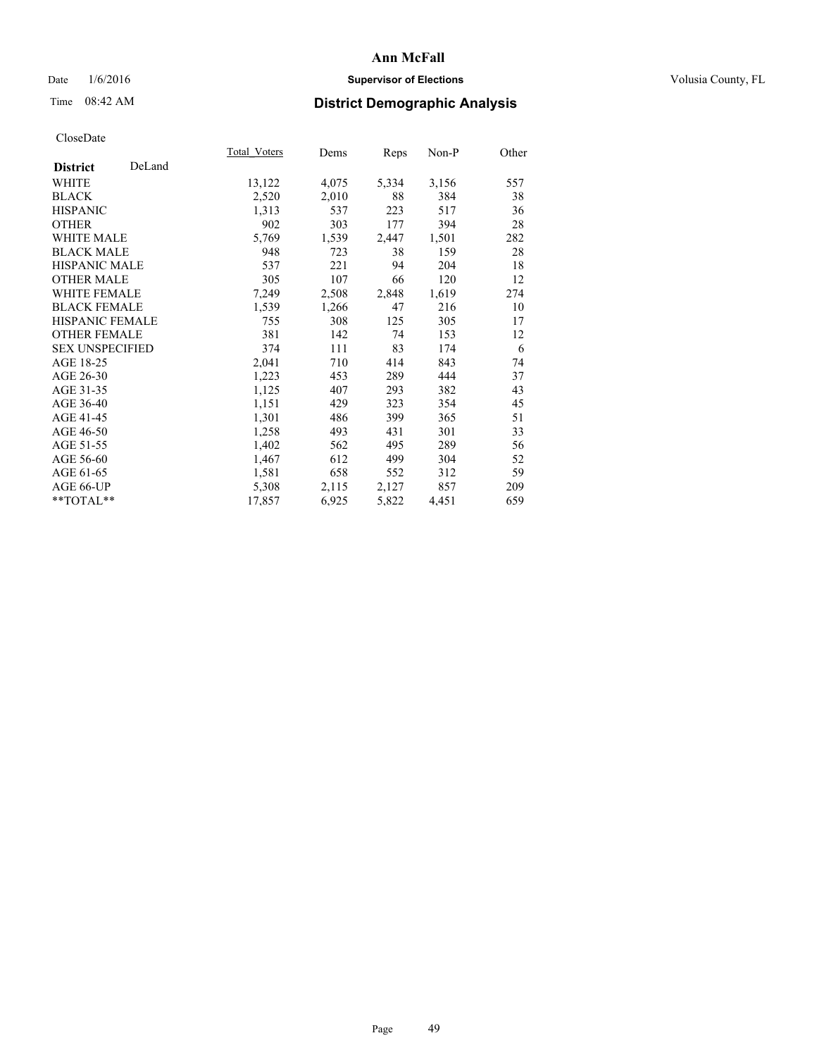## Date  $1/6/2016$  **Supervisor of Elections Supervisor of Elections** Volusia County, FL

## Time 08:42 AM **District Demographic Analysis**

|                        |        | Total Voters | Dems  | Reps  | Non-P | Other |
|------------------------|--------|--------------|-------|-------|-------|-------|
| <b>District</b>        | DeLand |              |       |       |       |       |
| WHITE                  |        | 13,122       | 4,075 | 5,334 | 3,156 | 557   |
| <b>BLACK</b>           |        | 2,520        | 2,010 | 88    | 384   | 38    |
| <b>HISPANIC</b>        |        | 1,313        | 537   | 223   | 517   | 36    |
| <b>OTHER</b>           |        | 902          | 303   | 177   | 394   | 28    |
| WHITE MALE             |        | 5,769        | 1,539 | 2,447 | 1,501 | 282   |
| <b>BLACK MALE</b>      |        | 948          | 723   | 38    | 159   | 28    |
| <b>HISPANIC MALE</b>   |        | 537          | 221   | 94    | 204   | 18    |
| <b>OTHER MALE</b>      |        | 305          | 107   | 66    | 120   | 12    |
| <b>WHITE FEMALE</b>    |        | 7,249        | 2,508 | 2,848 | 1,619 | 274   |
| <b>BLACK FEMALE</b>    |        | 1,539        | 1,266 | 47    | 216   | 10    |
| HISPANIC FEMALE        |        | 755          | 308   | 125   | 305   | 17    |
| <b>OTHER FEMALE</b>    |        | 381          | 142   | 74    | 153   | 12    |
| <b>SEX UNSPECIFIED</b> |        | 374          | 111   | 83    | 174   | 6     |
| AGE 18-25              |        | 2,041        | 710   | 414   | 843   | 74    |
| AGE 26-30              |        | 1,223        | 453   | 289   | 444   | 37    |
| AGE 31-35              |        | 1,125        | 407   | 293   | 382   | 43    |
| AGE 36-40              |        | 1,151        | 429   | 323   | 354   | 45    |
| AGE 41-45              |        | 1,301        | 486   | 399   | 365   | 51    |
| AGE 46-50              |        | 1,258        | 493   | 431   | 301   | 33    |
| AGE 51-55              |        | 1,402        | 562   | 495   | 289   | 56    |
| AGE 56-60              |        | 1,467        | 612   | 499   | 304   | 52    |
| AGE 61-65              |        | 1,581        | 658   | 552   | 312   | 59    |
| AGE 66-UP              |        | 5,308        | 2,115 | 2,127 | 857   | 209   |
| $**TOTAL**$            |        | 17,857       | 6,925 | 5,822 | 4,451 | 659   |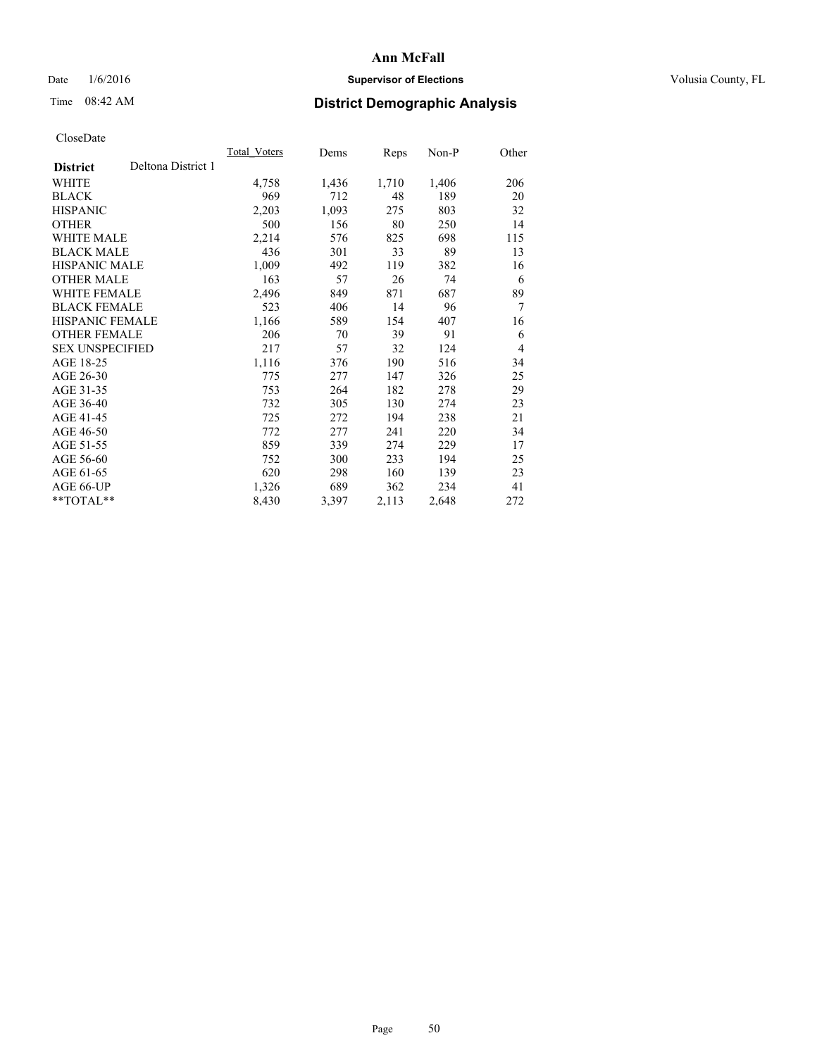## Date  $1/6/2016$  **Supervisor of Elections Supervisor of Elections** Volusia County, FL

## Time 08:42 AM **District Demographic Analysis**

|                        |                    | Total Voters | Dems  | Reps  | Non-P | Other          |
|------------------------|--------------------|--------------|-------|-------|-------|----------------|
| <b>District</b>        | Deltona District 1 |              |       |       |       |                |
| WHITE                  |                    | 4,758        | 1,436 | 1,710 | 1,406 | 206            |
| <b>BLACK</b>           |                    | 969          | 712   | 48    | 189   | 20             |
| <b>HISPANIC</b>        |                    | 2,203        | 1,093 | 275   | 803   | 32             |
| <b>OTHER</b>           |                    | 500          | 156   | 80    | 250   | 14             |
| WHITE MALE             |                    | 2,214        | 576   | 825   | 698   | 115            |
| <b>BLACK MALE</b>      |                    | 436          | 301   | 33    | 89    | 13             |
| <b>HISPANIC MALE</b>   |                    | 1,009        | 492   | 119   | 382   | 16             |
| <b>OTHER MALE</b>      |                    | 163          | 57    | 26    | 74    | 6              |
| WHITE FEMALE           |                    | 2,496        | 849   | 871   | 687   | 89             |
| <b>BLACK FEMALE</b>    |                    | 523          | 406   | 14    | 96    | 7              |
| HISPANIC FEMALE        |                    | 1,166        | 589   | 154   | 407   | 16             |
| <b>OTHER FEMALE</b>    |                    | 206          | 70    | 39    | 91    | 6              |
| <b>SEX UNSPECIFIED</b> |                    | 217          | 57    | 32    | 124   | $\overline{4}$ |
| AGE 18-25              |                    | 1,116        | 376   | 190   | 516   | 34             |
| AGE 26-30              |                    | 775          | 277   | 147   | 326   | 25             |
| AGE 31-35              |                    | 753          | 264   | 182   | 278   | 29             |
| AGE 36-40              |                    | 732          | 305   | 130   | 274   | 23             |
| AGE 41-45              |                    | 725          | 272   | 194   | 238   | 21             |
| AGE 46-50              |                    | 772          | 277   | 241   | 220   | 34             |
| AGE 51-55              |                    | 859          | 339   | 274   | 229   | 17             |
| AGE 56-60              |                    | 752          | 300   | 233   | 194   | 25             |
| AGE 61-65              |                    | 620          | 298   | 160   | 139   | 23             |
| AGE 66-UP              |                    | 1,326        | 689   | 362   | 234   | 41             |
| **TOTAL**              |                    | 8,430        | 3,397 | 2,113 | 2,648 | 272            |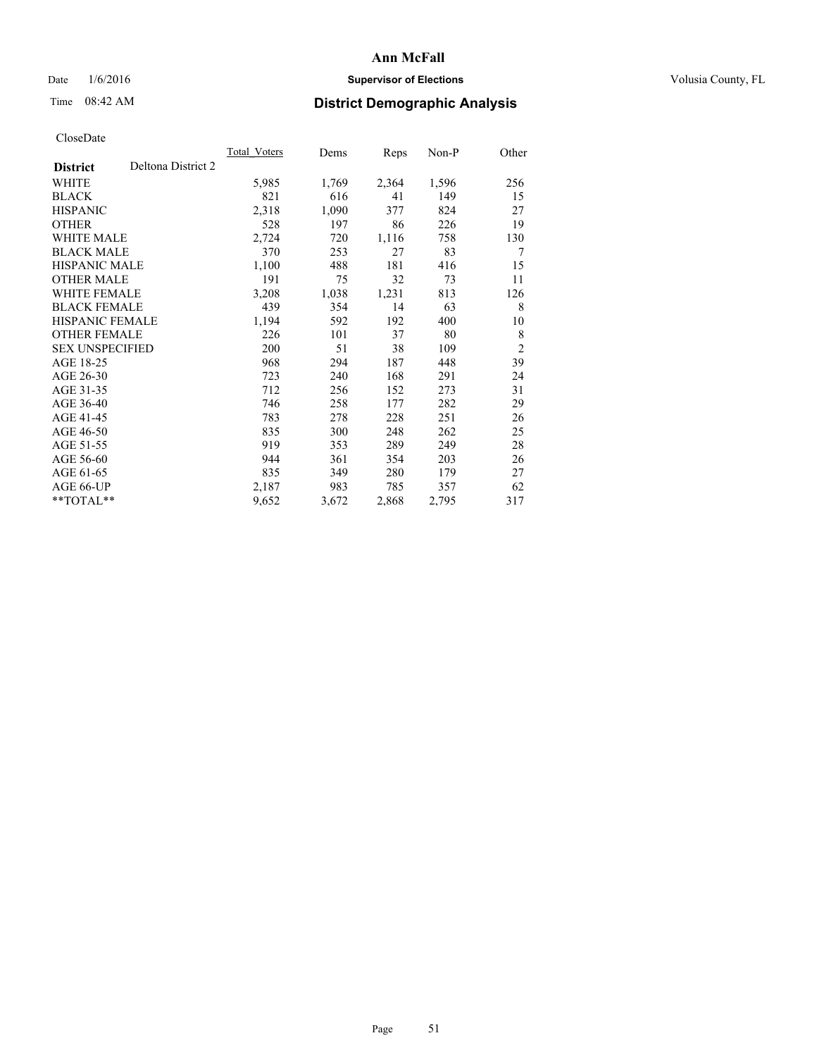## Date  $1/6/2016$  **Supervisor of Elections Supervisor of Elections** Volusia County, FL

# Time 08:42 AM **District Demographic Analysis**

|                                       | Total Voters | Dems  | Reps  | Non-P | Other          |
|---------------------------------------|--------------|-------|-------|-------|----------------|
| Deltona District 2<br><b>District</b> |              |       |       |       |                |
| WHITE                                 | 5,985        | 1,769 | 2,364 | 1,596 | 256            |
| <b>BLACK</b>                          | 821          | 616   | 41    | 149   | 15             |
| <b>HISPANIC</b>                       | 2,318        | 1,090 | 377   | 824   | 27             |
| <b>OTHER</b>                          | 528          | 197   | 86    | 226   | 19             |
| <b>WHITE MALE</b>                     | 2,724        | 720   | 1,116 | 758   | 130            |
| <b>BLACK MALE</b>                     | 370          | 253   | 27    | 83    | 7              |
| HISPANIC MALE                         | 1,100        | 488   | 181   | 416   | 15             |
| <b>OTHER MALE</b>                     | 191          | 75    | 32    | 73    | 11             |
| <b>WHITE FEMALE</b>                   | 3,208        | 1,038 | 1,231 | 813   | 126            |
| <b>BLACK FEMALE</b>                   | 439          | 354   | 14    | 63    | 8              |
| <b>HISPANIC FEMALE</b>                | 1,194        | 592   | 192   | 400   | 10             |
| <b>OTHER FEMALE</b>                   | 226          | 101   | 37    | 80    | 8              |
| <b>SEX UNSPECIFIED</b>                | 200          | 51    | 38    | 109   | $\overline{c}$ |
| AGE 18-25                             | 968          | 294   | 187   | 448   | 39             |
| AGE 26-30                             | 723          | 240   | 168   | 291   | 24             |
| AGE 31-35                             | 712          | 256   | 152   | 273   | 31             |
| AGE 36-40                             | 746          | 258   | 177   | 282   | 29             |
| AGE 41-45                             | 783          | 278   | 228   | 251   | 26             |
| AGE 46-50                             | 835          | 300   | 248   | 262   | 25             |
| AGE 51-55                             | 919          | 353   | 289   | 249   | 28             |
| AGE 56-60                             | 944          | 361   | 354   | 203   | 26             |
| AGE 61-65                             | 835          | 349   | 280   | 179   | 27             |
| AGE 66-UP                             | 2,187        | 983   | 785   | 357   | 62             |
| $*$ $TOTAL**$                         | 9,652        | 3,672 | 2,868 | 2,795 | 317            |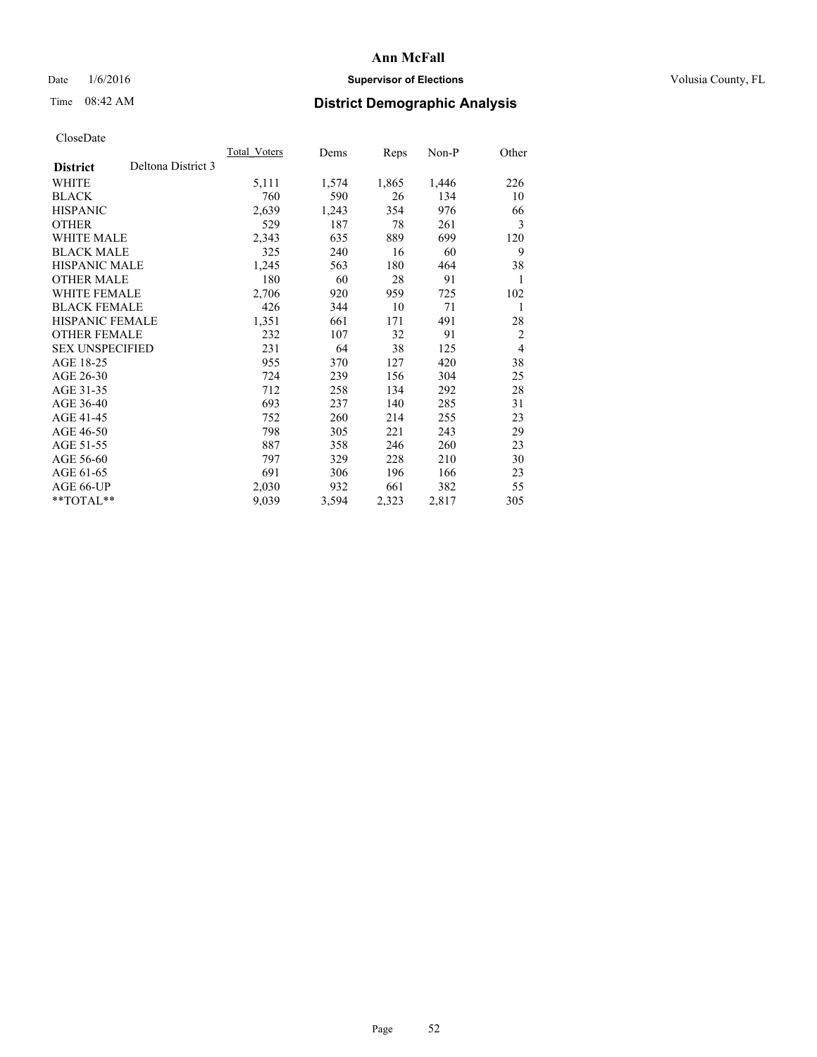## Date  $1/6/2016$  **Supervisor of Elections Supervisor of Elections** Volusia County, FL

# Time 08:42 AM **District Demographic Analysis**

|                        |                    | Total Voters | Dems  | Reps  | Non-P | Other          |
|------------------------|--------------------|--------------|-------|-------|-------|----------------|
| <b>District</b>        | Deltona District 3 |              |       |       |       |                |
| WHITE                  |                    | 5,111        | 1,574 | 1,865 | 1,446 | 226            |
| <b>BLACK</b>           |                    | 760          | 590   | 26    | 134   | 10             |
| <b>HISPANIC</b>        |                    | 2,639        | 1,243 | 354   | 976   | 66             |
| <b>OTHER</b>           |                    | 529          | 187   | 78    | 261   | 3              |
| WHITE MALE             |                    | 2,343        | 635   | 889   | 699   | 120            |
| <b>BLACK MALE</b>      |                    | 325          | 240   | 16    | 60    | 9              |
| <b>HISPANIC MALE</b>   |                    | 1,245        | 563   | 180   | 464   | 38             |
| <b>OTHER MALE</b>      |                    | 180          | 60    | 28    | 91    | 1              |
| WHITE FEMALE           |                    | 2,706        | 920   | 959   | 725   | 102            |
| <b>BLACK FEMALE</b>    |                    | 426          | 344   | 10    | 71    | 1              |
| <b>HISPANIC FEMALE</b> |                    | 1,351        | 661   | 171   | 491   | 28             |
| <b>OTHER FEMALE</b>    |                    | 232          | 107   | 32    | 91    | $\overline{2}$ |
| <b>SEX UNSPECIFIED</b> |                    | 231          | 64    | 38    | 125   | $\overline{4}$ |
| AGE 18-25              |                    | 955          | 370   | 127   | 420   | 38             |
| AGE 26-30              |                    | 724          | 239   | 156   | 304   | 25             |
| AGE 31-35              |                    | 712          | 258   | 134   | 292   | 28             |
| AGE 36-40              |                    | 693          | 237   | 140   | 285   | 31             |
| AGE 41-45              |                    | 752          | 260   | 214   | 255   | 23             |
| AGE 46-50              |                    | 798          | 305   | 221   | 243   | 29             |
| AGE 51-55              |                    | 887          | 358   | 246   | 260   | 23             |
| AGE 56-60              |                    | 797          | 329   | 228   | 210   | 30             |
| AGE 61-65              |                    | 691          | 306   | 196   | 166   | 23             |
| AGE 66-UP              |                    | 2,030        | 932   | 661   | 382   | 55             |
| **TOTAL**              |                    | 9,039        | 3,594 | 2,323 | 2,817 | 305            |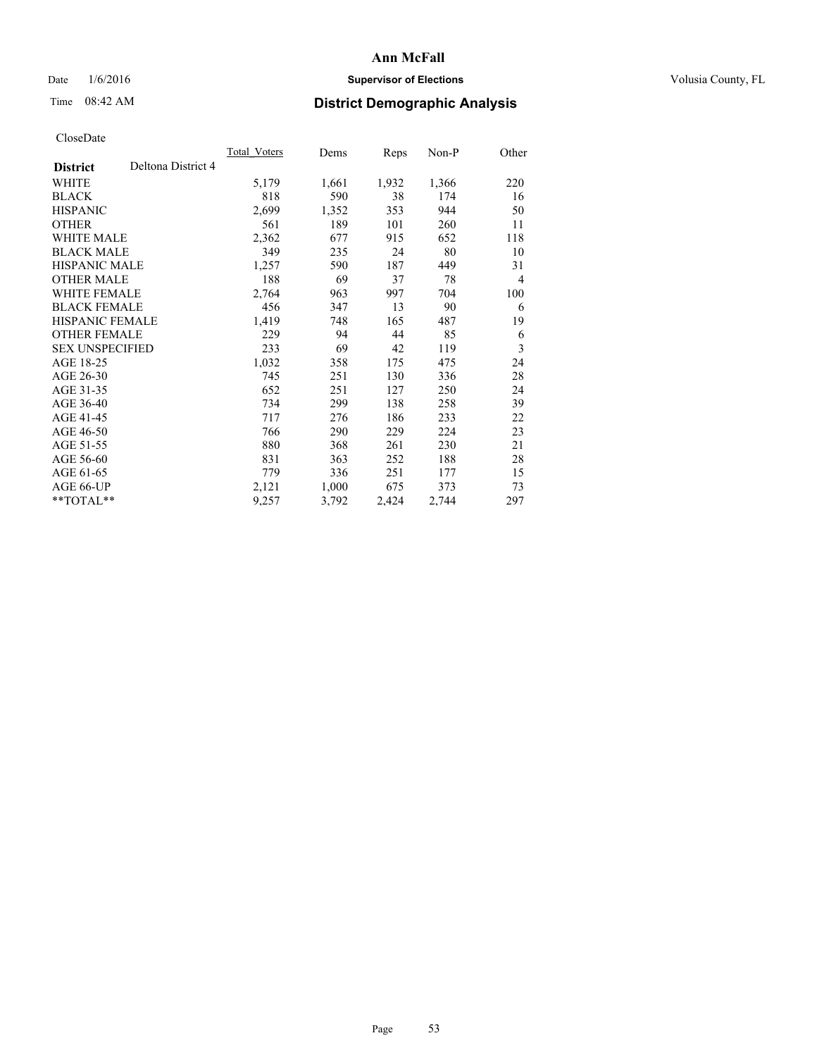## Date  $1/6/2016$  **Supervisor of Elections Supervisor of Elections** Volusia County, FL

## Time 08:42 AM **District Demographic Analysis**

|                        |                    | Total Voters | Dems  | <b>Reps</b> | $Non-P$ | Other |
|------------------------|--------------------|--------------|-------|-------------|---------|-------|
| <b>District</b>        | Deltona District 4 |              |       |             |         |       |
| WHITE                  |                    | 5,179        | 1,661 | 1,932       | 1,366   | 220   |
| <b>BLACK</b>           |                    | 818          | 590   | 38          | 174     | 16    |
| <b>HISPANIC</b>        |                    | 2,699        | 1,352 | 353         | 944     | 50    |
| <b>OTHER</b>           |                    | 561          | 189   | 101         | 260     | 11    |
| <b>WHITE MALE</b>      |                    | 2,362        | 677   | 915         | 652     | 118   |
| <b>BLACK MALE</b>      |                    | 349          | 235   | 24          | 80      | 10    |
| <b>HISPANIC MALE</b>   |                    | 1,257        | 590   | 187         | 449     | 31    |
| <b>OTHER MALE</b>      |                    | 188          | 69    | 37          | 78      | 4     |
| WHITE FEMALE           |                    | 2,764        | 963   | 997         | 704     | 100   |
| <b>BLACK FEMALE</b>    |                    | 456          | 347   | 13          | 90      | 6     |
| <b>HISPANIC FEMALE</b> |                    | 1,419        | 748   | 165         | 487     | 19    |
| <b>OTHER FEMALE</b>    |                    | 229          | 94    | 44          | 85      | 6     |
| <b>SEX UNSPECIFIED</b> |                    | 233          | 69    | 42          | 119     | 3     |
| AGE 18-25              |                    | 1,032        | 358   | 175         | 475     | 24    |
| AGE 26-30              |                    | 745          | 251   | 130         | 336     | 28    |
| AGE 31-35              |                    | 652          | 251   | 127         | 250     | 24    |
| AGE 36-40              |                    | 734          | 299   | 138         | 258     | 39    |
| AGE 41-45              |                    | 717          | 276   | 186         | 233     | 22    |
| AGE 46-50              |                    | 766          | 290   | 229         | 224     | 23    |
| AGE 51-55              |                    | 880          | 368   | 261         | 230     | 21    |
| AGE 56-60              |                    | 831          | 363   | 252         | 188     | 28    |
| AGE 61-65              |                    | 779          | 336   | 251         | 177     | 15    |
| AGE 66-UP              |                    | 2,121        | 1,000 | 675         | 373     | 73    |
| **TOTAL**              |                    | 9,257        | 3,792 | 2,424       | 2,744   | 297   |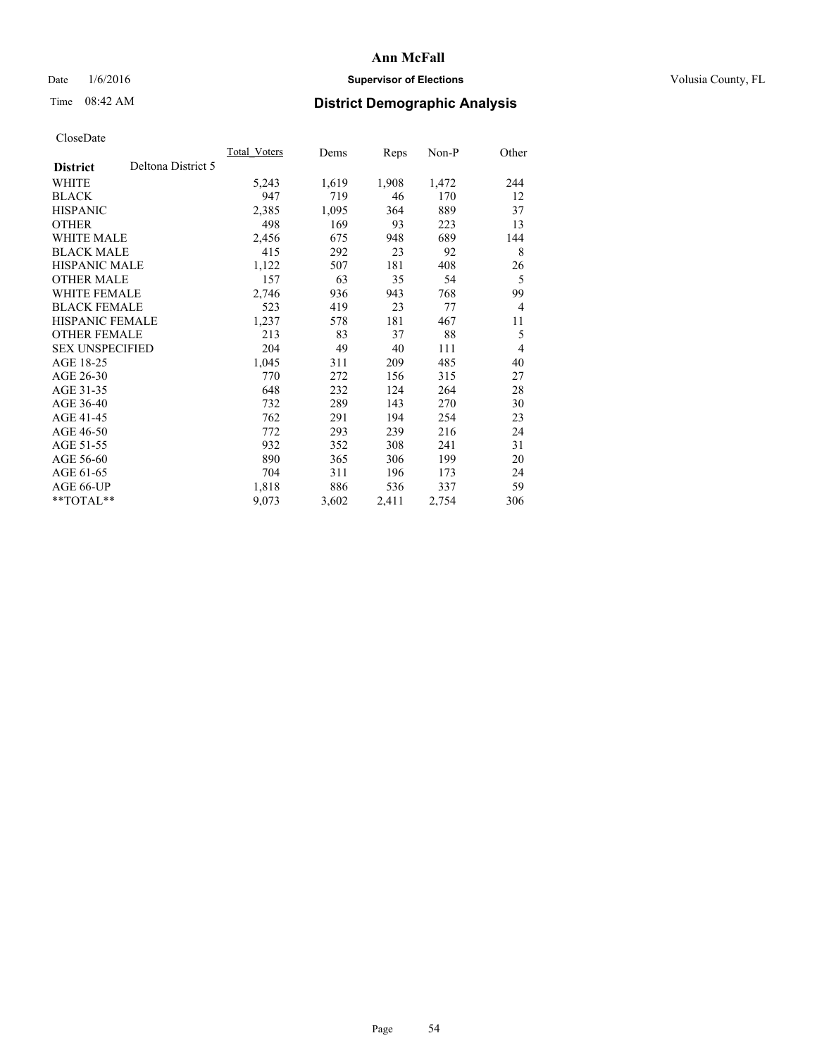## Date  $1/6/2016$  **Supervisor of Elections Supervisor of Elections** Volusia County, FL

# Time 08:42 AM **District Demographic Analysis**

|                        |                    | Total Voters | Dems  | Reps  | Non-P | Other          |
|------------------------|--------------------|--------------|-------|-------|-------|----------------|
| <b>District</b>        | Deltona District 5 |              |       |       |       |                |
| WHITE                  |                    | 5,243        | 1,619 | 1,908 | 1,472 | 244            |
| <b>BLACK</b>           |                    | 947          | 719   | 46    | 170   | 12             |
| <b>HISPANIC</b>        |                    | 2,385        | 1,095 | 364   | 889   | 37             |
| <b>OTHER</b>           |                    | 498          | 169   | 93    | 223   | 13             |
| WHITE MALE             |                    | 2,456        | 675   | 948   | 689   | 144            |
| <b>BLACK MALE</b>      |                    | 415          | 292   | 23    | 92    | 8              |
| <b>HISPANIC MALE</b>   |                    | 1,122        | 507   | 181   | 408   | 26             |
| <b>OTHER MALE</b>      |                    | 157          | 63    | 35    | 54    | 5              |
| WHITE FEMALE           |                    | 2,746        | 936   | 943   | 768   | 99             |
| <b>BLACK FEMALE</b>    |                    | 523          | 419   | 23    | 77    | $\overline{4}$ |
| <b>HISPANIC FEMALE</b> |                    | 1,237        | 578   | 181   | 467   | 11             |
| <b>OTHER FEMALE</b>    |                    | 213          | 83    | 37    | 88    | 5              |
| <b>SEX UNSPECIFIED</b> |                    | 204          | 49    | 40    | 111   | $\overline{4}$ |
| AGE 18-25              |                    | 1,045        | 311   | 209   | 485   | 40             |
| AGE 26-30              |                    | 770          | 272   | 156   | 315   | 27             |
| AGE 31-35              |                    | 648          | 232   | 124   | 264   | 28             |
| AGE 36-40              |                    | 732          | 289   | 143   | 270   | 30             |
| AGE 41-45              |                    | 762          | 291   | 194   | 254   | 23             |
| AGE 46-50              |                    | 772          | 293   | 239   | 216   | 24             |
| AGE 51-55              |                    | 932          | 352   | 308   | 241   | 31             |
| AGE 56-60              |                    | 890          | 365   | 306   | 199   | 20             |
| AGE 61-65              |                    | 704          | 311   | 196   | 173   | 24             |
| AGE 66-UP              |                    | 1,818        | 886   | 536   | 337   | 59             |
| **TOTAL**              |                    | 9,073        | 3,602 | 2,411 | 2,754 | 306            |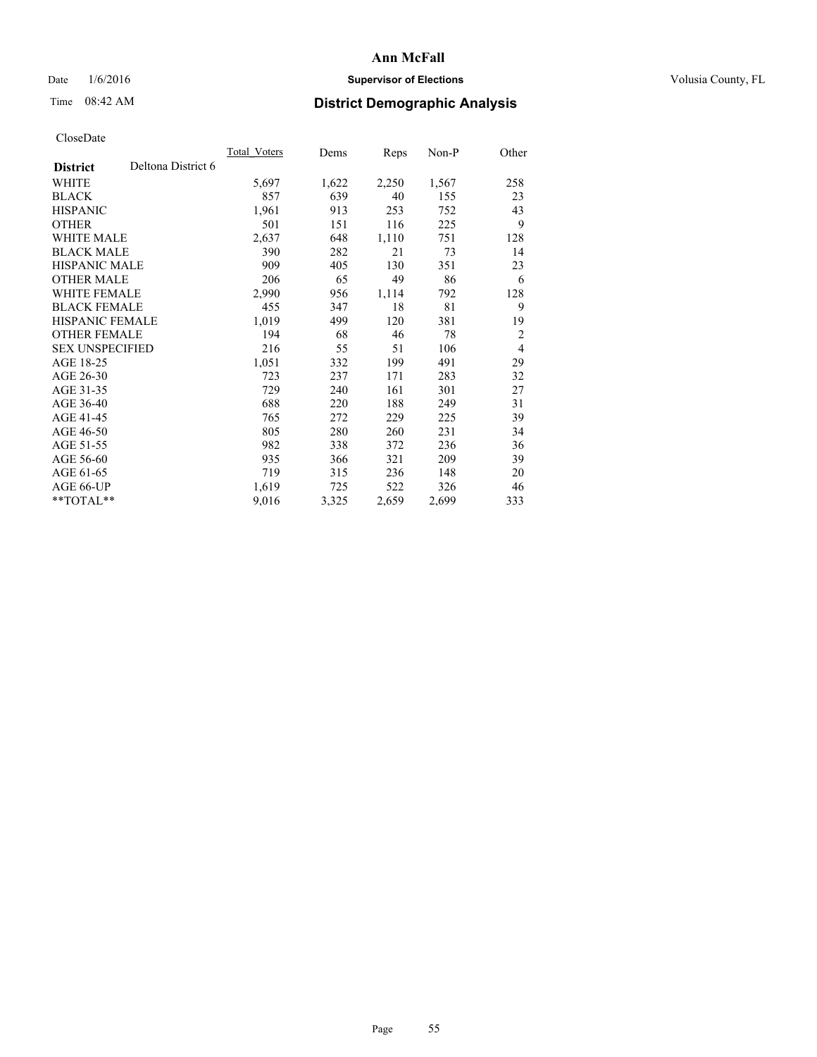## Date  $1/6/2016$  **Supervisor of Elections Supervisor of Elections** Volusia County, FL

## Time 08:42 AM **District Demographic Analysis**

|                        |                    | Total Voters | Dems  | <b>Reps</b> | Non-P | Other          |
|------------------------|--------------------|--------------|-------|-------------|-------|----------------|
| <b>District</b>        | Deltona District 6 |              |       |             |       |                |
| WHITE                  |                    | 5,697        | 1,622 | 2,250       | 1,567 | 258            |
| <b>BLACK</b>           |                    | 857          | 639   | 40          | 155   | 23             |
| <b>HISPANIC</b>        |                    | 1,961        | 913   | 253         | 752   | 43             |
| <b>OTHER</b>           |                    | 501          | 151   | 116         | 225   | 9              |
| WHITE MALE             |                    | 2,637        | 648   | 1,110       | 751   | 128            |
| <b>BLACK MALE</b>      |                    | 390          | 282   | 21          | 73    | 14             |
| <b>HISPANIC MALE</b>   |                    | 909          | 405   | 130         | 351   | 23             |
| <b>OTHER MALE</b>      |                    | 206          | 65    | 49          | 86    | 6              |
| WHITE FEMALE           |                    | 2,990        | 956   | 1,114       | 792   | 128            |
| <b>BLACK FEMALE</b>    |                    | 455          | 347   | 18          | 81    | 9              |
| HISPANIC FEMALE        |                    | 1,019        | 499   | 120         | 381   | 19             |
| <b>OTHER FEMALE</b>    |                    | 194          | 68    | 46          | 78    | $\overline{2}$ |
| <b>SEX UNSPECIFIED</b> |                    | 216          | 55    | 51          | 106   | $\overline{4}$ |
| AGE 18-25              |                    | 1,051        | 332   | 199         | 491   | 29             |
| AGE 26-30              |                    | 723          | 237   | 171         | 283   | 32             |
| AGE 31-35              |                    | 729          | 240   | 161         | 301   | 27             |
| AGE 36-40              |                    | 688          | 220   | 188         | 249   | 31             |
| AGE 41-45              |                    | 765          | 272   | 229         | 225   | 39             |
| AGE 46-50              |                    | 805          | 280   | 260         | 231   | 34             |
| AGE 51-55              |                    | 982          | 338   | 372         | 236   | 36             |
| AGE 56-60              |                    | 935          | 366   | 321         | 209   | 39             |
| AGE 61-65              |                    | 719          | 315   | 236         | 148   | 20             |
| AGE 66-UP              |                    | 1,619        | 725   | 522         | 326   | 46             |
| **TOTAL**              |                    | 9,016        | 3,325 | 2,659       | 2,699 | 333            |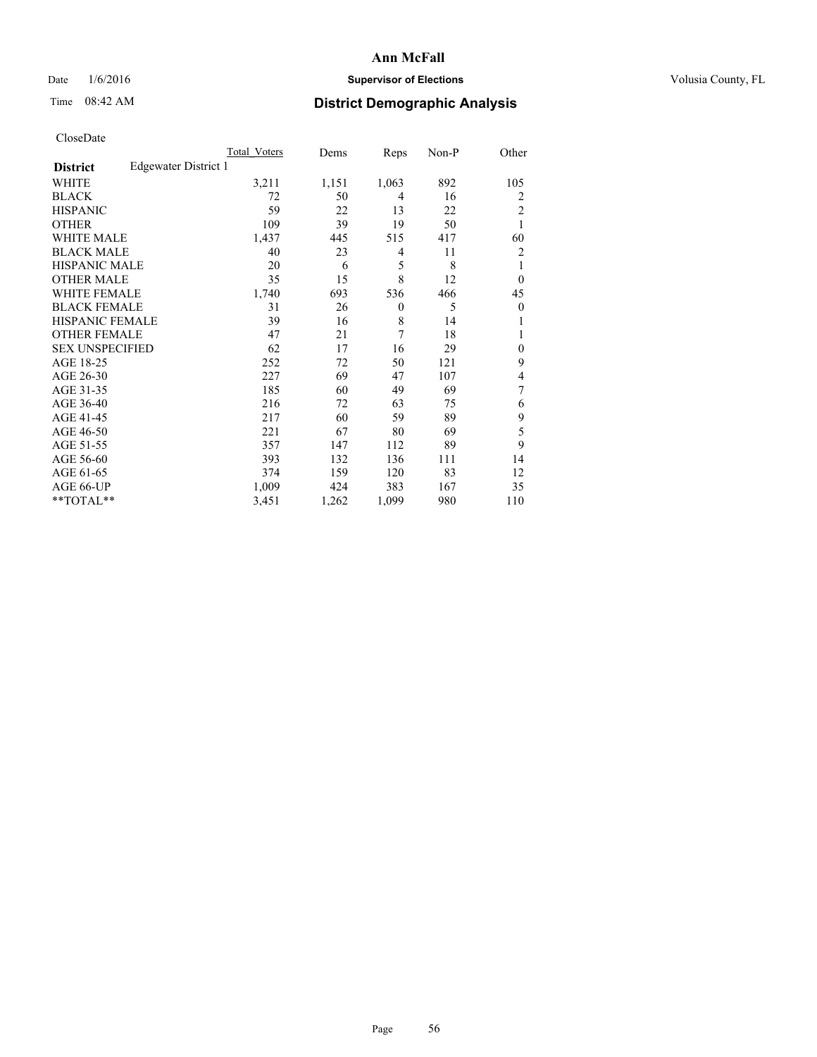## Date  $1/6/2016$  **Supervisor of Elections Supervisor of Elections** Volusia County, FL

# Time 08:42 AM **District Demographic Analysis**

|                        |                      | Total Voters | Dems  | Reps     | Non-P | Other          |
|------------------------|----------------------|--------------|-------|----------|-------|----------------|
| <b>District</b>        | Edgewater District 1 |              |       |          |       |                |
| WHITE                  |                      | 3,211        | 1,151 | 1,063    | 892   | 105            |
| <b>BLACK</b>           |                      | 72           | 50    | 4        | 16    | 2              |
| <b>HISPANIC</b>        |                      | 59           | 22    | 13       | 22    | $\overline{c}$ |
| <b>OTHER</b>           |                      | 109          | 39    | 19       | 50    | 1              |
| WHITE MALE             |                      | 1,437        | 445   | 515      | 417   | 60             |
| <b>BLACK MALE</b>      |                      | 40           | 23    | 4        | 11    | 2              |
| <b>HISPANIC MALE</b>   |                      | 20           | 6     | 5        | 8     | 1              |
| <b>OTHER MALE</b>      |                      | 35           | 15    | 8        | 12    | $\theta$       |
| <b>WHITE FEMALE</b>    |                      | 1,740        | 693   | 536      | 466   | 45             |
| <b>BLACK FEMALE</b>    |                      | 31           | 26    | $\theta$ | 5     | $\theta$       |
| <b>HISPANIC FEMALE</b> |                      | 39           | 16    | 8        | 14    | 1              |
| <b>OTHER FEMALE</b>    |                      | 47           | 21    | 7        | 18    | 1              |
| <b>SEX UNSPECIFIED</b> |                      | 62           | 17    | 16       | 29    | $\mathbf{0}$   |
| AGE 18-25              |                      | 252          | 72    | 50       | 121   | 9              |
| AGE 26-30              |                      | 227          | 69    | 47       | 107   | 4              |
| AGE 31-35              |                      | 185          | 60    | 49       | 69    | 7              |
| AGE 36-40              |                      | 216          | 72    | 63       | 75    | 6              |
| AGE 41-45              |                      | 217          | 60    | 59       | 89    | 9              |
| AGE 46-50              |                      | 221          | 67    | 80       | 69    | 5              |
| AGE 51-55              |                      | 357          | 147   | 112      | 89    | 9              |
| AGE 56-60              |                      | 393          | 132   | 136      | 111   | 14             |
| AGE 61-65              |                      | 374          | 159   | 120      | 83    | 12             |
| AGE 66-UP              |                      | 1,009        | 424   | 383      | 167   | 35             |
| **TOTAL**              |                      | 3,451        | 1,262 | 1,099    | 980   | 110            |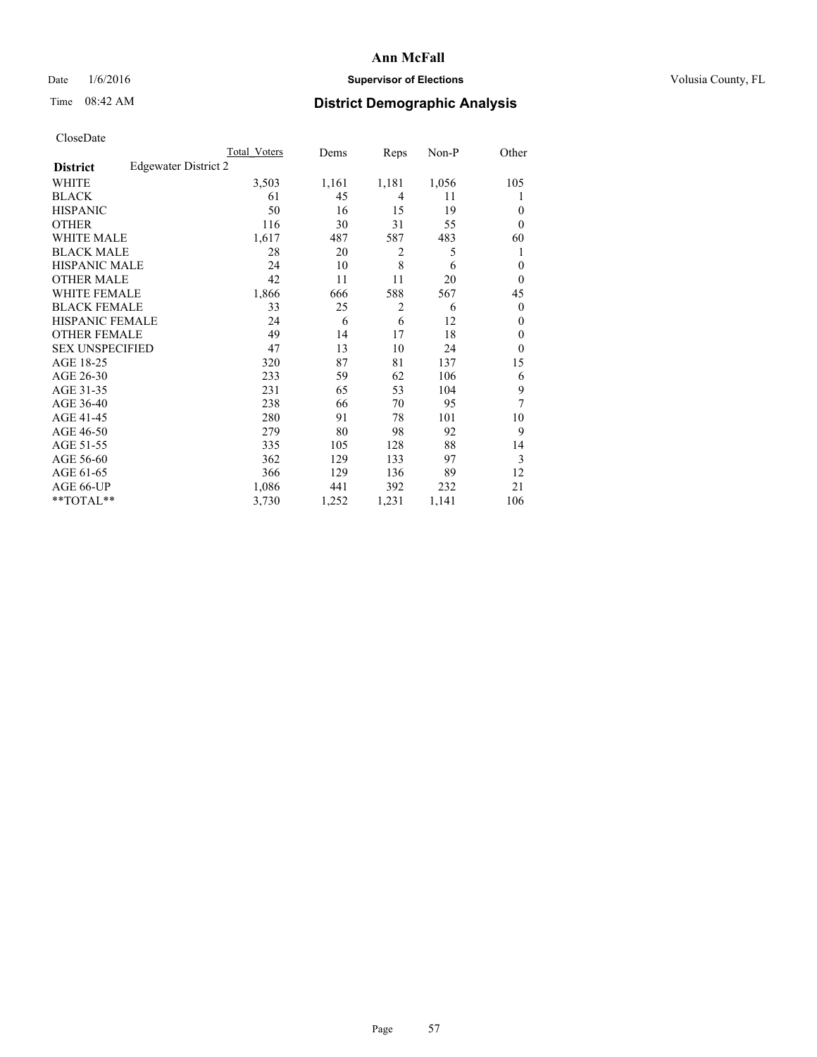## Date  $1/6/2016$  **Supervisor of Elections Supervisor of Elections** Volusia County, FL

## Time 08:42 AM **District Demographic Analysis**

|                        |                      | Total Voters | Dems  | Reps           | Non-P | Other          |
|------------------------|----------------------|--------------|-------|----------------|-------|----------------|
| <b>District</b>        | Edgewater District 2 |              |       |                |       |                |
| WHITE                  |                      | 3,503        | 1,161 | 1,181          | 1,056 | 105            |
| <b>BLACK</b>           |                      | 61           | 45    | 4              | 11    | 1              |
| <b>HISPANIC</b>        |                      | 50           | 16    | 15             | 19    | $\theta$       |
| <b>OTHER</b>           |                      | 116          | 30    | 31             | 55    | $\theta$       |
| WHITE MALE             |                      | 1,617        | 487   | 587            | 483   | 60             |
| <b>BLACK MALE</b>      |                      | 28           | 20    | 2              | 5     | 1              |
| <b>HISPANIC MALE</b>   |                      | 24           | 10    | 8              | 6     | $\mathbf{0}$   |
| <b>OTHER MALE</b>      |                      | 42           | 11    | 11             | 20    | $\theta$       |
| <b>WHITE FEMALE</b>    |                      | 1,866        | 666   | 588            | 567   | 45             |
| <b>BLACK FEMALE</b>    |                      | 33           | 25    | $\overline{2}$ | 6     | $\overline{0}$ |
| <b>HISPANIC FEMALE</b> |                      | 24           | 6     | 6              | 12    | $\theta$       |
| <b>OTHER FEMALE</b>    |                      | 49           | 14    | 17             | 18    | $\theta$       |
| <b>SEX UNSPECIFIED</b> |                      | 47           | 13    | 10             | 24    | $\mathbf{0}$   |
| AGE 18-25              |                      | 320          | 87    | 81             | 137   | 15             |
| AGE 26-30              |                      | 233          | 59    | 62             | 106   | 6              |
| AGE 31-35              |                      | 231          | 65    | 53             | 104   | 9              |
| AGE 36-40              |                      | 238          | 66    | 70             | 95    | 7              |
| AGE 41-45              |                      | 280          | 91    | 78             | 101   | 10             |
| AGE 46-50              |                      | 279          | 80    | 98             | 92    | 9              |
| AGE 51-55              |                      | 335          | 105   | 128            | 88    | 14             |
| AGE 56-60              |                      | 362          | 129   | 133            | 97    | 3              |
| AGE 61-65              |                      | 366          | 129   | 136            | 89    | 12             |
| AGE 66-UP              |                      | 1,086        | 441   | 392            | 232   | 21             |
| **TOTAL**              |                      | 3,730        | 1,252 | 1,231          | 1,141 | 106            |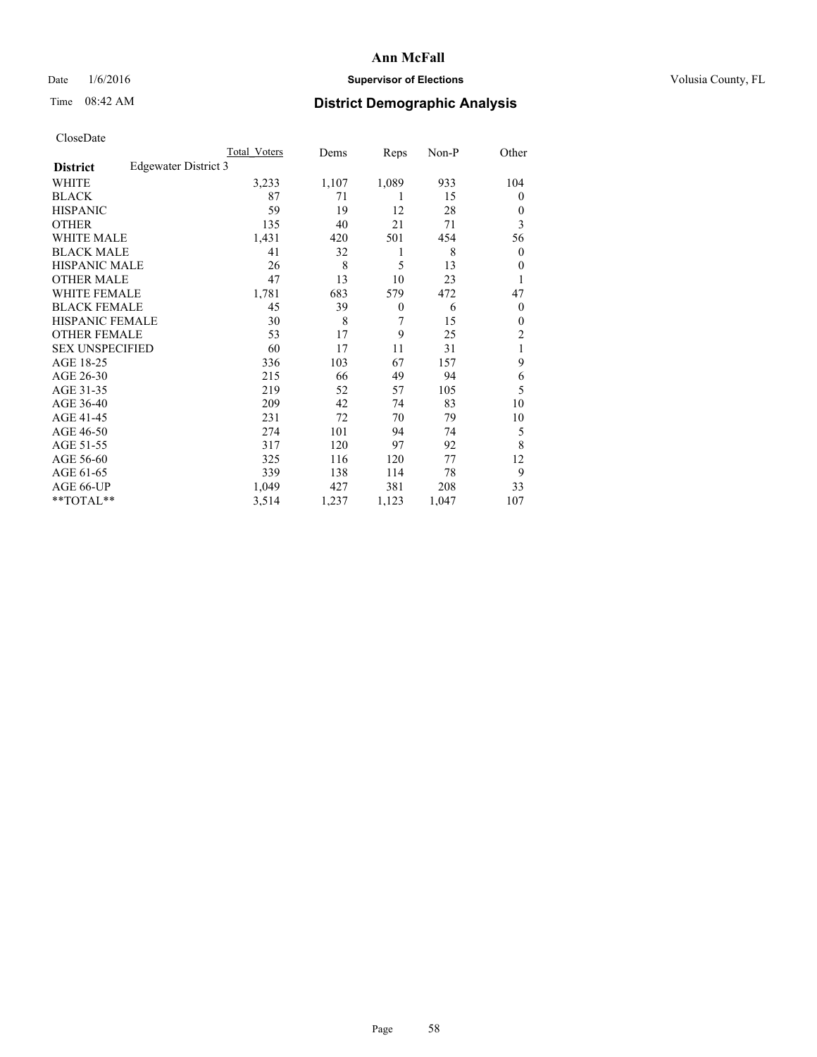## Date  $1/6/2016$  **Supervisor of Elections Supervisor of Elections** Volusia County, FL

## Time 08:42 AM **District Demographic Analysis**

|                                         | Total Voters | Dems  | Reps             | Non-P | Other          |
|-----------------------------------------|--------------|-------|------------------|-------|----------------|
| Edgewater District 3<br><b>District</b> |              |       |                  |       |                |
| <b>WHITE</b>                            | 3,233        | 1,107 | 1,089            | 933   | 104            |
| <b>BLACK</b>                            | 87           | 71    | 1                | 15    | $\mathbf{0}$   |
| <b>HISPANIC</b>                         | 59           | 19    | 12               | 28    | $\theta$       |
| <b>OTHER</b>                            | 135          | 40    | 21               | 71    | 3              |
| <b>WHITE MALE</b>                       | 1,431        | 420   | 501              | 454   | 56             |
| <b>BLACK MALE</b>                       | 41           | 32    | 1                | 8     | 0              |
| HISPANIC MALE                           | 26           | 8     | 5                | 13    | $\theta$       |
| <b>OTHER MALE</b>                       | 47           | 13    | 10               | 23    |                |
| <b>WHITE FEMALE</b>                     | 1,781        | 683   | 579              | 472   | 47             |
| <b>BLACK FEMALE</b>                     | 45           | 39    | $\boldsymbol{0}$ | 6     | $\theta$       |
| <b>HISPANIC FEMALE</b>                  | 30           | 8     | 7                | 15    | $\mathbf{0}$   |
| <b>OTHER FEMALE</b>                     | 53           | 17    | 9                | 25    | $\overline{2}$ |
| <b>SEX UNSPECIFIED</b>                  | 60           | 17    | 11               | 31    | 1              |
| AGE 18-25                               | 336          | 103   | 67               | 157   | 9              |
| AGE 26-30                               | 215          | 66    | 49               | 94    | 6              |
| AGE 31-35                               | 219          | 52    | 57               | 105   | 5              |
| AGE 36-40                               | 209          | 42    | 74               | 83    | 10             |
| AGE 41-45                               | 231          | 72    | 70               | 79    | 10             |
| AGE 46-50                               | 274          | 101   | 94               | 74    | 5              |
| AGE 51-55                               | 317          | 120   | 97               | 92    | 8              |
| AGE 56-60                               | 325          | 116   | 120              | 77    | 12             |
| AGE 61-65                               | 339          | 138   | 114              | 78    | 9              |
| AGE 66-UP                               | 1,049        | 427   | 381              | 208   | 33             |
| **TOTAL**                               | 3,514        | 1,237 | 1,123            | 1,047 | 107            |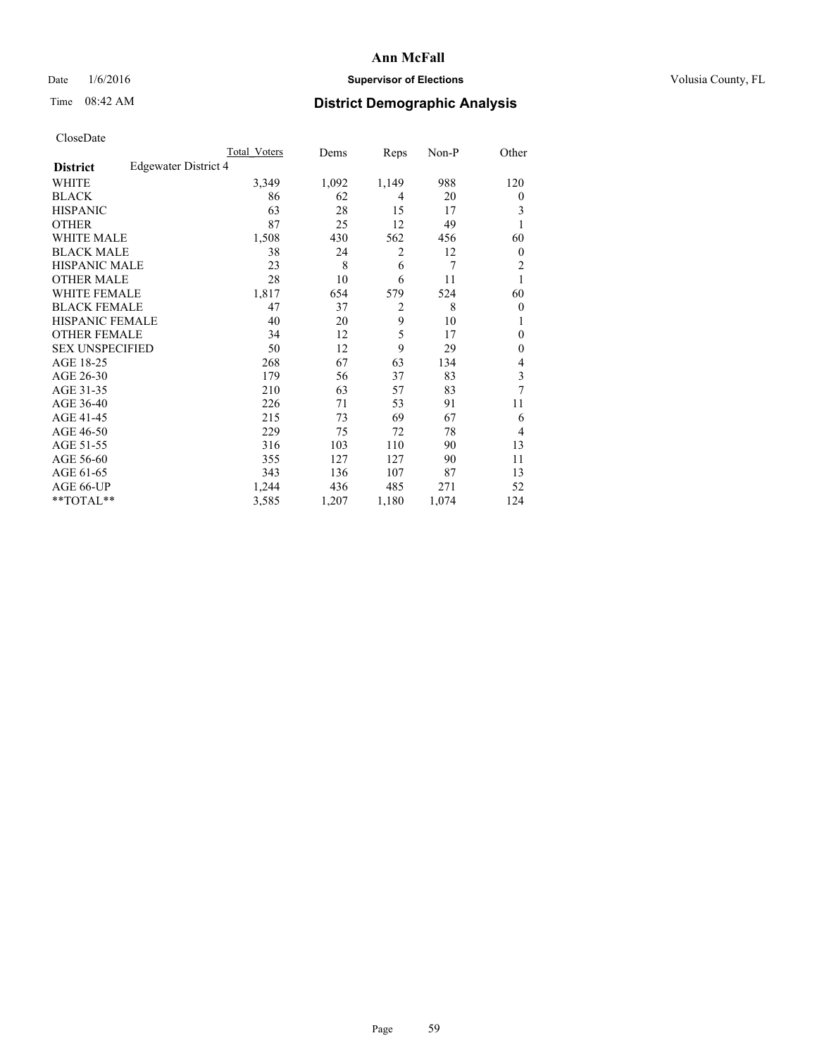## Date  $1/6/2016$  **Supervisor of Elections Supervisor of Elections** Volusia County, FL

## Time 08:42 AM **District Demographic Analysis**

|                        |                      | Total Voters | Dems  | Reps           | Non-P | Other          |
|------------------------|----------------------|--------------|-------|----------------|-------|----------------|
| <b>District</b>        | Edgewater District 4 |              |       |                |       |                |
| WHITE                  |                      | 3,349        | 1,092 | 1,149          | 988   | 120            |
| <b>BLACK</b>           |                      | 86           | 62    | 4              | 20    | $\overline{0}$ |
| <b>HISPANIC</b>        |                      | 63           | 28    | 15             | 17    | 3              |
| <b>OTHER</b>           |                      | 87           | 25    | 12             | 49    |                |
| WHITE MALE             |                      | 1,508        | 430   | 562            | 456   | 60             |
| <b>BLACK MALE</b>      |                      | 38           | 24    | 2              | 12    | $\overline{0}$ |
| <b>HISPANIC MALE</b>   |                      | 23           | 8     | 6              | 7     | $\overline{2}$ |
| <b>OTHER MALE</b>      |                      | 28           | 10    | 6              | 11    | 1              |
| WHITE FEMALE           |                      | 1,817        | 654   | 579            | 524   | 60             |
| <b>BLACK FEMALE</b>    |                      | 47           | 37    | $\overline{2}$ | 8     | $\overline{0}$ |
| <b>HISPANIC FEMALE</b> |                      | 40           | 20    | 9              | 10    |                |
| <b>OTHER FEMALE</b>    |                      | 34           | 12    | 5              | 17    | $\Omega$       |
| <b>SEX UNSPECIFIED</b> |                      | 50           | 12    | 9              | 29    | $\theta$       |
| AGE 18-25              |                      | 268          | 67    | 63             | 134   | 4              |
| AGE 26-30              |                      | 179          | 56    | 37             | 83    | 3              |
| AGE 31-35              |                      | 210          | 63    | 57             | 83    | 7              |
| AGE 36-40              |                      | 226          | 71    | 53             | 91    | 11             |
| AGE 41-45              |                      | 215          | 73    | 69             | 67    | 6              |
| AGE 46-50              |                      | 229          | 75    | 72             | 78    | $\overline{4}$ |
| AGE 51-55              |                      | 316          | 103   | 110            | 90    | 13             |
| AGE 56-60              |                      | 355          | 127   | 127            | 90    | 11             |
| AGE 61-65              |                      | 343          | 136   | 107            | 87    | 13             |
| AGE 66-UP              |                      | 1,244        | 436   | 485            | 271   | 52             |
| $**TOTAL**$            |                      | 3,585        | 1,207 | 1,180          | 1,074 | 124            |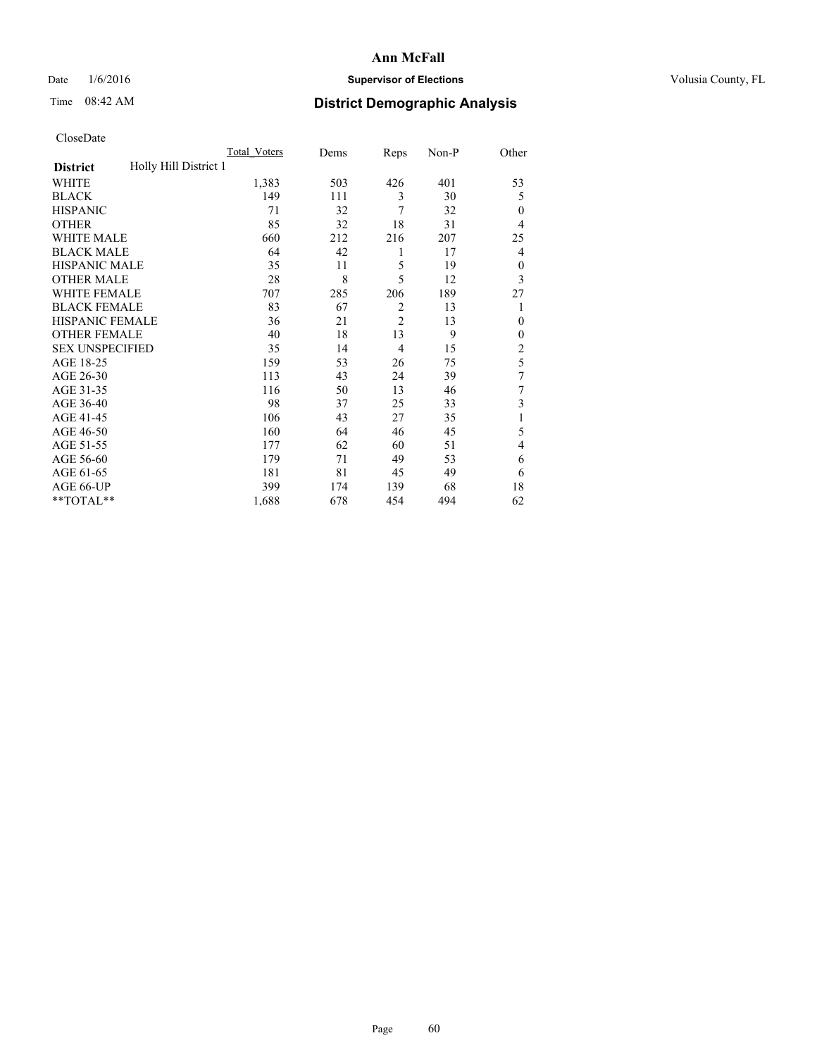## Date  $1/6/2016$  **Supervisor of Elections Supervisor of Elections** Volusia County, FL

## Time 08:42 AM **District Demographic Analysis**

|                        |                       | Total Voters | Dems | Reps           | Non-P | Other          |
|------------------------|-----------------------|--------------|------|----------------|-------|----------------|
| <b>District</b>        | Holly Hill District 1 |              |      |                |       |                |
| WHITE                  |                       | 1,383        | 503  | 426            | 401   | 53             |
| <b>BLACK</b>           |                       | 149          | 111  | 3              | 30    | 5              |
| <b>HISPANIC</b>        |                       | 71           | 32   | 7              | 32    | $\theta$       |
| <b>OTHER</b>           |                       | 85           | 32   | 18             | 31    | 4              |
| WHITE MALE             |                       | 660          | 212  | 216            | 207   | 25             |
| <b>BLACK MALE</b>      |                       | 64           | 42   | 1              | 17    | 4              |
| <b>HISPANIC MALE</b>   |                       | 35           | 11   | 5              | 19    | $\mathbf{0}$   |
| <b>OTHER MALE</b>      |                       | 28           | 8    | 5              | 12    | 3              |
| WHITE FEMALE           |                       | 707          | 285  | 206            | 189   | 27             |
| <b>BLACK FEMALE</b>    |                       | 83           | 67   | $\overline{2}$ | 13    | 1              |
| <b>HISPANIC FEMALE</b> |                       | 36           | 21   | $\overline{2}$ | 13    | $\theta$       |
| <b>OTHER FEMALE</b>    |                       | 40           | 18   | 13             | 9     | $\theta$       |
| <b>SEX UNSPECIFIED</b> |                       | 35           | 14   | 4              | 15    | $\overline{2}$ |
| AGE 18-25              |                       | 159          | 53   | 26             | 75    | 5              |
| AGE 26-30              |                       | 113          | 43   | 24             | 39    | 7              |
| AGE 31-35              |                       | 116          | 50   | 13             | 46    | 7              |
| AGE 36-40              |                       | 98           | 37   | 25             | 33    | 3              |
| AGE 41-45              |                       | 106          | 43   | 27             | 35    | 1              |
| AGE 46-50              |                       | 160          | 64   | 46             | 45    | 5              |
| AGE 51-55              |                       | 177          | 62   | 60             | 51    | 4              |
| AGE 56-60              |                       | 179          | 71   | 49             | 53    | 6              |
| AGE 61-65              |                       | 181          | 81   | 45             | 49    | 6              |
| AGE 66-UP              |                       | 399          | 174  | 139            | 68    | 18             |
| $**TOTAL**$            |                       | 1,688        | 678  | 454            | 494   | 62             |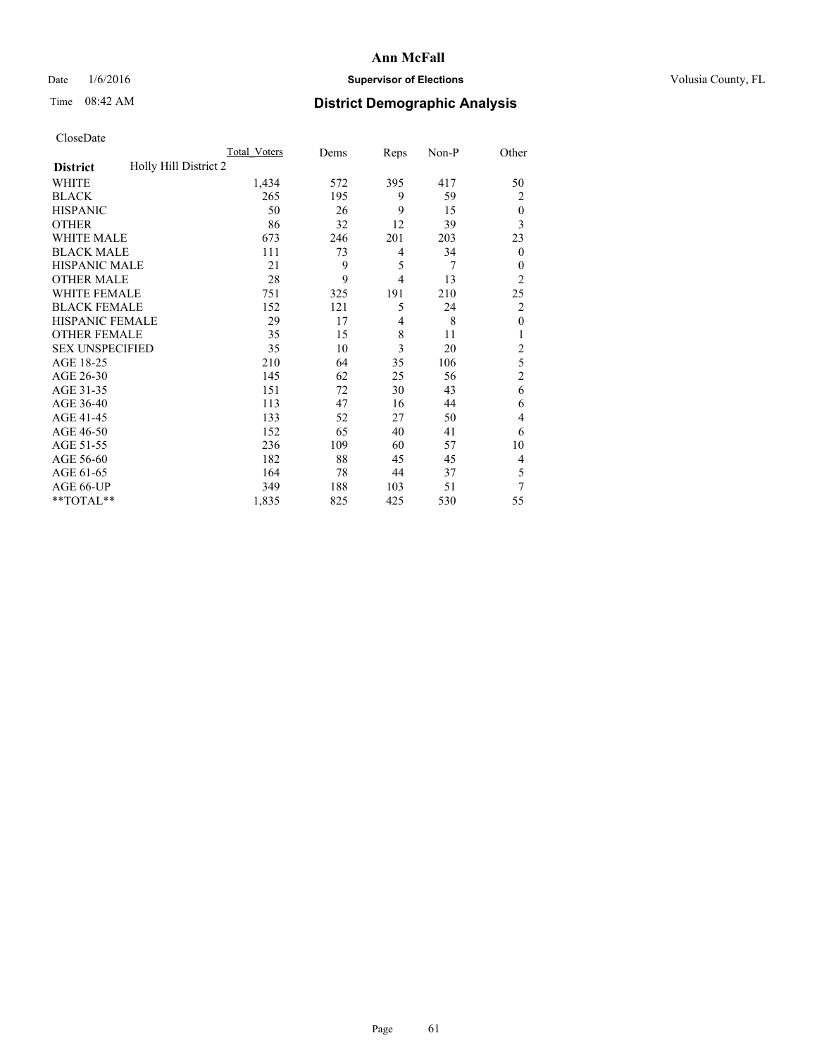## Date  $1/6/2016$  **Supervisor of Elections Supervisor of Elections** Volusia County, FL

## Time 08:42 AM **District Demographic Analysis**

|                        | Total Voters          | Dems | Reps           | Non-P | Other            |
|------------------------|-----------------------|------|----------------|-------|------------------|
| <b>District</b>        | Holly Hill District 2 |      |                |       |                  |
| WHITE                  | 1,434                 | 572  | 395            | 417   | 50               |
| <b>BLACK</b>           | 265                   | 195  | 9              | 59    | 2                |
| <b>HISPANIC</b>        | 50                    | 26   | 9              | 15    | $\theta$         |
| <b>OTHER</b>           | 86                    | 32   | 12             | 39    | 3                |
| WHITE MALE             | 673                   | 246  | 201            | 203   | 23               |
| <b>BLACK MALE</b>      | 111                   | 73   | 4              | 34    | $\boldsymbol{0}$ |
| <b>HISPANIC MALE</b>   | 21                    | 9    | 5              | 7     | $\theta$         |
| <b>OTHER MALE</b>      | 28                    | 9    | $\overline{4}$ | 13    | $\overline{2}$   |
| WHITE FEMALE           | 751                   | 325  | 191            | 210   | 25               |
| <b>BLACK FEMALE</b>    | 152                   | 121  | 5              | 24    | $\overline{2}$   |
| <b>HISPANIC FEMALE</b> | 29                    | 17   | $\overline{4}$ | 8     | $\mathbf{0}$     |
| <b>OTHER FEMALE</b>    | 35                    | 15   | 8              | 11    | 1                |
| <b>SEX UNSPECIFIED</b> | 35                    | 10   | 3              | 20    | $\overline{2}$   |
| AGE 18-25              | 210                   | 64   | 35             | 106   | 5                |
| AGE 26-30              | 145                   | 62   | 25             | 56    | $\overline{2}$   |
| AGE 31-35              | 151                   | 72   | 30             | 43    | 6                |
| AGE 36-40              | 113                   | 47   | 16             | 44    | 6                |
| AGE 41-45              | 133                   | 52   | 27             | 50    | 4                |
| AGE 46-50              | 152                   | 65   | 40             | 41    | 6                |
| AGE 51-55              | 236                   | 109  | 60             | 57    | 10               |
| AGE 56-60              | 182                   | 88   | 45             | 45    | 4                |
| AGE 61-65              | 164                   | 78   | 44             | 37    | 5                |
| AGE 66-UP              | 349                   | 188  | 103            | 51    | 7                |
| **TOTAL**              | 1,835                 | 825  | 425            | 530   | 55               |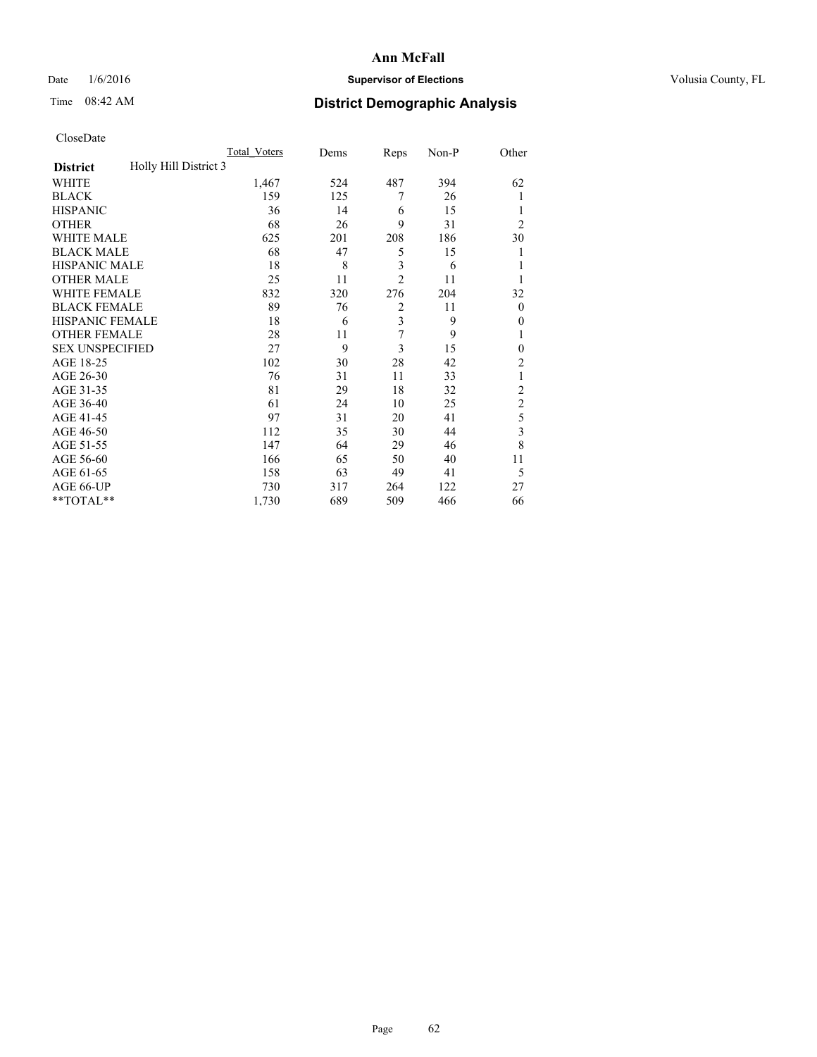## Date  $1/6/2016$  **Supervisor of Elections Supervisor of Elections** Volusia County, FL

## Time 08:42 AM **District Demographic Analysis**

|                        | Total Voters          | Dems       | Reps           | Non-P | Other          |
|------------------------|-----------------------|------------|----------------|-------|----------------|
| <b>District</b>        | Holly Hill District 3 |            |                |       |                |
| WHITE                  | 1,467                 | 524        | 487            | 394   | 62             |
| <b>BLACK</b>           |                       | 159<br>125 | 7              | 26    | 1              |
| <b>HISPANIC</b>        |                       | 36<br>14   | 6              | 15    | 1              |
| <b>OTHER</b>           |                       | 68<br>26   | 9              | 31    | $\overline{2}$ |
| WHITE MALE             |                       | 625<br>201 | 208            | 186   | 30             |
| <b>BLACK MALE</b>      |                       | 68<br>47   | 5              | 15    | 1              |
| <b>HISPANIC MALE</b>   |                       | 8<br>18    | 3              | 6     | 1              |
| <b>OTHER MALE</b>      |                       | 25<br>11   | $\overline{2}$ | 11    | 1              |
| WHITE FEMALE           |                       | 832<br>320 | 276            | 204   | 32             |
| <b>BLACK FEMALE</b>    |                       | 89<br>76   | $\overline{2}$ | 11    | $\theta$       |
| <b>HISPANIC FEMALE</b> |                       | 18<br>6    | 3              | 9     | $\theta$       |
| <b>OTHER FEMALE</b>    |                       | 28<br>11   | 7              | 9     | 1              |
| <b>SEX UNSPECIFIED</b> |                       | 9<br>27    | 3              | 15    | $\mathbf{0}$   |
| AGE 18-25              |                       | 102<br>30  | 28             | 42    | $\overline{2}$ |
| AGE 26-30              |                       | 76<br>31   | 11             | 33    | 1              |
| AGE 31-35              |                       | 81<br>29   | 18             | 32    | $\overline{2}$ |
| AGE 36-40              |                       | 61<br>24   | 10             | 25    | $\overline{c}$ |
| AGE 41-45              |                       | 97<br>31   | 20             | 41    | 5              |
| AGE 46-50              |                       | 112<br>35  | 30             | 44    | 3              |
| AGE 51-55              |                       | 147<br>64  | 29             | 46    | 8              |
| AGE 56-60              |                       | 166<br>65  | 50             | 40    | 11             |
| AGE 61-65              |                       | 158<br>63  | 49             | 41    | 5              |
| AGE 66-UP              |                       | 730<br>317 | 264            | 122   | 27             |
| **TOTAL**              | 1,730                 | 689        | 509            | 466   | 66             |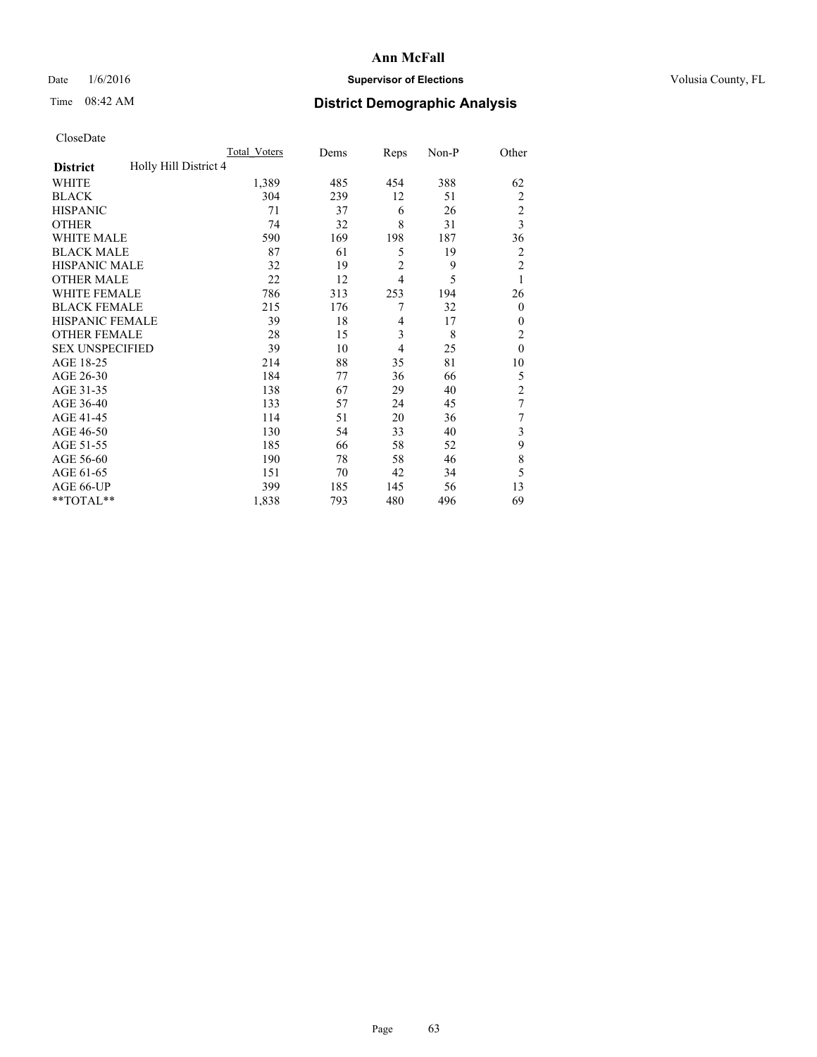## Date  $1/6/2016$  **Supervisor of Elections Supervisor of Elections** Volusia County, FL

## Time 08:42 AM **District Demographic Analysis**

|                                          | <b>Total Voters</b> | Dems | Reps           | Non-P | Other          |
|------------------------------------------|---------------------|------|----------------|-------|----------------|
| Holly Hill District 4<br><b>District</b> |                     |      |                |       |                |
| WHITE                                    | 1,389               | 485  | 454            | 388   | 62             |
| <b>BLACK</b>                             | 304                 | 239  | 12             | 51    | $\overline{2}$ |
| <b>HISPANIC</b>                          | 71                  | 37   | 6              | 26    | $\overline{c}$ |
| <b>OTHER</b>                             | 74                  | 32   | 8              | 31    | 3              |
| <b>WHITE MALE</b>                        | 590                 | 169  | 198            | 187   | 36             |
| <b>BLACK MALE</b>                        | 87                  | 61   | 5              | 19    | $\overline{2}$ |
| <b>HISPANIC MALE</b>                     | 32                  | 19   | $\overline{2}$ | 9     | $\overline{2}$ |
| <b>OTHER MALE</b>                        | 22                  | 12   | $\overline{4}$ | 5     | 1              |
| WHITE FEMALE                             | 786                 | 313  | 253            | 194   | 26             |
| <b>BLACK FEMALE</b>                      | 215                 | 176  | 7              | 32    | $\overline{0}$ |
| <b>HISPANIC FEMALE</b>                   | 39                  | 18   | 4              | 17    | $\Omega$       |
| <b>OTHER FEMALE</b>                      | 28                  | 15   | 3              | 8     | $\overline{c}$ |
| <b>SEX UNSPECIFIED</b>                   | 39                  | 10   | $\overline{4}$ | 25    | $\mathbf{0}$   |
| AGE 18-25                                | 214                 | 88   | 35             | 81    | 10             |
| AGE 26-30                                | 184                 | 77   | 36             | 66    | 5              |
| AGE 31-35                                | 138                 | 67   | 29             | 40    | $\overline{c}$ |
| AGE 36-40                                | 133                 | 57   | 24             | 45    | 7              |
| AGE 41-45                                | 114                 | 51   | 20             | 36    | 7              |
| AGE 46-50                                | 130                 | 54   | 33             | 40    | 3              |
| AGE 51-55                                | 185                 | 66   | 58             | 52    | 9              |
| AGE 56-60                                | 190                 | 78   | 58             | 46    | 8              |
| AGE 61-65                                | 151                 | 70   | 42             | 34    | 5              |
| AGE 66-UP                                | 399                 | 185  | 145            | 56    | 13             |
| **TOTAL**                                | 1,838               | 793  | 480            | 496   | 69             |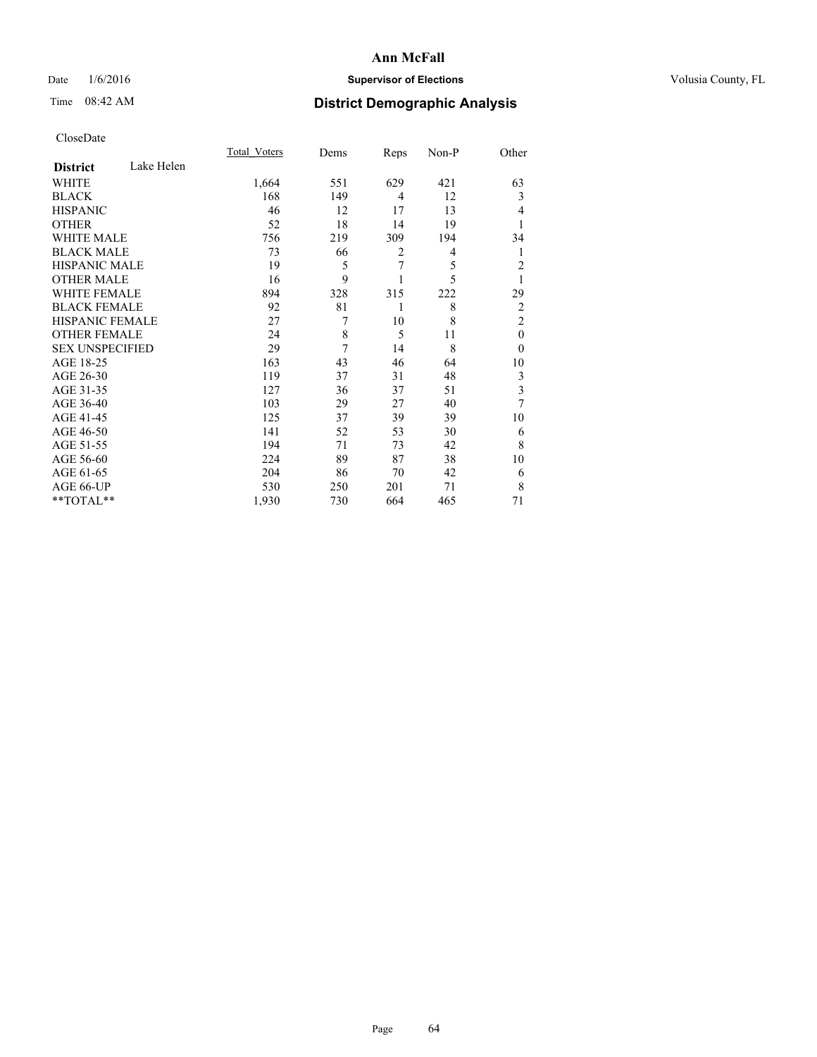## Date  $1/6/2016$  **Supervisor of Elections Supervisor of Elections** Volusia County, FL

# Time 08:42 AM **District Demographic Analysis**

|                        |            | Total Voters | Dems | Reps           | Non-P | Other                   |
|------------------------|------------|--------------|------|----------------|-------|-------------------------|
| <b>District</b>        | Lake Helen |              |      |                |       |                         |
| WHITE                  |            | 1,664        | 551  | 629            | 421   | 63                      |
| <b>BLACK</b>           |            | 168          | 149  | $\overline{4}$ | 12    | 3                       |
| <b>HISPANIC</b>        |            | 46           | 12   | 17             | 13    | 4                       |
| <b>OTHER</b>           |            | 52           | 18   | 14             | 19    |                         |
| WHITE MALE             |            | 756          | 219  | 309            | 194   | 34                      |
| <b>BLACK MALE</b>      |            | 73           | 66   | $\overline{2}$ | 4     | 1                       |
| <b>HISPANIC MALE</b>   |            | 19           | 5    | 7              | 5     | $\overline{c}$          |
| <b>OTHER MALE</b>      |            | 16           | 9    |                | 5     | 1                       |
| WHITE FEMALE           |            | 894          | 328  | 315            | 222   | 29                      |
| <b>BLACK FEMALE</b>    |            | 92           | 81   | 1              | 8     | $\overline{2}$          |
| <b>HISPANIC FEMALE</b> |            | 27           | 7    | 10             | 8     | $\overline{2}$          |
| <b>OTHER FEMALE</b>    |            | 24           | 8    | 5              | 11    | $\theta$                |
| <b>SEX UNSPECIFIED</b> |            | 29           | 7    | 14             | 8     | $\theta$                |
| AGE 18-25              |            | 163          | 43   | 46             | 64    | 10                      |
| AGE 26-30              |            | 119          | 37   | 31             | 48    | 3                       |
| AGE 31-35              |            | 127          | 36   | 37             | 51    | $\overline{\mathbf{3}}$ |
| AGE 36-40              |            | 103          | 29   | 27             | 40    | 7                       |
| AGE 41-45              |            | 125          | 37   | 39             | 39    | 10                      |
| AGE 46-50              |            | 141          | 52   | 53             | 30    | 6                       |
| AGE 51-55              |            | 194          | 71   | 73             | 42    | 8                       |
| AGE 56-60              |            | 224          | 89   | 87             | 38    | 10                      |
| AGE 61-65              |            | 204          | 86   | 70             | 42    | 6                       |
| AGE 66-UP              |            | 530          | 250  | 201            | 71    | 8                       |
| $**TOTAL**$            |            | 1,930        | 730  | 664            | 465   | 71                      |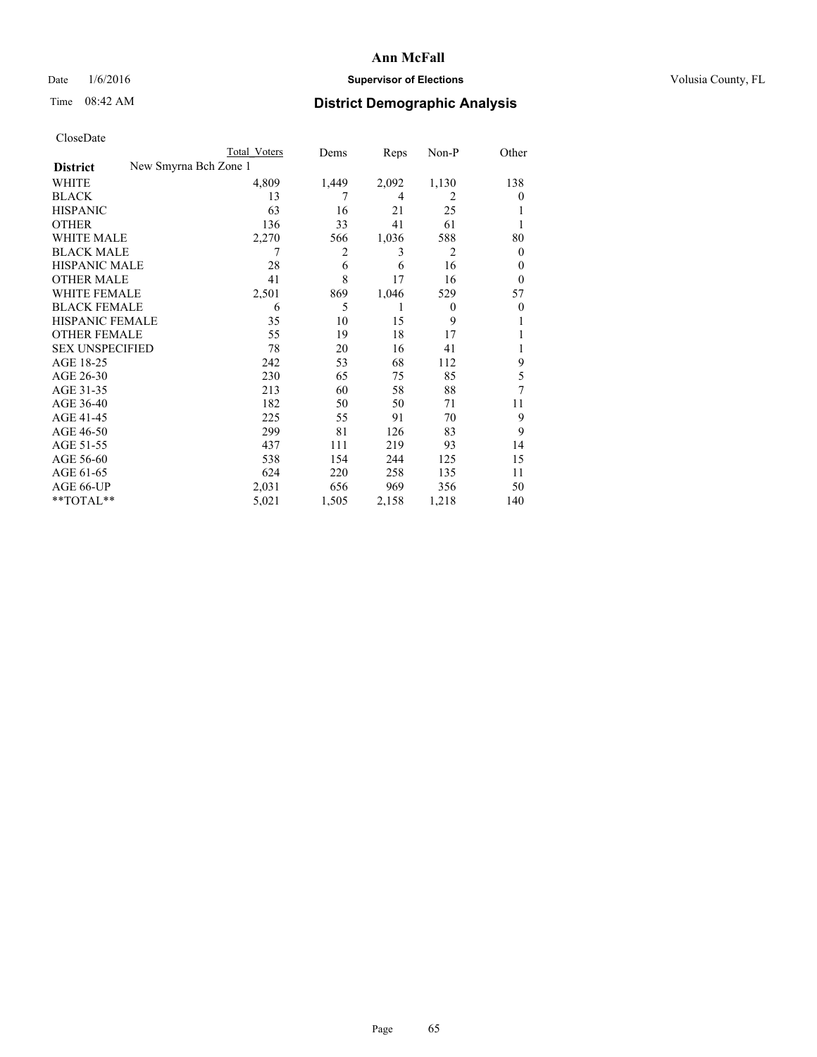## Date  $1/6/2016$  **Supervisor of Elections Supervisor of Elections** Volusia County, FL

|                        | Total Voters          | Dems  | Reps  | Non-P          | Other          |
|------------------------|-----------------------|-------|-------|----------------|----------------|
| <b>District</b>        | New Smyrna Bch Zone 1 |       |       |                |                |
| WHITE                  | 4,809                 | 1,449 | 2,092 | 1,130          | 138            |
| <b>BLACK</b>           | 13                    | 7     | 4     | 2              | $\theta$       |
| <b>HISPANIC</b>        | 63                    | 16    | 21    | 25             |                |
| <b>OTHER</b>           | 136                   | 33    | 41    | 61             |                |
| WHITE MALE             | 2,270                 | 566   | 1,036 | 588            | 80             |
| <b>BLACK MALE</b>      | 7                     | 2     | 3     | $\overline{2}$ | $\overline{0}$ |
| <b>HISPANIC MALE</b>   | 28                    | 6     | 6     | 16             | 0              |
| <b>OTHER MALE</b>      | 41                    | 8     | 17    | 16             | $\overline{0}$ |
| <b>WHITE FEMALE</b>    | 2,501                 | 869   | 1,046 | 529            | 57             |
| <b>BLACK FEMALE</b>    | 6                     | 5     | 1     | $\overline{0}$ | $\theta$       |
| <b>HISPANIC FEMALE</b> | 35                    | 10    | 15    | 9              |                |
| <b>OTHER FEMALE</b>    | 55                    | 19    | 18    | 17             |                |
| <b>SEX UNSPECIFIED</b> | 78                    | 20    | 16    | 41             |                |
| AGE 18-25              | 242                   | 53    | 68    | 112            | 9              |
| AGE 26-30              | 230                   | 65    | 75    | 85             | 5              |
| AGE 31-35              | 213                   | 60    | 58    | 88             | 7              |
| AGE 36-40              | 182                   | 50    | 50    | 71             | 11             |
| AGE 41-45              | 225                   | 55    | 91    | 70             | 9              |
| AGE 46-50              | 299                   | 81    | 126   | 83             | 9              |
| AGE 51-55              | 437                   | 111   | 219   | 93             | 14             |
| AGE 56-60              | 538                   | 154   | 244   | 125            | 15             |
| AGE 61-65              | 624                   | 220   | 258   | 135            | 11             |
| AGE 66-UP              | 2,031                 | 656   | 969   | 356            | 50             |
| $*$ TOTAL $*$          | 5,021                 | 1,505 | 2,158 | 1,218          | 140            |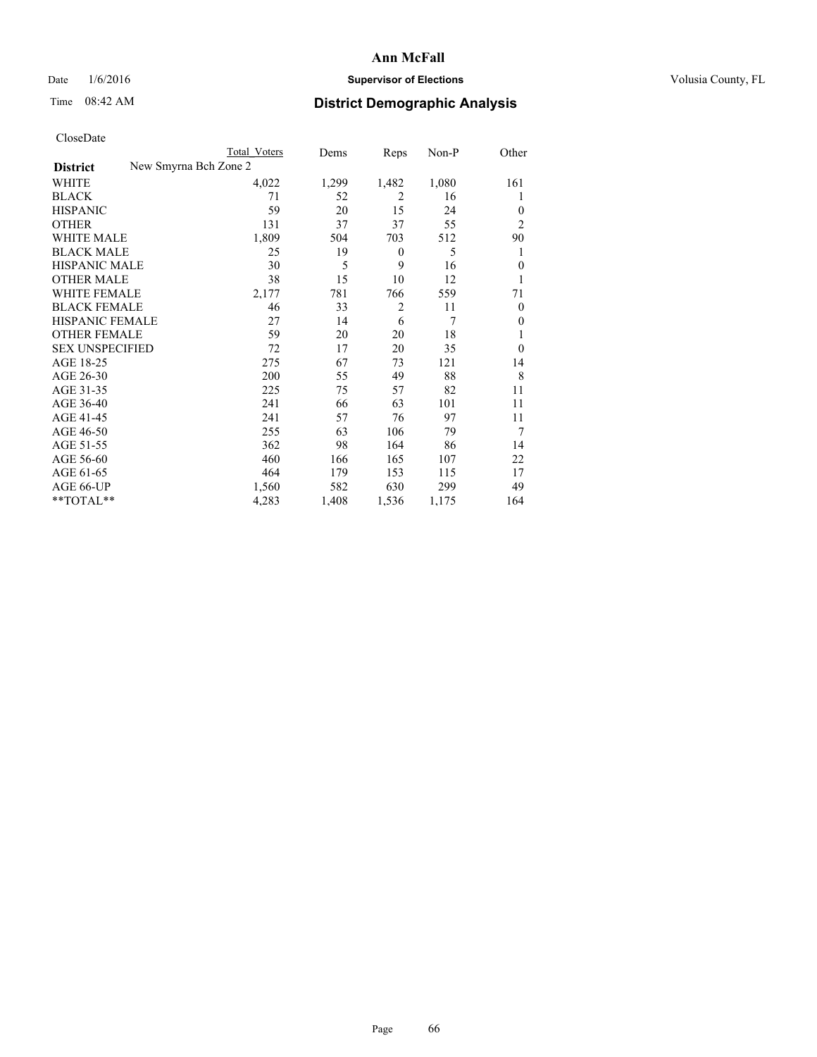## Date  $1/6/2016$  **Supervisor of Elections Supervisor of Elections** Volusia County, FL

| CloseDate              |                       |              |       |                |         |                  |
|------------------------|-----------------------|--------------|-------|----------------|---------|------------------|
|                        |                       | Total Voters | Dems  | Reps           | $Non-P$ | Other            |
| <b>District</b>        | New Smyrna Bch Zone 2 |              |       |                |         |                  |
| <b>WHITE</b>           |                       | 4,022        | 1,299 | 1,482          | 1,080   | 161              |
| <b>BLACK</b>           |                       | 71           | 52    | $\overline{c}$ | 16      | 1                |
| <b>HISPANIC</b>        |                       | 59           | 20    | 15             | 24      | $\theta$         |
| <b>OTHER</b>           |                       | 131          | 37    | 37             | 55      | $\overline{2}$   |
| WHITE MALE             |                       | 1,809        | 504   | 703            | 512     | 90               |
| <b>BLACK MALE</b>      |                       | 25           | 19    | $\mathbf{0}$   | 5       | 1                |
| <b>HISPANIC MALE</b>   |                       | 30           | 5     | 9              | 16      | $\theta$         |
| <b>OTHER MALE</b>      |                       | 38           | 15    | 10             | 12      | 1                |
| <b>WHITE FEMALE</b>    |                       | 2,177        | 781   | 766            | 559     | 71               |
| <b>BLACK FEMALE</b>    |                       | 46           | 33    | $\overline{2}$ | 11      | $\theta$         |
| <b>HISPANIC FEMALE</b> |                       | 27           | 14    | 6              | 7       | $\boldsymbol{0}$ |
| <b>OTHER FEMALE</b>    |                       | 59           | 20    | 20             | 18      | 1                |
| <b>SEX UNSPECIFIED</b> |                       | 72           | 17    | 20             | 35      | $\theta$         |
| AGE 18-25              |                       | 275          | 67    | 73             | 121     | 14               |
| AGE 26-30              |                       | 200          | 55    | 49             | 88      | 8                |
| AGE 31-35              |                       | 225          | 75    | 57             | 82      | 11               |
| AGE 36-40              |                       | 241          | 66    | 63             | 101     | 11               |
| AGE 41-45              |                       | 241          | 57    | 76             | 97      | 11               |
| AGE 46-50              |                       | 255          | 63    | 106            | 79      | 7                |
| AGE 51-55              |                       | 362          | 98    | 164            | 86      | 14               |
| AGE 56-60              |                       | 460          | 166   | 165            | 107     | 22               |
| AGE 61-65              |                       | 464          | 179   | 153            | 115     | 17               |
| AGE 66-UP              |                       | 1,560        | 582   | 630            | 299     | 49               |
| $*$ $TOTAL**$          |                       | 4,283        | 1,408 | 1,536          | 1,175   | 164              |
|                        |                       |              |       |                |         |                  |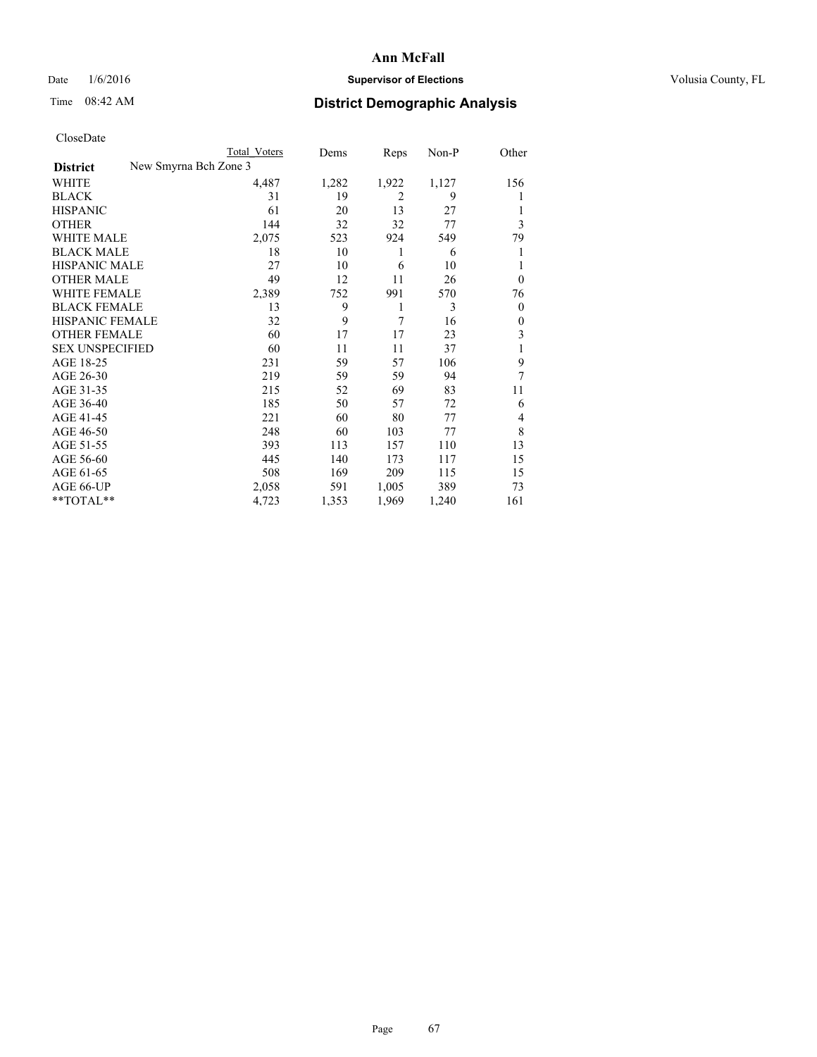## Date  $1/6/2016$  **Supervisor of Elections Supervisor of Elections** Volusia County, FL

| CloseDate              |                       |              |       |                |         |                         |
|------------------------|-----------------------|--------------|-------|----------------|---------|-------------------------|
|                        |                       | Total Voters | Dems  | Reps           | $Non-P$ | Other                   |
| <b>District</b>        | New Smyrna Bch Zone 3 |              |       |                |         |                         |
| <b>WHITE</b>           |                       | 4,487        | 1,282 | 1,922          | 1,127   | 156                     |
| <b>BLACK</b>           |                       | 31           | 19    | $\overline{2}$ | 9       | 1                       |
| <b>HISPANIC</b>        |                       | 61           | 20    | 13             | 27      | 1                       |
| <b>OTHER</b>           |                       | 144          | 32    | 32             | 77      | 3                       |
| <b>WHITE MALE</b>      |                       | 2,075        | 523   | 924            | 549     | 79                      |
| <b>BLACK MALE</b>      |                       | 18           | 10    | 1              | 6       | 1                       |
| <b>HISPANIC MALE</b>   |                       | 27           | 10    | 6              | 10      | 1                       |
| <b>OTHER MALE</b>      |                       | 49           | 12    | 11             | 26      | $\overline{0}$          |
| <b>WHITE FEMALE</b>    |                       | 2,389        | 752   | 991            | 570     | 76                      |
| <b>BLACK FEMALE</b>    |                       | 13           | 9     | 1              | 3       | $\theta$                |
| HISPANIC FEMALE        |                       | 32           | 9     | 7              | 16      | $\boldsymbol{0}$        |
| <b>OTHER FEMALE</b>    |                       | 60           | 17    | 17             | 23      | $\overline{\mathbf{3}}$ |
| <b>SEX UNSPECIFIED</b> |                       | 60           | 11    | 11             | 37      | $\mathbf{1}$            |
| AGE 18-25              |                       | 231          | 59    | 57             | 106     | 9                       |
| AGE 26-30              |                       | 219          | 59    | 59             | 94      | 7                       |
| AGE 31-35              |                       | 215          | 52    | 69             | 83      | 11                      |
| AGE 36-40              |                       | 185          | 50    | 57             | 72      | 6                       |
| AGE 41-45              |                       | 221          | 60    | 80             | 77      | $\overline{4}$          |
| AGE 46-50              |                       | 248          | 60    | 103            | 77      | 8                       |
| AGE 51-55              |                       | 393          | 113   | 157            | 110     | 13                      |
| AGE 56-60              |                       | 445          | 140   | 173            | 117     | 15                      |
| AGE 61-65              |                       | 508          | 169   | 209            | 115     | 15                      |
| AGE 66-UP              |                       | 2,058        | 591   | 1,005          | 389     | 73                      |
| **TOTAL**              |                       | 4,723        | 1,353 | 1,969          | 1,240   | 161                     |
|                        |                       |              |       |                |         |                         |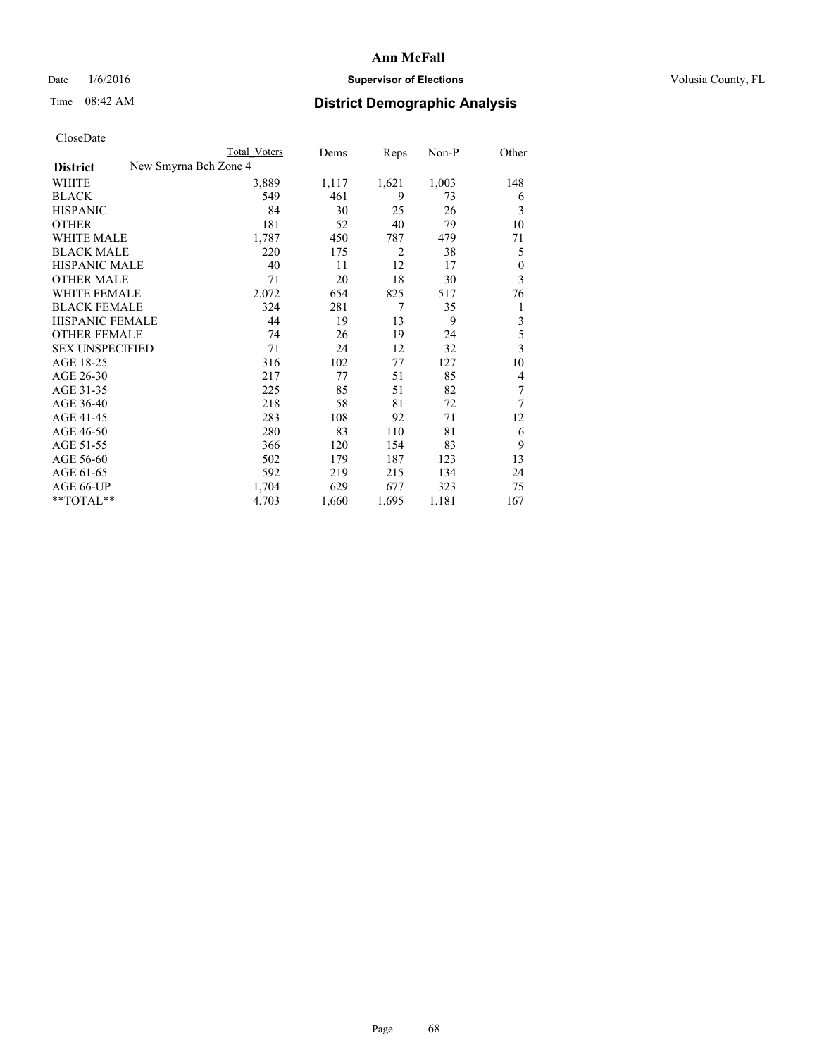## Date  $1/6/2016$  **Supervisor of Elections Supervisor of Elections** Volusia County, FL

| Cioscivate             |                       |              |       |                |       |       |
|------------------------|-----------------------|--------------|-------|----------------|-------|-------|
|                        |                       | Total Voters | Dems  | Reps           | Non-P | Other |
| <b>District</b>        | New Smyrna Bch Zone 4 |              |       |                |       |       |
| <b>WHITE</b>           |                       | 3,889        | 1,117 | 1,621          | 1,003 | 148   |
| <b>BLACK</b>           |                       | 549          | 461   | 9              | 73    | 6     |
| <b>HISPANIC</b>        |                       | 84           | 30    | 25             | 26    | 3     |
| <b>OTHER</b>           |                       | 181          | 52    | 40             | 79    | 10    |
| WHITE MALE             |                       | 1,787        | 450   | 787            | 479   | 71    |
| <b>BLACK MALE</b>      |                       | 220          | 175   | $\overline{2}$ | 38    | 5     |
| <b>HISPANIC MALE</b>   |                       | 40           | 11    | 12             | 17    | 0     |
| <b>OTHER MALE</b>      |                       | 71           | 20    | 18             | 30    | 3     |
| <b>WHITE FEMALE</b>    |                       | 2,072        | 654   | 825            | 517   | 76    |
| <b>BLACK FEMALE</b>    |                       | 324          | 281   | 7              | 35    | 1     |
| <b>HISPANIC FEMALE</b> |                       | 44           | 19    | 13             | 9     | 3     |
| <b>OTHER FEMALE</b>    |                       | 74           | 26    | 19             | 24    | 5     |
| <b>SEX UNSPECIFIED</b> |                       | 71           | 24    | 12             | 32    | 3     |
| AGE 18-25              |                       | 316          | 102   | 77             | 127   | 10    |
| AGE 26-30              |                       | 217          | 77    | 51             | 85    | 4     |
| AGE 31-35              |                       | 225          | 85    | 51             | 82    | 7     |
| AGE 36-40              |                       | 218          | 58    | 81             | 72    | 7     |
| AGE 41-45              |                       | 283          | 108   | 92             | 71    | 12    |
| AGE 46-50              |                       | 280          | 83    | 110            | 81    | 6     |
| AGE 51-55              |                       | 366          | 120   | 154            | 83    | 9     |
| AGE 56-60              |                       | 502          | 179   | 187            | 123   | 13    |
| AGE 61-65              |                       | 592          | 219   | 215            | 134   | 24    |
| AGE 66-UP              |                       | 1,704        | 629   | 677            | 323   | 75    |
| **TOTAL**              |                       | 4,703        | 1,660 | 1,695          | 1,181 | 167   |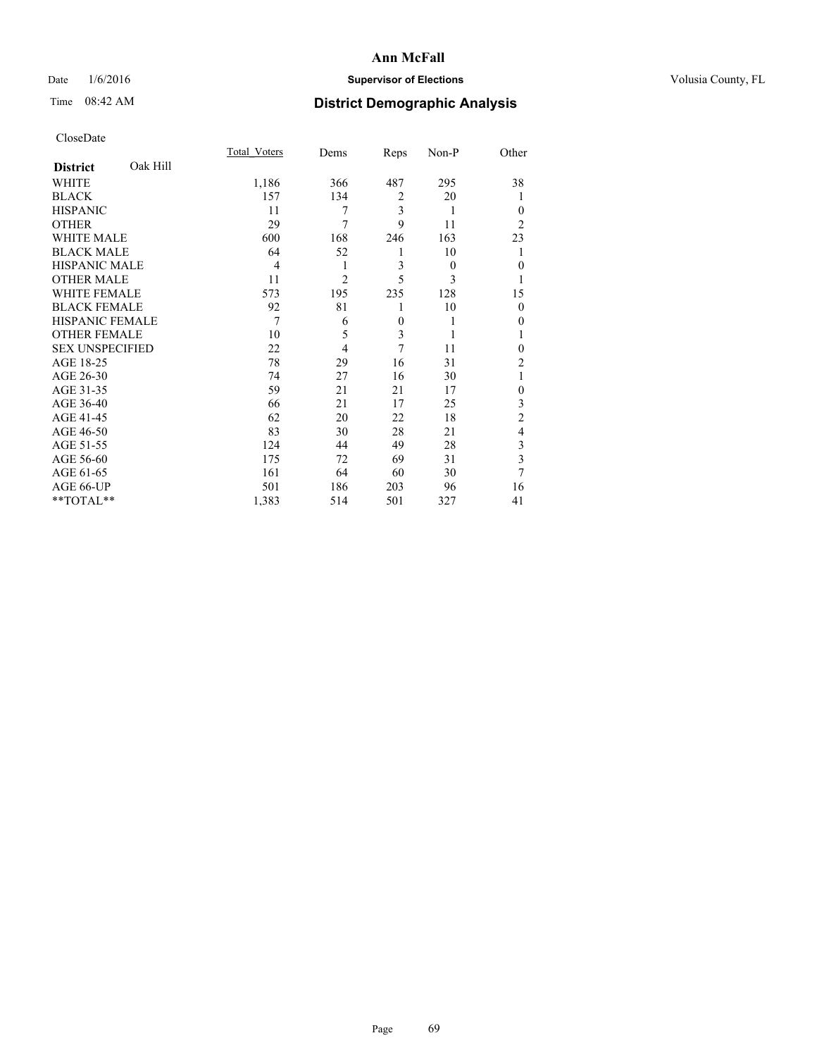## Date  $1/6/2016$  **Supervisor of Elections Supervisor of Elections** Volusia County, FL

## Time 08:42 AM **District Demographic Analysis**

|                        |          | Total Voters   | Dems           | Reps           | Non-P    | Other          |
|------------------------|----------|----------------|----------------|----------------|----------|----------------|
| <b>District</b>        | Oak Hill |                |                |                |          |                |
| WHITE                  |          | 1,186          | 366            | 487            | 295      | 38             |
| <b>BLACK</b>           |          | 157            | 134            | $\overline{2}$ | 20       |                |
| <b>HISPANIC</b>        |          | 11             | 7              | 3              | 1        | $\theta$       |
| <b>OTHER</b>           |          | 29             | 7              | 9              | 11       | $\overline{2}$ |
| WHITE MALE             |          | 600            | 168            | 246            | 163      | 23             |
| <b>BLACK MALE</b>      |          | 64             | 52             | 1              | 10       |                |
| <b>HISPANIC MALE</b>   |          | $\overline{4}$ | 1              | 3              | $\theta$ | $\mathbf{0}$   |
| <b>OTHER MALE</b>      |          | 11             | $\overline{2}$ | 5              | 3        | 1              |
| <b>WHITE FEMALE</b>    |          | 573            | 195            | 235            | 128      | 15             |
| <b>BLACK FEMALE</b>    |          | 92             | 81             | 1              | 10       | $\theta$       |
| <b>HISPANIC FEMALE</b> |          | 7              | 6              | $\mathbf{0}$   | 1        | 0              |
| <b>OTHER FEMALE</b>    |          | 10             | 5              | 3              | 1        |                |
| <b>SEX UNSPECIFIED</b> |          | 22             | $\overline{4}$ | 7              | 11       | $\theta$       |
| AGE 18-25              |          | 78             | 29             | 16             | 31       | $\overline{2}$ |
| AGE 26-30              |          | 74             | 27             | 16             | 30       | 1              |
| AGE 31-35              |          | 59             | 21             | 21             | 17       | $\mathbf{0}$   |
| AGE 36-40              |          | 66             | 21             | 17             | 25       | 3              |
| AGE 41-45              |          | 62             | 20             | 22             | 18       | $\overline{c}$ |
| AGE 46-50              |          | 83             | 30             | 28             | 21       | 4              |
| AGE 51-55              |          | 124            | 44             | 49             | 28       | 3              |
| AGE 56-60              |          | 175            | 72             | 69             | 31       | 3              |
| AGE 61-65              |          | 161            | 64             | 60             | 30       | 7              |
| AGE 66-UP              |          | 501            | 186            | 203            | 96       | 16             |
| **TOTAL**              |          | 1,383          | 514            | 501            | 327      | 41             |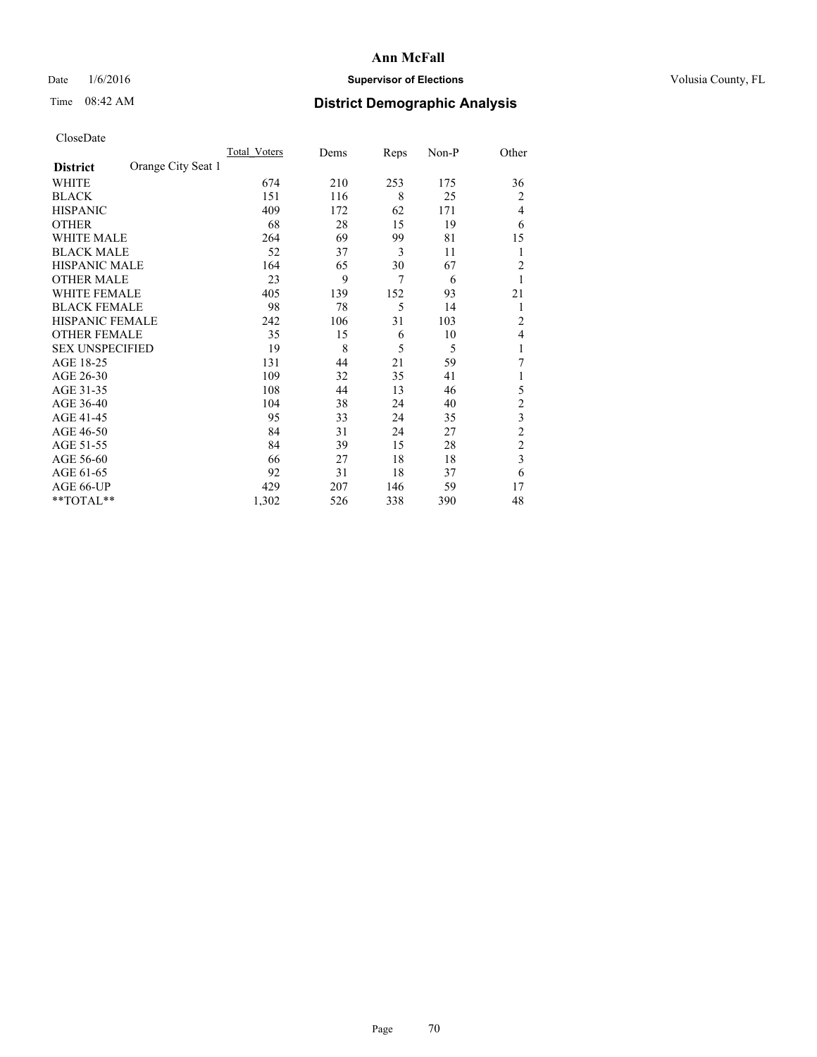## Date  $1/6/2016$  **Supervisor of Elections Supervisor of Elections** Volusia County, FL

## Time 08:42 AM **District Demographic Analysis**

|                        |                    | Total Voters | Dems | Reps           | Non-P | Other          |
|------------------------|--------------------|--------------|------|----------------|-------|----------------|
| <b>District</b>        | Orange City Seat 1 |              |      |                |       |                |
| WHITE                  |                    | 674          | 210  | 253            | 175   | 36             |
| <b>BLACK</b>           |                    | 151          | 116  | 8              | 25    | $\overline{c}$ |
| <b>HISPANIC</b>        |                    | 409          | 172  | 62             | 171   | 4              |
| <b>OTHER</b>           |                    | 68           | 28   | 15             | 19    | 6              |
| WHITE MALE             |                    | 264          | 69   | 99             | 81    | 15             |
| <b>BLACK MALE</b>      |                    | 52           | 37   | 3              | 11    | 1              |
| <b>HISPANIC MALE</b>   |                    | 164          | 65   | 30             | 67    | $\overline{c}$ |
| <b>OTHER MALE</b>      |                    | 23           | 9    | $\overline{7}$ | 6     | 1              |
| WHITE FEMALE           |                    | 405          | 139  | 152            | 93    | 21             |
| <b>BLACK FEMALE</b>    |                    | 98           | 78   | 5              | 14    | 1              |
| <b>HISPANIC FEMALE</b> |                    | 242          | 106  | 31             | 103   | $\overline{c}$ |
| <b>OTHER FEMALE</b>    |                    | 35           | 15   | 6              | 10    | 4              |
| <b>SEX UNSPECIFIED</b> |                    | 19           | 8    | 5              | 5     | 1              |
| AGE 18-25              |                    | 131          | 44   | 21             | 59    | 7              |
| AGE 26-30              |                    | 109          | 32   | 35             | 41    | 1              |
| AGE 31-35              |                    | 108          | 44   | 13             | 46    | 5              |
| AGE 36-40              |                    | 104          | 38   | 24             | 40    | $\overline{c}$ |
| AGE 41-45              |                    | 95           | 33   | 24             | 35    | 3              |
| AGE 46-50              |                    | 84           | 31   | 24             | 27    | $\overline{c}$ |
| AGE 51-55              |                    | 84           | 39   | 15             | 28    | $\overline{c}$ |
| AGE 56-60              |                    | 66           | 27   | 18             | 18    | 3              |
| AGE 61-65              |                    | 92           | 31   | 18             | 37    | 6              |
| AGE 66-UP              |                    | 429          | 207  | 146            | 59    | 17             |
| $**TOTAL**$            |                    | 1,302        | 526  | 338            | 390   | 48             |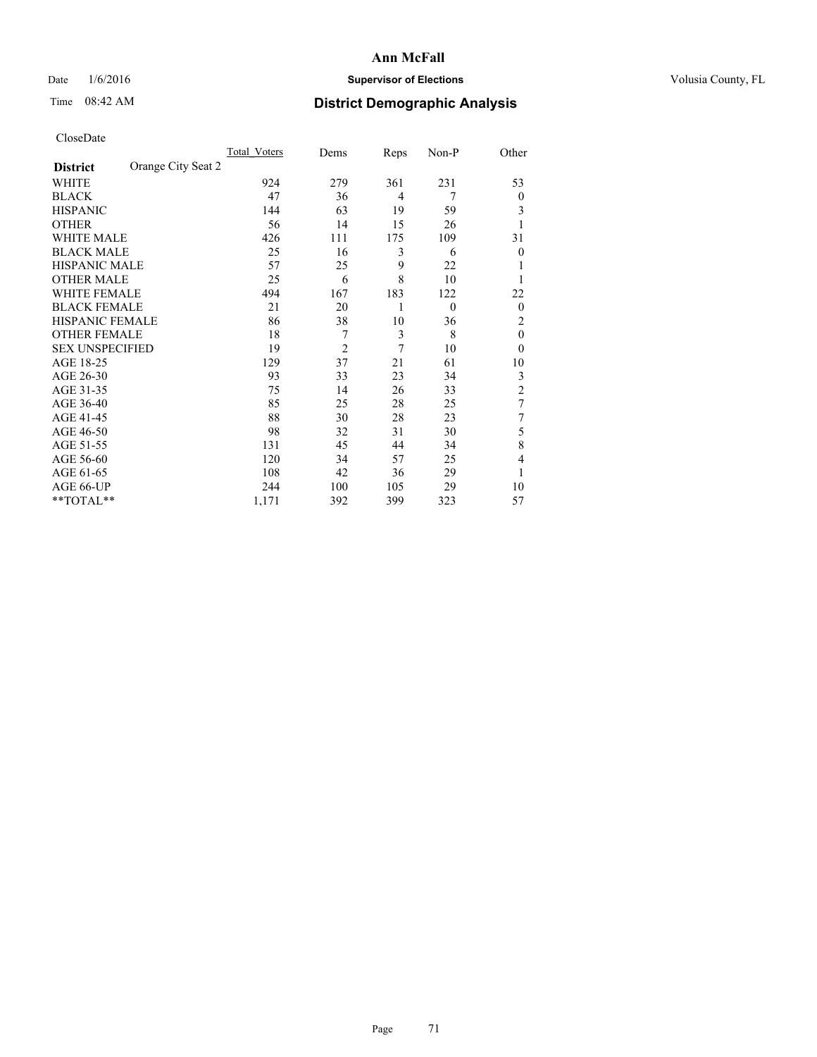## Date  $1/6/2016$  **Supervisor of Elections Supervisor of Elections** Volusia County, FL

# Time 08:42 AM **District Demographic Analysis**

|                        |                    | Total Voters | Dems           | Reps           | Non-P    | Other          |
|------------------------|--------------------|--------------|----------------|----------------|----------|----------------|
| <b>District</b>        | Orange City Seat 2 |              |                |                |          |                |
| WHITE                  |                    | 924          | 279            | 361            | 231      | 53             |
| <b>BLACK</b>           |                    | 47           | 36             | $\overline{4}$ | 7        | $\theta$       |
| <b>HISPANIC</b>        |                    | 144          | 63             | 19             | 59       | 3              |
| <b>OTHER</b>           |                    | 56           | 14             | 15             | 26       | 1              |
| WHITE MALE             |                    | 426          | 111            | 175            | 109      | 31             |
| <b>BLACK MALE</b>      |                    | 25           | 16             | 3              | 6        | $\theta$       |
| <b>HISPANIC MALE</b>   |                    | 57           | 25             | 9              | 22       | 1              |
| <b>OTHER MALE</b>      |                    | 25           | 6              | 8              | 10       | 1              |
| WHITE FEMALE           |                    | 494          | 167            | 183            | 122      | 22             |
| <b>BLACK FEMALE</b>    |                    | 21           | 20             | 1              | $\theta$ | $\theta$       |
| <b>HISPANIC FEMALE</b> |                    | 86           | 38             | 10             | 36       | 2              |
| <b>OTHER FEMALE</b>    |                    | 18           | 7              | 3              | 8        | $\theta$       |
| <b>SEX UNSPECIFIED</b> |                    | 19           | $\overline{2}$ | 7              | 10       | $\theta$       |
| AGE 18-25              |                    | 129          | 37             | 21             | 61       | 10             |
| AGE 26-30              |                    | 93           | 33             | 23             | 34       | 3              |
| AGE 31-35              |                    | 75           | 14             | 26             | 33       | $\overline{c}$ |
| AGE 36-40              |                    | 85           | 25             | 28             | 25       | 7              |
| AGE 41-45              |                    | 88           | 30             | 28             | 23       | 7              |
| AGE 46-50              |                    | 98           | 32             | 31             | 30       | 5              |
| AGE 51-55              |                    | 131          | 45             | 44             | 34       | 8              |
| AGE 56-60              |                    | 120          | 34             | 57             | 25       | 4              |
| AGE 61-65              |                    | 108          | 42             | 36             | 29       | 1              |
| AGE 66-UP              |                    | 244          | 100            | 105            | 29       | 10             |
| $**TOTAL**$            |                    | 1,171        | 392            | 399            | 323      | 57             |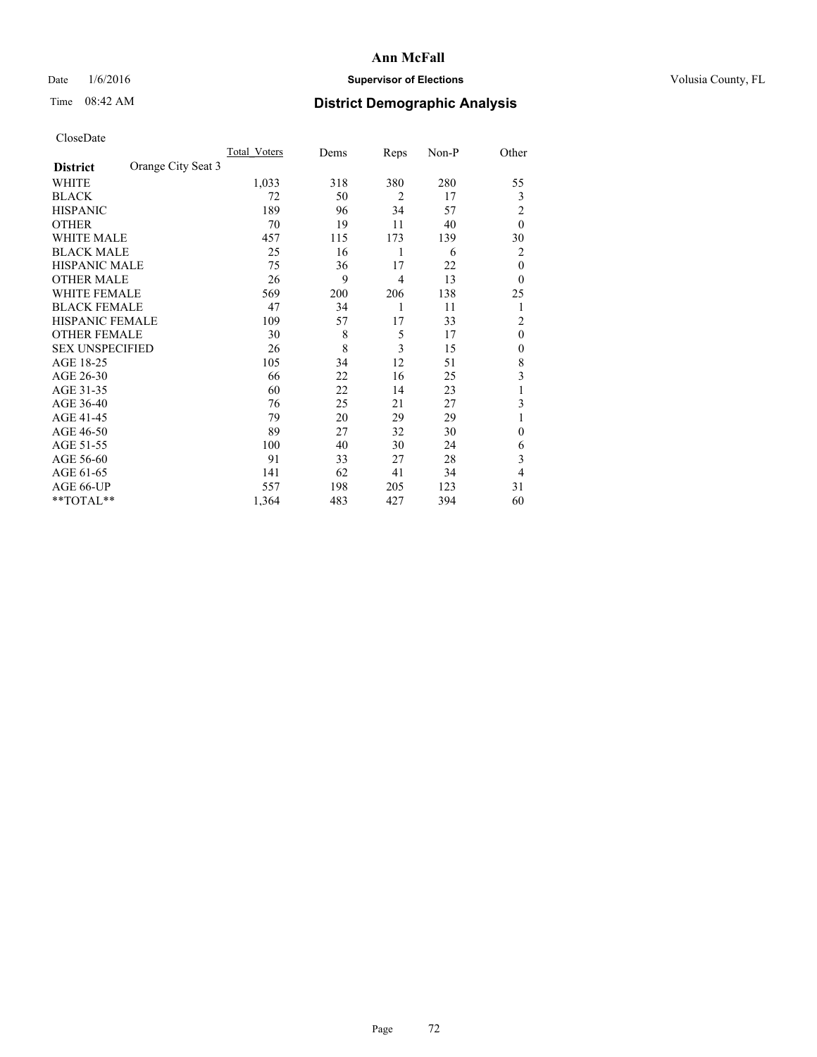## Date  $1/6/2016$  **Supervisor of Elections Supervisor of Elections** Volusia County, FL

# Time 08:42 AM **District Demographic Analysis**

|                        |                    | Total Voters | Dems | Reps           | Non-P | Other          |
|------------------------|--------------------|--------------|------|----------------|-------|----------------|
| <b>District</b>        | Orange City Seat 3 |              |      |                |       |                |
| WHITE                  |                    | 1,033        | 318  | 380            | 280   | 55             |
| <b>BLACK</b>           |                    | 72           | 50   | $\overline{2}$ | 17    | 3              |
| <b>HISPANIC</b>        |                    | 189          | 96   | 34             | 57    | $\overline{c}$ |
| <b>OTHER</b>           |                    | 70           | 19   | 11             | 40    | $\theta$       |
| WHITE MALE             |                    | 457          | 115  | 173            | 139   | 30             |
| <b>BLACK MALE</b>      |                    | 25           | 16   | 1              | 6     | 2              |
| <b>HISPANIC MALE</b>   |                    | 75           | 36   | 17             | 22    | $\theta$       |
| <b>OTHER MALE</b>      |                    | 26           | 9    | $\overline{4}$ | 13    | $\theta$       |
| WHITE FEMALE           |                    | 569          | 200  | 206            | 138   | 25             |
| <b>BLACK FEMALE</b>    |                    | 47           | 34   | 1              | 11    | 1              |
| <b>HISPANIC FEMALE</b> |                    | 109          | 57   | 17             | 33    | $\overline{c}$ |
| <b>OTHER FEMALE</b>    |                    | 30           | 8    | 5              | 17    | $\theta$       |
| <b>SEX UNSPECIFIED</b> |                    | 26           | 8    | 3              | 15    | $\mathbf{0}$   |
| AGE 18-25              |                    | 105          | 34   | 12             | 51    | 8              |
| AGE 26-30              |                    | 66           | 22   | 16             | 25    | 3              |
| AGE 31-35              |                    | 60           | 22   | 14             | 23    | 1              |
| AGE 36-40              |                    | 76           | 25   | 21             | 27    | 3              |
| AGE 41-45              |                    | 79           | 20   | 29             | 29    |                |
| AGE 46-50              |                    | 89           | 27   | 32             | 30    | $\Omega$       |
| AGE 51-55              |                    | 100          | 40   | 30             | 24    | 6              |
| AGE 56-60              |                    | 91           | 33   | 27             | 28    | 3              |
| AGE 61-65              |                    | 141          | 62   | 41             | 34    | 4              |
| AGE 66-UP              |                    | 557          | 198  | 205            | 123   | 31             |
| **TOTAL**              |                    | 1,364        | 483  | 427            | 394   | 60             |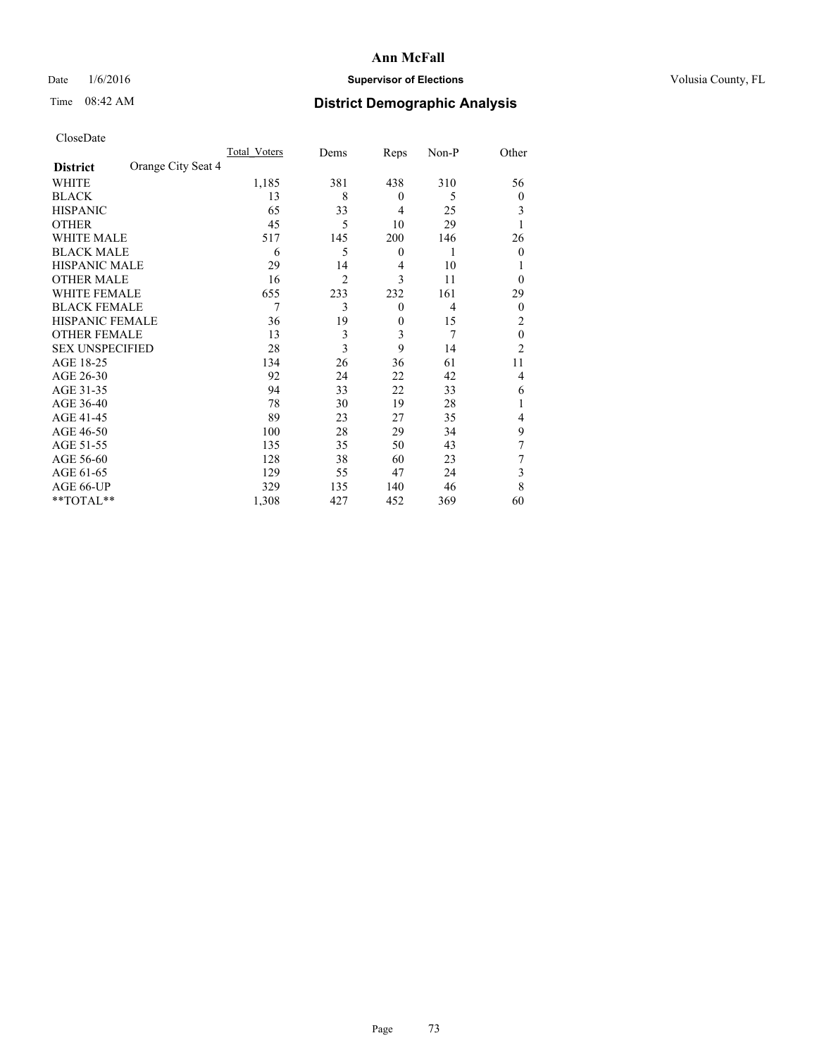## Date  $1/6/2016$  **Supervisor of Elections Supervisor of Elections** Volusia County, FL

## Time 08:42 AM **District Demographic Analysis**

|                        |                    | <b>Total Voters</b> | Dems           | Reps             | Non-P          | Other            |
|------------------------|--------------------|---------------------|----------------|------------------|----------------|------------------|
| <b>District</b>        | Orange City Seat 4 |                     |                |                  |                |                  |
| WHITE                  |                    | 1,185               | 381            | 438              | 310            | 56               |
| <b>BLACK</b>           |                    | 13                  | 8              | $\overline{0}$   | 5              | $\theta$         |
| <b>HISPANIC</b>        |                    | 65                  | 33             | $\overline{4}$   | 25             | 3                |
| <b>OTHER</b>           |                    | 45                  | 5              | 10               | 29             | 1                |
| WHITE MALE             |                    | 517                 | 145            | 200              | 146            | 26               |
| <b>BLACK MALE</b>      |                    | 6                   | 5              | $\boldsymbol{0}$ | 1              | $\boldsymbol{0}$ |
| <b>HISPANIC MALE</b>   |                    | 29                  | 14             | $\overline{4}$   | 10             |                  |
| <b>OTHER MALE</b>      |                    | 16                  | $\overline{2}$ | 3                | 11             | $\theta$         |
| <b>WHITE FEMALE</b>    |                    | 655                 | 233            | 232              | 161            | 29               |
| <b>BLACK FEMALE</b>    |                    | 7                   | 3              | $\theta$         | $\overline{4}$ | $\boldsymbol{0}$ |
| <b>HISPANIC FEMALE</b> |                    | 36                  | 19             | $\theta$         | 15             | 2                |
| <b>OTHER FEMALE</b>    |                    | 13                  | 3              | 3                | 7              | $\theta$         |
| <b>SEX UNSPECIFIED</b> |                    | 28                  | 3              | 9                | 14             | $\overline{2}$   |
| AGE 18-25              |                    | 134                 | 26             | 36               | 61             | 11               |
| AGE 26-30              |                    | 92                  | 24             | 22               | 42             | 4                |
| AGE 31-35              |                    | 94                  | 33             | 22               | 33             | 6                |
| AGE 36-40              |                    | 78                  | 30             | 19               | 28             |                  |
| AGE 41-45              |                    | 89                  | 23             | 27               | 35             | 4                |
| AGE 46-50              |                    | 100                 | 28             | 29               | 34             | 9                |
| AGE 51-55              |                    | 135                 | 35             | 50               | 43             | 7                |
| AGE 56-60              |                    | 128                 | 38             | 60               | 23             | 7                |
| AGE 61-65              |                    | 129                 | 55             | 47               | 24             | 3                |
| AGE 66-UP              |                    | 329                 | 135            | 140              | 46             | 8                |
| **TOTAL**              |                    | 1,308               | 427            | 452              | 369            | 60               |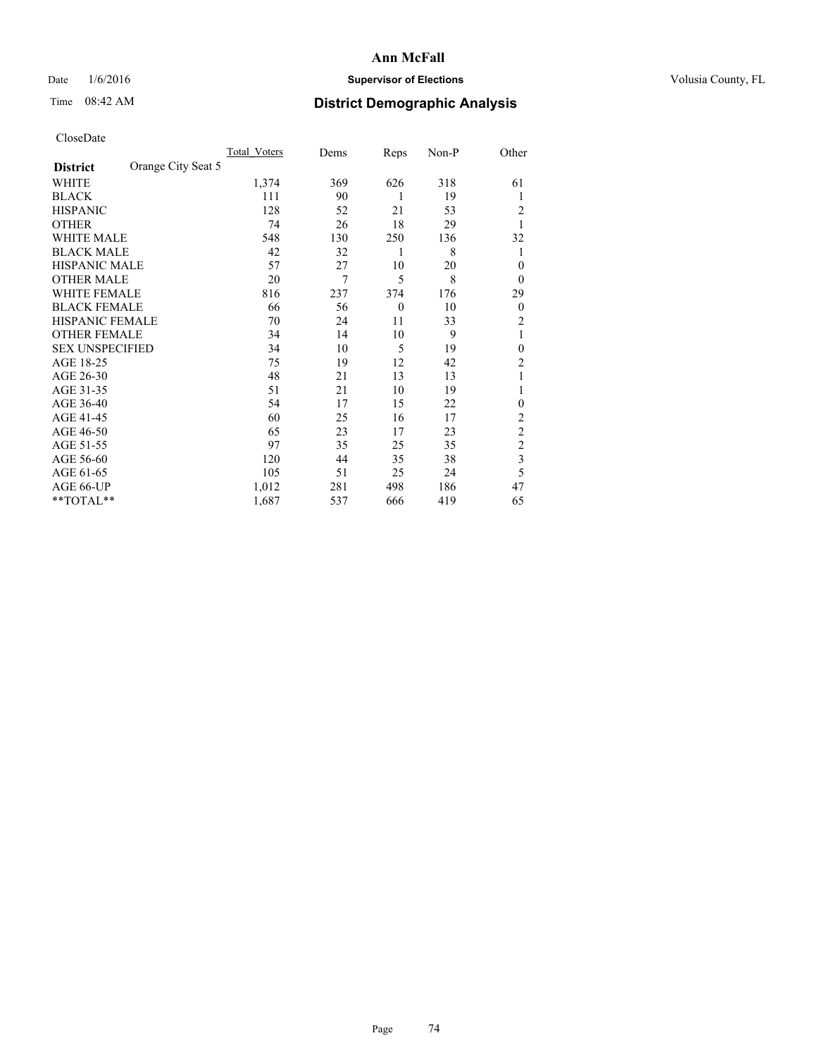## Date  $1/6/2016$  **Supervisor of Elections Supervisor of Elections** Volusia County, FL

# Time 08:42 AM **District Demographic Analysis**

|                        |                    | Total Voters | Dems | Reps     | $Non-P$ | Other                   |
|------------------------|--------------------|--------------|------|----------|---------|-------------------------|
| <b>District</b>        | Orange City Seat 5 |              |      |          |         |                         |
| WHITE                  |                    | 1,374        | 369  | 626      | 318     | 61                      |
| <b>BLACK</b>           |                    | 111          | 90   | 1        | 19      |                         |
| <b>HISPANIC</b>        |                    | 128          | 52   | 21       | 53      | 2                       |
| <b>OTHER</b>           |                    | 74           | 26   | 18       | 29      | 1                       |
| <b>WHITE MALE</b>      |                    | 548          | 130  | 250      | 136     | 32                      |
| <b>BLACK MALE</b>      |                    | 42           | 32   | 1        | 8       | 1                       |
| <b>HISPANIC MALE</b>   |                    | 57           | 27   | 10       | 20      | 0                       |
| <b>OTHER MALE</b>      |                    | 20           | 7    | 5        | 8       | $\mathbf{0}$            |
| <b>WHITE FEMALE</b>    |                    | 816          | 237  | 374      | 176     | 29                      |
| <b>BLACK FEMALE</b>    |                    | 66           | 56   | $\theta$ | 10      | $\boldsymbol{0}$        |
| HISPANIC FEMALE        |                    | 70           | 24   | 11       | 33      | 2                       |
| <b>OTHER FEMALE</b>    |                    | 34           | 14   | 10       | 9       | 1                       |
| <b>SEX UNSPECIFIED</b> |                    | 34           | 10   | 5        | 19      | $\theta$                |
| AGE 18-25              |                    | 75           | 19   | 12       | 42      | $\overline{2}$          |
| AGE 26-30              |                    | 48           | 21   | 13       | 13      | 1                       |
| AGE 31-35              |                    | 51           | 21   | 10       | 19      | 1                       |
| AGE 36-40              |                    | 54           | 17   | 15       | 22      | $\mathbf{0}$            |
| AGE 41-45              |                    | 60           | 25   | 16       | 17      | 2                       |
| AGE 46-50              |                    | 65           | 23   | 17       | 23      | $\overline{2}$          |
| AGE 51-55              |                    | 97           | 35   | 25       | 35      | $\overline{c}$          |
| AGE 56-60              |                    | 120          | 44   | 35       | 38      | $\overline{\mathbf{3}}$ |
| AGE 61-65              |                    | 105          | 51   | 25       | 24      | 5                       |
| AGE 66-UP              |                    | 1,012        | 281  | 498      | 186     | 47                      |
| **TOTAL**              |                    | 1,687        | 537  | 666      | 419     | 65                      |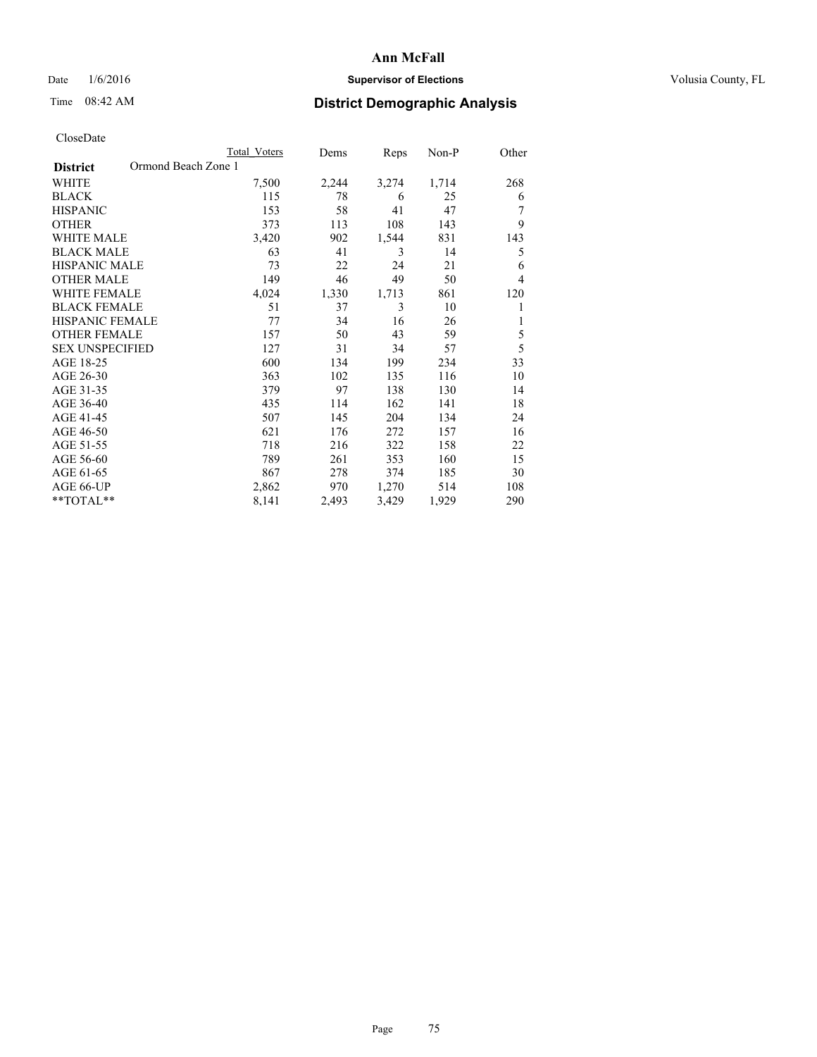## Date  $1/6/2016$  **Supervisor of Elections Supervisor of Elections** Volusia County, FL

# Time 08:42 AM **District Demographic Analysis**

|                                        | <b>Total Voters</b> | Dems  | Reps  | Non-P | Other |
|----------------------------------------|---------------------|-------|-------|-------|-------|
| Ormond Beach Zone 1<br><b>District</b> |                     |       |       |       |       |
| WHITE                                  | 7,500               | 2,244 | 3,274 | 1,714 | 268   |
| <b>BLACK</b>                           | 115                 | 78    | 6     | 25    | 6     |
| <b>HISPANIC</b>                        | 153                 | 58    | 41    | 47    |       |
| <b>OTHER</b>                           | 373                 | 113   | 108   | 143   | 9     |
| <b>WHITE MALE</b>                      | 3,420               | 902   | 1,544 | 831   | 143   |
| <b>BLACK MALE</b>                      | 63                  | 41    | 3     | 14    | 5     |
| <b>HISPANIC MALE</b>                   | 73                  | 22    | 24    | 21    | 6     |
| <b>OTHER MALE</b>                      | 149                 | 46    | 49    | 50    | 4     |
| <b>WHITE FEMALE</b>                    | 4,024               | 1,330 | 1,713 | 861   | 120   |
| <b>BLACK FEMALE</b>                    | 51                  | 37    | 3     | 10    | 1     |
| <b>HISPANIC FEMALE</b>                 | 77                  | 34    | 16    | 26    | 1     |
| <b>OTHER FEMALE</b>                    | 157                 | 50    | 43    | 59    | 5     |
| <b>SEX UNSPECIFIED</b>                 | 127                 | 31    | 34    | 57    | 5     |
| AGE 18-25                              | 600                 | 134   | 199   | 234   | 33    |
| AGE 26-30                              | 363                 | 102   | 135   | 116   | 10    |
| AGE 31-35                              | 379                 | 97    | 138   | 130   | 14    |
| AGE 36-40                              | 435                 | 114   | 162   | 141   | 18    |
| AGE 41-45                              | 507                 | 145   | 204   | 134   | 24    |
| AGE 46-50                              | 621                 | 176   | 272   | 157   | 16    |
| AGE 51-55                              | 718                 | 216   | 322   | 158   | 22    |
| AGE 56-60                              | 789                 | 261   | 353   | 160   | 15    |
| AGE 61-65                              | 867                 | 278   | 374   | 185   | 30    |
| AGE 66-UP                              | 2,862               | 970   | 1,270 | 514   | 108   |
| **TOTAL**                              | 8,141               | 2,493 | 3,429 | 1,929 | 290   |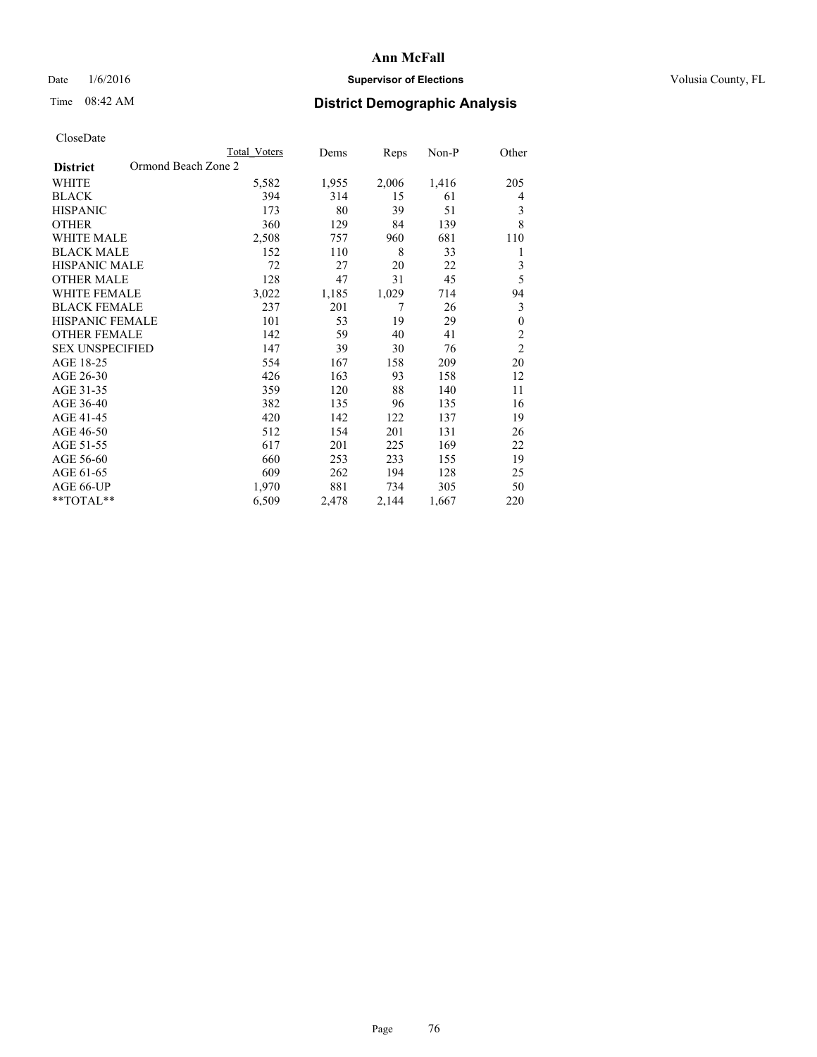## Date  $1/6/2016$  **Supervisor of Elections Supervisor of Elections** Volusia County, FL

## Time 08:42 AM **District Demographic Analysis**

|                                        | Total Voters | Dems  | Reps  | Non-P | Other            |
|----------------------------------------|--------------|-------|-------|-------|------------------|
| Ormond Beach Zone 2<br><b>District</b> |              |       |       |       |                  |
| WHITE                                  | 5,582        | 1,955 | 2,006 | 1,416 | 205              |
| <b>BLACK</b>                           | 394          | 314   | 15    | 61    | 4                |
| <b>HISPANIC</b>                        | 173          | 80    | 39    | 51    | 3                |
| <b>OTHER</b>                           | 360          | 129   | 84    | 139   | 8                |
| <b>WHITE MALE</b>                      | 2,508        | 757   | 960   | 681   | 110              |
| <b>BLACK MALE</b>                      | 152          | 110   | 8     | 33    | 1                |
| HISPANIC MALE                          | 72           | 27    | 20    | 22    | 3                |
| <b>OTHER MALE</b>                      | 128          | 47    | 31    | 45    | 5                |
| <b>WHITE FEMALE</b>                    | 3,022        | 1,185 | 1,029 | 714   | 94               |
| <b>BLACK FEMALE</b>                    | 237          | 201   | 7     | 26    | 3                |
| <b>HISPANIC FEMALE</b>                 | 101          | 53    | 19    | 29    | $\boldsymbol{0}$ |
| <b>OTHER FEMALE</b>                    | 142          | 59    | 40    | 41    | $\overline{c}$   |
| <b>SEX UNSPECIFIED</b>                 | 147          | 39    | 30    | 76    | $\overline{2}$   |
| AGE 18-25                              | 554          | 167   | 158   | 209   | 20               |
| AGE 26-30                              | 426          | 163   | 93    | 158   | 12               |
| AGE 31-35                              | 359          | 120   | 88    | 140   | 11               |
| AGE 36-40                              | 382          | 135   | 96    | 135   | 16               |
| AGE 41-45                              | 420          | 142   | 122   | 137   | 19               |
| AGE 46-50                              | 512          | 154   | 201   | 131   | 26               |
| AGE 51-55                              | 617          | 201   | 225   | 169   | 22               |
| AGE 56-60                              | 660          | 253   | 233   | 155   | 19               |
| AGE 61-65                              | 609          | 262   | 194   | 128   | 25               |
| AGE 66-UP                              | 1,970        | 881   | 734   | 305   | 50               |
| **TOTAL**                              | 6,509        | 2,478 | 2,144 | 1,667 | 220              |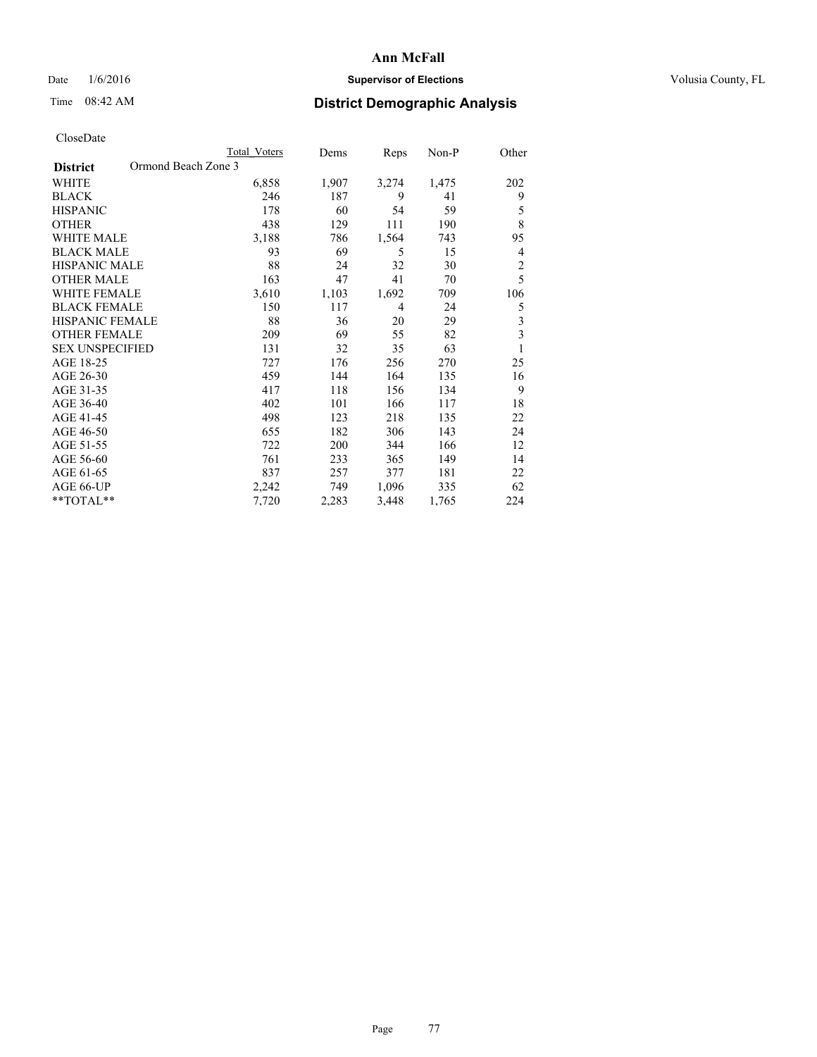## Date  $1/6/2016$  **Supervisor of Elections Supervisor of Elections** Volusia County, FL

## Time 08:42 AM **District Demographic Analysis**

|                                        | Total Voters | Dems  | Reps           | Non-P | Other          |
|----------------------------------------|--------------|-------|----------------|-------|----------------|
| Ormond Beach Zone 3<br><b>District</b> |              |       |                |       |                |
| WHITE                                  | 6,858        | 1,907 | 3,274          | 1,475 | 202            |
| <b>BLACK</b>                           | 246          | 187   | 9              | 41    | 9              |
| <b>HISPANIC</b>                        | 178          | 60    | 54             | 59    | 5              |
| <b>OTHER</b>                           | 438          | 129   | 111            | 190   | 8              |
| WHITE MALE                             | 3,188        | 786   | 1,564          | 743   | 95             |
| <b>BLACK MALE</b>                      | 93           | 69    | 5              | 15    | 4              |
| <b>HISPANIC MALE</b>                   | 88           | 24    | 32             | 30    | $\overline{2}$ |
| <b>OTHER MALE</b>                      | 163          | 47    | 41             | 70    | 5              |
| <b>WHITE FEMALE</b>                    | 3,610        | 1,103 | 1,692          | 709   | 106            |
| <b>BLACK FEMALE</b>                    | 150          | 117   | $\overline{4}$ | 24    | 5              |
| <b>HISPANIC FEMALE</b>                 | 88           | 36    | 20             | 29    | 3              |
| <b>OTHER FEMALE</b>                    | 209          | 69    | 55             | 82    | 3              |
| <b>SEX UNSPECIFIED</b>                 | 131          | 32    | 35             | 63    | 1              |
| AGE 18-25                              | 727          | 176   | 256            | 270   | 25             |
| AGE 26-30                              | 459          | 144   | 164            | 135   | 16             |
| AGE 31-35                              | 417          | 118   | 156            | 134   | 9              |
| AGE 36-40                              | 402          | 101   | 166            | 117   | 18             |
| AGE 41-45                              | 498          | 123   | 218            | 135   | 22             |
| AGE 46-50                              | 655          | 182   | 306            | 143   | 24             |
| AGE 51-55                              | 722          | 200   | 344            | 166   | 12             |
| AGE 56-60                              | 761          | 233   | 365            | 149   | 14             |
| AGE 61-65                              | 837          | 257   | 377            | 181   | 22             |
| AGE 66-UP                              | 2,242        | 749   | 1,096          | 335   | 62             |
| **TOTAL**                              | 7,720        | 2,283 | 3,448          | 1,765 | 224            |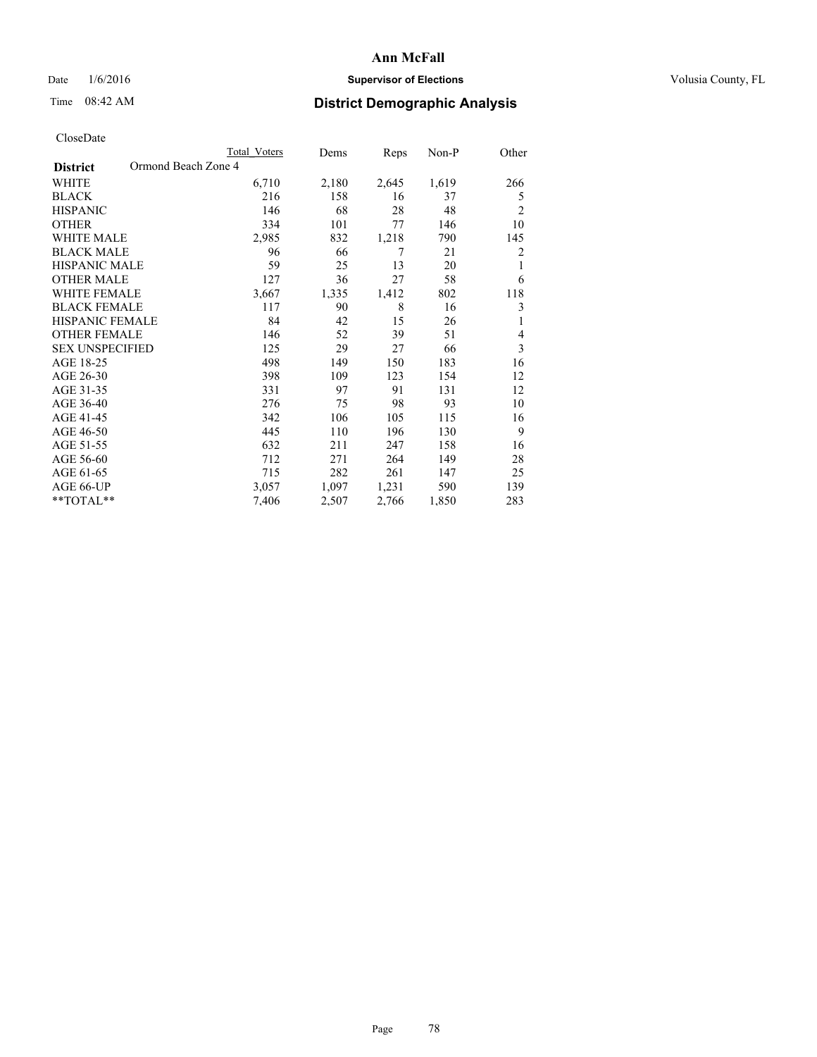## Date  $1/6/2016$  **Supervisor of Elections Supervisor of Elections** Volusia County, FL

## Time 08:42 AM **District Demographic Analysis**

|                                        | Total Voters | Dems  | Reps  | Non-P | Other          |
|----------------------------------------|--------------|-------|-------|-------|----------------|
| Ormond Beach Zone 4<br><b>District</b> |              |       |       |       |                |
| WHITE                                  | 6,710        | 2,180 | 2,645 | 1,619 | 266            |
| <b>BLACK</b>                           | 216          | 158   | 16    | 37    | 5              |
| <b>HISPANIC</b>                        | 146          | 68    | 28    | 48    | $\overline{2}$ |
| <b>OTHER</b>                           | 334          | 101   | 77    | 146   | 10             |
| <b>WHITE MALE</b>                      | 2,985        | 832   | 1,218 | 790   | 145            |
| <b>BLACK MALE</b>                      | 96           | 66    | 7     | 21    | 2              |
| HISPANIC MALE                          | 59           | 25    | 13    | 20    | 1              |
| <b>OTHER MALE</b>                      | 127          | 36    | 27    | 58    | 6              |
| <b>WHITE FEMALE</b>                    | 3,667        | 1,335 | 1,412 | 802   | 118            |
| <b>BLACK FEMALE</b>                    | 117          | 90    | 8     | 16    | 3              |
| <b>HISPANIC FEMALE</b>                 | 84           | 42    | 15    | 26    | 1              |
| <b>OTHER FEMALE</b>                    | 146          | 52    | 39    | 51    | 4              |
| <b>SEX UNSPECIFIED</b>                 | 125          | 29    | 27    | 66    | 3              |
| AGE 18-25                              | 498          | 149   | 150   | 183   | 16             |
| AGE 26-30                              | 398          | 109   | 123   | 154   | 12             |
| AGE 31-35                              | 331          | 97    | 91    | 131   | 12             |
| AGE 36-40                              | 276          | 75    | 98    | 93    | 10             |
| AGE 41-45                              | 342          | 106   | 105   | 115   | 16             |
| AGE 46-50                              | 445          | 110   | 196   | 130   | 9              |
| AGE 51-55                              | 632          | 211   | 247   | 158   | 16             |
| AGE 56-60                              | 712          | 271   | 264   | 149   | 28             |
| AGE 61-65                              | 715          | 282   | 261   | 147   | 25             |
| AGE 66-UP                              | 3,057        | 1,097 | 1,231 | 590   | 139            |
| **TOTAL**                              | 7,406        | 2,507 | 2,766 | 1,850 | 283            |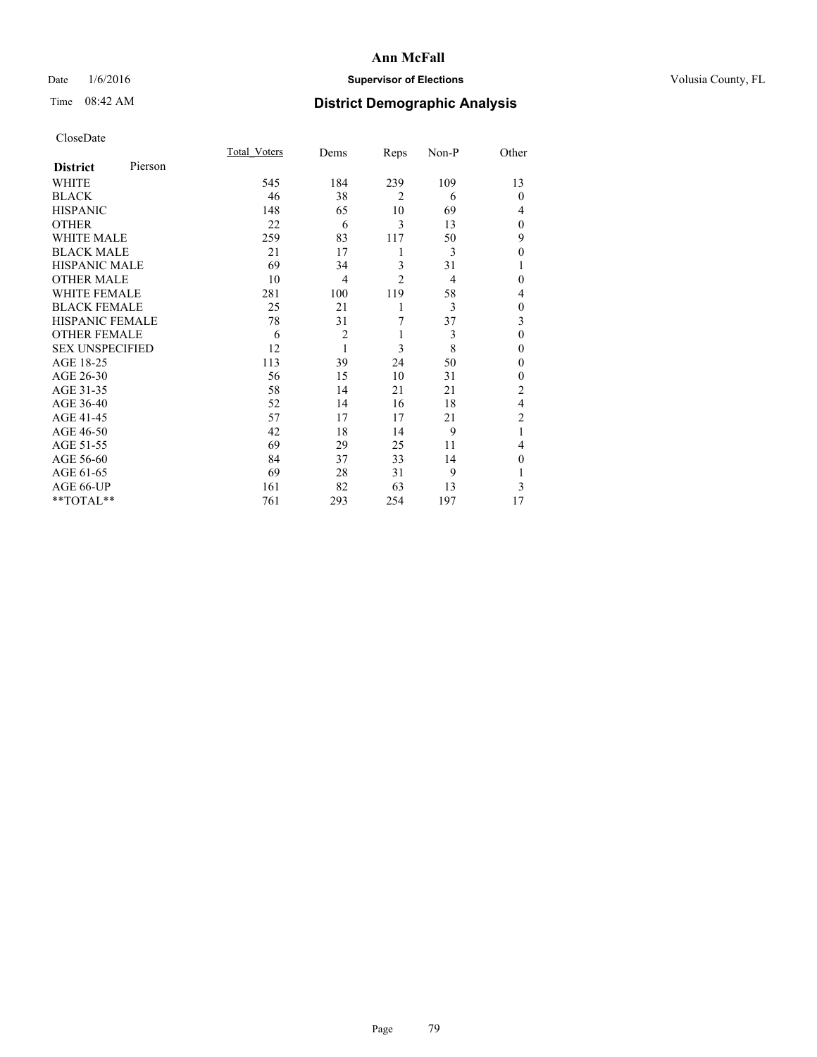## Date  $1/6/2016$  **Supervisor of Elections Supervisor of Elections** Volusia County, FL

## Time 08:42 AM **District Demographic Analysis**

| CloseDate |
|-----------|
|-----------|

|                        |         | Total Voters | Dems           | Reps           | Non-P | Other          |
|------------------------|---------|--------------|----------------|----------------|-------|----------------|
| <b>District</b>        | Pierson |              |                |                |       |                |
| WHITE                  |         | 545          | 184            | 239            | 109   | 13             |
| <b>BLACK</b>           |         | 46           | 38             | $\overline{2}$ | 6     | $\theta$       |
| <b>HISPANIC</b>        |         | 148          | 65             | 10             | 69    | 4              |
| <b>OTHER</b>           |         | 22           | 6              | 3              | 13    | $\theta$       |
| WHITE MALE             |         | 259          | 83             | 117            | 50    | 9              |
| <b>BLACK MALE</b>      |         | 21           | 17             | 1              | 3     | $\mathbf{0}$   |
| <b>HISPANIC MALE</b>   |         | 69           | 34             | 3              | 31    | 1              |
| <b>OTHER MALE</b>      |         | 10           | 4              | $\overline{c}$ | 4     | 0              |
| <b>WHITE FEMALE</b>    |         | 281          | 100            | 119            | 58    | 4              |
| <b>BLACK FEMALE</b>    |         | 25           | 21             | 1              | 3     | $\theta$       |
| <b>HISPANIC FEMALE</b> |         | 78           | 31             | 7              | 37    | 3              |
| <b>OTHER FEMALE</b>    |         | 6            | $\overline{c}$ | 1              | 3     | $\theta$       |
| <b>SEX UNSPECIFIED</b> |         | 12           | 1              | 3              | 8     | $\mathbf{0}$   |
| AGE 18-25              |         | 113          | 39             | 24             | 50    | 0              |
| AGE 26-30              |         | 56           | 15             | 10             | 31    | $\mathbf{0}$   |
| AGE 31-35              |         | 58           | 14             | 21             | 21    | $\overline{c}$ |
| AGE 36-40              |         | 52           | 14             | 16             | 18    | $\overline{4}$ |
| AGE 41-45              |         | 57           | 17             | 17             | 21    | $\overline{c}$ |
| AGE 46-50              |         | 42           | 18             | 14             | 9     | 1              |
| AGE 51-55              |         | 69           | 29             | 25             | 11    | 4              |
| AGE 56-60              |         | 84           | 37             | 33             | 14    | $\theta$       |
| AGE 61-65              |         | 69           | 28             | 31             | 9     | 1              |
| AGE 66-UP              |         | 161          | 82             | 63             | 13    | 3              |
| **TOTAL**              |         | 761          | 293            | 254            | 197   | 17             |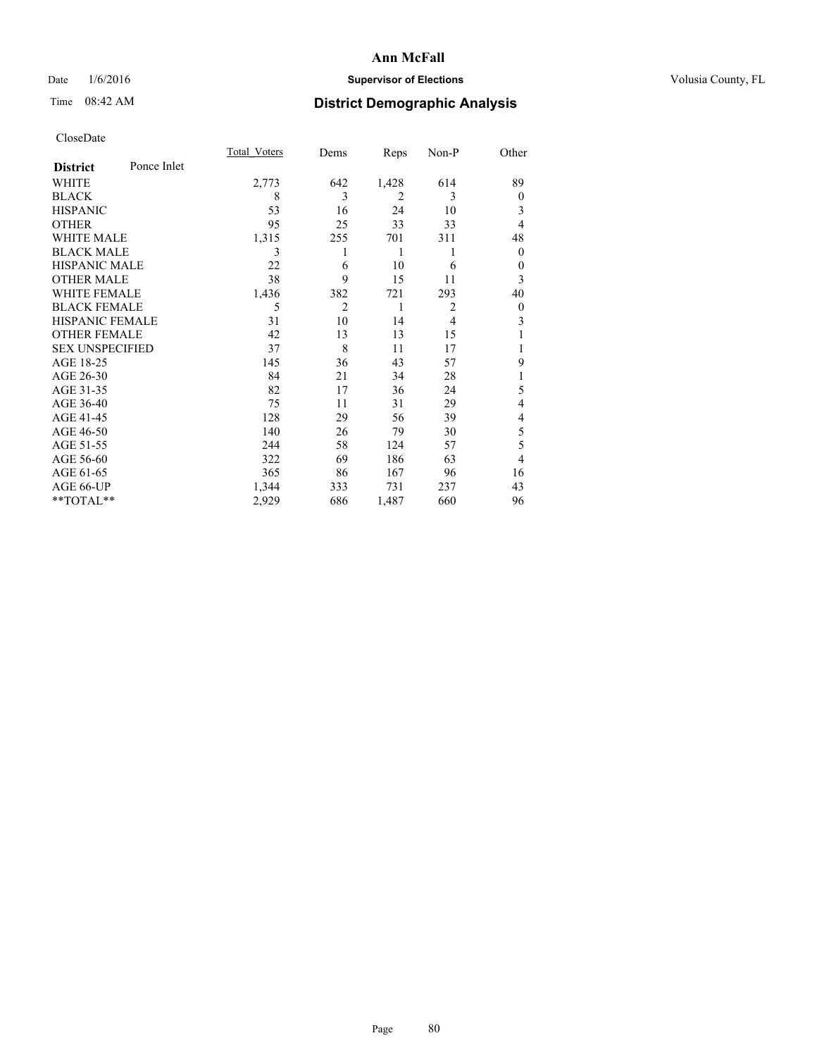## Date  $1/6/2016$  **Supervisor of Elections Supervisor of Elections** Volusia County, FL

## Time 08:42 AM **District Demographic Analysis**

|                        |             | Total Voters | Dems | Reps           | Non-P          | Other          |
|------------------------|-------------|--------------|------|----------------|----------------|----------------|
| <b>District</b>        | Ponce Inlet |              |      |                |                |                |
| WHITE                  |             | 2,773        | 642  | 1,428          | 614            | 89             |
| <b>BLACK</b>           |             | 8            | 3    | $\overline{2}$ | 3              | $\mathbf{0}$   |
| <b>HISPANIC</b>        |             | 53           | 16   | 24             | 10             | 3              |
| <b>OTHER</b>           |             | 95           | 25   | 33             | 33             | $\overline{4}$ |
| WHITE MALE             |             | 1,315        | 255  | 701            | 311            | 48             |
| <b>BLACK MALE</b>      |             | 3            | 1    | 1              | 1              | $\mathbf{0}$   |
| <b>HISPANIC MALE</b>   |             | 22           | 6    | 10             | 6              | $\overline{0}$ |
| <b>OTHER MALE</b>      |             | 38           | 9    | 15             | 11             | 3              |
| <b>WHITE FEMALE</b>    |             | 1,436        | 382  | 721            | 293            | 40             |
| <b>BLACK FEMALE</b>    |             | 5            | 2    | 1              | $\overline{2}$ | $\overline{0}$ |
| HISPANIC FEMALE        |             | 31           | 10   | 14             | $\overline{4}$ | 3              |
| <b>OTHER FEMALE</b>    |             | 42           | 13   | 13             | 15             |                |
| <b>SEX UNSPECIFIED</b> |             | 37           | 8    | 11             | 17             |                |
| AGE 18-25              |             | 145          | 36   | 43             | 57             | 9              |
| AGE 26-30              |             | 84           | 21   | 34             | 28             | 1              |
| AGE 31-35              |             | 82           | 17   | 36             | 24             | 5              |
| AGE 36-40              |             | 75           | 11   | 31             | 29             | 4              |
| AGE 41-45              |             | 128          | 29   | 56             | 39             | 4              |
| AGE 46-50              |             | 140          | 26   | 79             | 30             | 5              |
| AGE 51-55              |             | 244          | 58   | 124            | 57             | 5              |
| AGE 56-60              |             | 322          | 69   | 186            | 63             | $\overline{4}$ |
| AGE 61-65              |             | 365          | 86   | 167            | 96             | 16             |
| AGE 66-UP              |             | 1,344        | 333  | 731            | 237            | 43             |
| **TOTAL**              |             | 2,929        | 686  | 1,487          | 660            | 96             |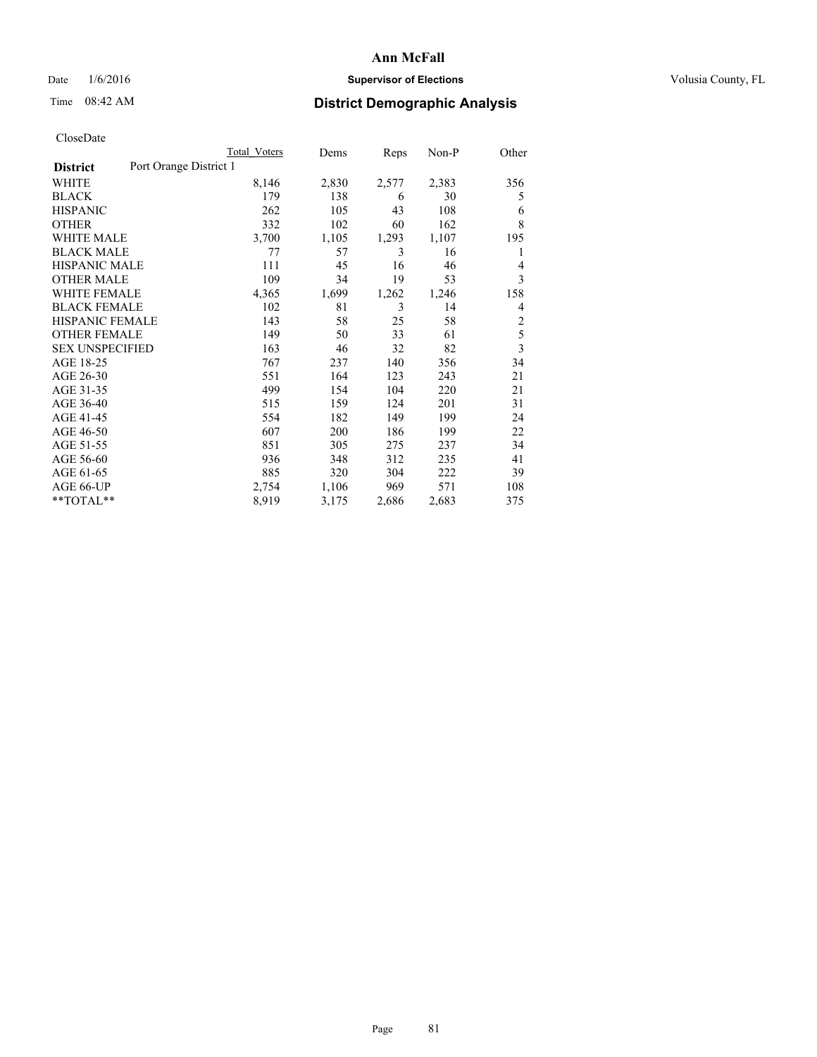## Date  $1/6/2016$  **Supervisor of Elections Supervisor of Elections** Volusia County, FL

## Time 08:42 AM **District Demographic Analysis**

|                        |                        | Total Voters | Dems  | <b>Reps</b> | Non-P | Other          |
|------------------------|------------------------|--------------|-------|-------------|-------|----------------|
| <b>District</b>        | Port Orange District 1 |              |       |             |       |                |
| WHITE                  |                        | 8,146        | 2,830 | 2,577       | 2,383 | 356            |
| <b>BLACK</b>           |                        | 179          | 138   | 6           | 30    | 5              |
| <b>HISPANIC</b>        |                        | 262          | 105   | 43          | 108   | 6              |
| <b>OTHER</b>           |                        | 332          | 102   | 60          | 162   | 8              |
| WHITE MALE             |                        | 3,700        | 1,105 | 1,293       | 1,107 | 195            |
| <b>BLACK MALE</b>      |                        | 77           | 57    | 3           | 16    | 1              |
| <b>HISPANIC MALE</b>   |                        | 111          | 45    | 16          | 46    | 4              |
| <b>OTHER MALE</b>      |                        | 109          | 34    | 19          | 53    | 3              |
| WHITE FEMALE           |                        | 4,365        | 1,699 | 1,262       | 1,246 | 158            |
| <b>BLACK FEMALE</b>    |                        | 102          | 81    | 3           | 14    | 4              |
| <b>HISPANIC FEMALE</b> |                        | 143          | 58    | 25          | 58    | 2              |
| <b>OTHER FEMALE</b>    |                        | 149          | 50    | 33          | 61    | 5              |
| <b>SEX UNSPECIFIED</b> |                        | 163          | 46    | 32          | 82    | $\overline{3}$ |
| AGE 18-25              |                        | 767          | 237   | 140         | 356   | 34             |
| AGE 26-30              |                        | 551          | 164   | 123         | 243   | 21             |
| AGE 31-35              |                        | 499          | 154   | 104         | 220   | 21             |
| AGE 36-40              |                        | 515          | 159   | 124         | 201   | 31             |
| AGE 41-45              |                        | 554          | 182   | 149         | 199   | 24             |
| AGE 46-50              |                        | 607          | 200   | 186         | 199   | 22             |
| AGE 51-55              |                        | 851          | 305   | 275         | 237   | 34             |
| AGE 56-60              |                        | 936          | 348   | 312         | 235   | 41             |
| AGE 61-65              |                        | 885          | 320   | 304         | 222   | 39             |
| AGE 66-UP              |                        | 2,754        | 1,106 | 969         | 571   | 108            |
| **TOTAL**              |                        | 8,919        | 3,175 | 2,686       | 2,683 | 375            |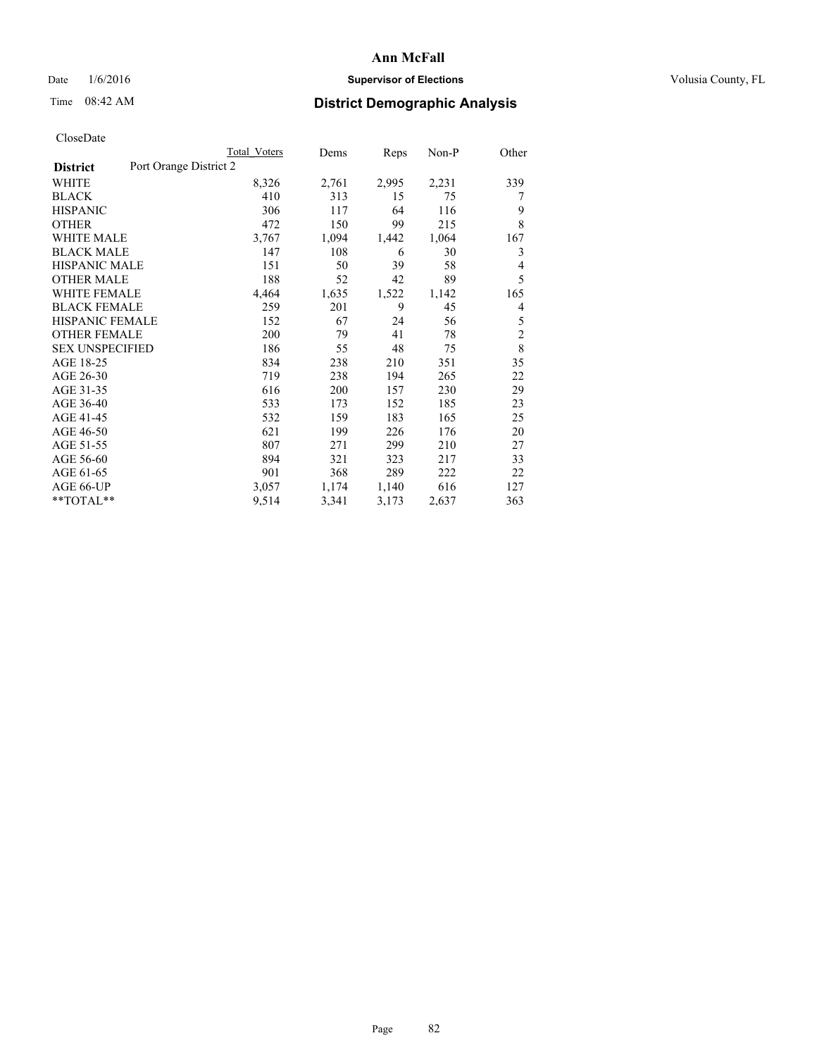## Date  $1/6/2016$  **Supervisor of Elections Supervisor of Elections** Volusia County, FL

# Time 08:42 AM **District Demographic Analysis**

|                        |                        | <b>Total Voters</b> | Dems  | Reps  | $Non-P$ | Other          |
|------------------------|------------------------|---------------------|-------|-------|---------|----------------|
| <b>District</b>        | Port Orange District 2 |                     |       |       |         |                |
| WHITE                  |                        | 8,326               | 2,761 | 2,995 | 2,231   | 339            |
| <b>BLACK</b>           |                        | 410                 | 313   | 15    | 75      | 7              |
| <b>HISPANIC</b>        |                        | 306                 | 117   | 64    | 116     | 9              |
| <b>OTHER</b>           |                        | 472                 | 150   | 99    | 215     | 8              |
| <b>WHITE MALE</b>      |                        | 3,767               | 1,094 | 1,442 | 1,064   | 167            |
| <b>BLACK MALE</b>      |                        | 147                 | 108   | 6     | 30      | 3              |
| <b>HISPANIC MALE</b>   |                        | 151                 | 50    | 39    | 58      | 4              |
| <b>OTHER MALE</b>      |                        | 188                 | 52    | 42    | 89      | 5              |
| <b>WHITE FEMALE</b>    |                        | 4,464               | 1,635 | 1,522 | 1,142   | 165            |
| <b>BLACK FEMALE</b>    |                        | 259                 | 201   | 9     | 45      | 4              |
| HISPANIC FEMALE        |                        | 152                 | 67    | 24    | 56      | 5              |
| <b>OTHER FEMALE</b>    |                        | 200                 | 79    | 41    | 78      | $\overline{c}$ |
| <b>SEX UNSPECIFIED</b> |                        | 186                 | 55    | 48    | 75      | 8              |
| AGE 18-25              |                        | 834                 | 238   | 210   | 351     | 35             |
| AGE 26-30              |                        | 719                 | 238   | 194   | 265     | 22             |
| AGE 31-35              |                        | 616                 | 200   | 157   | 230     | 29             |
| AGE 36-40              |                        | 533                 | 173   | 152   | 185     | 23             |
| AGE 41-45              |                        | 532                 | 159   | 183   | 165     | 25             |
| AGE 46-50              |                        | 621                 | 199   | 226   | 176     | 20             |
| AGE 51-55              |                        | 807                 | 271   | 299   | 210     | 27             |
| AGE 56-60              |                        | 894                 | 321   | 323   | 217     | 33             |
| AGE 61-65              |                        | 901                 | 368   | 289   | 222     | 22             |
| AGE 66-UP              |                        | 3,057               | 1,174 | 1,140 | 616     | 127            |
| **TOTAL**              |                        | 9,514               | 3,341 | 3,173 | 2,637   | 363            |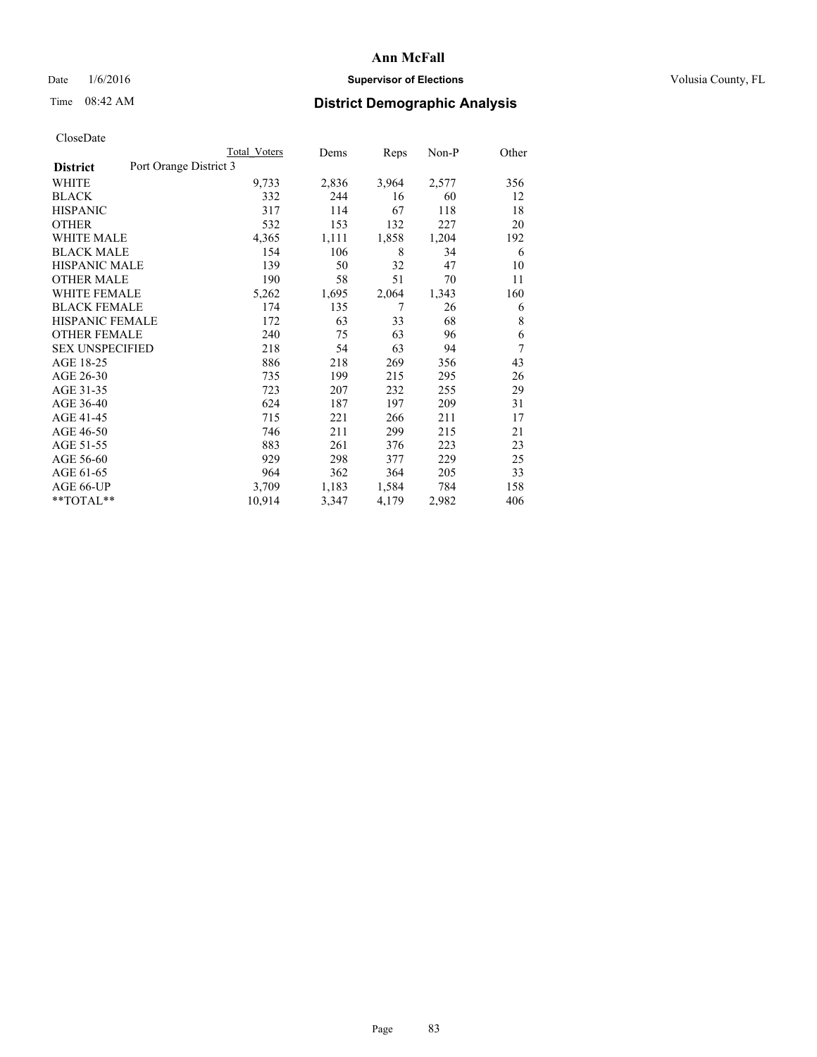## Date  $1/6/2016$  **Supervisor of Elections Supervisor of Elections** Volusia County, FL

## Time 08:42 AM **District Demographic Analysis**

|                                           | Total Voters | Dems  | <b>Reps</b> | Non-P | Other |
|-------------------------------------------|--------------|-------|-------------|-------|-------|
| Port Orange District 3<br><b>District</b> |              |       |             |       |       |
| WHITE                                     | 9,733        | 2,836 | 3,964       | 2,577 | 356   |
| <b>BLACK</b>                              | 332          | 244   | 16          | 60    | 12    |
| <b>HISPANIC</b>                           | 317          | 114   | 67          | 118   | 18    |
| <b>OTHER</b>                              | 532          | 153   | 132         | 227   | 20    |
| <b>WHITE MALE</b>                         | 4,365        | 1,111 | 1,858       | 1,204 | 192   |
| <b>BLACK MALE</b>                         | 154          | 106   | 8           | 34    | 6     |
| <b>HISPANIC MALE</b>                      | 139          | 50    | 32          | 47    | 10    |
| <b>OTHER MALE</b>                         | 190          | 58    | 51          | 70    | 11    |
| WHITE FEMALE                              | 5,262        | 1,695 | 2,064       | 1,343 | 160   |
| <b>BLACK FEMALE</b>                       | 174          | 135   | 7           | 26    | 6     |
| <b>HISPANIC FEMALE</b>                    | 172          | 63    | 33          | 68    | 8     |
| <b>OTHER FEMALE</b>                       | 240          | 75    | 63          | 96    | 6     |
| <b>SEX UNSPECIFIED</b>                    | 218          | 54    | 63          | 94    | 7     |
| AGE 18-25                                 | 886          | 218   | 269         | 356   | 43    |
| AGE 26-30                                 | 735          | 199   | 215         | 295   | 26    |
| AGE 31-35                                 | 723          | 207   | 232         | 255   | 29    |
| AGE 36-40                                 | 624          | 187   | 197         | 209   | 31    |
| AGE 41-45                                 | 715          | 221   | 266         | 211   | 17    |
| AGE 46-50                                 | 746          | 211   | 299         | 215   | 21    |
| AGE 51-55                                 | 883          | 261   | 376         | 223   | 23    |
| AGE 56-60                                 | 929          | 298   | 377         | 229   | 25    |
| AGE 61-65                                 | 964          | 362   | 364         | 205   | 33    |
| AGE 66-UP                                 | 3,709        | 1,183 | 1,584       | 784   | 158   |
| **TOTAL**                                 | 10,914       | 3,347 | 4,179       | 2,982 | 406   |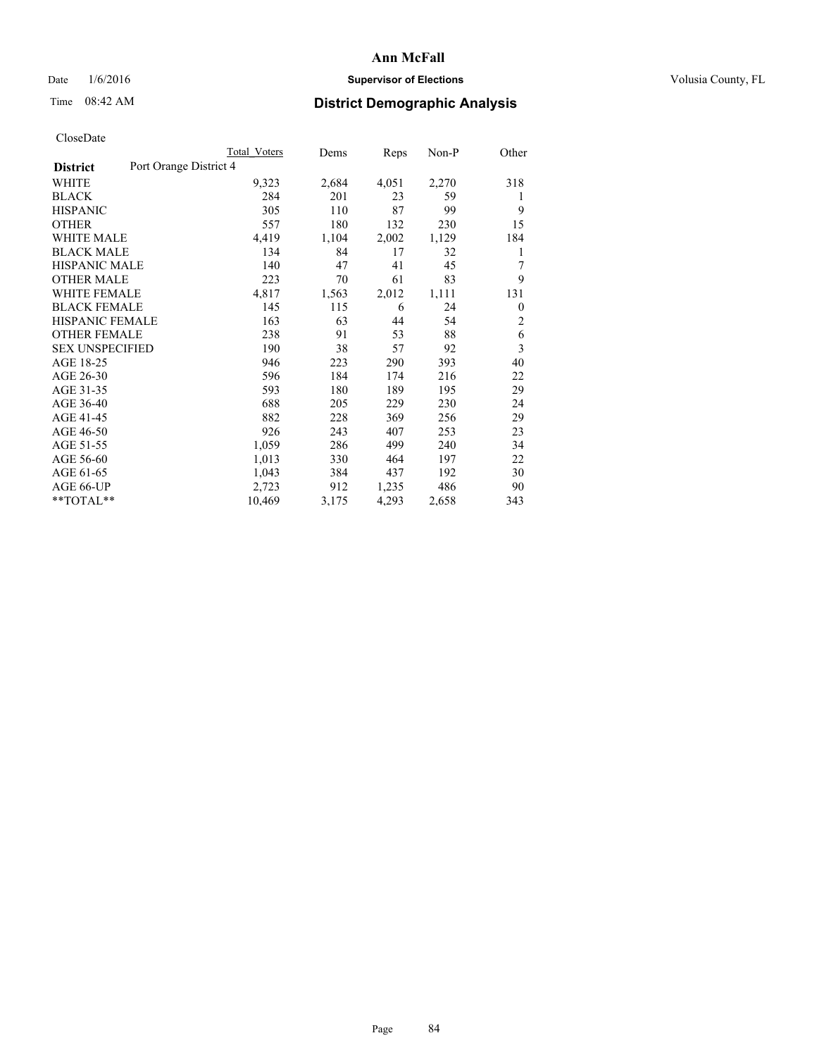## Date  $1/6/2016$  **Supervisor of Elections Supervisor of Elections** Volusia County, FL

## Time 08:42 AM **District Demographic Analysis**

|                        |                        | Total Voters | Dems  | <b>Reps</b> | Non-P | Other    |
|------------------------|------------------------|--------------|-------|-------------|-------|----------|
| <b>District</b>        | Port Orange District 4 |              |       |             |       |          |
| WHITE                  |                        | 9,323        | 2,684 | 4,051       | 2,270 | 318      |
| <b>BLACK</b>           |                        | 284          | 201   | 23          | 59    | 1        |
| <b>HISPANIC</b>        |                        | 305          | 110   | 87          | 99    | 9        |
| <b>OTHER</b>           |                        | 557          | 180   | 132         | 230   | 15       |
| WHITE MALE             |                        | 4,419        | 1,104 | 2,002       | 1,129 | 184      |
| <b>BLACK MALE</b>      |                        | 134          | 84    | 17          | 32    | 1        |
| <b>HISPANIC MALE</b>   |                        | 140          | 47    | 41          | 45    | 7        |
| <b>OTHER MALE</b>      |                        | 223          | 70    | 61          | 83    | 9        |
| WHITE FEMALE           |                        | 4,817        | 1,563 | 2,012       | 1,111 | 131      |
| <b>BLACK FEMALE</b>    |                        | 145          | 115   | 6           | 24    | $\theta$ |
| <b>HISPANIC FEMALE</b> |                        | 163          | 63    | 44          | 54    | 2        |
| <b>OTHER FEMALE</b>    |                        | 238          | 91    | 53          | 88    | 6        |
| <b>SEX UNSPECIFIED</b> |                        | 190          | 38    | 57          | 92    | 3        |
| AGE 18-25              |                        | 946          | 223   | 290         | 393   | 40       |
| AGE 26-30              |                        | 596          | 184   | 174         | 216   | 22       |
| AGE 31-35              |                        | 593          | 180   | 189         | 195   | 29       |
| AGE 36-40              |                        | 688          | 205   | 229         | 230   | 24       |
| AGE 41-45              |                        | 882          | 228   | 369         | 256   | 29       |
| AGE 46-50              |                        | 926          | 243   | 407         | 253   | 23       |
| AGE 51-55              |                        | 1,059        | 286   | 499         | 240   | 34       |
| AGE 56-60              |                        | 1,013        | 330   | 464         | 197   | 22       |
| AGE 61-65              |                        | 1,043        | 384   | 437         | 192   | 30       |
| AGE 66-UP              |                        | 2,723        | 912   | 1,235       | 486   | 90       |
| **TOTAL**              |                        | 10,469       | 3,175 | 4,293       | 2,658 | 343      |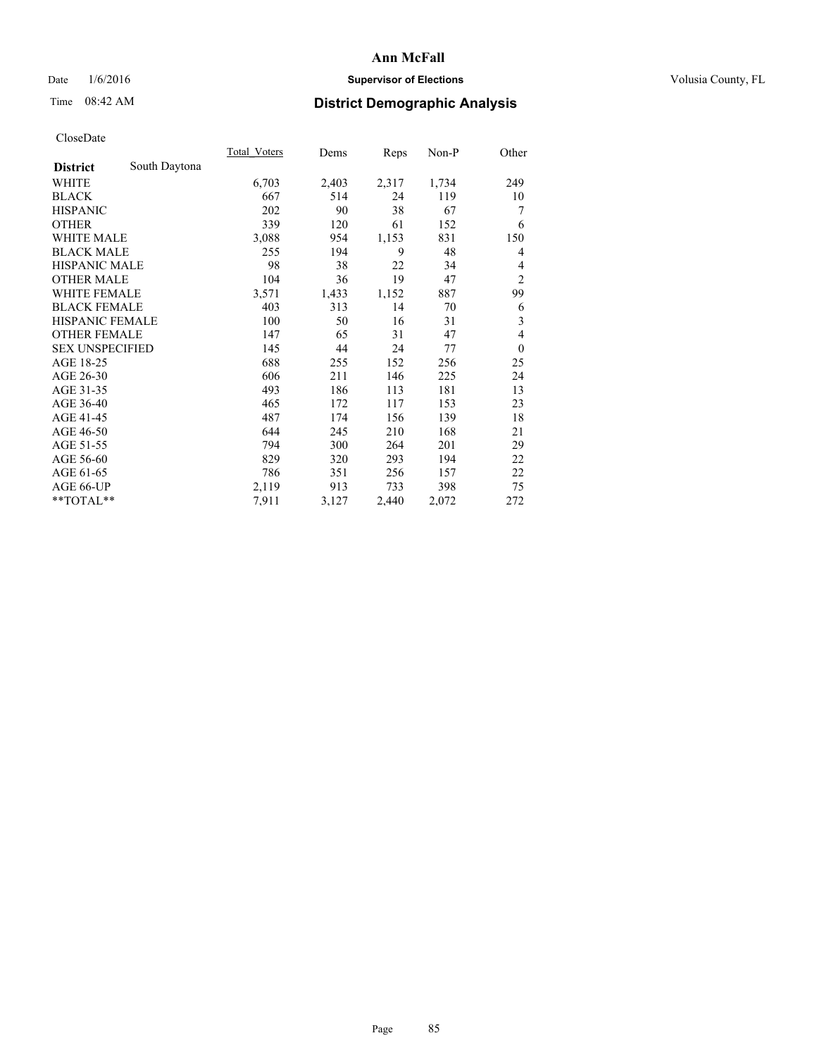## Date  $1/6/2016$  **Supervisor of Elections Supervisor of Elections** Volusia County, FL

## Time 08:42 AM **District Demographic Analysis**

|                        |               | Total Voters | Dems  | <b>Reps</b> | Non-P | Other          |
|------------------------|---------------|--------------|-------|-------------|-------|----------------|
| <b>District</b>        | South Daytona |              |       |             |       |                |
| WHITE                  |               | 6,703        | 2,403 | 2,317       | 1,734 | 249            |
| <b>BLACK</b>           |               | 667          | 514   | 24          | 119   | 10             |
| <b>HISPANIC</b>        |               | 202          | 90    | 38          | 67    | 7              |
| <b>OTHER</b>           |               | 339          | 120   | 61          | 152   | 6              |
| WHITE MALE             |               | 3,088        | 954   | 1,153       | 831   | 150            |
| <b>BLACK MALE</b>      |               | 255          | 194   | 9           | 48    | 4              |
| <b>HISPANIC MALE</b>   |               | 98           | 38    | 22          | 34    | 4              |
| <b>OTHER MALE</b>      |               | 104          | 36    | 19          | 47    | $\overline{2}$ |
| WHITE FEMALE           |               | 3,571        | 1,433 | 1,152       | 887   | 99             |
| <b>BLACK FEMALE</b>    |               | 403          | 313   | 14          | 70    | 6              |
| <b>HISPANIC FEMALE</b> |               | 100          | 50    | 16          | 31    | 3              |
| <b>OTHER FEMALE</b>    |               | 147          | 65    | 31          | 47    | 4              |
| <b>SEX UNSPECIFIED</b> |               | 145          | 44    | 24          | 77    | $\mathbf{0}$   |
| AGE 18-25              |               | 688          | 255   | 152         | 256   | 25             |
| AGE 26-30              |               | 606          | 211   | 146         | 225   | 24             |
| AGE 31-35              |               | 493          | 186   | 113         | 181   | 13             |
| AGE 36-40              |               | 465          | 172   | 117         | 153   | 23             |
| AGE 41-45              |               | 487          | 174   | 156         | 139   | 18             |
| AGE 46-50              |               | 644          | 245   | 210         | 168   | 21             |
| AGE 51-55              |               | 794          | 300   | 264         | 201   | 29             |
| AGE 56-60              |               | 829          | 320   | 293         | 194   | 22             |
| AGE 61-65              |               | 786          | 351   | 256         | 157   | 22             |
| AGE 66-UP              |               | 2,119        | 913   | 733         | 398   | 75             |
| **TOTAL**              |               | 7,911        | 3,127 | 2,440       | 2,072 | 272            |